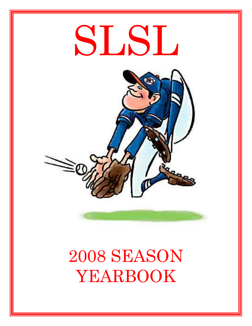

# 2008 SEASON YEARBOOK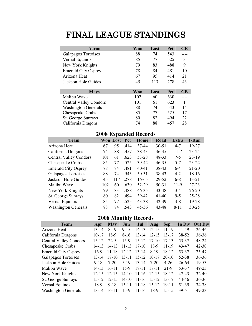# FINAL LEAGUE STANDINGS

| Aaron                         | Won | Lost | Pct  | <b>GB</b> |
|-------------------------------|-----|------|------|-----------|
| Galapagos Tortoises           | 88  | 74   | .543 |           |
| Vernal Equinox                | 85  | 77   | .525 | 3         |
| New York Knights              | 79  | 83   | .488 | 9         |
| <b>Emerald City Osprey</b>    | 78  | 84   | .481 | 10        |
| Arizona Heat                  | 67  | 95   | .414 | 21        |
| Jackson Hole Guides           | 45  | 117  | .278 | 43        |
|                               |     |      |      |           |
| <b>Mays</b>                   | Won | Lost | Pct  | <b>GB</b> |
| Malibu Wave                   | 102 | 60   | .630 |           |
| <b>Central Valley Condors</b> | 101 | 61   | .623 | 1         |
| <b>Washington Generals</b>    | 88  | 74   | .543 | 14        |
| Chesapeake Crabs              | 85  | 77   | .525 | 17        |
| St. George Sunrays            | 80  | 82   | .494 | 22        |
| California Dragons            | 74  | 88   | .457 | 28        |

# 2008 Expanded Records

| <b>Team</b>                   |     | Won Lost | <b>Pct</b> | Home      | Road      | Extra    | 1-Run     |
|-------------------------------|-----|----------|------------|-----------|-----------|----------|-----------|
| Arizona Heat                  | 67  | 95       | .414       | 37-44     | $30 - 51$ | $4 - 7$  | 19-27     |
| California Dragons            | 74  | 88       | .457       | 38-43     | 36-45     | $11 - 7$ | $23 - 24$ |
| <b>Central Valley Condors</b> | 101 | 61       | .623       | 53-28     | 48-33     | $7 - 5$  | $23-19$   |
| Chesapeake Crabs              | 85  | 77       | .525       | 39-42     | $46 - 35$ | $5 - 7$  | $23 - 22$ |
| <b>Emerald City Osprey</b>    | 78  | 84       | .481       | $40 - 41$ | 38-43     | $6-4$    | $21 - 20$ |
| Galapagos Tortoises           | 88  | 74       | .543       | $50 - 31$ | 38-43     | $4 - 2$  | 18-16     |
| Jackson Hole Guides           | 45  | 117      | .278       | 16-65     | 29-52     | $6 - 8$  | $13 - 21$ |
| Malibu Wave                   | 102 | 60       | .630       | 52-29     | $50 - 31$ | $11-9$   | $27 - 23$ |
| New York Knights              | 79  | 83       | .488       | $46 - 35$ | 33-48     | $3-4$    | $26 - 20$ |
| St. George Sunrays            | 80  | 82       | .494       | 39-42     | $41-40$   | $9 - 5$  | $25 - 28$ |
| Vernal Equinox                | 85  | 77       | .525       | $43 - 38$ | 42-39     | $3 - 8$  | 19-28     |
| <b>Washington Generals</b>    | 88  | 74       | .543       | 45-36     | 43-48     | $8 - 11$ | $30 - 25$ |

# 2008 Monthly Records

| <b>Team</b>                   | Apr       | May       | Jun       | Jul       | Aug       | Sep+      | In Div | <b>Out Div</b> |
|-------------------------------|-----------|-----------|-----------|-----------|-----------|-----------|--------|----------------|
| Arizona Heat                  | $13 - 14$ | $8-19$    | $9 - 15$  | $14 - 13$ | $12 - 15$ | 11-19     | 41-49  | 26-46          |
| California Dragons            | $10 - 17$ | 18-9      | $8-16$    | $13 - 14$ | $12 - 15$ | $13 - 17$ | 38-52  | $36 - 36$      |
| <b>Central Valley Condors</b> | $15 - 12$ | $22 - 5$  | 15-9      | $15 - 12$ | $17-10$   | $17-13$   | 53-37  | 48-24          |
| Chesapeake Crabs              | $14 - 13$ | $14 - 13$ | $11 - 13$ | $17-10$   | 18-9      | 11-19     | 43-47  | $42 - 30$      |
| <b>Emerald City Osprey</b>    | 16-9      | $11 - 18$ | $12 - 12$ | $13 - 14$ | 8-19      | 18-12     | 53-37  | 25-47          |
| Galapagos Tortoises           | 13-14     | $17-10$   | $13 - 11$ | $15 - 12$ | $10 - 17$ | $20-10$   | 52-38  | $36 - 36$      |
| Jackson Hole Guides           | $9 - 18$  | $7-20$    | $5-19$    | $13 - 14$ | $7-20$    | $4 - 26$  | 26-64  | 19-53          |
| Malibu Wave                   | $14 - 13$ | $16 - 11$ | $15-9$    | $18 - 11$ | $18 - 11$ | 21-9      | 53-37  | 49-23          |
| New York Knights              | $12 - 15$ | $12 - 15$ | $14 - 10$ | $11 - 16$ | $12 - 15$ | 18-12     | 47-43  | $32 - 40$      |
| St. George Sunrays            | $15 - 12$ | $12 - 15$ | $14 - 10$ | $11 - 16$ | 15-12     | 13-17     | 44-46  | $36 - 36$      |
| Vernal Equinox                | 18-9      | $9 - 18$  | $13 - 11$ | $11 - 18$ | $15 - 12$ | $19 - 11$ | 51-39  | 34-38          |
| <b>Washington Generals</b>    | 13-14     | $16 - 11$ | $15-9$    | $11 - 16$ | 18-9      | 15-15     | 39-51  | 49-23          |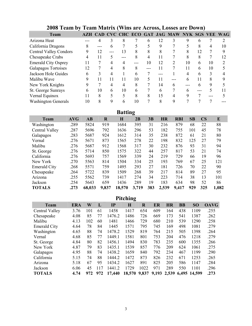| <b>Team</b>                   |    |    |       |     |    |    |    | AZH CAD CVC CHC ECO GAT JAG MAW NYK SGS VEE WAG |    |    |    |    |
|-------------------------------|----|----|-------|-----|----|----|----|-------------------------------------------------|----|----|----|----|
| Arizona Heat                  |    |    |       | 8   |    | 6  | 12 |                                                 |    | 6  |    |    |
| California Dragons            | 8  |    | 6     |     |    |    | 9  |                                                 |    | 8  |    | 10 |
| <b>Central Valley Condors</b> | 9  | 12 | $---$ | 13  | 8  | 8  | 8  |                                                 | 8  | 12 |    |    |
| Chesapeake Crabs              | 4  | 11 |       | --- | 8  | 4  |    |                                                 | 8  | 8  |    | 12 |
| <b>Emerald City Osprey</b>    |    |    | 4     |     |    | 10 | 12 | 2                                               | 10 | 6  | 10 |    |
| Galapagos Tortoises           | 12 |    | 4     | 8   | 8  |    | 11 |                                                 | 11 | 6  | 10 |    |
| Jackson Hole Guides           | 6  |    |       |     | 6  |    |    |                                                 |    | 6  | 3  |    |
| Malibu Wave                   | 9  |    |       |     | 10 |    | 11 |                                                 | h  | 11 | 8  |    |
| New York Knights              | Q  |    | 4     | 4   | 8  |    | 14 | h                                               |    | h  | 9  |    |
| St. George Sunrays            | h  | 10 | 6     | 10  | 6  |    | 6  |                                                 |    |    | 5  |    |
| Vernal Equinox                |    | 8  |       |     | 8  | 8  | 15 |                                                 | 9  |    |    |    |
| <b>Washington Generals</b>    | 10 | 8  | 9     |     | 10 |    | 8  |                                                 |    |    |    |    |

# 2008 Team by Team Matrix (Wins are Across, Losses are Down)

Batting

| <b>Team</b>         | <b>AVG</b> | AB     | $\mathbf R$ | H      | 2B    | 3B  | <b>HR</b> | <b>RBI</b> | SB  | $\overline{\text{CS}}$ | E     |
|---------------------|------------|--------|-------------|--------|-------|-----|-----------|------------|-----|------------------------|-------|
| Washington          | .289       | 5824   | 919         | 1684   | 395   | 31  | 216       | 879        | 68  | 22                     | 88    |
| Central Valley      | .287       | 5696   | 792         | 1636   | 296   | 53  | 182       | 755        | 101 | 45                     | 78    |
| Galapagos           | .283       | 5687   | 924         | 1612   | 314   | 35  | 238       | 872        | 61  | 21                     | 80    |
| Vernal              | .276       | 5671   | 873         | 1565   | 278   | 22  | 198       | 832        | 125 | 27                     | 79    |
| Malibu              | .276       | 5687   | 912         | 1568   | 317   | 30  | 232       | 876        | 93  | 31                     | 94    |
| St. George          | .276       | 5714   | 850         | 1575   | 322   | 44  | 257       | 817        | 53  | 21                     | 74    |
| California          | .276       | 5693   | 757         | 1569   | 339   | 24  | 219       | 729        | 66  | 19                     | 96    |
| New York            | .270       | 5563   | 814         | 1504   | 334   | 25  | 193       | 769        | 67  | 25                     | 121   |
| <b>Emerald City</b> | .268       | 5571   | 759         | 1495   | 293   | 27  | 181       | 726        | 70  | 22                     | 90    |
| Chesapeake          | .264       | 5722   | 839         | 1509   | 268   | 39  | 217       | 814        | 89  | 27                     | 95    |
| Arizona             | .255       | 5562   | 739         | 1417   | 274   | 34  | 223       | 714        | 38  | 13                     | 101   |
| Jackson             | .254       | 5643   | 659         | 1436   | 289   | 19  | 183       | 634        | 98  | 52                     | 86    |
| <b>TOTALS</b>       | .273       | 68,033 | 9,837       | 18,570 | 3,719 | 383 | 2,539     | 9,417      | 929 | 325                    | 1,082 |

| <b>Pitching</b>     |      |     |     |        |        |         |       |     |             |           |             |  |
|---------------------|------|-----|-----|--------|--------|---------|-------|-----|-------------|-----------|-------------|--|
| <b>Team</b>         | ERA  | W   | L   | IP     | H      | $\bf R$ | ER    | HR  | <b>BB</b>   | <b>SO</b> | <b>OAVG</b> |  |
| Central Valley      | 3.76 | 101 | 61  | 1458   | 1417   | 654     | 609   | 164 | 438         | 1109      | .255        |  |
| Chesapeake          | 4.08 | 85  | 77  | 1476.2 | 1486   | 726     | 669   | 173 | 541         | 1387      | .262        |  |
| Malibu              | 4.13 | 102 | 60  | 1481   | 1466   | 729     | 680   | 210 | 539         | 1290      | .258        |  |
| <b>Emerald City</b> | 4.64 | 78  | 84  | 1445   | 1571   | 795     | 745   | 169 | 498         | 1081      | .279        |  |
| Washington          | 4.65 | 88  | 74  | 1478.2 | 1529   | 819     | 764   | 215 | 505         | 1398      | .264        |  |
| Vernal              | 4.68 | 85  | 77  | 1449.1 | 1581   | 801     | 753   | 204 | 476         | 1218      | .279        |  |
| St. George          | 4.84 | 80  | 82  | 1456.1 | 1494   | 830     | 783   | 235 | 600         | 1355      | .266        |  |
| New York            | 4.87 | 79  | 83  | 1435.1 | 1539   | 857     | 776   | 209 | 624         | 1061      | .275        |  |
| Galapagos           | 4.95 | 88  | 74  | 1438.2 | 1659   | 840     | 792   | 234 | 467         | 1199      | .290        |  |
| California          | 5.15 | 74  | 88  | 1444.2 | 1472   | 873     | 826   | 232 | 671         | 1253      | .265        |  |
| Arizona             | 5.18 | 67  | 95  | 1434.2 | 1627   | 891     | 825   | 205 | 586         | 1147      | .284        |  |
| Jackson             | 6.06 | 45  | 117 | 1441.2 | 1729   | 1022    | 971   | 289 | 550         | 1101      | .296        |  |
| <b>TOTALS</b>       | 4.74 | 972 | 972 | 17,440 | 18,570 | 9,837   | 9,193 |     | 2,539 6,495 | 14,599    | .273        |  |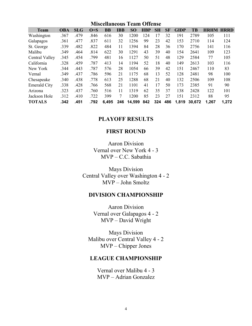| <b>Miscellaneous Team Offense</b> |            |            |         |           |            |        |            |           |           |             |        |                  |       |
|-----------------------------------|------------|------------|---------|-----------|------------|--------|------------|-----------|-----------|-------------|--------|------------------|-------|
| <b>Team</b>                       | <b>OBA</b> | <b>SLG</b> | $O + S$ | <b>BB</b> | <b>IBB</b> | SO     | <b>HBP</b> | <b>SH</b> | <b>SF</b> | <b>GIDP</b> | TВ     | <b>HRHM HRRD</b> |       |
| Washington                        | .367       | .479       | .846    | 616       | 30         | 1200   | 124        | 17        | 32        | 191         | 2789   | 105              | 111   |
| Galapagos                         | .361       | .477       | .837    | 611       | 32         | 1256   | 99         | 23        | 42        | 153         | 2710   | 114              | 124   |
| St. George                        | .339       | .482       | .822    | 484       | 11         | 1394   | 84         | 28        | 36        | 170         | 2756   | 141              | 116   |
| Malibu                            | .349       | .464       | .814    | 622       | 30         | 1291   | 43         | 39        | 40        | 154         | 2641   | 109              | 123   |
| Central Valley                    | .345       | .454       | .799    | 481       | 16         | 1127   | 50         | 51        | 48        | 129         | 2584   | 77               | 105   |
| California                        | .328       | .459       | .787    | 413       | 14         | 1194   | 52         | 18        | 40        | 149         | 2613   | 103              | 116   |
| New York                          | .344       | .443       | .787    | 576       | 28         | 1054   | 66         | 39        | 42        | 151         | 2467   | 110              | 83    |
| Vernal                            | .349       | .437       | .786    | 596       | 21         | 1175   | 68         | 13        | 52        | 128         | 2481   | 98               | 100   |
| Chesapeake                        | .340       | .438       | .778    | 613       | 25         | 1288   | 68         | 21        | 40        | 132         | 2506   | 109              | 108   |
| <b>Emerald City</b>               | .338       | .428       | .766    | 568       | 21         | 1101   | 41         | 17        | 50        | 173         | 2385   | 91               | 90    |
| Arizona                           | .323       | .437       | .760    | 516       | 11         | 1319   | 62         | 35        | 37        | 138         | 2428   | 122              | 101   |
| Jackson Hole                      | .312       | .410       | .722    | 399       | 7          | 1200   | 85         | 23        | 27        | 151         | 2312   | 88               | 95    |
| <b>TOTALS</b>                     | .342       | .451       | .792    | 6,495     | 246        | 14,599 | 842        | 324       | 486       | 1,819       | 30.672 | 1,267            | 1,272 |

#### PLAYOFF RESULTS

#### FIRST ROUND

Aaron Division Vernal over New York 4 - 3 MVP – C.C. Sabathia

Mays Division Central Valley over Washington 4 - 2 MVP – John Smoltz

#### DIVISION CHAMPIONSHIP

Aaron Division Vernal over Galapagos 4 - 2 MVP – David Wright

Mays Division Malibu over Central Valley 4 - 2 MVP – Chipper Jones

#### LEAGUE CHAMPIONSHIP

Vernal over Malibu 4 - 3 MVP – Adrian Gonzalez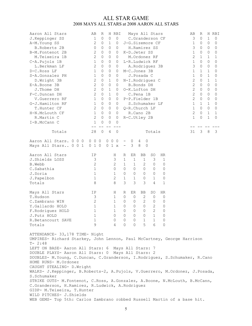#### ALL STAR GAME 2008 MAYS ALL STARS at 2008 AARON ALL STARS

| Aaron All Stars<br>J.Keppinger SS<br>A-M. Young SS<br><b>B.Roberts 2B</b><br>B-M. Fontenot 2B<br>M.Teixeira 1B<br>C-A. Pujols 1B<br>L.Berkman LF<br>D-C.Ross LF<br>S-A.Gonzalez PH<br>D.Wright 3B<br>E-A.Boone 3B<br>J.Thome DH<br>F-C.Duncan DH<br>V.Guerrero RF<br>G-J.Hamilton RF<br>T.Hunter CF<br>H-N.McLouth CF<br>R.Martin C<br>I-B.McCann C                                                                                                                                                                                                                                                                                                                                                                                               | AВ<br>R<br>1<br>0<br>2<br>0<br>0<br>0<br>2<br>0<br>$\mathbf{2}$<br>0<br>1<br>0<br>2<br>0<br>1<br>0<br>1<br>0<br>$\mathbf 2$<br>0<br>$\mathbf 2$<br>0<br>$\mathbf{2}$<br>0<br>$\mathbf{2}$<br>0<br>1<br>0<br>1<br>0<br>$\mathbf{2}$<br>0<br>$\mathbf 1$<br>0<br>$\mathbf{2}$<br>0<br>1<br>0<br>$- -$ | H RBI<br>$\mathsf{O}\xspace$<br>$\circ$<br>1<br>0<br>0<br>0<br>0<br>0<br>0<br>0<br>0<br>0<br>0<br>0<br>0<br>0<br>0<br>0<br>1<br>0<br>0<br>0<br>$\mathbf 1$<br>0<br>$\mathbf 1$<br>0<br>0<br>0<br>0<br>0<br>0<br>0<br>0<br>0<br>0<br>0<br>0<br>$\circ$<br>$- - -$ | Mays All Stars<br>C.Granderson CF<br>J-G.Sizemore CF<br>H.Ramirez SS<br>K-D.Jeter SS<br>M.Ordonez RF<br>L-R.Ludwick RF<br>A.Rodriguez 3B<br>M-C.Jones 3B<br>J.Posada C<br>N-I.Rodriguez C<br><b>B.Bonds DH</b><br>O-K.Lofton DH<br>C.Pena 1B<br>P-P. Fielder 1B<br>S.Schumaker LF<br>Q-R.Church LF<br>R.Cano 2B<br>R-C.Utley 2B |                                                                    |                                                               | AВ<br>3<br>1<br>3<br>1<br>2<br>1<br>3<br>1<br>$\mathbf 1$<br>$\mathbf{2}$<br>$\overline{c}$<br>$\mathbf{2}$<br>$\mathbf{2}$<br>$\mathbf{2}$<br>$\mathbf 1$<br>1<br>$\mathbf{2}$<br>$\mathbf{1}$ | R<br>$\circ$<br>0<br>0<br>0<br>1<br>0<br>0<br>1<br>0<br>0<br>0<br>0<br>0<br>0<br>1<br>$\Omega$<br>0<br>0 | H RBI<br>$\mathbf 1$<br>$\circ$<br>0<br>0<br>0<br>0<br>0<br>0<br>1<br>1<br>0<br>0<br>0<br>0<br>1<br>0<br>$\mathbf 1$<br>$\circ$<br>$\mathbf 1$<br>1<br>0<br>0<br>0<br>0<br>0<br>0<br>0<br>0<br>1<br>$\overline{0}$<br>0<br>0<br>1<br>1<br>1<br>0 |
|---------------------------------------------------------------------------------------------------------------------------------------------------------------------------------------------------------------------------------------------------------------------------------------------------------------------------------------------------------------------------------------------------------------------------------------------------------------------------------------------------------------------------------------------------------------------------------------------------------------------------------------------------------------------------------------------------------------------------------------------------|-----------------------------------------------------------------------------------------------------------------------------------------------------------------------------------------------------------------------------------------------------------------------------------------------------|------------------------------------------------------------------------------------------------------------------------------------------------------------------------------------------------------------------------------------------------------------------|---------------------------------------------------------------------------------------------------------------------------------------------------------------------------------------------------------------------------------------------------------------------------------------------------------------------------------|--------------------------------------------------------------------|---------------------------------------------------------------|-------------------------------------------------------------------------------------------------------------------------------------------------------------------------------------------------|----------------------------------------------------------------------------------------------------------|--------------------------------------------------------------------------------------------------------------------------------------------------------------------------------------------------------------------------------------------------|
| Totals                                                                                                                                                                                                                                                                                                                                                                                                                                                                                                                                                                                                                                                                                                                                            | 28<br>$\mathbb O$                                                                                                                                                                                                                                                                                   | 4<br>$\mathbb O$                                                                                                                                                                                                                                                 |                                                                                                                                                                                                                                                                                                                                 | Totals                                                             |                                                               | 31                                                                                                                                                                                              | 3                                                                                                        | 3<br>8                                                                                                                                                                                                                                           |
| Aaron All Stars. 0 0 0<br>Mays All Stars 0 0 1                                                                                                                                                                                                                                                                                                                                                                                                                                                                                                                                                                                                                                                                                                    | $0\quad 0\quad 0$<br>010                                                                                                                                                                                                                                                                            | $0\quad 0\quad 0$<br>01x                                                                                                                                                                                                                                         | 0<br>$\cup$<br>4<br>$\overline{\phantom{a}}$<br>3<br>8<br>$\overline{0}$<br>$\overline{\phantom{a}}$                                                                                                                                                                                                                            |                                                                    |                                                               |                                                                                                                                                                                                 |                                                                                                          |                                                                                                                                                                                                                                                  |
| Aaron All Stars<br>J. Shields LOSS<br><b>B.Webb</b><br>C.Sabathia<br>J.Soria<br>J.Papelbon<br>Totals                                                                                                                                                                                                                                                                                                                                                                                                                                                                                                                                                                                                                                              | ΙP<br>3<br>$\mathbf 2$<br>1<br>1<br>1<br>8                                                                                                                                                                                                                                                          | Η<br>3<br>$\mathbf{2}$<br>$\circ$<br>$\mathbf{1}$<br>2<br>8                                                                                                                                                                                                      | ER<br>BB<br>R<br>$\mathbf 1$<br>1<br>1<br>2<br>1<br>$\mathbf 1$<br>$\circ$<br>0<br>0<br>0<br>0<br>0<br>1<br>1<br>0<br>3<br>3<br>3                                                                                                                                                                                               | SO<br>3<br>$\circ$<br>0<br>0<br>1<br>4                             | HR<br>1<br>0<br>0<br>0<br>0<br>$\mathbf 1$                    |                                                                                                                                                                                                 |                                                                                                          |                                                                                                                                                                                                                                                  |
| Mays All Stars<br>T.Hudson<br>C.Zambrano WIN<br>Y.Gallardo HOLD<br>F.Rodriguez HOLD<br>J.Putz HOLD<br>R.Betancourt SAVE<br>Totals                                                                                                                                                                                                                                                                                                                                                                                                                                                                                                                                                                                                                 | ΙP<br>3<br>$\sqrt{2}$<br>1<br>1<br>$\mathbf{1}$<br>1<br>9                                                                                                                                                                                                                                           | Н<br>$\mathbf 1$<br>1<br>1<br>$\mathbf 1$<br>$\overline{0}$                                                                                                                                                                                                      | ER<br>BB<br>R<br>0<br>$\circ$<br>2<br>2<br>0<br>0<br>$\circ$<br>$\mathsf{O}\xspace$<br>0<br>$\overline{0}$<br>0<br>0<br>$\overline{0}$<br>$\overline{0}$<br>$\overline{0}$<br>$0 \t 0 \t 0 \t 1 \t 1$<br>4 0 0 5 6                                                                                                              | SO<br>$\circ$<br>0<br>$\mathbf{2}$<br>$\mathbf{2}$<br>$\mathbf{1}$ | HR<br>$\circ$<br>0<br>0<br>0<br><sup>n</sup><br>0<br>$\Omega$ |                                                                                                                                                                                                 |                                                                                                          |                                                                                                                                                                                                                                                  |
| ATTENDANCE- 33, 178 TIME- Night<br>UMPIRES- Richard Starkey, John Lennon, Paul McCartney, George Harrison<br>$T - 2:48$<br>LEFT ON BASE- Aaron All Stars: 6 Mays All Stars: 7<br>DOUBLE PLAYS- Aaron All Stars: 0 Mays All Stars: 2<br>DOUBLES- M. Young, C. Duncan, C. Granderson, I. Rodriguez, S. Schumaker, R. Cano<br>HOME RUNS- M.Ordonez<br>CAUGHT STEALING- D.Wright<br>WALKS- J.Keppinger, B.Roberts-2, A.Pujols, V.Guerrero, M.Ordonez, J.Posada,<br>S.Schumaker<br>STRIKE OUTS- M.Fontenot, C.Ross, A.Gonzalez, A.Boone, N.McLouth, B.McCann,<br>C.Granderson, H.Ramirez, R.Ludwick, A.Rodriguez<br>GIDP- M. Teixeira, T. Hunter<br>WILD PITCHES- J.Shields<br>WEB GEMS- Top 5th: Carlos Zambrano robbed Russell Martin of a base hit. |                                                                                                                                                                                                                                                                                                     |                                                                                                                                                                                                                                                                  |                                                                                                                                                                                                                                                                                                                                 |                                                                    |                                                               |                                                                                                                                                                                                 |                                                                                                          |                                                                                                                                                                                                                                                  |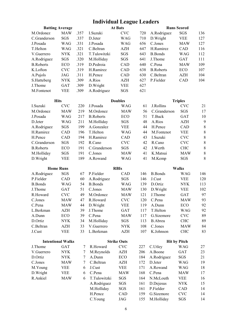# Individual League Leaders

| <b>Batting Average</b> |            |      |              | <b>At Bats</b> |     | <b>Runs Scored</b> |            |     |  |
|------------------------|------------|------|--------------|----------------|-----|--------------------|------------|-----|--|
| M.Ordonez              | <b>MAW</b> | .357 | I.Suzuki     | <b>CVC</b>     | 720 | A.Rodriguez        | SGS        | 136 |  |
| C.Granderson           | <b>SGS</b> | .337 | D.Jeter      | WAG            | 710 | D.Wright           | <b>VEE</b> | 127 |  |
| J.Posada               | WAG        | .331 | J.Posada     | WAG            | 656 | C.Jones            | <b>MAW</b> | 127 |  |
| T.Helton               | WAG        | .321 | C.Beltran    | AZH            | 647 | H.Ramirez          | <b>CAD</b> | 116 |  |
| V.Guerrero             | <b>NYK</b> | .321 | T.Tulowitzki | <b>SGS</b>     | 643 | B. Bonds           | WAG        | 112 |  |
| A.Rodriguez            | <b>SGS</b> | .320 | M.Holliday   | <b>SGS</b>     | 641 | J. Thome           | <b>GAT</b> | 111 |  |
| <b>B.Roberts</b>       | ECO        | .319 | D.Pedroia    | <b>CAD</b>     | 640 | C.Pena             | <b>MAW</b> | 109 |  |
| K Lofton               | <b>CVC</b> | .319 | H.Ramirez    | <b>CAD</b>     | 638 | <b>B.Roberts</b>   | ECO        | 107 |  |
| A.Pujols               | JAG        | .311 | H.Pence      | CAD            | 630 | C.Beltran          | AZH        | 104 |  |
| S.Hatteberg            | <b>NYK</b> | .309 | A.Rios       | <b>AZH</b>     | 627 | P.Fielder          | <b>CAD</b> | 104 |  |
| J. Thome               | <b>GAT</b> | .309 | D. Wright    | <b>VEE</b>     | 627 |                    |            |     |  |
| M.Fontenot             | <b>VEE</b> | .309 | A.Rodriguez  | <b>SGS</b>     | 621 |                    |            |     |  |

|                  | <b>Hits</b> |     |                  | <b>Doubles</b> |    | <b>Triples</b>   |            |    |  |
|------------------|-------------|-----|------------------|----------------|----|------------------|------------|----|--|
| I Suzuki         | <b>CVC</b>  | 220 | J.Posada         | WAG            | 61 | <b>J.Rollins</b> | <b>CVC</b> | 21 |  |
| M.Ordonez        | <b>MAW</b>  | 219 | M.Ordonez        | <b>MAW</b>     | 56 | C. Granderson    | <b>SGS</b> | 17 |  |
| J.Posada         | WAG         | 217 | <b>B.Roberts</b> | ECO            | 51 | T.Buck           | <b>GAT</b> | 10 |  |
| D.Jeter          | WAG         | 211 | M.Holliday       | SGS            | 48 | A.Rios           | AZH        | 9  |  |
| A.Rodriguez      | <b>SGS</b>  | 199 | A Gonzalez       | <b>VEE</b>     | 44 | H.Pence          | <b>CAD</b> | 8  |  |
| H.Ramirez        | <b>CAD</b>  | 196 | T.Helton         | WAG            | 44 | M.Fontenot       | <b>VEE</b> | 8  |  |
| H.Pence          | <b>CAD</b>  | 194 | H.Ramirez        | <b>CAD</b>     | 43 | I Suzuki         | <b>CVC</b> | 8  |  |
| C.Granderson     | <b>SGS</b>  | 192 | R.Cano           | <b>CVC</b>     | 42 | R.Cano           | <b>CVC</b> | 8  |  |
| <b>B.Roberts</b> | ECO         | 191 | C. Granderson    | SGS            | 42 | J.Werth          | <b>CHC</b> | 8  |  |
| M.Holliday       | <b>SGS</b>  | 191 | C.Jones          | <b>MAW</b>     | 41 | K Matsui         | <b>MAW</b> | 8  |  |
| D. Wright        | VEE         | 189 | A.Rowand         | WAG            | 41 | M.Kemp           | <b>SGS</b> | 8  |  |

| <b>Home Runs</b> |            |    | <b>RBIs</b>     |            |     | <b>Walks</b>    |            |     |  |
|------------------|------------|----|-----------------|------------|-----|-----------------|------------|-----|--|
| A.Rodriguez      | SGS        | 67 | P.Fielder       | CAD        | 146 | <b>B.</b> Bonds | WAG        | 146 |  |
| P.Fielder        | CAD        | 60 | A.Rodriguez     | <b>SGS</b> | 146 | J.Cust          | VEE        | 120 |  |
| B. Bonds         | WAG        | 54 | <b>B.</b> Bonds | WAG        | 139 | D.Ortiz         | <b>NYK</b> | 113 |  |
| J. Thome         | <b>GAT</b> | 51 | C.Jones         | <b>MAW</b> | 130 | D. Wright       | <b>VEE</b> | 102 |  |
| R.Howard         | <b>CVC</b> | 49 | M.Ordonez       | <b>MAW</b> | 121 | J Thome         | <b>GAT</b> | 97  |  |
| C.Jones          | <b>MAW</b> | 47 | R.Howard        | <b>CVC</b> | 120 | C.Pena          | <b>MAW</b> | 93  |  |
| C.Pena           | <b>MAW</b> | 44 | D. Wright       | <b>VEE</b> | 119 | A Dunn          | ECO        | 92  |  |
| L.Berkman        | AZH        | 39 | J. Thome        | <b>GAT</b> | 117 | T.Helton        | WAG        | 92  |  |
| A.Dunn           | ECO        | 39 | $Cl$ Pena       | <b>MAW</b> | 117 | G.Sizemore      | <b>CVC</b> | 89  |  |
| D.Ortiz          | NYK.       | 34 | M.Holliday      | <b>SGS</b> | 113 | <b>B.</b> Abreu | <b>CHC</b> | 89  |  |
| C.Beltran        | AZH        | 33 | V. Guerrero     | <b>NYK</b> | 108 | C.Jones         | <b>MAW</b> | 84  |  |
| J.Cust           | VEE        | 33 | L.Berkman       | <b>AZH</b> | 107 | K.Johnson       | <b>CHC</b> | 83  |  |

|            | <b>Intentional Walks</b> |   |              | <b>Strike Outs</b> |     | <b>Hit by Pitch</b> |            |    |  |
|------------|--------------------------|---|--------------|--------------------|-----|---------------------|------------|----|--|
| J.Thome    | <b>GAT</b>               |   | R.Howard     | <b>CVC</b>         | 227 | C.Utley             | WAG        | 27 |  |
| V Guerrero | <b>NYK</b>               |   | M.Reynolds   | AZH                | 206 | A.Boone             | <b>GAT</b> | 23 |  |
| D.Ortiz    | <b>NYK</b>               |   | A.Dunn       | ECO                | 184 | A.Rodriguez         | <b>SGS</b> | 21 |  |
| C.Jones    | <b>MAW</b>               |   | C.Beltran    | AZH                | 172 | D.Jeter             | <b>WAG</b> | 19 |  |
| M.Young    | VEE                      | 6 | J.Cust       | <b>VEE</b>         | 171 | A Rowand            | WAG        | 18 |  |
| D. Wright  | VEE                      | 6 | C.Pena       | <b>MAW</b>         | 168 | C.Pena              | <b>MAW</b> | 17 |  |
| R. Ankiel  | <b>MAW</b>               | 6 | T.Tulowitzki | <b>SGS</b>         | 164 | N.McLouth           | <b>VEE</b> | 16 |  |
|            |                          |   | A.Rodriguez  | SGS                | 161 | D.Dejesus           | <b>NYK</b> | 15 |  |
|            |                          |   | M.Holliday   | SGS                | 161 | P. Fielder          | <b>CAD</b> | 14 |  |
|            |                          |   | H.Pence      | <b>CAD</b>         | 159 | G.Sizemore          | <b>CVC</b> | 14 |  |
|            |                          |   | C.Young      | JAG                | 155 | M.Holliday          | <b>SGS</b> | 14 |  |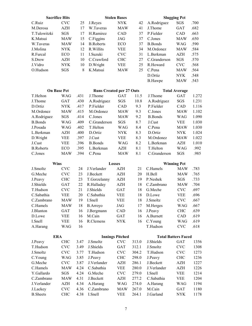| <b>Sacrifice Hits</b> |            |      |                                 | <b>Stolen Bases</b>    |       | <b>Slugging Pct</b>        |                      |       |
|-----------------------|------------|------|---------------------------------|------------------------|-------|----------------------------|----------------------|-------|
| C.Ruiz                | <b>CVC</b> | 25   | J.Reyes                         | <b>NYK</b>             | 42    | A.Rodriguez                | SGS                  | .700  |
| M.Derosa              | <b>AZH</b> | 17   | W.Taveras                       | <b>MAW</b>             | 41    | J.Thome                    | <b>GAT</b>           | .682  |
| T.Tulowitzki          | SGS        | 17   | H.Ramirez                       | CAD                    | 37    | P.Fielder                  | CAD                  | .663  |
| K.Matsui              | <b>MAW</b> | 15   | C.Figgins                       | <b>JAG</b>             | 37    | C.Jones                    | <b>MAW</b>           | .650  |
| W.Taveras             | <b>MAW</b> | 14   | <b>B.Roberts</b>                | ECO                    | 37    | <b>B.Bonds</b>             | <b>WAG</b>           | .590  |
| J.Molina              | <b>NYK</b> | 12   | R. Willits                      | <b>VEE</b>             | 34    | M.Ordonez                  | <b>MAW</b>           | .584  |
| R.Furcal              | ECO        | 11   | I.Suzuki                        | <b>CVC</b>             | 31    | L.Berkman                  | <b>AZH</b>           | .575  |
| S.Drew                | <b>AZH</b> | 10   | C.Crawford                      | <b>CHC</b>             | 27    | C.Granderson               | SGS                  | .570  |
| J.Vidro               | <b>NYK</b> | 10   | D.Wright                        | <b>VEE</b>             | 25    | R.Howard                   | <b>CVC</b>           | .568  |
| O.Hudson              | SGS        | 8    | K.Matsui                        | <b>MAW</b>             | 25    | C.Pena                     | <b>MAW</b>           | .564  |
|                       |            |      |                                 |                        |       | D.Ortiz                    | <b>NYK</b>           | .548  |
|                       |            |      |                                 |                        |       | <b>B.Hawpe</b>             | <b>MAW</b>           | .543  |
| <b>On Base Pct</b>    |            |      | <b>Runs Created per 27 Outs</b> |                        |       |                            | <b>Total Average</b> |       |
| T.Helton              | WAG        | .431 | J.Thome                         | GAT                    | 11.5  | J.Thome                    | GAT                  | 1.272 |
| J.Thome               | <b>GAT</b> | .430 | A.Rodriguez                     | SGS                    | 10.8  | A.Rodriguez                | SGS                  | 1.231 |
| D.Ortiz               | <b>NYK</b> | .417 | P.Fielder                       | CAD                    | 9.3   | P.Fielder                  | CAD                  | 1.116 |
| M.Ordonez             | <b>MAW</b> | .415 | M.Ordonez                       | <b>MAW</b>             | 9.3   | C.Jones                    | <b>MAW</b>           | 1.102 |
| A.Rodriguez           | SGS        | .414 | C.Jones                         | <b>MAW</b>             | 9.2   | <b>B.Bonds</b>             | <b>WAG</b>           | 1.090 |
| <b>B.Bonds</b>        | <b>WAG</b> | .409 | C.Granderson                    | SGS                    | 8.7   | J.Cust                     | <b>VEE</b>           | 1.030 |
| J.Posada              | <b>WAG</b> | .402 | T.Helton                        | <b>WAG</b>             | 8.4   | C.Pena                     | <b>MAW</b>           | 1.030 |
| L.Berkman             | <b>AZH</b> | .400 | D.Ortiz                         | <b>NYK</b>             | 8.3   | D.Ortiz                    | <b>NYK</b>           | 1.024 |
| D.Wright              | <b>VEE</b> | .397 | J.Cust                          | VEE                    | 8.3   | M.Ordonez                  | <b>MAW</b>           | 1.022 |
| J.Cust                | <b>VEE</b> | .396 | <b>B.Bonds</b>                  | <b>WAG</b>             | 8.2   | L.Berkman                  | <b>AZH</b>           | 1.010 |
| <b>B.Roberts</b>      | ECO        | .395 | L.Berkman                       | <b>AZH</b>             | 8.1   | T.Helton                   | <b>WAG</b>           | .992  |
| C.Jones               | <b>MAW</b> | .394 | C.Pena                          | <b>MAW</b>             | 8.1   | C.Granderson               | SGS                  | .985  |
|                       |            |      |                                 |                        |       |                            |                      |       |
|                       |            |      |                                 |                        |       |                            |                      |       |
| <b>Wins</b>           |            |      | Losses                          |                        |       |                            | <b>Winning Pct</b>   |       |
| J.Smoltz              | <b>CVC</b> | 24   | J.Verlander                     | <b>AZH</b>             | 21    | C.Hamels                   | <b>MAW</b>           | .783  |
| G.Meche               | <b>CVC</b> | 23   | J.Beckett                       | <b>AZH</b>             | 20    | H.Bell                     | <b>MAW</b>           | .765  |
| J.Peavy               | <b>CHC</b> | 23   | T.Gorzelanny                    | <b>AZH</b>             | 19    | P.Neshek                   | SGS                  | .733  |
| J.Shields             | <b>GAT</b> | 22   | R.Halladay                      | <b>AZH</b>             | 18    | C.Zambrano                 | <b>MAW</b>           | .704  |
| T.Hudson              | <b>CVC</b> | 21   | J.Shields                       | GAT                    | 18    | G.Meche                    | <b>CVC</b>           | .697  |
| C.Sabathia            | <b>VEE</b> | 20   | C.Sabathia                      | <b>VEE</b>             | 18    | D.Lowe                     | <b>VEE</b>           | .696  |
| C.Zambrano            | <b>MAW</b> | 19   | I.Snell                         | VEE                    | 18    | J.Smoltz                   | <b>CVC</b>           | .667  |
| C.Hamels              | <b>MAW</b> | 18   | <b>B.Arroyo</b>                 | JAG                    | 17    | M.Herges                   | <b>WAG</b>           | .667  |
| J.Blanton             | GAT        | 16   | J.Bergmann                      | CAD                    | 16    | J.Peavy                    | <b>CHC</b>           | .639  |
| D.Lowe                | <b>VEE</b> | 16   | M.Cain                          | GAT                    | 16    | A.Burnett                  | CAD                  | .619  |
| I.Snell               | <b>VEE</b> | 16   | R.Clemens                       | <b>NYK</b>             | 16    | C.Young                    | <b>WAG</b>           | .619  |
| A.Harang              | WAG        | 16   |                                 |                        |       | T.Hudson                   | <b>CVC</b>           | .618  |
| <b>ERA</b>            |            |      |                                 | <b>Innings Pitched</b> |       | <b>Total Batters Faced</b> |                      |       |
| J.Peavy               | <b>CHC</b> | 3.47 | J.Smoltz                        | <b>CVC</b>             | 313.0 | J.Shields                  | <b>GAT</b>           | 1356  |
| T.Hudson              | <b>CVC</b> | 3.49 | J.Shields                       | GAT                    | 312.1 | J.Smoltz                   | <b>CVC</b>           | 1308  |
| J.Smoltz              | <b>CVC</b> | 3.77 | T.Hudson                        | <b>CVC</b>             | 304.2 | T.Hudson                   | <b>CVC</b>           | 1273  |
| C.Young               | <b>WAG</b> | 3.85 | J.Peavy                         | <b>CHC</b>             | 298.0 | J.Peavy                    | <b>CHC</b>           | 1236  |
| G.Meche               | <b>CVC</b> | 3.87 | J.Verlander                     | AZH                    | 286.1 | J.Beckett                  | AZH                  | 1227  |
| C.Hamels              | <b>MAW</b> | 4.24 | C.Sabathia                      | <b>VEE</b>             | 280.0 | J.Verlander                | AZH                  | 1226  |
| Y.Gallardo            | SGS        | 4.24 | G.Meche                         | <b>CVC</b>             | 279.0 | I.Snell                    | <b>VEE</b>           | 1214  |
| C.Zambrano            | <b>MAW</b> | 4.31 | J.Beckett                       | AZH                    | 277.2 | C.Sabathia                 | <b>VEE</b>           | 1204  |
| J.Verlander           | AZH        | 4.34 | A.Harang                        | WAG                    | 274.0 | A.Harang                   | <b>WAG</b>           | 1194  |
| J.Lackey              | <b>CVC</b> | 4.36 | C.Zambrano                      | MAW                    | 267.0 | M.Cain                     | GAT                  | 1180  |
| <b>B.</b> Sheets      | <b>CHC</b> | 4.38 | I.Snell                         | <b>VEE</b>             | 264.1 | J.Garland                  | <b>NYK</b>           | 1178  |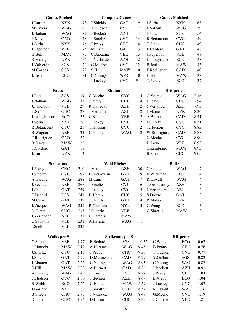| <b>NYK</b><br>93<br>J.Shields<br>GAT<br>19<br>J.Soria<br><b>NYK</b><br>63<br>J.Burton<br>59<br>M.Rivera<br><b>WAG</b><br>90<br><b>CVC</b><br><b>WAG</b><br>T.Hudson<br>17<br>J.Nathan<br><b>WAG</b><br>82<br><b>AZH</b><br>SGS<br>54<br>J.Nathan<br>J.Beckett<br>14<br>J.Putz<br>49<br>P.Moylan<br>CAD<br>78<br>J.Smoltz<br><b>CVC</b><br>14<br><b>CVC</b><br>R.Betancourt<br>49<br>J.Soria<br><b>NYK</b><br>76<br><b>CHC</b><br>14<br>T.Saito<br><b>CHC</b><br>J.Peavy<br>48<br>J.Papelbon<br><b>VEE</b><br>75<br>M.Cain<br>GAT<br>13<br>F.Cordero<br><b>GAT</b><br>C.Sabathia<br>H.Bell<br>75<br><b>VEE</b><br>13<br>J.Papelbon<br><b>VEE</b><br>48<br><b>MAW</b><br>12<br>48<br><b>NYK</b><br>74<br>J.Verlander<br><b>AZH</b><br>ECO<br>R.Mahay<br>J.Isringhause<br>J.Valverde<br>43<br>SGS<br>74<br>G.Meche<br><b>CVC</b><br>12<br><b>B.Jenks</b><br><b>MAW</b><br>40<br>SGS<br>72<br>S.Hill<br><b>MAW</b><br>10<br>CAD<br>M.Corpas<br>F.Rodriguez<br>38<br>J.Broxton<br>71<br>C.Young<br><b>WAG</b><br>10<br>H.Bell<br><b>MAW</b><br>ECO<br>9<br>J.Lackey<br><b>CVC</b><br>T.Percival<br>37<br>ECO<br><b>Shutouts</b><br>Hits per 9<br><b>Saves</b><br>SGS<br>39<br>G.Meche<br><b>CVC</b><br>7.46<br>J.Putz<br>C.Young<br>WAG<br>4<br>7.94<br><b>WAG</b><br><b>CHC</b><br><b>CHC</b><br>J.Nathan<br>31<br>J.Peavy<br>4<br>J.Peavy<br>7.95<br>J.Papelbon<br><b>VEE</b><br>29<br>R.Halladay<br><b>AZH</b><br>$\overline{2}$<br>J.Verlander<br><b>AZH</b><br>8.36<br>T.Saito<br><b>CHC</b><br>27<br>J.Verlander<br><b>AZH</b><br>$\overline{2}$<br>J.Maine<br><b>NYK</b><br>$\overline{2}$<br>J.Isringhausen<br>ECO<br>27<br>C.Sabathia<br><b>VEE</b><br>A.Burnett<br>CAD<br>8.41<br>$\overline{2}$<br>J.Soria<br>26<br><b>CVC</b><br>J.Smoltz<br><b>CVC</b><br>8.51<br><b>NYK</b><br>J.Lackey<br><b>CVC</b><br>R.Betancourt<br><b>CVC</b><br>25<br>T.Hudson<br><b>CVC</b><br>$\overline{2}$<br>T.Hudson<br>8.83<br>$\overline{2}$<br><b>AZH</b><br>24<br><b>WAG</b><br>W.Rodriguez<br>CAD<br>8.88<br><b>B.</b> Wagner<br>C.Young<br>22<br>G.Meche<br>F.Rodriguez<br>CAD<br><b>CVC</b><br>8.90<br><b>B.Jenks</b><br><b>MAW</b><br>22<br>D.Lowe<br><b>VEE</b><br>8.92<br>18<br>8.93<br>F.Cordero<br><b>GAT</b><br>C.Zambrano<br><b>MAW</b><br>13<br>9.05<br><b>B.</b> Sheets<br><b>CHC</b><br>J.Burton<br><b>NYK</b><br><b>Strikeouts</b><br><b>Wild Pitches</b><br><b>Balks</b><br><b>CHC</b><br>310<br>J.Verlander<br><b>AZH</b><br>30<br><b>WAG</b><br>$\tau$<br>C.Young<br>J.Peavy<br>J.Smoltz<br><b>CVC</b><br>298<br>D.McGowan<br>GAT<br>19<br><b>B.Wickman</b><br><b>JAG</b><br>$\overline{4}$<br>288<br>$\overline{4}$<br>M.Cain<br><b>GAT</b><br>R.Oswalt<br><b>WAG</b><br>A.Harang<br><b>WAG</b><br>17<br>$\mathfrak{Z}$<br>J.Beckett<br><b>AZH</b><br>268<br>J.Smoltz<br><b>CVC</b><br>T.Gorzelanny<br><b>AZH</b><br>16<br>$\mathfrak{Z}$<br>J.Verlander<br>J.Shields<br><b>GAT</b><br>259<br>J.Lackey<br><b>CVC</b><br><b>AZH</b><br>15<br>$\overline{3}$<br>241<br>D.Haren<br><b>CHC</b><br>15<br>S.Downs<br><b>GAT</b><br>E.Bedard<br>SGS<br>M.Cain<br>GAT<br>239<br>J.Shields<br>GAT<br>14<br>R.Mahay<br>$\ensuremath{\text{NYK}}$<br>$\sqrt{3}$<br>C.Wang<br>$\mathfrak{Z}$<br><b>WAG</b><br>239<br>R.Clemens<br><b>ECO</b><br>J.Vazquez<br><b>NYK</b><br>14<br>3<br>G.Sherrill<br><b>CHC</b><br>238<br>J.Guthrie<br>11<br>D.Haren<br>VEE<br>MAW<br>J.Verlander<br><b>AZH</b><br>231<br>C.Hamels<br>11<br>MAW<br>231<br>11<br>C.Sabathia<br><b>VEE</b><br>A.Harang<br>WAG<br>231<br>I.Snell<br>VEE<br>HR per 9<br>Walks per 9<br><b>Strikeouts per 9</b><br>C.Sabathia<br>E.Bedard<br>C.Wang<br>VEE<br>1.77<br>SGS<br>10.55<br>ECO<br>0.67<br>C.Hamels<br>WAG<br>9.46<br><b>CHC</b><br>0.76<br><b>MAW</b><br>2.12<br>A.Harang<br><b>B.Penny</b><br>J.Smoltz<br><b>CVC</b><br>J.Peavy<br>T.Hudson<br>0.77<br>2.13<br><b>CHC</b><br>9.36<br><b>CVC</b><br>D.Matsuzaka<br>J.Shields<br>CAD<br>Y.Gallardo<br>GAT<br>2.22<br>9.29<br>SGS<br>0.82<br>C.Young<br>C.Young<br>J.Blanton<br>GAT<br>2.23<br>WAG<br>8.95<br><b>WAG</b><br>0.82<br>S.Hill<br>A.Burnett<br>CAD<br>8.86<br>J.Beckett<br>0.91<br>2.28<br>AZH<br>MAW<br>T.Lincecum<br>8.77<br>J.Peavy<br><b>CHC</b><br>A.Harang<br>WAG<br>2.43<br>ECO<br>1.03<br>T.Hudson<br><b>CVC</b><br>2.60<br>J.Beckett<br><b>AZH</b><br><b>B.Webb</b><br>ECO<br>8.69<br>1.04<br>B.Webb<br>C.Hamels<br>ECO<br>2.65<br><b>MAW</b><br>8.59<br>J.Lackey<br><b>CVC</b><br>1.07<br>J.Smoltz<br><b>CVC</b><br>R.Oswalt<br>J.Garland<br><b>NYK</b><br>2.69<br>8.57<br><b>WAG</b><br>1.16<br><b>B.</b> Sheets<br><b>CHC</b><br>G.Meche<br><b>CVC</b><br>1.19<br>2.73<br>J.Vazquez<br>WAG<br>8.48<br>D.Haren<br><b>CHC</b><br>D.Haren<br><b>CHC</b><br>8.35<br>J.Guthrie<br><b>VEE</b><br>1.21<br>2.74 | <b>Games Pitched</b> |  | <b>Complete Games</b> | <b>Games Finished</b> |  |  |  |
|----------------------------------------------------------------------------------------------------------------------------------------------------------------------------------------------------------------------------------------------------------------------------------------------------------------------------------------------------------------------------------------------------------------------------------------------------------------------------------------------------------------------------------------------------------------------------------------------------------------------------------------------------------------------------------------------------------------------------------------------------------------------------------------------------------------------------------------------------------------------------------------------------------------------------------------------------------------------------------------------------------------------------------------------------------------------------------------------------------------------------------------------------------------------------------------------------------------------------------------------------------------------------------------------------------------------------------------------------------------------------------------------------------------------------------------------------------------------------------------------------------------------------------------------------------------------------------------------------------------------------------------------------------------------------------------------------------------------------------------------------------------------------------------------------------------------------------------------------------------------------------------------------------------------------------------------------------------------------------------------------------------------------------------------------------------------------------------------------------------------------------------------------------------------------------------------------------------------------------------------------------------------------------------------------------------------------------------------------------------------------------------------------------------------------------------------------------------------------------------------------------------------------------------------------------------------------------------------------------------------------------------------------------------------------------------------------------------------------------------------------------------------------------------------------------------------------------------------------------------------------------------------------------------------------------------------------------------------------------------------------------------------------------------------------------------------------------------------------------------------------------------------------------------------------------------------------------------------------------------------------------------------------------------------------------------------------------------------------------------------------------------------------------------------------------------------------------------------------------------------------------------------------------------------------------------------------------------------------------------------------------------------------------------------------------------------------------------------------------------------------------------------------------------------------------------------------------------------------------------------------------------------------------------------------------------------------------------------------------------------------------------------------------------------------------------------------------------------------------------------------------------------------------------------------------------------------------------------------------------------------------------------------------------------------------------------------------------------------------------------------------------------------------------------------------------------------------------------------------------------------------------------------------------------------------------------------------------------------------------------------------------------------------------------------------------------------------------------------------------------------|----------------------|--|-----------------------|-----------------------|--|--|--|
|                                                                                                                                                                                                                                                                                                                                                                                                                                                                                                                                                                                                                                                                                                                                                                                                                                                                                                                                                                                                                                                                                                                                                                                                                                                                                                                                                                                                                                                                                                                                                                                                                                                                                                                                                                                                                                                                                                                                                                                                                                                                                                                                                                                                                                                                                                                                                                                                                                                                                                                                                                                                                                                                                                                                                                                                                                                                                                                                                                                                                                                                                                                                                                                                                                                                                                                                                                                                                                                                                                                                                                                                                                                                                                                                                                                                                                                                                                                                                                                                                                                                                                                                                                                                                                                                                                                                                                                                                                                                                                                                                                                                                                                                                                                                                    |                      |  |                       |                       |  |  |  |
|                                                                                                                                                                                                                                                                                                                                                                                                                                                                                                                                                                                                                                                                                                                                                                                                                                                                                                                                                                                                                                                                                                                                                                                                                                                                                                                                                                                                                                                                                                                                                                                                                                                                                                                                                                                                                                                                                                                                                                                                                                                                                                                                                                                                                                                                                                                                                                                                                                                                                                                                                                                                                                                                                                                                                                                                                                                                                                                                                                                                                                                                                                                                                                                                                                                                                                                                                                                                                                                                                                                                                                                                                                                                                                                                                                                                                                                                                                                                                                                                                                                                                                                                                                                                                                                                                                                                                                                                                                                                                                                                                                                                                                                                                                                                                    |                      |  |                       |                       |  |  |  |
|                                                                                                                                                                                                                                                                                                                                                                                                                                                                                                                                                                                                                                                                                                                                                                                                                                                                                                                                                                                                                                                                                                                                                                                                                                                                                                                                                                                                                                                                                                                                                                                                                                                                                                                                                                                                                                                                                                                                                                                                                                                                                                                                                                                                                                                                                                                                                                                                                                                                                                                                                                                                                                                                                                                                                                                                                                                                                                                                                                                                                                                                                                                                                                                                                                                                                                                                                                                                                                                                                                                                                                                                                                                                                                                                                                                                                                                                                                                                                                                                                                                                                                                                                                                                                                                                                                                                                                                                                                                                                                                                                                                                                                                                                                                                                    |                      |  |                       |                       |  |  |  |
|                                                                                                                                                                                                                                                                                                                                                                                                                                                                                                                                                                                                                                                                                                                                                                                                                                                                                                                                                                                                                                                                                                                                                                                                                                                                                                                                                                                                                                                                                                                                                                                                                                                                                                                                                                                                                                                                                                                                                                                                                                                                                                                                                                                                                                                                                                                                                                                                                                                                                                                                                                                                                                                                                                                                                                                                                                                                                                                                                                                                                                                                                                                                                                                                                                                                                                                                                                                                                                                                                                                                                                                                                                                                                                                                                                                                                                                                                                                                                                                                                                                                                                                                                                                                                                                                                                                                                                                                                                                                                                                                                                                                                                                                                                                                                    |                      |  |                       |                       |  |  |  |
|                                                                                                                                                                                                                                                                                                                                                                                                                                                                                                                                                                                                                                                                                                                                                                                                                                                                                                                                                                                                                                                                                                                                                                                                                                                                                                                                                                                                                                                                                                                                                                                                                                                                                                                                                                                                                                                                                                                                                                                                                                                                                                                                                                                                                                                                                                                                                                                                                                                                                                                                                                                                                                                                                                                                                                                                                                                                                                                                                                                                                                                                                                                                                                                                                                                                                                                                                                                                                                                                                                                                                                                                                                                                                                                                                                                                                                                                                                                                                                                                                                                                                                                                                                                                                                                                                                                                                                                                                                                                                                                                                                                                                                                                                                                                                    |                      |  |                       |                       |  |  |  |
|                                                                                                                                                                                                                                                                                                                                                                                                                                                                                                                                                                                                                                                                                                                                                                                                                                                                                                                                                                                                                                                                                                                                                                                                                                                                                                                                                                                                                                                                                                                                                                                                                                                                                                                                                                                                                                                                                                                                                                                                                                                                                                                                                                                                                                                                                                                                                                                                                                                                                                                                                                                                                                                                                                                                                                                                                                                                                                                                                                                                                                                                                                                                                                                                                                                                                                                                                                                                                                                                                                                                                                                                                                                                                                                                                                                                                                                                                                                                                                                                                                                                                                                                                                                                                                                                                                                                                                                                                                                                                                                                                                                                                                                                                                                                                    |                      |  |                       |                       |  |  |  |
|                                                                                                                                                                                                                                                                                                                                                                                                                                                                                                                                                                                                                                                                                                                                                                                                                                                                                                                                                                                                                                                                                                                                                                                                                                                                                                                                                                                                                                                                                                                                                                                                                                                                                                                                                                                                                                                                                                                                                                                                                                                                                                                                                                                                                                                                                                                                                                                                                                                                                                                                                                                                                                                                                                                                                                                                                                                                                                                                                                                                                                                                                                                                                                                                                                                                                                                                                                                                                                                                                                                                                                                                                                                                                                                                                                                                                                                                                                                                                                                                                                                                                                                                                                                                                                                                                                                                                                                                                                                                                                                                                                                                                                                                                                                                                    |                      |  |                       |                       |  |  |  |
|                                                                                                                                                                                                                                                                                                                                                                                                                                                                                                                                                                                                                                                                                                                                                                                                                                                                                                                                                                                                                                                                                                                                                                                                                                                                                                                                                                                                                                                                                                                                                                                                                                                                                                                                                                                                                                                                                                                                                                                                                                                                                                                                                                                                                                                                                                                                                                                                                                                                                                                                                                                                                                                                                                                                                                                                                                                                                                                                                                                                                                                                                                                                                                                                                                                                                                                                                                                                                                                                                                                                                                                                                                                                                                                                                                                                                                                                                                                                                                                                                                                                                                                                                                                                                                                                                                                                                                                                                                                                                                                                                                                                                                                                                                                                                    |                      |  |                       |                       |  |  |  |
|                                                                                                                                                                                                                                                                                                                                                                                                                                                                                                                                                                                                                                                                                                                                                                                                                                                                                                                                                                                                                                                                                                                                                                                                                                                                                                                                                                                                                                                                                                                                                                                                                                                                                                                                                                                                                                                                                                                                                                                                                                                                                                                                                                                                                                                                                                                                                                                                                                                                                                                                                                                                                                                                                                                                                                                                                                                                                                                                                                                                                                                                                                                                                                                                                                                                                                                                                                                                                                                                                                                                                                                                                                                                                                                                                                                                                                                                                                                                                                                                                                                                                                                                                                                                                                                                                                                                                                                                                                                                                                                                                                                                                                                                                                                                                    |                      |  |                       |                       |  |  |  |
|                                                                                                                                                                                                                                                                                                                                                                                                                                                                                                                                                                                                                                                                                                                                                                                                                                                                                                                                                                                                                                                                                                                                                                                                                                                                                                                                                                                                                                                                                                                                                                                                                                                                                                                                                                                                                                                                                                                                                                                                                                                                                                                                                                                                                                                                                                                                                                                                                                                                                                                                                                                                                                                                                                                                                                                                                                                                                                                                                                                                                                                                                                                                                                                                                                                                                                                                                                                                                                                                                                                                                                                                                                                                                                                                                                                                                                                                                                                                                                                                                                                                                                                                                                                                                                                                                                                                                                                                                                                                                                                                                                                                                                                                                                                                                    |                      |  |                       |                       |  |  |  |
|                                                                                                                                                                                                                                                                                                                                                                                                                                                                                                                                                                                                                                                                                                                                                                                                                                                                                                                                                                                                                                                                                                                                                                                                                                                                                                                                                                                                                                                                                                                                                                                                                                                                                                                                                                                                                                                                                                                                                                                                                                                                                                                                                                                                                                                                                                                                                                                                                                                                                                                                                                                                                                                                                                                                                                                                                                                                                                                                                                                                                                                                                                                                                                                                                                                                                                                                                                                                                                                                                                                                                                                                                                                                                                                                                                                                                                                                                                                                                                                                                                                                                                                                                                                                                                                                                                                                                                                                                                                                                                                                                                                                                                                                                                                                                    |                      |  |                       |                       |  |  |  |
|                                                                                                                                                                                                                                                                                                                                                                                                                                                                                                                                                                                                                                                                                                                                                                                                                                                                                                                                                                                                                                                                                                                                                                                                                                                                                                                                                                                                                                                                                                                                                                                                                                                                                                                                                                                                                                                                                                                                                                                                                                                                                                                                                                                                                                                                                                                                                                                                                                                                                                                                                                                                                                                                                                                                                                                                                                                                                                                                                                                                                                                                                                                                                                                                                                                                                                                                                                                                                                                                                                                                                                                                                                                                                                                                                                                                                                                                                                                                                                                                                                                                                                                                                                                                                                                                                                                                                                                                                                                                                                                                                                                                                                                                                                                                                    |                      |  |                       |                       |  |  |  |
|                                                                                                                                                                                                                                                                                                                                                                                                                                                                                                                                                                                                                                                                                                                                                                                                                                                                                                                                                                                                                                                                                                                                                                                                                                                                                                                                                                                                                                                                                                                                                                                                                                                                                                                                                                                                                                                                                                                                                                                                                                                                                                                                                                                                                                                                                                                                                                                                                                                                                                                                                                                                                                                                                                                                                                                                                                                                                                                                                                                                                                                                                                                                                                                                                                                                                                                                                                                                                                                                                                                                                                                                                                                                                                                                                                                                                                                                                                                                                                                                                                                                                                                                                                                                                                                                                                                                                                                                                                                                                                                                                                                                                                                                                                                                                    |                      |  |                       |                       |  |  |  |
|                                                                                                                                                                                                                                                                                                                                                                                                                                                                                                                                                                                                                                                                                                                                                                                                                                                                                                                                                                                                                                                                                                                                                                                                                                                                                                                                                                                                                                                                                                                                                                                                                                                                                                                                                                                                                                                                                                                                                                                                                                                                                                                                                                                                                                                                                                                                                                                                                                                                                                                                                                                                                                                                                                                                                                                                                                                                                                                                                                                                                                                                                                                                                                                                                                                                                                                                                                                                                                                                                                                                                                                                                                                                                                                                                                                                                                                                                                                                                                                                                                                                                                                                                                                                                                                                                                                                                                                                                                                                                                                                                                                                                                                                                                                                                    |                      |  |                       |                       |  |  |  |
|                                                                                                                                                                                                                                                                                                                                                                                                                                                                                                                                                                                                                                                                                                                                                                                                                                                                                                                                                                                                                                                                                                                                                                                                                                                                                                                                                                                                                                                                                                                                                                                                                                                                                                                                                                                                                                                                                                                                                                                                                                                                                                                                                                                                                                                                                                                                                                                                                                                                                                                                                                                                                                                                                                                                                                                                                                                                                                                                                                                                                                                                                                                                                                                                                                                                                                                                                                                                                                                                                                                                                                                                                                                                                                                                                                                                                                                                                                                                                                                                                                                                                                                                                                                                                                                                                                                                                                                                                                                                                                                                                                                                                                                                                                                                                    |                      |  |                       |                       |  |  |  |
|                                                                                                                                                                                                                                                                                                                                                                                                                                                                                                                                                                                                                                                                                                                                                                                                                                                                                                                                                                                                                                                                                                                                                                                                                                                                                                                                                                                                                                                                                                                                                                                                                                                                                                                                                                                                                                                                                                                                                                                                                                                                                                                                                                                                                                                                                                                                                                                                                                                                                                                                                                                                                                                                                                                                                                                                                                                                                                                                                                                                                                                                                                                                                                                                                                                                                                                                                                                                                                                                                                                                                                                                                                                                                                                                                                                                                                                                                                                                                                                                                                                                                                                                                                                                                                                                                                                                                                                                                                                                                                                                                                                                                                                                                                                                                    |                      |  |                       |                       |  |  |  |
|                                                                                                                                                                                                                                                                                                                                                                                                                                                                                                                                                                                                                                                                                                                                                                                                                                                                                                                                                                                                                                                                                                                                                                                                                                                                                                                                                                                                                                                                                                                                                                                                                                                                                                                                                                                                                                                                                                                                                                                                                                                                                                                                                                                                                                                                                                                                                                                                                                                                                                                                                                                                                                                                                                                                                                                                                                                                                                                                                                                                                                                                                                                                                                                                                                                                                                                                                                                                                                                                                                                                                                                                                                                                                                                                                                                                                                                                                                                                                                                                                                                                                                                                                                                                                                                                                                                                                                                                                                                                                                                                                                                                                                                                                                                                                    |                      |  |                       |                       |  |  |  |
|                                                                                                                                                                                                                                                                                                                                                                                                                                                                                                                                                                                                                                                                                                                                                                                                                                                                                                                                                                                                                                                                                                                                                                                                                                                                                                                                                                                                                                                                                                                                                                                                                                                                                                                                                                                                                                                                                                                                                                                                                                                                                                                                                                                                                                                                                                                                                                                                                                                                                                                                                                                                                                                                                                                                                                                                                                                                                                                                                                                                                                                                                                                                                                                                                                                                                                                                                                                                                                                                                                                                                                                                                                                                                                                                                                                                                                                                                                                                                                                                                                                                                                                                                                                                                                                                                                                                                                                                                                                                                                                                                                                                                                                                                                                                                    |                      |  |                       |                       |  |  |  |
|                                                                                                                                                                                                                                                                                                                                                                                                                                                                                                                                                                                                                                                                                                                                                                                                                                                                                                                                                                                                                                                                                                                                                                                                                                                                                                                                                                                                                                                                                                                                                                                                                                                                                                                                                                                                                                                                                                                                                                                                                                                                                                                                                                                                                                                                                                                                                                                                                                                                                                                                                                                                                                                                                                                                                                                                                                                                                                                                                                                                                                                                                                                                                                                                                                                                                                                                                                                                                                                                                                                                                                                                                                                                                                                                                                                                                                                                                                                                                                                                                                                                                                                                                                                                                                                                                                                                                                                                                                                                                                                                                                                                                                                                                                                                                    |                      |  |                       |                       |  |  |  |
|                                                                                                                                                                                                                                                                                                                                                                                                                                                                                                                                                                                                                                                                                                                                                                                                                                                                                                                                                                                                                                                                                                                                                                                                                                                                                                                                                                                                                                                                                                                                                                                                                                                                                                                                                                                                                                                                                                                                                                                                                                                                                                                                                                                                                                                                                                                                                                                                                                                                                                                                                                                                                                                                                                                                                                                                                                                                                                                                                                                                                                                                                                                                                                                                                                                                                                                                                                                                                                                                                                                                                                                                                                                                                                                                                                                                                                                                                                                                                                                                                                                                                                                                                                                                                                                                                                                                                                                                                                                                                                                                                                                                                                                                                                                                                    |                      |  |                       |                       |  |  |  |
|                                                                                                                                                                                                                                                                                                                                                                                                                                                                                                                                                                                                                                                                                                                                                                                                                                                                                                                                                                                                                                                                                                                                                                                                                                                                                                                                                                                                                                                                                                                                                                                                                                                                                                                                                                                                                                                                                                                                                                                                                                                                                                                                                                                                                                                                                                                                                                                                                                                                                                                                                                                                                                                                                                                                                                                                                                                                                                                                                                                                                                                                                                                                                                                                                                                                                                                                                                                                                                                                                                                                                                                                                                                                                                                                                                                                                                                                                                                                                                                                                                                                                                                                                                                                                                                                                                                                                                                                                                                                                                                                                                                                                                                                                                                                                    |                      |  |                       |                       |  |  |  |
|                                                                                                                                                                                                                                                                                                                                                                                                                                                                                                                                                                                                                                                                                                                                                                                                                                                                                                                                                                                                                                                                                                                                                                                                                                                                                                                                                                                                                                                                                                                                                                                                                                                                                                                                                                                                                                                                                                                                                                                                                                                                                                                                                                                                                                                                                                                                                                                                                                                                                                                                                                                                                                                                                                                                                                                                                                                                                                                                                                                                                                                                                                                                                                                                                                                                                                                                                                                                                                                                                                                                                                                                                                                                                                                                                                                                                                                                                                                                                                                                                                                                                                                                                                                                                                                                                                                                                                                                                                                                                                                                                                                                                                                                                                                                                    |                      |  |                       |                       |  |  |  |
|                                                                                                                                                                                                                                                                                                                                                                                                                                                                                                                                                                                                                                                                                                                                                                                                                                                                                                                                                                                                                                                                                                                                                                                                                                                                                                                                                                                                                                                                                                                                                                                                                                                                                                                                                                                                                                                                                                                                                                                                                                                                                                                                                                                                                                                                                                                                                                                                                                                                                                                                                                                                                                                                                                                                                                                                                                                                                                                                                                                                                                                                                                                                                                                                                                                                                                                                                                                                                                                                                                                                                                                                                                                                                                                                                                                                                                                                                                                                                                                                                                                                                                                                                                                                                                                                                                                                                                                                                                                                                                                                                                                                                                                                                                                                                    |                      |  |                       |                       |  |  |  |
|                                                                                                                                                                                                                                                                                                                                                                                                                                                                                                                                                                                                                                                                                                                                                                                                                                                                                                                                                                                                                                                                                                                                                                                                                                                                                                                                                                                                                                                                                                                                                                                                                                                                                                                                                                                                                                                                                                                                                                                                                                                                                                                                                                                                                                                                                                                                                                                                                                                                                                                                                                                                                                                                                                                                                                                                                                                                                                                                                                                                                                                                                                                                                                                                                                                                                                                                                                                                                                                                                                                                                                                                                                                                                                                                                                                                                                                                                                                                                                                                                                                                                                                                                                                                                                                                                                                                                                                                                                                                                                                                                                                                                                                                                                                                                    |                      |  |                       |                       |  |  |  |
|                                                                                                                                                                                                                                                                                                                                                                                                                                                                                                                                                                                                                                                                                                                                                                                                                                                                                                                                                                                                                                                                                                                                                                                                                                                                                                                                                                                                                                                                                                                                                                                                                                                                                                                                                                                                                                                                                                                                                                                                                                                                                                                                                                                                                                                                                                                                                                                                                                                                                                                                                                                                                                                                                                                                                                                                                                                                                                                                                                                                                                                                                                                                                                                                                                                                                                                                                                                                                                                                                                                                                                                                                                                                                                                                                                                                                                                                                                                                                                                                                                                                                                                                                                                                                                                                                                                                                                                                                                                                                                                                                                                                                                                                                                                                                    |                      |  |                       |                       |  |  |  |
|                                                                                                                                                                                                                                                                                                                                                                                                                                                                                                                                                                                                                                                                                                                                                                                                                                                                                                                                                                                                                                                                                                                                                                                                                                                                                                                                                                                                                                                                                                                                                                                                                                                                                                                                                                                                                                                                                                                                                                                                                                                                                                                                                                                                                                                                                                                                                                                                                                                                                                                                                                                                                                                                                                                                                                                                                                                                                                                                                                                                                                                                                                                                                                                                                                                                                                                                                                                                                                                                                                                                                                                                                                                                                                                                                                                                                                                                                                                                                                                                                                                                                                                                                                                                                                                                                                                                                                                                                                                                                                                                                                                                                                                                                                                                                    |                      |  |                       |                       |  |  |  |
|                                                                                                                                                                                                                                                                                                                                                                                                                                                                                                                                                                                                                                                                                                                                                                                                                                                                                                                                                                                                                                                                                                                                                                                                                                                                                                                                                                                                                                                                                                                                                                                                                                                                                                                                                                                                                                                                                                                                                                                                                                                                                                                                                                                                                                                                                                                                                                                                                                                                                                                                                                                                                                                                                                                                                                                                                                                                                                                                                                                                                                                                                                                                                                                                                                                                                                                                                                                                                                                                                                                                                                                                                                                                                                                                                                                                                                                                                                                                                                                                                                                                                                                                                                                                                                                                                                                                                                                                                                                                                                                                                                                                                                                                                                                                                    |                      |  |                       |                       |  |  |  |
|                                                                                                                                                                                                                                                                                                                                                                                                                                                                                                                                                                                                                                                                                                                                                                                                                                                                                                                                                                                                                                                                                                                                                                                                                                                                                                                                                                                                                                                                                                                                                                                                                                                                                                                                                                                                                                                                                                                                                                                                                                                                                                                                                                                                                                                                                                                                                                                                                                                                                                                                                                                                                                                                                                                                                                                                                                                                                                                                                                                                                                                                                                                                                                                                                                                                                                                                                                                                                                                                                                                                                                                                                                                                                                                                                                                                                                                                                                                                                                                                                                                                                                                                                                                                                                                                                                                                                                                                                                                                                                                                                                                                                                                                                                                                                    |                      |  |                       |                       |  |  |  |
|                                                                                                                                                                                                                                                                                                                                                                                                                                                                                                                                                                                                                                                                                                                                                                                                                                                                                                                                                                                                                                                                                                                                                                                                                                                                                                                                                                                                                                                                                                                                                                                                                                                                                                                                                                                                                                                                                                                                                                                                                                                                                                                                                                                                                                                                                                                                                                                                                                                                                                                                                                                                                                                                                                                                                                                                                                                                                                                                                                                                                                                                                                                                                                                                                                                                                                                                                                                                                                                                                                                                                                                                                                                                                                                                                                                                                                                                                                                                                                                                                                                                                                                                                                                                                                                                                                                                                                                                                                                                                                                                                                                                                                                                                                                                                    |                      |  |                       |                       |  |  |  |
|                                                                                                                                                                                                                                                                                                                                                                                                                                                                                                                                                                                                                                                                                                                                                                                                                                                                                                                                                                                                                                                                                                                                                                                                                                                                                                                                                                                                                                                                                                                                                                                                                                                                                                                                                                                                                                                                                                                                                                                                                                                                                                                                                                                                                                                                                                                                                                                                                                                                                                                                                                                                                                                                                                                                                                                                                                                                                                                                                                                                                                                                                                                                                                                                                                                                                                                                                                                                                                                                                                                                                                                                                                                                                                                                                                                                                                                                                                                                                                                                                                                                                                                                                                                                                                                                                                                                                                                                                                                                                                                                                                                                                                                                                                                                                    |                      |  |                       |                       |  |  |  |
|                                                                                                                                                                                                                                                                                                                                                                                                                                                                                                                                                                                                                                                                                                                                                                                                                                                                                                                                                                                                                                                                                                                                                                                                                                                                                                                                                                                                                                                                                                                                                                                                                                                                                                                                                                                                                                                                                                                                                                                                                                                                                                                                                                                                                                                                                                                                                                                                                                                                                                                                                                                                                                                                                                                                                                                                                                                                                                                                                                                                                                                                                                                                                                                                                                                                                                                                                                                                                                                                                                                                                                                                                                                                                                                                                                                                                                                                                                                                                                                                                                                                                                                                                                                                                                                                                                                                                                                                                                                                                                                                                                                                                                                                                                                                                    |                      |  |                       |                       |  |  |  |
|                                                                                                                                                                                                                                                                                                                                                                                                                                                                                                                                                                                                                                                                                                                                                                                                                                                                                                                                                                                                                                                                                                                                                                                                                                                                                                                                                                                                                                                                                                                                                                                                                                                                                                                                                                                                                                                                                                                                                                                                                                                                                                                                                                                                                                                                                                                                                                                                                                                                                                                                                                                                                                                                                                                                                                                                                                                                                                                                                                                                                                                                                                                                                                                                                                                                                                                                                                                                                                                                                                                                                                                                                                                                                                                                                                                                                                                                                                                                                                                                                                                                                                                                                                                                                                                                                                                                                                                                                                                                                                                                                                                                                                                                                                                                                    |                      |  |                       |                       |  |  |  |
|                                                                                                                                                                                                                                                                                                                                                                                                                                                                                                                                                                                                                                                                                                                                                                                                                                                                                                                                                                                                                                                                                                                                                                                                                                                                                                                                                                                                                                                                                                                                                                                                                                                                                                                                                                                                                                                                                                                                                                                                                                                                                                                                                                                                                                                                                                                                                                                                                                                                                                                                                                                                                                                                                                                                                                                                                                                                                                                                                                                                                                                                                                                                                                                                                                                                                                                                                                                                                                                                                                                                                                                                                                                                                                                                                                                                                                                                                                                                                                                                                                                                                                                                                                                                                                                                                                                                                                                                                                                                                                                                                                                                                                                                                                                                                    |                      |  |                       |                       |  |  |  |
|                                                                                                                                                                                                                                                                                                                                                                                                                                                                                                                                                                                                                                                                                                                                                                                                                                                                                                                                                                                                                                                                                                                                                                                                                                                                                                                                                                                                                                                                                                                                                                                                                                                                                                                                                                                                                                                                                                                                                                                                                                                                                                                                                                                                                                                                                                                                                                                                                                                                                                                                                                                                                                                                                                                                                                                                                                                                                                                                                                                                                                                                                                                                                                                                                                                                                                                                                                                                                                                                                                                                                                                                                                                                                                                                                                                                                                                                                                                                                                                                                                                                                                                                                                                                                                                                                                                                                                                                                                                                                                                                                                                                                                                                                                                                                    |                      |  |                       |                       |  |  |  |
|                                                                                                                                                                                                                                                                                                                                                                                                                                                                                                                                                                                                                                                                                                                                                                                                                                                                                                                                                                                                                                                                                                                                                                                                                                                                                                                                                                                                                                                                                                                                                                                                                                                                                                                                                                                                                                                                                                                                                                                                                                                                                                                                                                                                                                                                                                                                                                                                                                                                                                                                                                                                                                                                                                                                                                                                                                                                                                                                                                                                                                                                                                                                                                                                                                                                                                                                                                                                                                                                                                                                                                                                                                                                                                                                                                                                                                                                                                                                                                                                                                                                                                                                                                                                                                                                                                                                                                                                                                                                                                                                                                                                                                                                                                                                                    |                      |  |                       |                       |  |  |  |
|                                                                                                                                                                                                                                                                                                                                                                                                                                                                                                                                                                                                                                                                                                                                                                                                                                                                                                                                                                                                                                                                                                                                                                                                                                                                                                                                                                                                                                                                                                                                                                                                                                                                                                                                                                                                                                                                                                                                                                                                                                                                                                                                                                                                                                                                                                                                                                                                                                                                                                                                                                                                                                                                                                                                                                                                                                                                                                                                                                                                                                                                                                                                                                                                                                                                                                                                                                                                                                                                                                                                                                                                                                                                                                                                                                                                                                                                                                                                                                                                                                                                                                                                                                                                                                                                                                                                                                                                                                                                                                                                                                                                                                                                                                                                                    |                      |  |                       |                       |  |  |  |
|                                                                                                                                                                                                                                                                                                                                                                                                                                                                                                                                                                                                                                                                                                                                                                                                                                                                                                                                                                                                                                                                                                                                                                                                                                                                                                                                                                                                                                                                                                                                                                                                                                                                                                                                                                                                                                                                                                                                                                                                                                                                                                                                                                                                                                                                                                                                                                                                                                                                                                                                                                                                                                                                                                                                                                                                                                                                                                                                                                                                                                                                                                                                                                                                                                                                                                                                                                                                                                                                                                                                                                                                                                                                                                                                                                                                                                                                                                                                                                                                                                                                                                                                                                                                                                                                                                                                                                                                                                                                                                                                                                                                                                                                                                                                                    |                      |  |                       |                       |  |  |  |
|                                                                                                                                                                                                                                                                                                                                                                                                                                                                                                                                                                                                                                                                                                                                                                                                                                                                                                                                                                                                                                                                                                                                                                                                                                                                                                                                                                                                                                                                                                                                                                                                                                                                                                                                                                                                                                                                                                                                                                                                                                                                                                                                                                                                                                                                                                                                                                                                                                                                                                                                                                                                                                                                                                                                                                                                                                                                                                                                                                                                                                                                                                                                                                                                                                                                                                                                                                                                                                                                                                                                                                                                                                                                                                                                                                                                                                                                                                                                                                                                                                                                                                                                                                                                                                                                                                                                                                                                                                                                                                                                                                                                                                                                                                                                                    |                      |  |                       |                       |  |  |  |
|                                                                                                                                                                                                                                                                                                                                                                                                                                                                                                                                                                                                                                                                                                                                                                                                                                                                                                                                                                                                                                                                                                                                                                                                                                                                                                                                                                                                                                                                                                                                                                                                                                                                                                                                                                                                                                                                                                                                                                                                                                                                                                                                                                                                                                                                                                                                                                                                                                                                                                                                                                                                                                                                                                                                                                                                                                                                                                                                                                                                                                                                                                                                                                                                                                                                                                                                                                                                                                                                                                                                                                                                                                                                                                                                                                                                                                                                                                                                                                                                                                                                                                                                                                                                                                                                                                                                                                                                                                                                                                                                                                                                                                                                                                                                                    |                      |  |                       |                       |  |  |  |
|                                                                                                                                                                                                                                                                                                                                                                                                                                                                                                                                                                                                                                                                                                                                                                                                                                                                                                                                                                                                                                                                                                                                                                                                                                                                                                                                                                                                                                                                                                                                                                                                                                                                                                                                                                                                                                                                                                                                                                                                                                                                                                                                                                                                                                                                                                                                                                                                                                                                                                                                                                                                                                                                                                                                                                                                                                                                                                                                                                                                                                                                                                                                                                                                                                                                                                                                                                                                                                                                                                                                                                                                                                                                                                                                                                                                                                                                                                                                                                                                                                                                                                                                                                                                                                                                                                                                                                                                                                                                                                                                                                                                                                                                                                                                                    |                      |  |                       |                       |  |  |  |
|                                                                                                                                                                                                                                                                                                                                                                                                                                                                                                                                                                                                                                                                                                                                                                                                                                                                                                                                                                                                                                                                                                                                                                                                                                                                                                                                                                                                                                                                                                                                                                                                                                                                                                                                                                                                                                                                                                                                                                                                                                                                                                                                                                                                                                                                                                                                                                                                                                                                                                                                                                                                                                                                                                                                                                                                                                                                                                                                                                                                                                                                                                                                                                                                                                                                                                                                                                                                                                                                                                                                                                                                                                                                                                                                                                                                                                                                                                                                                                                                                                                                                                                                                                                                                                                                                                                                                                                                                                                                                                                                                                                                                                                                                                                                                    |                      |  |                       |                       |  |  |  |
|                                                                                                                                                                                                                                                                                                                                                                                                                                                                                                                                                                                                                                                                                                                                                                                                                                                                                                                                                                                                                                                                                                                                                                                                                                                                                                                                                                                                                                                                                                                                                                                                                                                                                                                                                                                                                                                                                                                                                                                                                                                                                                                                                                                                                                                                                                                                                                                                                                                                                                                                                                                                                                                                                                                                                                                                                                                                                                                                                                                                                                                                                                                                                                                                                                                                                                                                                                                                                                                                                                                                                                                                                                                                                                                                                                                                                                                                                                                                                                                                                                                                                                                                                                                                                                                                                                                                                                                                                                                                                                                                                                                                                                                                                                                                                    |                      |  |                       |                       |  |  |  |
|                                                                                                                                                                                                                                                                                                                                                                                                                                                                                                                                                                                                                                                                                                                                                                                                                                                                                                                                                                                                                                                                                                                                                                                                                                                                                                                                                                                                                                                                                                                                                                                                                                                                                                                                                                                                                                                                                                                                                                                                                                                                                                                                                                                                                                                                                                                                                                                                                                                                                                                                                                                                                                                                                                                                                                                                                                                                                                                                                                                                                                                                                                                                                                                                                                                                                                                                                                                                                                                                                                                                                                                                                                                                                                                                                                                                                                                                                                                                                                                                                                                                                                                                                                                                                                                                                                                                                                                                                                                                                                                                                                                                                                                                                                                                                    |                      |  |                       |                       |  |  |  |
|                                                                                                                                                                                                                                                                                                                                                                                                                                                                                                                                                                                                                                                                                                                                                                                                                                                                                                                                                                                                                                                                                                                                                                                                                                                                                                                                                                                                                                                                                                                                                                                                                                                                                                                                                                                                                                                                                                                                                                                                                                                                                                                                                                                                                                                                                                                                                                                                                                                                                                                                                                                                                                                                                                                                                                                                                                                                                                                                                                                                                                                                                                                                                                                                                                                                                                                                                                                                                                                                                                                                                                                                                                                                                                                                                                                                                                                                                                                                                                                                                                                                                                                                                                                                                                                                                                                                                                                                                                                                                                                                                                                                                                                                                                                                                    |                      |  |                       |                       |  |  |  |
|                                                                                                                                                                                                                                                                                                                                                                                                                                                                                                                                                                                                                                                                                                                                                                                                                                                                                                                                                                                                                                                                                                                                                                                                                                                                                                                                                                                                                                                                                                                                                                                                                                                                                                                                                                                                                                                                                                                                                                                                                                                                                                                                                                                                                                                                                                                                                                                                                                                                                                                                                                                                                                                                                                                                                                                                                                                                                                                                                                                                                                                                                                                                                                                                                                                                                                                                                                                                                                                                                                                                                                                                                                                                                                                                                                                                                                                                                                                                                                                                                                                                                                                                                                                                                                                                                                                                                                                                                                                                                                                                                                                                                                                                                                                                                    |                      |  |                       |                       |  |  |  |
|                                                                                                                                                                                                                                                                                                                                                                                                                                                                                                                                                                                                                                                                                                                                                                                                                                                                                                                                                                                                                                                                                                                                                                                                                                                                                                                                                                                                                                                                                                                                                                                                                                                                                                                                                                                                                                                                                                                                                                                                                                                                                                                                                                                                                                                                                                                                                                                                                                                                                                                                                                                                                                                                                                                                                                                                                                                                                                                                                                                                                                                                                                                                                                                                                                                                                                                                                                                                                                                                                                                                                                                                                                                                                                                                                                                                                                                                                                                                                                                                                                                                                                                                                                                                                                                                                                                                                                                                                                                                                                                                                                                                                                                                                                                                                    |                      |  |                       |                       |  |  |  |
|                                                                                                                                                                                                                                                                                                                                                                                                                                                                                                                                                                                                                                                                                                                                                                                                                                                                                                                                                                                                                                                                                                                                                                                                                                                                                                                                                                                                                                                                                                                                                                                                                                                                                                                                                                                                                                                                                                                                                                                                                                                                                                                                                                                                                                                                                                                                                                                                                                                                                                                                                                                                                                                                                                                                                                                                                                                                                                                                                                                                                                                                                                                                                                                                                                                                                                                                                                                                                                                                                                                                                                                                                                                                                                                                                                                                                                                                                                                                                                                                                                                                                                                                                                                                                                                                                                                                                                                                                                                                                                                                                                                                                                                                                                                                                    |                      |  |                       |                       |  |  |  |
|                                                                                                                                                                                                                                                                                                                                                                                                                                                                                                                                                                                                                                                                                                                                                                                                                                                                                                                                                                                                                                                                                                                                                                                                                                                                                                                                                                                                                                                                                                                                                                                                                                                                                                                                                                                                                                                                                                                                                                                                                                                                                                                                                                                                                                                                                                                                                                                                                                                                                                                                                                                                                                                                                                                                                                                                                                                                                                                                                                                                                                                                                                                                                                                                                                                                                                                                                                                                                                                                                                                                                                                                                                                                                                                                                                                                                                                                                                                                                                                                                                                                                                                                                                                                                                                                                                                                                                                                                                                                                                                                                                                                                                                                                                                                                    |                      |  |                       |                       |  |  |  |
|                                                                                                                                                                                                                                                                                                                                                                                                                                                                                                                                                                                                                                                                                                                                                                                                                                                                                                                                                                                                                                                                                                                                                                                                                                                                                                                                                                                                                                                                                                                                                                                                                                                                                                                                                                                                                                                                                                                                                                                                                                                                                                                                                                                                                                                                                                                                                                                                                                                                                                                                                                                                                                                                                                                                                                                                                                                                                                                                                                                                                                                                                                                                                                                                                                                                                                                                                                                                                                                                                                                                                                                                                                                                                                                                                                                                                                                                                                                                                                                                                                                                                                                                                                                                                                                                                                                                                                                                                                                                                                                                                                                                                                                                                                                                                    |                      |  |                       |                       |  |  |  |
|                                                                                                                                                                                                                                                                                                                                                                                                                                                                                                                                                                                                                                                                                                                                                                                                                                                                                                                                                                                                                                                                                                                                                                                                                                                                                                                                                                                                                                                                                                                                                                                                                                                                                                                                                                                                                                                                                                                                                                                                                                                                                                                                                                                                                                                                                                                                                                                                                                                                                                                                                                                                                                                                                                                                                                                                                                                                                                                                                                                                                                                                                                                                                                                                                                                                                                                                                                                                                                                                                                                                                                                                                                                                                                                                                                                                                                                                                                                                                                                                                                                                                                                                                                                                                                                                                                                                                                                                                                                                                                                                                                                                                                                                                                                                                    |                      |  |                       |                       |  |  |  |
|                                                                                                                                                                                                                                                                                                                                                                                                                                                                                                                                                                                                                                                                                                                                                                                                                                                                                                                                                                                                                                                                                                                                                                                                                                                                                                                                                                                                                                                                                                                                                                                                                                                                                                                                                                                                                                                                                                                                                                                                                                                                                                                                                                                                                                                                                                                                                                                                                                                                                                                                                                                                                                                                                                                                                                                                                                                                                                                                                                                                                                                                                                                                                                                                                                                                                                                                                                                                                                                                                                                                                                                                                                                                                                                                                                                                                                                                                                                                                                                                                                                                                                                                                                                                                                                                                                                                                                                                                                                                                                                                                                                                                                                                                                                                                    |                      |  |                       |                       |  |  |  |
|                                                                                                                                                                                                                                                                                                                                                                                                                                                                                                                                                                                                                                                                                                                                                                                                                                                                                                                                                                                                                                                                                                                                                                                                                                                                                                                                                                                                                                                                                                                                                                                                                                                                                                                                                                                                                                                                                                                                                                                                                                                                                                                                                                                                                                                                                                                                                                                                                                                                                                                                                                                                                                                                                                                                                                                                                                                                                                                                                                                                                                                                                                                                                                                                                                                                                                                                                                                                                                                                                                                                                                                                                                                                                                                                                                                                                                                                                                                                                                                                                                                                                                                                                                                                                                                                                                                                                                                                                                                                                                                                                                                                                                                                                                                                                    |                      |  |                       |                       |  |  |  |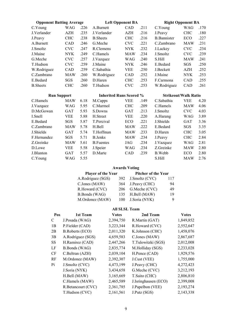| <b>Opponent Batting Average</b> |            |      |                                | <b>Left Opponent BA</b> |      | <b>Right Opponent BA</b>    |            |      |  |
|---------------------------------|------------|------|--------------------------------|-------------------------|------|-----------------------------|------------|------|--|
| C.Young                         | WAG        | .226 | A.Burnett                      | <b>CAD</b>              | .211 | C.Young                     | WAG        | .170 |  |
| J.Verlander                     | AZH        | .235 | J.Verlander                    | AZH                     | .216 | J.Peavy                     | <b>CHC</b> | .180 |  |
| J.Peavy                         | <b>CHC</b> | .238 | <b>B.</b> Sheets               | <b>CHC</b>              | .216 | <b>B.</b> Bannister         | ECO        | .227 |  |
| A.Burnett                       | <b>CAD</b> | .246 | G.Meche                        | <b>CVC</b>              | .221 | C.Zambrano                  | <b>MAW</b> | .231 |  |
| J.Smoltz                        | <b>CVC</b> | .247 | R.Clemens                      | <b>NYK</b>              | .232 | J.Lackey                    | <b>CVC</b> | .234 |  |
| J.Maine                         | <b>NYK</b> | .249 | C.Hamels                       | <b>MAW</b>              | .234 | J.Smoltz                    | <b>CVC</b> | .239 |  |
| G.Meche                         | <b>CVC</b> | .257 | J.Vazquez                      | <b>WAG</b>              | .240 | S.Hill                      | <b>MAW</b> | .241 |  |
| T.Hudson                        | <b>CVC</b> | .259 | J.Maine                        | <b>NYK</b>              | .246 | E.Bedard                    | SGS        | .250 |  |
| W.Rodriguez                     | <b>CAD</b> | .259 | C.Sabathia                     | <b>VEE</b>              | .250 | J.Beckett                   | AZH        | .252 |  |
| C.Zambrano                      | <b>MAW</b> | .260 | W.Rodriguez                    | CAD                     | .252 | J.Maine                     | <b>NYK</b> | .253 |  |
| E.Bedard                        | SGS        | .260 | D.Haren                        | <b>CHC</b>              | .253 | F.Carmona                   | CAD        | .255 |  |
| <b>B.</b> Sheets                | <b>CHC</b> | .260 | T.Hudson                       | <b>CVC</b>              | .253 | W.Rodriguez                 | CAD        | .261 |  |
| <b>Run Support</b>              |            |      |                                |                         |      |                             |            |      |  |
|                                 |            |      | <b>Inherited Runs Scored %</b> |                         |      | <b>Strikeout/Walk Ratio</b> |            |      |  |
| C.Hamels                        | <b>MAW</b> | 6.18 | M.Capps                        | <b>VEE</b>              | .149 | C.Sabathia                  | <b>VEE</b> | 4.20 |  |
| J.Vazquez                       | WAG        | 5.95 | C.Marmol                       | <b>CHC</b>              | .209 | C.Hamels                    | <b>MAW</b> | 4.06 |  |
| D.McGowan                       | GAT        | 5.93 | S.Downs                        | <b>GAT</b>              | .213 | J.Smoltz                    | <b>CVC</b> | 4.03 |  |
| I.Snell                         | <b>VEE</b> | 5.88 | H.Street                       | <b>VEE</b>              | .220 | A.Harang                    | <b>WAG</b> | 3.89 |  |
| E.Bedard                        | SGS        | 5.87 | T.Percival                     | ECO                     | .221 | J.Shields                   | <b>GAT</b> | 3.36 |  |
| C.Zambrano                      | <b>MAW</b> | 5.78 | H.Bell                         | <b>MAW</b>              | .222 | E.Bedard                    | SGS        | 3.35 |  |
| J.Shields                       | <b>GAT</b> | 5.74 | T.Hoffman                      | <b>MAW</b>              | .233 | D.Haren                     | <b>CHC</b> | 3.05 |  |
| F.Hernandez                     | <b>SGS</b> | 5.71 | <b>B.Jenks</b>                 | <b>MAW</b>              | .234 | J.Peavy                     | <b>CHC</b> | 2.84 |  |
| Z.Greinke                       | <b>MAW</b> | 5.61 | <b>B.Fuentes</b>               | JAG                     | .234 | J.Vazquez                   | WAG        | 2.81 |  |
| D.Lowe                          | <b>VEE</b> | 5.58 | J.Speier                       | WAG                     | .234 | Z.Greinke                   | <b>MAW</b> | 2.80 |  |
| J.Blanton                       | <b>GAT</b> | 5.57 | D.Marte                        | CAD                     | .239 | B. Webb                     | ECO        | 2.80 |  |

#### Awards Voting

| Player of the Year   |      | Pitcher of the Year |     |  |
|----------------------|------|---------------------|-----|--|
| A.Rodriguez (SGS)    | 392  | J.Smoltz (CVC)      | 117 |  |
| C.Jones (MAW)        | 364  | J.Peavy (CHC)       | 94  |  |
| R.Howard (CVC)       |      | 206 G.Meche (CVC)   | 49  |  |
| <b>B.Bonds</b> (WAG) | 135  | H.Bell (MAW)        | 19  |  |
| M.Ordonez (MAW)      | 100- | J.Soria (NYK)       |     |  |

#### All SLSL Team

| Pos       | 1st Team               | <b>Votes</b> | 2nd Team             | <b>Votes</b> |
|-----------|------------------------|--------------|----------------------|--------------|
| C         | J.Posada (WAG)         | 2,394,750    | R.Martin (GAT)       | 1,849,852    |
| 1B        | P.Fielder (CAD)        | 3,223,344    | R.Howard (CVC)       | 2,552,647    |
| 2B        | <b>B.Roberts (ECO)</b> | 2,011,320    | K.Johnson (CHC)      | 1,458,076    |
| 3B        | A.Rodriguez (SGS)      | 4,659,583    | C.Jones (MAW)        | 2,867,687    |
| <b>SS</b> | H.Ramirez (CAD)        | 2,447,266    | T.Tulowitzki (SGS)   | 2,012,008    |
| LF        | <b>B.Bonds</b> (WAG)   | 2,835,774    | M.Holliday (SGS)     | 2,233,028    |
| <b>CF</b> | C.Beltran (AZH)        | 2,039,104    | H.Pence (CAD)        | 1,929,576    |
| RF        | M.Ordonez (MAW)        | 2,392,307    | J.Cust (VEE)         | 1,755,000    |
| Pi        | J.Smoltz (CVC)         | 4,473,199    | J.Peavy (CHC)        | 4,272,423    |
|           | J.Soria (NYK)          | 3,434,658    | G.Meche (CVC)        | 3,212,193    |
|           | H.Bell (MAW)           | 3,165,669    | T.Saito (CHC)        | 2,806,810    |
|           | C.Hamels (MAW)         | 2,465,589    | J.Isringhausen (ECO) | 2,399,008    |
|           | R.Betancourt (CVC)     | 2,361,785    | J.Papelbon (VEE)     | 2,193,274    |
|           | T.Hudson (CVC)         | 2,161,561    | J.Putz (SGS)         | 2,143,338    |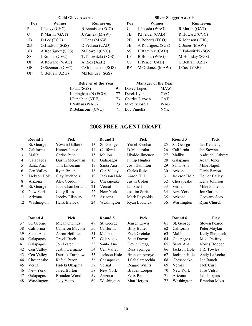#### Gold Glove Awards Silver Slugger Awards

| Pos       | Winner            | Runner-up                | Pos       | Winner                 | Runner-up          |
|-----------|-------------------|--------------------------|-----------|------------------------|--------------------|
| P         | J.Peavy (CHC)     | <b>B.Bannister (ECO)</b> | C         | J.Posada (WAG)         | R.Martin (GAT)     |
| C         | R.Martin (GAT)    | J.Varitek (MAW)          | 1B        | P.Fielder (CAD)        | R.Howard (CVC)     |
| 1B        | D.Lee (ECO)       | C.Pena (MAW)             | 2B        | <b>B.Roberts (ECO)</b> | K.Johnson (CHC)    |
| 2B        | O.Hudson (SGS)    | D.Pedroia (CAD)          | 3B        | A.Rodriguez (SGS)      | C.Jones (MAW)      |
| 3B        | A.Rodriguez (SGS) | M.Lowell (CVC)           | SS        | H.Ramirez (CAD)        | T.Tulowitzki (SGS) |
| <b>SS</b> | J.Rollins (CVC)   | T.Tulowitzki (SGS)       | LF        | B.Bonds (WAG)          | M.Holliday (SGS)   |
| OF        | A.Rowand (WAG)    | A.Rios (AZH)             | <b>CF</b> | H.Pence (CAD)          | C.Beltran (AZH)    |
| OF        | G.Sizemore (CVC)  | C.Granderson (SGS)       | RF        | M.Ordonez (MAW)        | J.Cust (VEE)       |
| OF        | C.Beltran (AZH)   | M.Holliday (SGS)         |           |                        |                    |

| Pos | Winner                 | <b>Runner-up</b>   |
|-----|------------------------|--------------------|
| C   | J.Posada (WAG)         | R.Martin (GAT)     |
| 1B  | P.Fielder (CAD)        | R.Howard (CVC)     |
| 2B  | <b>B.Roberts (ECO)</b> | K.Johnson (CHC)    |
| 3B  | A.Rodriguez (SGS)      | C.Jones (MAW)      |
| SS  | H.Ramirez (CAD)        | T.Tulowitzki (SGS) |
| LF  | <b>B.Bonds</b> (WAG)   | M.Holliday (SGS)   |
| СF  | H.Pence (CAD)          | C.Beltran (AZH)    |
| RF  | M.Ordonez (MAW)        | J.Cust (VEE)       |

| <b>Reliever of the Year</b> | <b>Manager of the Year</b> |                |            |
|-----------------------------|----------------------------|----------------|------------|
| J.Putz (SGS)                | 91                         | Davey Lopes    | MAW        |
| J.IsringhauseN (ECO)        | 77                         | Derek Lyon     | <b>CVC</b> |
| J.Papelbon (VEE)            | 73                         | Charles Darwin | <b>GAT</b> |
| J.Nathan (WAG)              | 73                         | Mike Scioscia  | WAG        |
| R.Betancourt (CVC)          | 71                         | Lou Piniella   | NYK.       |

### 2008 FREE AGENT DRAFT

|              | Round 1      | Pick             |     | Round 2      | Pick           |    | Round 3      | Pick             |
|--------------|--------------|------------------|-----|--------------|----------------|----|--------------|------------------|
| $\mathbf{1}$ | St. George   | Yovani Gallardo  | 13  | St. George   | Yunel Escobar  | 25 | St. George   | Ian Kennedy      |
| $2^{\circ}$  | California   | Hunter Pence     | 14  | California   | D Matsuzaka    | 26 | California   | Ian Stewart      |
| 3            | Malibu       | Carlos Pena      | 15. | Malibu       | Uhaldo Jimenez | 27 | Malibu       | Asdrubal Cabrera |
| 4            | Galapagos    | Dustin McGowan   | 16  | Galapagos    | Philip Hughes  | 28 | Galapagos    | Adam Jones       |
| 5            | Santa Ana    | Tim Lincecum     | 17  | Santa Ana    | Josh Hamilton  | 29 | Santa Ana    | Mike Napoli      |
| 6            | Cen Valley   | Ryan Braun       | 18  | Cen Valley   | Carlos Ruiz    | 30 | Arizona      | Daric Barton     |
|              | Jackson Hole | Clay Buchholz    | 19  | Jackson Hole | Aaron Hill     | 31 | Jackson Hole | Homer Bailey     |
| 8            | Arizona      | Alex Gordon      | 20  | Chesapeake   | Justin Upton   | 32 | Chesapeake   | Kelly Johnson    |
| 9            | St. George   | Joba Chamberlain | 21  | Vernal       | Ian Snell      | 33 | Vernal       | Mike Fontenot    |
| 10           | New York     | Cody Ross        | 22  | New York     | Joakim Soria   | 34 | New York     | Jon Garland      |
| 11           | Arizona      | Jacoby Ellsbury  | 23  | Arizona      | Mark Reynolds  | 35 | Arizona      | Geovany Soto     |
| 12           | Washington   | Hank Blalock     | 24  | Washington   | Ryan Ludwick   | 36 | Washington   | Ryan Church      |

|    | Round 4    | Pick               |    | Round 5      | Pick                  |    | Round 6      | Pick                 |
|----|------------|--------------------|----|--------------|-----------------------|----|--------------|----------------------|
| 37 | St. George | Micah Owings       | 49 | St. George   | Jensen Lewis          | 61 | St. George   | <b>Steven Pearce</b> |
| 38 | California | Cameron Maybin     | 50 | California   | <b>Billy Butler</b>   | 62 | California   | Peter Moylan         |
| 39 | Santa Ana  | Aaron Heilman      | 51 | Malibu       | Zach Greinke          | 63 | Malibu       | Kelly Shoppach       |
| 40 | Galapagos  | <b>Travis Buck</b> | 52 | Galapagos    | <b>Scott Downs</b>    | 64 | Galapagos    | Mike Pelfrey         |
| 41 | Galapagos  | Jon Lester         | 53 | Santa Ana    | Kevin Gregg           | 65 | Santa Ana    | Norris Hopper        |
| 42 | Cen Valley | Justin Germano     | 54 | Cen Valley   | Russ Springer         | 66 | Jackson Hole | J.R. Towles          |
| 43 | Cen Valley | Derrick Turnbow    | 55 | Jackson Hole | <b>Bronson Arroyo</b> | 67 | Jackson Hole | Andy LaRoche         |
| 44 | Chesapeake | Rafael Perez       | 56 | Chesapeake   | J Saltalamacchia      | 68 | Chesapeake   | Jon Rauch            |
| 45 | Vernal     | Hideki Okajima     | 57 | Vernal       | Reggie Willits        | 69 | Vernal       | Jack Cust            |
| 46 | New York   | Jared Burton       | 58 | New York     | Braden Looper         | 70 | New York     | Jose Vidro           |
| 47 | Galapagos  | Brandon Wood       | 59 | Arizona      | Felix Pie             | 71 | Arizona      | Jair Jurrjens        |
| 48 | Washington | Joey Votto         | 60 | Washington   | Matt Herges           | 72 | Washington   | <b>Brandon Moss</b>  |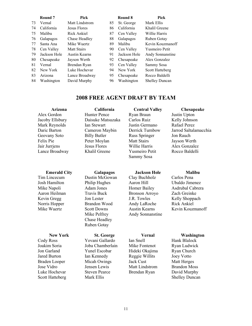|    | Round 7      | Pick           |    | Round 8      | Pick                   |
|----|--------------|----------------|----|--------------|------------------------|
| 73 | Vernal       | Matt Lindstrom | 85 | St. George   | Mark Ellis             |
| 74 | California   | Jesus Flores   | 86 | California   | Khalil Greene          |
| 75 | Malibu       | Rick Ankiel    | 87 | Cen Valley   | Willie Harris          |
| 76 | Galapagos    | Chase Headley  | 88 | Galapagos    | Ruben Gotay            |
| 77 | Santa Ana    | Mike Wuertz    | 89 | Malibu       | Kevin Kouzmanoff       |
| 78 | Cen Valley   | Matt Stairs    | 90 | Cen Valley   | <b>Yusmeiro Petit</b>  |
| 79 | Jackson Hole | Austin Kearns  | 91 | Jackson Hole | Andy Sonnanstine       |
| 80 | Chesapeake   | Jayson Werth   | 92 | Chesapeake   | Alex Gonzalez          |
| 81 | Vernal       | Brendan Ryan   | 93 | Cen Valley   | Sammy Sosa             |
| 82 | New York     | Luke Hochevar  | 94 | New York     | <b>Scott Hatteberg</b> |
| 83 | Arizona      | Lance Broadway | 95 | Chesapeake   | Rocco Baldelli         |
| 84 | Washington   | David Murphy   | 96 | Washington   | <b>Shelley Duncan</b>  |

#### 2008 FREE AGENT DRAFT BY TEAM

Alex Gordon Hunter Pence Ryan Braun Justin Upton Jacoby Ellsbury Daisuke Matsuzaka Carlos Ruiz Kelly Johnson Mark Reynolds Ian Stewart Justin Germano Rafael Perez Geovany Soto Billy Butler Russ Springer Jon Rauch<br>
Felix Pie Peter Movlan Matt Stairs Javson We Peter Moylan Matt Stairs Jayson Werth Jair Jurrjens Jesus Flores Willie Harris Alex Gonzalez Lance Broadway Khalil Greene Yusmeiro Petit Rocco Baldelli

Sammy Sosa

Arizona California Central Valley Chesapeake Daric Barton Cameron Maybin Derrick Turnbow Jarrod Saltalamacchia

#### Emerald City Galapagos Jackson Hole Malibu

Scott Hatteberg Mark Ellis Shelley Duncan

Tim Lincecum Dustin McGowan Clay Buchholz Carlos Pena Josh Hamilton Philip Hughes Aaron Hill Ubaldo Jimenez Aaron Heilman Travis Buck Bronson Arroyo Zach Greinke Kevin Gregg Jon Lester J.R. Towles Kelly Shoppach<br>
Norris Hopper Brandon Wood Andy LaRoche Rick Ankiel Norris Hopper Brandon Wood Andy LaRoche Mike Pelfrey **Andy Sonnanstine**  Chase Headley Ruben Gotay

New York St. George Vernal Washington<br>
Cody Ross Yovani Gallardo Ian Snell Hank Blalock Yovani Gallardo Ian Snell Hank Blalock Joakim Soria Joba Chamberlain Mike Fontenot Ryan Ludwick Jon Garland Yunel Escobar Hideki Okajima Ryan Church Jared Burton Ian Kennedy Reggie Willits Joey Votto Braden Looper Micah Owings Jack Cust Matt Herges Jose Vidro Jensen Lewis Matt Lindstrom Brandon Moss Luke Hochevar Steven Pearce Brendan Ryan David Murphy

Mike Napoli Adam Jones Homer Bailey Asdrubal Cabrera Mike Wuertz Scott Downs Austin Kearns Kevin Kouzmanoff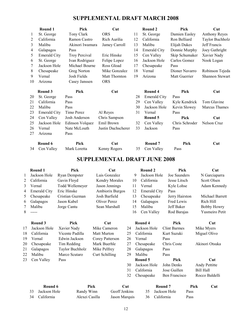### SUPPLEMENTAL DRAFT MARCH 2008

|    | Round 1                   | Pick            | Cut                |    | Round 2             | Pick           | Cut                    |
|----|---------------------------|-----------------|--------------------|----|---------------------|----------------|------------------------|
| 1  | St. George                | Tony Clark      | <b>ORS</b>         | 11 | St. George          | Damien Easley  | <b>Anthony Reyes</b>   |
| 2  | California                | Ramon Castro    | Rich Aurilia       | 12 | California          | Ron Belliard   | Taylor Buchholz        |
| 3  | Malibu                    | Akinori Iwamura | Jamey Carroll      | 13 | Malibu              | Elijah Dukes   | Jeff Francis           |
| 4  | Galapagos                 | Pass            |                    | 14 | <b>Emerald City</b> | Donnie Murphy  | Joey Gathright         |
| 5  | <b>Emerald City</b>       | Troy Percival   | Eric Hinske        | 15 | Cen Valley          | Skip Schumaker | Xavier Nady            |
| 6  | St. George                | Ivan Rodriguez  | Felipe Lopez       | 16 | Jackson Hole        | Carlos Gomez   | Nook Logan             |
| 7  | Jackson Hole              | Michael Bourne  | Ross Gload         | 17 | Chesapeake          | Pass           |                        |
| 8  | Chesapeake                | Greg Norton     | Mike Gonzalez      | 18 | Vernal              | Dioner Navarro | Robinson Tejeda        |
| 9  | Vernal                    | Josh Fields     | Matt Thornton      | 19 | Arizona             | Matt Guerrier  | <b>Shannon Stewart</b> |
| 10 | Arizona                   | Casey Janssen   | <b>ORS</b>         |    |                     |                |                        |
|    | Round 3                   | Pick            | Cut                |    | Round 4             | Pick           | Cut                    |
| 20 | St. George                | Pass            |                    | 28 | <b>Emerald City</b> | Pass           |                        |
| 21 | California                | Pass            |                    | 29 | Cen Valley          | Kyle Kendrick  | Tom Glavine            |
| 22 | Malibu                    | Pass            |                    | 30 | Jackson Hole        | Kevin Slowey   | Marcus Thames          |
| 23 | <b>Emerald City</b>       | Timo Perez      | Al Reyes           | 31 | Vernal              | Pass           |                        |
| 24 | Cen Valley                | Josh Anderson   | Chris Sampson      |    | Round 5             | Pick           | Cut                    |
| 25 | Jackson Hole              | Edinson Volquez | Emil Brown         | 32 | Cen Valley          | Chris Schroder | Nelson Cruz            |
| 26 | Vernal                    | Nate McLouth    | Justin Duchscherer | 33 | Jackson             | Pass           |                        |
| 27 | Arizona                   | Pass            |                    |    |                     |                |                        |
|    | $\mathbf{n}$ $\mathbf{r}$ | n' l            | $\sim$ $\sim$      |    | $\mathbf{r}$<br>.   | n' l           | $\sim$                 |

| Round 6       | Pick         | <b>Cut</b>   | Round 7       | Pick | Cut |
|---------------|--------------|--------------|---------------|------|-----|
| 34 Cen Valley | Mark Loretta | Kenny Rogers | 35 Cen Valley | Pass |     |

# SUPPLEMENTAL DRAFT JUNE 2008

|    | Round 1             | Pick                 | Cut                   |     |    | Round 2             | Pick                |                  | Cut             |
|----|---------------------|----------------------|-----------------------|-----|----|---------------------|---------------------|------------------|-----------------|
| 1  | Jackson Hole        | <b>Ryan Dempster</b> | Luis Gonzalez         |     | 9  | Jackson Hole        | Joe Saunders        |                  | N Garciaparra   |
| 2  | California          | Gavin Floyd          | <b>Kendry Morales</b> |     | 10 | California          | Jesse Litsch        |                  | Scott Olsen     |
| 3  | Vernal              | Todd Wellemeyer      | Jason Jennings        |     | 11 | Vernal              | Kyle Lohse          |                  | Adam Kennedy    |
| 4  | <b>Emerald City</b> | Eric Hinske          | Ambiorix Burgos       |     | 12 | <b>Emerald City</b> | Pass                |                  |                 |
| 5  | Chesapeake          | Cristian Guzman      | Josh Barfield         |     | 13 | Chesapeake          | Jerry Hairston      |                  | Michael Barrett |
| 6  | Galapagos           | Jason Kubel          | Oliver Perez          |     | 14 | Galapagos           | Fred Lewis          |                  | Rich Hill       |
| 7  | Malibu              | Jorge Cantu          | Sean Marshall         |     | 15 | Malibu              | Jeff Baker          |                  | Bobby Howry     |
| 8  | -----               |                      |                       |     | 16 | Cen Valley          | Rod Barajas         |                  | Yusmeiro Petit  |
|    | Round 3             | Pick                 | Cut                   |     |    | Round 4             | Pick                |                  | Cut             |
| 17 | Jackson Hole        | Xavier Nady          | Mike Cameron          | 24  |    | Jackson Hole        | <b>Clint Barmes</b> |                  | Mike Myers      |
| 18 | California          | Vicente Padilla      | Matt Murton           | 25  |    | California          | Kurt Suzuki         |                  | Miguel Olivo    |
| 19 | Vernal              | Edwin Jackson        | Corey Patterson       | 26  |    | Vernal              | Pass                |                  |                 |
| 20 | Chesapeake          | Tim Redding          | Mark Buerhle          | 27  |    | Chesapeake          | Chris Coste         |                  | Akinori Otsuka  |
| 21 | Galapagos           | Taylor Buchholz      | Mike Pelfrey          | 28  |    | Galapagos           | Pass                |                  |                 |
| 22 | Malibu              | Marco Scutaro        | Curt Schilling        | 29  |    | Malibu              | Pass                |                  |                 |
| 23 | Cen Valley          | Pass                 |                       |     |    | Round 5             | Pick                |                  | Cut             |
|    |                     |                      |                       | 30  |    | Jackson Hole        | John Denks          |                  | Andy Pettitte   |
|    |                     |                      |                       | 31  |    | California          | Jose Guillen        | <b>Bill Hall</b> |                 |
|    |                     |                      |                       | 32  |    | Chesapeake          | Ben Francisco       |                  | Rocco Baldelli  |
|    | Round 6             |                      | Pick                  | Cut |    |                     | Round 7             | Pick             | Cut             |

| KVUHU V         | г іск          | v.u           | NVUIIU .        | т іск |  |
|-----------------|----------------|---------------|-----------------|-------|--|
| 33 Jackson Hole | Randy Winn     | Geoff Jenkins | 35 Jackson Hole | Pass  |  |
| 34 California   | Alexei Casilla | Jason Marquis | 36 California   | Pass  |  |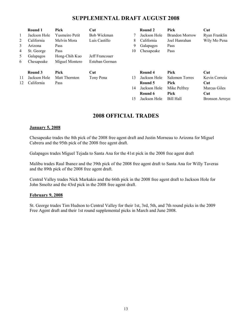#### SUPPLEMENTAL DRAFT AUGUST 2008

| 1<br>2<br>3<br>4<br>5.<br>6 | Round 1<br>Jackson Hole<br>California<br>Arizona<br>St. George<br>Galapagos<br>Chesapeake | Pick<br><b>Yusmeiro Petit</b><br>Melvin Mora<br>Pass<br>Pass<br>Hong-Chih Kuo<br>Miguel Montero | Cut<br>Bob Wickman<br>Luis Castillo<br>Jeff Francouer<br>Esteban German | 7<br>8<br>9<br>10 | Round 2<br>Jackson Hole<br>California<br>Galapagos<br>Chesapeake              | Pick<br><b>Brandon Morrow</b><br>Joel Hanrahan<br>Pass<br>Pass             | Cut<br>Ryan Franklin<br>Wily Mo Pena                                 |
|-----------------------------|-------------------------------------------------------------------------------------------|-------------------------------------------------------------------------------------------------|-------------------------------------------------------------------------|-------------------|-------------------------------------------------------------------------------|----------------------------------------------------------------------------|----------------------------------------------------------------------|
| 11<br>12                    | Round 3<br>Jackson Hole<br>California                                                     | Pick<br>Matt Thornton<br>Pass                                                                   | Cut<br>Tony Pena                                                        | 13<br>14<br>15    | Round 4<br>Jackson Hole<br>Round 5<br>Jackson Hole<br>Round 6<br>Jackson Hole | Pick<br>Salomon Torres<br>Pick<br>Mike Pelfrey<br>Pick<br><b>Bill Hall</b> | Cut<br>Kevin Correia<br>Cut<br>Marcus Giles<br>Cut<br>Bronson Arroyo |

#### 2008 OFFICIAL TRADES

#### January 5, 2008

Chesapeake trades the 8th pick of the 2008 free agent draft and Justin Morneau to Arizona for Miguel Cabrera and the 95th pick of the 2008 free agent draft.

Galapagos trades Miguel Tejada to Santa Ana for the 41st pick in the 2008 free agent draft

Malibu trades Raul Ibanez and the 39th pick of the 2008 free agent draft to Santa Ana for Willy Taveras and the 89th pick of the 2008 free agent draft.

Central Valley trades Nick Markakis and the 66th pick in the 2008 free agent draft to Jackson Hole for John Smoltz and the 43rd pick in the 2008 free agent draft.

#### February 9, 2008

St. George trades Tim Hudson to Central Valley for their 1st, 3rd, 5th, and 7th round picks in the 2009 Free Agent draft and their 1st round supplemental picks in March and June 2008.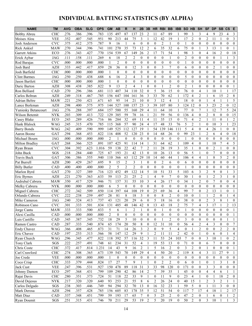# INDIVIDUAL BATTING STATISTICS (BY ALPHA)

| н<br><b>HR</b><br><b>CHC</b><br>.276<br>.386<br>.396<br>.783<br>135<br>497<br>87<br>137<br>23<br>$\overline{2}$<br>67<br>89<br>99<br>3<br>3<br>9<br>23<br><b>Bobby Abreu</b><br>11<br>4                                                                                                                                                             | 4<br>3                               |
|-----------------------------------------------------------------------------------------------------------------------------------------------------------------------------------------------------------------------------------------------------------------------------------------------------------------------------------------------------|--------------------------------------|
|                                                                                                                                                                                                                                                                                                                                                     |                                      |
| $\overline{2}$<br>Moises Alou<br><b>VEE</b><br>.352<br>.407<br>.545<br>.951<br>213<br>3<br>12<br>42<br>19<br>17<br>$\boldsymbol{0}$<br>2<br>90<br>44<br>75<br>11<br>1<br>1<br>1                                                                                                                                                                     | $\boldsymbol{0}$<br>3                |
| <b>CVC</b><br>9<br>.375<br>.375<br>.787<br>$\overline{2}$<br>$\mathbf{1}$<br>Josh Anderson<br>.412<br>16<br>6<br>$\mathbf{0}$<br>$\theta$<br>$\theta$<br>$\Omega$<br>1<br>$\mathbf{0}$<br>$\theta$<br>$\boldsymbol{0}$<br>$\mathbf{0}$<br>$\mathbf{0}$<br>1                                                                                         | $\boldsymbol{0}$<br>$\mathbf{0}$     |
| .396<br>$\overline{c}$<br>35<br>32<br>75<br>.270<br>344<br>.741<br>101<br>270<br>35<br>73<br>12<br>6<br>3<br>13<br><b>Rick Ankiel</b><br><b>MAW</b><br>6<br>$\theta$<br>1<br>1                                                                                                                                                                      | $\boldsymbol{0}$<br>1                |
| .770<br>539<br>26<br>$\overline{2}$<br>71<br>54<br>98<br>3<br>$\mathbf{0}$<br>$\overline{4}$<br>$\overline{2}$<br><b>Garrett Atkins</b><br>ECO<br>.276<br>.343<br>.427<br>154<br>67<br>149<br>17<br>16                                                                                                                                              | $\mathbf{0}$<br>18                   |
| .269<br>$\overline{2}$<br>$\overline{c}$<br>$\theta$<br>$\overline{2}$<br>$\mathbf{0}$<br>.111<br>.158<br>.111<br>18<br>$\mathbf{0}$<br>$\mathbf{0}$<br>$\mathbf{0}$<br>$\mathbf{1}$<br>$\mathbf{0}$<br>$\theta$<br>$\mathbf{0}$<br>$\mathbf{0}$<br>Erick Aybar<br><b>JAG</b><br>6<br>1                                                             | 3                                    |
| $\overline{2}$<br>.000<br>$\theta$<br>$\boldsymbol{0}$<br>$\theta$<br>$\mathbf{0}$<br>$\mathbf{0}$<br>$\mathbf{0}$<br><b>CVC</b><br>.000<br>.000<br>.000<br>$\mathbf{0}$<br>$\mathbf{0}$<br>$\theta$<br>$\mathbf{1}$<br>$\theta$<br>$\mathbf{0}$<br>$\mathbf{0}$<br>$\theta$<br>Rod Barajas<br>1                                                    | $\mathbf{0}$<br>$\mathbf{0}$         |
| $\overline{7}$<br>36<br>3<br>3<br>$\overline{2}$<br>442<br>.417<br>.859<br>28<br>$\mathbf{0}$<br>12<br>$\theta$<br>$\mathbf{0}$<br>$\mathbf{0}$<br>6<br>$\mathbf{0}$<br>$\mathbf{0}$<br>$\mathbf{1}$<br><b>AZH</b><br>.333<br>$\theta$<br>Josh Bard                                                                                                 | $\mathbf{0}$<br>$\mathbf{0}$         |
| <b>CHC</b><br>.000<br>.000<br>.000<br>.000<br>$\mathbf{0}$<br>$\mathbf{0}$<br>$\mathbf{0}$<br>$\mathbf{0}$<br>$\mathbf{0}$<br>$\mathbf{0}$<br>$\mathbf{0}$<br>$\mathbf{0}$<br>$\boldsymbol{0}$<br>$\mathbf{0}$<br>$\mathbf{0}$<br>$\mathbf{0}$<br>Josh Barfield<br>$\mathbf{0}$<br>$\mathbf{0}$<br>$\theta$<br>1                                    | $\mathbf{0}$<br>$\mathbf{0}$         |
| 5<br>.688<br>6<br>$\overline{2}$<br>$\overline{4}$<br>3<br>$\mathbf{0}$<br>$\mathbf{0}$<br>$\mathbf{0}$<br>.250<br>.438<br>16<br>$\theta$<br>$\mathbf{0}$<br>$\mathbf{0}$<br>$\mathbf{0}$<br>$\mathbf{0}$<br>$\mathbf{0}$<br>$\mathbf{0}$<br><b>Clint Barmes</b><br><b>JAG</b><br>.250                                                              | $\theta$<br>$\mathbf{0}$             |
| .000<br>$\theta$<br>$\theta$<br>$\mathbf{0}$<br>$\theta$<br>$\theta$<br>$\mathbf{0}$<br>$\mathbf{0}$<br>$\mathbf{0}$<br>$\mathbf{0}$<br>$\mathbf{0}$<br>$\theta$<br>$\theta$<br><b>CHC</b><br>.000<br>.000<br>.000<br>$\theta$<br>$\theta$<br>$\mathbf{0}$<br>Jason Bartlett<br>1                                                                   | $\mathbf{0}$<br>$\mathbf{0}$         |
| .385<br>9<br>13<br>$\overline{2}$<br>$\overline{4}$<br>$\overline{2}$<br>$\overline{2}$<br><b>AZH</b><br>.438<br>.822<br>$\mathbf{0}$<br>$\mathbf{0}$<br>$\mathbf{0}$<br>$\mathbf{0}$<br>$\mathbf{0}$<br>.308<br>$\mathbf{1}$<br>$\boldsymbol{0}$<br>$\mathbf{0}$<br>Daric Barton<br>$\mathbf{1}$<br>-1                                             | $\mathbf{0}$                         |
| .386<br>34<br>32<br>5<br>76<br>$\overline{\mathbf{4}}$<br>10<br>Ron Belliard<br>CAD<br>.270<br>.296<br>.681<br>113<br>407<br>110<br>$\mathbf{0}$<br>36<br>15<br>1<br>$\mathbf{0}$<br>$\mathbf{0}$                                                                                                                                                   | 17                                   |
| $\overline{c}$<br>3<br>33<br>62<br>172<br>15<br><b>AZH</b><br>.249<br>.318<br>.467<br>.785<br>156<br>104<br>161<br>36<br>70<br>Carlos Beltran<br>647<br>4<br>6<br>1                                                                                                                                                                                 | $\overline{2}$<br>$\,$ 8 $\,$        |
| .250<br>.421<br>3<br>12<br>18<br><b>Adrian Beltre</b><br><b>MAW</b><br>.221<br>.671<br>65<br>95<br>14<br>21<br>10<br>$\mathbf{0}$<br>4<br>$\boldsymbol{0}$<br>4<br>$\overline{0}$<br>1<br>1                                                                                                                                                         | 5                                    |
| .298<br>.575<br>.975<br>527<br>157<br>23<br>3<br>39<br>80<br>3<br>124<br>12<br>$\mathbf{0}$<br>3<br>23<br>$\overline{2}$<br>Lance Berkman<br><b>AZH</b><br>.400<br>144<br>100<br>107                                                                                                                                                                | 12<br>$\boldsymbol{0}$               |
| .397<br>580<br>55<br>29<br>77<br>7<br>.276<br>.288<br>.684<br>157<br>160<br>$\overline{4}$<br>11<br>64<br>10<br>7<br>12<br><b>JAG</b><br>$\theta$<br>Yuniesky Betancourt<br>1<br>1                                                                                                                                                                  | 24<br>5                              |
| .722<br>59<br>21<br>59<br>56<br>136<br>$\overline{2}$<br>8<br><b>NYK</b><br>.203<br>.309<br>.413<br>129<br>385<br>78<br>16<br>$\mathbf{0}$<br>$\overline{4}$<br>$\mathbf{0}$<br>$\mathbf{0}$<br>Wilson Betemit                                                                                                                                      | 15<br>$\mathbf{0}$                   |
| .716<br>32<br>35<br>71<br>$\overline{c}$<br>ECO<br>.243<br>.289<br>.426<br>86<br>284<br>11<br>$\overline{4}$<br>11<br>$\boldsymbol{0}$<br>Casey Blake<br>69<br>$\overline{4}$<br>11<br>15<br>$\mathbf{0}$<br>1                                                                                                                                      | $\mathfrak{2}$                       |
| $\overline{\mathbf{3}}$<br>368<br>57<br>48<br>5<br>Hank Blalock<br>.245<br>.315<br>.470<br>.785<br>90<br>24<br>$\overline{4}$<br>17<br>33<br>76<br>$\overline{2}$<br>$\overline{0}$<br>10<br>WAG<br>115<br>1                                                                                                                                        | 23<br>1                              |
| $\overline{54}$<br>5<br>19<br>146<br>.242<br>.409<br>.590<br>525<br>112<br>127<br>139<br>$\mathbf{0}$<br>$\overline{4}$<br>26<br>$\mathbf{1}$<br><b>WAG</b><br>.999<br>149<br>111<br>$\overline{4}$<br><b>Barry Bonds</b><br>1                                                                                                                      | $\mathbf{0}$<br>$\mathbf{0}$         |
| $\overline{c}$<br>.453<br>.822<br>23<br>99<br>23<br>6<br>$\overline{4}$<br>Aaron Boone<br>GAT<br>.294<br>.368<br>116<br>408<br>52<br>120<br>14<br>68<br>26<br>$\mathbf{0}$<br>1<br>$\theta$                                                                                                                                                         | $\boldsymbol{0}$<br>18               |
| $\overline{2}$<br>$\theta$<br>$\mathbf{0}$<br>$\theta$<br>$\theta$<br>$\theta$<br>$\mathbf{1}$<br>$\mathbf{0}$<br>$\theta$<br><b>JAG</b><br>.000<br>.000<br>.000<br>.000<br>$\theta$<br>$\theta$<br>$\theta$<br>$\theta$<br>$\mathbf{0}$<br>$\mathbf{0}$<br>Michael Bourn<br>1                                                                      | $\mathbf{0}$<br>$\mathbf{0}$         |
| $\overline{7}$<br>.525<br>.891<br>107<br>91<br>31<br>62<br>109<br>10<br>.268<br>.366<br>425<br>114<br>14<br>64<br>$\overline{4}$<br>$\mathbf{0}$<br>Milton Bradley<br>GAT                                                                                                                                                                           | 5<br>$\overline{4}$                  |
| <b>CVC</b><br>.392<br>.623<br>1.016<br>59<br>138<br>22<br>7<br>$\overline{2}$<br>11<br>28<br>19<br>3<br>35<br>$\overline{0}$<br>$\overline{2}$<br>Ryan Braun<br>.304<br>42<br>$\theta$<br>1<br>1                                                                                                                                                    | $\mathbf{0}$<br>$\mathbf{0}$         |
| .725<br>56<br>5<br>7<br>John Buck<br>SGS<br>.218<br>.284<br>.440<br>67<br>193<br>21<br>42<br>13<br>$\theta$<br>10<br>26<br>13<br>$\mathbf{0}$<br>$\mathbf{1}$<br>$\mathbf{0}$<br>$\mathbf{0}$                                                                                                                                                       | $\mathbf{0}$<br>$\mathbf{0}$         |
| 8<br>5<br>.555<br>.940<br>112<br>29<br>14<br>44<br>$\overline{4}$<br>4<br><b>Travis Buck</b><br>GAT<br>.306<br>.386<br>110<br>366<br>63<br>10<br>60<br>106<br>1<br>1                                                                                                                                                                                | $\overline{2}$<br>$\mathbf{0}$       |
| .429<br>$\overline{2}$<br><b>AZH</b><br>.200<br>.267<br>.695<br>9<br>15<br>$\overline{2}$<br>3<br>$\mathbf{0}$<br>$\mathbf{0}$<br>6<br>$\mathbf{0}$<br>6<br>$\mathbf{0}$<br>$\mathbf{0}$<br>$\mathbf{0}$<br>$\mathbf{0}$<br>Pat Burrell<br>$\mathbf{0}$<br>1                                                                                        | $\mathbf{0}$<br>$\mathbf{0}$         |
| $\overline{c}$<br>.800<br>5<br>$\overline{2}$<br>$\overline{c}$<br><b>Billy Butler</b><br>CAD<br>.400<br>.400<br>.400<br>$\mathbf{0}$<br>$\mathbf{0}$<br>$\theta$<br>$\theta$<br>$\bf{0}$<br>$\mathbf{0}$<br>$\theta$<br>$\boldsymbol{0}$<br>$\boldsymbol{0}$<br>$\mathbf{0}$<br>1<br>$\theta$                                                      | $\boldsymbol{0}$<br>$\mathbf{0}$     |
| 33<br>3<br>.270<br>327<br>.389<br>.716<br>452<br>122<br>5<br>51<br>5<br>$\overline{2}$<br>9<br>Marlon Byrd<br>GAT<br>123<br>49<br>14<br>10<br>103<br>6<br>$\theta$                                                                                                                                                                                  | 3                                    |
| $\tau$<br>3<br>.221<br>.270<br>.363<br>.633<br>59<br>25<br>$\overline{4}$<br>9<br>30<br>$\overline{2}$<br><b>AZH</b><br>113<br>21<br>$\overline{2}$<br>$\theta$<br>$\mathbf{0}$<br>Eric Byrnes<br>1                                                                                                                                                 | $\mathbf{0}$                         |
| .529<br>.350<br>.417<br>.946<br>71<br>31<br>3<br>26<br>17<br>34<br>$\overline{2}$<br>7<br>Asdrubal Cabrera<br><b>MAW</b><br>157<br>55<br>10<br>4<br>$\mathbf{0}$<br>$\boldsymbol{0}$<br>$\mathbf{0}$<br>-1                                                                                                                                          | 0<br>$\overline{4}$                  |
| .000<br>6<br>5<br>$\theta$<br>$\theta$<br>$\theta$<br>$\mathbf{0}$<br>$\mathbf{0}$<br>$\mathbf{0}$<br>Melky Cabrera<br>.000<br>.000<br>.000<br>$\mathbf{0}$<br>$\mathbf{0}$<br>$\theta$<br>$\theta$<br>$\mathbf{0}$<br>$\mathbf{0}$<br>$\mathbf{0}$<br><b>NYK</b><br>$\theta$                                                                       | $\theta$<br>$\mathbf{0}$             |
| 13<br>$\overline{7}$<br>$\overline{2}$<br>.272<br>342<br>.509<br>.850<br>397<br>64<br>108<br>19<br>25<br>69<br>36<br>$\overline{4}$<br>99<br>$\mathbf{0}$<br><b>CHC</b><br>114<br>$\mathbf{0}$<br>Miguel Cabrera<br>1                                                                                                                               | $\mathbf{0}$                         |
| .222<br>.238<br>.259<br>28<br>81<br>8<br>18<br>3<br>$\mathbf{0}$<br>$\theta$<br>8<br>2<br>$\mathbf{0}$<br>10<br>$\mathbf{0}$<br>$\overline{2}$<br>$\mathbf{0}$<br>Orlando Cabrera<br><b>CVC</b><br>.497<br>1<br>1                                                                                                                                   | $\mathbf{1}$<br>$\overline{4}$       |
| 5<br>3<br>8<br>16<br>$\overline{2}$<br>.240<br>324<br>.413<br>.737<br>43<br>121<br>20<br>29<br>6<br>$\theta$<br>18<br>$\mathbf{0}$<br>38<br>$\mathbf{0}$<br>$\mathbf{0}$<br>Mike Cameron<br><b>JAG</b>                                                                                                                                              | $\mathbf{0}$                         |
| 3<br>8<br>13<br>18<br>$\overline{2}$<br>75<br>$\tau$<br>$\overline{4}$<br>17<br>.301<br>333<br>.501<br>.834<br>131<br>485<br>48<br>146<br>42<br>43<br>$\mathbf{1}$<br><b>CVC</b><br>Robinson Cano                                                                                                                                                   | $\overline{c}$<br>13                 |
| .333<br>.333<br>.500<br>.833<br>Jorge Cantu<br><b>MAW</b><br>5<br>$\boldsymbol{2}$<br>$\boldsymbol{0}$<br>$\boldsymbol{0}$<br>$\boldsymbol{0}$<br>$\boldsymbol{0}$<br>6<br>$\boldsymbol{0}$<br>$\,1\,$<br>$\boldsymbol{0}$<br>$\boldsymbol{0}$<br>$\boldsymbol{0}$<br>$\boldsymbol{0}$<br>$\mathbf{1}$<br>$\mathbf{1}$<br>$\mathbf{1}$              | $\boldsymbol{0}$<br>$\mathbf{1}$     |
| $\overline{2}$<br>$\mathbf{0}$<br>$\boldsymbol{0}$<br>CAD<br>.000<br>.000<br>.000<br>.000<br>$\boldsymbol{0}$<br>$\boldsymbol{0}$<br>$\boldsymbol{0}$<br>$\boldsymbol{0}$<br>$\boldsymbol{0}$<br>$\bf{0}$<br>$\boldsymbol{0}$<br>$\boldsymbol{0}$<br>$\boldsymbol{0}$<br>$\boldsymbol{0}$<br>0<br>$\boldsymbol{0}$<br>$\mathbf{0}$<br>Alexi Casilla | $\boldsymbol{0}$<br>1                |
| $\overline{2}$<br>Luis Castillo<br>CAD<br>29<br>5<br>$\boldsymbol{0}$<br>$\boldsymbol{0}$<br>$\mathbf{0}$<br>$\mathbf{0}$<br>3<br>$\boldsymbol{0}$<br>$\boldsymbol{0}$<br>$\boldsymbol{0}$<br>.345<br>.387<br>.345<br>.732<br>18<br>10<br>$\boldsymbol{0}$<br>$\mathbf{0}$<br>1                                                                     | 1<br>1                               |
| $\overline{c}$<br>.540<br>.874<br>174<br>20<br>50<br>8<br>12<br>31<br>10<br>56<br>3<br>CAD<br>.287<br>.333<br>65<br>$\mathbf{0}$<br>$\boldsymbol{0}$<br>$\overline{4}$<br>4<br>$\mathbf{0}$<br>Ramon Castro                                                                                                                                         | 7<br>$\mathbf{0}$                    |
| WAG<br>.408<br>.465<br>71<br>2<br>9<br>2<br>2<br><b>Endy Chavez</b><br>.366<br>.873<br>31<br>14<br>26<br>3<br>$\boldsymbol{0}$<br>5<br>4<br>$\boldsymbol{0}$<br>$\boldsymbol{0}$<br>$\boldsymbol{0}$<br>-1                                                                                                                                          | 2<br>$\boldsymbol{0}$                |
| CAD<br>.253<br>58<br>12<br>$\overline{2}$<br>11<br>42<br>Eric Chavez<br>.197<br>.313<br>.566<br>147<br>29<br>9<br>11<br>2<br>$\boldsymbol{0}$<br>$\boldsymbol{0}$<br>1<br>$\mathbf{0}$<br>1<br>6                                                                                                                                                    | 1<br>4                               |
| .477<br>.822<br>53<br>Ryan Church<br>WAG<br>.296<br>.345<br>392<br>57<br>32<br>3<br>11<br>24<br>103<br>7<br>3<br>10<br>118<br>116<br>$\mathbf{0}$<br>$\boldsymbol{0}$<br>1                                                                                                                                                                          | 2<br>$\mathbf{0}$                    |
| Tony Clark<br>SGS<br>.257<br>.222<br>.491<br>.748<br>234<br>31<br>52<br>4<br>19<br>53<br>13<br>71<br>$\boldsymbol{0}$<br>$\boldsymbol{0}$<br>7<br>$\boldsymbol{0}$<br>61<br>$\boldsymbol{0}$<br>6<br>1                                                                                                                                              | $\boldsymbol{0}$<br>$\boldsymbol{0}$ |
| $\sqrt{2}$<br>5<br>$\overline{2}$<br>3<br>$\mathfrak{2}$<br>$\mathbf{0}$<br>Chris Coste<br>${\rm CHC}$<br>.372<br>.417<br>.814<br>1.231<br>14<br>43<br>16<br>16<br>$\mathbf{0}$<br>$\boldsymbol{0}$<br>$\boldsymbol{0}$<br>9<br>1<br>1                                                                                                              | $\mathbf{0}$                         |
| $\overline{4}$<br>20<br><b>CHC</b><br>.274<br>.365<br>.673<br>543<br>70<br>29<br>50<br>$\overline{2}$<br>119<br>8<br>4<br>3<br>27<br>Carl Crawford<br>.308<br>139<br>149<br>4<br>11                                                                                                                                                                 | 9                                    |
| $\mathbf{0}$<br>Joe Crede<br><b>VEE</b><br>.000<br>.000<br>.000<br>.000<br>$\overline{0}$<br>$\mathbf{0}$<br>$\mathbf{0}$<br>$\mathbf{0}$<br>$\mathbf{0}$<br>$\boldsymbol{0}$<br>$\mathbf{0}$<br>$\mathbf{0}$<br>$\boldsymbol{0}$<br>$\mathbf{0}$<br>$\mathbf{0}$<br>$\mathbf{0}$<br>$\mathbf{0}$<br>$\mathbf{0}$<br>1                              | $\mathbf{0}$<br>$\mathbf{0}$         |
| 17<br>27<br>$\tau$<br>$\overline{2}$<br><b>CHC</b><br>.379<br>.444<br>.824<br>9<br>$\mathbf{0}$<br>$\overline{2}$<br>$\mathbf{0}$<br>6<br>3<br>Coco Crisp<br>.333<br>$\mathbf{0}$<br>$\boldsymbol{0}$<br>1<br>1                                                                                                                                     | $\mathbf{0}$                         |
| 31<br><b>VEE</b><br>.396<br>.531<br>.927<br>150<br>478<br>118<br>$\mathfrak{Z}$<br>33<br>98<br>120<br>171<br>$\boldsymbol{0}$<br>3<br>3<br>$\boldsymbol{0}$<br>Jack Cust<br>.247<br>89<br>$\boldsymbol{0}$<br>$\boldsymbol{0}$                                                                                                                      | 0<br>$\boldsymbol{0}$                |
| $\overline{2}$<br>$\tau$<br>290<br>$\overline{4}$<br>$\overline{4}$<br>6<br>ECO<br>.297<br>.368<br>.431<br>.799<br>109<br>42<br>86<br>14<br>39<br>35<br>45<br>$\mathbf{0}$<br>1<br>$\boldsymbol{0}$<br>Johnny Damon                                                                                                                                 | 1<br>1                               |
| .373<br>CHC<br>.351<br>51<br>22<br>9<br>$\boldsymbol{0}$<br>11<br>9<br>$\boldsymbol{0}$<br>23<br>18<br>Rajai Davis<br>.280<br>.724<br>118<br>33<br>4<br>$\mathbf{1}$<br>$\boldsymbol{0}$<br>1<br>1                                                                                                                                                  | 2<br>$\mathbf{0}$                    |
| $\boldsymbol{2}$<br>$\overline{c}$<br>$\overline{c}$<br>.320<br>.320<br>93<br>253<br>21<br>55<br>8<br>26<br>24<br>$\boldsymbol{0}$<br>3<br>David Dejesus<br><b>NYK</b><br>.217<br>.640<br>6<br>40<br>15<br>$\mathbf{1}$                                                                                                                             | 1                                    |
| 5<br>SGS<br>.303<br>.446<br>.749<br>94<br>294<br>$70\,$<br>13<br>16<br>32<br>23<br>59<br>11<br>3<br>Carlos Delgado<br>.238<br>32<br>$\mathbf{0}$<br>$\boldsymbol{0}$<br>1<br>1                                                                                                                                                                      | $\overline{0}$<br>$\overline{0}$     |
| <b>AZH</b><br>.357<br>.428<br>.785<br>156<br>605<br>178<br>35<br>5<br>12<br>51<br>54<br>7<br>Mark Derosa<br>.294<br>83<br>$\boldsymbol{0}$<br>117<br>17<br>18<br>4<br>1                                                                                                                                                                             | 2<br>17                              |
| Matt Diaz<br>CAD<br>.337<br>.348<br>.451<br>.799<br>59<br>193<br>7<br>$\boldsymbol{0}$<br>5<br>25<br>2<br>$\boldsymbol{0}$<br>47<br>2<br>$\boldsymbol{0}$<br>$\boldsymbol{0}$<br>17<br>65<br>6<br>1                                                                                                                                                 | 2<br>1                               |
| 5<br>19<br>50<br>.251<br>.315<br>211<br>53<br>19<br>$\overline{c}$<br>$\overline{2}$<br>$\boldsymbol{0}$<br>3<br>$10\,$<br>$\mathbf{1}$<br>SGS<br>.431<br>.746<br>70<br>29<br>20<br>$\boldsymbol{0}$<br>Ryan Doumit                                                                                                                                 | $\mathfrak{Z}$<br>1                  |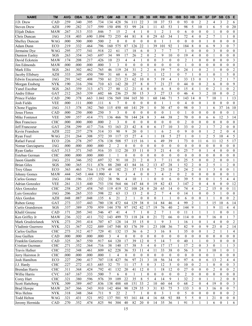| <b>NAME</b>               | <b>TM</b>   | <b>AVG</b> | <b>OBA</b> | <b>SLG</b> | <b>OPS</b> | <b>GM</b>      | <b>AB</b>      | $\mathsf{R}$             | H                | 2B             | 3B               | <b>HR</b>        | <b>RBI</b>               | <b>BB</b>        | <b>IBB</b>       | <b>SO</b>        | <b>HB</b>        | <b>SH</b>        | <b>SF</b>        | <b>DP</b>        | <b>SB</b>        | <b>CS</b>        | Е              |
|---------------------------|-------------|------------|------------|------------|------------|----------------|----------------|--------------------------|------------------|----------------|------------------|------------------|--------------------------|------------------|------------------|------------------|------------------|------------------|------------------|------------------|------------------|------------------|----------------|
| J.D. Drew                 | CAD         | .259       | .340       | .395       | .734       | 134            | 428            | 56                       | 111              | 22             | 3                | 10               | 37                       | 53               | 0                | 93               | $\theta$         | $\overline{2}$   | $\overline{2}$   | 4                | 3                | $\overline{2}$   | 6              |
| <b>Steven Drew</b>        | <b>AZH</b>  | .199       | .282       | .317       | .599       | 150            | 498            | 53                       | 99               | 24             |                  | 11               | 43                       | 53               | 1                | 98               | 5                | 10               | 1                | 6                | 5                | $\boldsymbol{0}$ | 20             |
| <b>Elijah Dukes</b>       | <b>MAW</b>  | .267       | .313       | .533       | .846       | $\tau$         | 15             | $\overline{2}$           | $\overline{4}$   | $\mathbf{1}$   | $\theta$         | 1                | $\overline{2}$           | $\mathbf{1}$     | $\theta$         | 6                | $\theta$         | $\theta$         | $\mathbf{0}$     |                  | $\theta$         | $\theta$         | $\Omega$       |
| Chris Duncan              | <b>JAG</b>  | .318       | .403       | .690       | 1.094      | 73             | 255            | 44                       | 81               | 8              | $\theta$         | 29               | 63                       | 34               | 1                | 72               | $\overline{4}$   | $\mathbf{0}$     | $\overline{c}$   | $\overline{7}$   | 1                | 1                | $\overline{0}$ |
| <b>Shelley Duncan</b>     | <b>WAG</b>  | .000       | .500       | .000       | .500       | $\overline{2}$ | $\theta$       | $\mathbf{0}$             | $\theta$         | $\mathbf{0}$   | $\theta$         | $\theta$         | $\overline{\phantom{a}}$ | $\mathbf{1}$     | $\mathbf{0}$     | $\mathbf{0}$     | $\theta$         | $\theta$         | $\mathbf{1}$     | $\mathbf{0}$     | $\mathbf{0}$     | $\mathbf{0}$     | $\overline{0}$ |
| Adam Dunn                 | ECO         | .219       | 332        | .464       | .796       | 160            | 575            | 87                       | 126              | 22             |                  | 39               | 101                      | 92               |                  | 184              | 8                | $\theta$         | 6                | 9                | 3                | $\theta$         | $\tau$         |
| Jermaine Dye              | WAG         | .295       | 377        | .541       | .918       | 22             | 61             | 17                       | 18               | 6              | $\theta$         | 3                | $\overline{7}$           | $\overline{7}$   | $\overline{7}$   | -1               | $\theta$         | $\mathbf{0}$     | $\mathbf{0}$     | 3                | $\theta$         | $\theta$         | $\overline{0}$ |
| Damion Easley             | SGS         | .263       | .354       | .343       | .697       | 34             | 99             | 17                       | 26               | $\overline{2}$ | $\mathbf{0}$     | $\overline{2}$   | 9                        | 10               | $\mathbf{0}$     | 19               | $\overline{4}$   | $\theta$         | $\mathbf{0}$     | 1                | $\mathbf{0}$     | $\mathbf{0}$     | $\theta$       |
| David Eckstein            | <b>MAW</b>  | .174       | .208       | .217       | .426       | 10             | 23             | $\overline{\mathcal{L}}$ | $\overline{4}$   | $\mathbf{1}$   | $\mathbf{0}$     | $\theta$         | 3                        | $\mathbf{0}$     | $\mathbf{0}$     | $\overline{2}$   | 1                | $\theta$         | $\mathbf{0}$     | $\boldsymbol{0}$ | $\theta$         | $\mathbf{0}$     | 3              |
| Jim Edmonds               | <b>MAW</b>  | .000       | .000       | .000       | .000       | 3              | 3              | $\mathbf{0}$             | $\theta$         | $\mathbf{0}$   | $\mathbf{0}$     | $\mathbf{0}$     | $\theta$                 | $\mathbf{0}$     | $\theta$         | $\mathbf{1}$     | $\mathbf{0}$     | $\theta$         | $\mathbf{0}$     | $\mathbf{0}$     | $\mathbf{0}$     | $\mathbf{0}$     | $\overline{0}$ |
| Mark Ellis                | SGS         | .261       | 302        | .462       | .765       | 46             | 119            | 24                       | 31               | $\mathfrak{2}$ | $\overline{c}$   | 6                | 19                       | 7                | $\mathbf{0}$     | 24               |                  | $\theta$         | $\overline{c}$   |                  | $\mathbf{0}$     | $\mathbf{0}$     | $\overline{c}$ |
| Jacoby Ellsbury           | <b>AZH</b>  | .333       | 349        | .450       | .799       | 31             | 60             | 6                        | 20               | $\overline{2}$ | 1                | $\mathbf{1}$     | 12                       | $\mathbf{1}$     | $\mathbf{0}$     | $\overline{7}$   | 1                | $\theta$         | 1                | $\theta$         | 1                | 5                | $\overline{0}$ |
| <b>Edwin Encarnacion</b>  | <b>JAG</b>  | .291       | 342        | .408       | .750       | 61             | 213            | 23                       | 62               | 10             | $\mathbf{0}$     | 5                | 19                       | $\overline{4}$   |                  | 33               | 13               | $\theta$         | 1                | 3                | $\overline{c}$   | 1                | 7              |
| Morgan Ensberg            | <b>NYK</b>  | .190       | .316       | .394       | .710       | 63             | 142            | 20                       | 27               | 8              | $\overline{0}$   | 7                | 21                       | 27               | $\mathbf{0}$     | 44               | $\theta$         | $\theta$         | $\overline{2}$   | 6                | $\mathbf{0}$     | $\mathbf{0}$     | 9              |
| Yunel Escobar             | SGS         | .263       | .359       | .313       | .671       | 27             | 80             | 12                       | 21               | $\overline{4}$ | $\Omega$         | $\mathbf{0}$     | 6                        | 8                | $\mathbf{0}$     | 15               | $\overline{4}$   | 1                | $\mathbf{0}$     | 2                | 1                | $\mathbf{0}$     | $\overline{c}$ |
| Andre Ethier              | GAT         | .212       | .263       | .339       | .602       | 66             | 236            | 25                       | 50               | 15             | 3                | 3                | 27                       | 13               | $\mathbf{0}$     | 46               | 4                | 3                | $\overline{c}$   | 10               | $\boldsymbol{0}$ | $\theta$         | $\mathbf{2}$   |
| Prince Fielder            | CAD         | .290       | 378        | .663       | 1.041      | 156            | 569            | 104                      | 165              | 30             | $\mathbf{1}$     | 60               | 146                      | 71               | 5                | 143              | 14               | $\boldsymbol{0}$ | $\overline{7}$   | 10               | $\mathbf{1}$     | 1                | 13             |
| Josh Fields               | <b>VEE</b>  | .000       | .111       | .000       | .111       | 6              | 7              | $\mathbf{0}$             | $\mathbf{0}$     | $\mathbf{0}$   | $\mathbf{0}$     | $\mathbf{0}$     |                          | 1                | $\theta$         | $\overline{4}$   | $\mathbf{0}$     | $\boldsymbol{0}$ | 1                | $\theta$         | $\mathbf{0}$     | $\mathbf{0}$     | $\mathbf{0}$   |
| Chone Figgins             | <b>JAG</b>  | .313       | .378       | .382       | .760       | 115            | 450            | 60                       | 141              | 29             | $\mathbf{1}$     | $\theta$         | 30                       | 47               | $\mathbf{0}$     | 98               | $\mathbf{0}$     | $\mathfrak{Z}$   | $\mathbf{1}$     | 6                | 37               | 16               | 10             |
| Jesus Flores              | CAD         | .000       | .250       | .000       | .250       | 5              | 3              | $\theta$                 | $\theta$         | $\mathbf{0}$   | $\theta$         | $\theta$         | $\theta$                 | $\mathbf{1}$     | $\theta$         | $\mathbf{1}$     | $\theta$         | $\theta$         | $\mathbf{0}$     | $\mathbf{0}$     | $\theta$         | $\theta$         |                |
| Mike Fontenot             | <b>VEE</b>  | .309       | .357       | .414       | .771       | 136            | 466            | 70                       | 144              | 24             | 8                | 3                | 44                       | 38               | $\overline{c}$   | 70               | $\mathbf{0}$     | $\mathbf{0}$     | 6                | 6                | 12               | 3                | 14             |
| <b>Ben Francisco</b>      | <b>CHC</b>  | .000       | .000       | .000       | .000       | $\overline{c}$ | 3              | $\mathbf{0}$             | $\boldsymbol{0}$ | $\mathbf{0}$   | $\mathbf{0}$     | $\theta$         | $\theta$                 | $\mathbf{0}$     | $\mathbf{0}$     | $\overline{2}$   | $\mathbf{0}$     | $\theta$         | $\overline{0}$   | $\mathbf{0}$     | $\mathbf{0}$     | $\mathbf{0}$     | $\overline{0}$ |
| Jeff Francoeur            | GAT         | .258       | .299       | .417       | .716       | 53             | 163            | 23                       | 42               | 8              | $\mathbf{0}$     | 6                | 17                       | 10               | 3                | 33               | $\mathbf{0}$     | $\overline{2}$   | 1                | $\overline{7}$   | $\overline{2}$   | $\mathbf{0}$     | $\overline{0}$ |
| Kevin Frandsen            | <b>AZH</b>  | .222       | .237       | .278       | .514       | 33             | 90             | 9                        | 20               | $\mathbf{0}$   | 1                | 1                | 6                        | $\mathbf{2}$     | $\mathbf{0}$     | 9                | $\mathbf{0}$     | $\theta$         | 1                | $\overline{2}$   | $\overline{2}$   | $\mathbf{0}$     | $\overline{4}$ |
| Ryan Freel                | <b>WAG</b>  | .231       | .264       | .308       | .572       | 39             | 117            | 15                       | 27               | $\overline{4}$ | 1                | 1                | 18                       | 5                | 27               | $\mathbf{1}$     | $\mathbf{0}$     | 1                | $\overline{c}$   | 5                | 10               | 4                | 5              |
| Rafael Furcal             | ECO         | .226       | .278       | .297       | .576       | 138            | 508            | 57                       | 115              | 16             |                  | 6                | 49                       | 39               | 1                | 73               | $\theta$         | 11               | 6                | 11               | 12               | 5                | 17             |
| Nomar Garciaparra         | <b>JAG</b>  | .000       | .000       | .000       | .000       | $\overline{2}$ | 2              | $\boldsymbol{0}$         | $\mathbf{0}$     | $\mathbf{0}$   | $\theta$         | $\theta$         | $\theta$                 | $\mathbf{0}$     | $\theta$         | $\mathbf{0}$     | $\theta$         | $\theta$         | $\boldsymbol{0}$ | $\theta$         | $\mathbf{0}$     | $\theta$         | $\overline{0}$ |
| Ryan Garko                | GAT         | .313       | .371       | .545       | .916       | 35             | 112            | 20                       | 35               | 11             | $\mathbf{0}$     | 5                | 21                       | 4                | $\overline{0}$   | 25               | 7                | $\theta$         | 1                | $\overline{4}$   | $\mathbf{0}$     | $\mathbf{0}$     | $\mathbf{0}$   |
| Esteban German            | <b>CHC</b>  | .000       | .000       | .000       | .000       | $\mathbf{1}$   | 1              | $\theta$                 | $\mathbf{0}$     | $\mathbf{0}$   | $\mathbf{0}$     | $\mathbf{0}$     | $\theta$                 | $\mathbf{0}$     | $\theta$         | $\boldsymbol{0}$ | $\theta$         | $\theta$         | $\mathbf{0}$     | $\mathbf{0}$     | $\mathbf{0}$     | $\mathbf{0}$     | $\mathbf{0}$   |
| Jason Giambi              | <b>JAG</b>  | .231       | .346       | .352       | .697       | 32             | 91             | 10                       | 21               | $\overline{2}$ | $\theta$         | 3                | $\overline{7}$           | 11               | $\theta$         | 25               | 5                | $\mathbf{0}$     | $\mathbf{0}$     | $\overline{2}$   | $\mathbf{0}$     | $\theta$         |                |
| <b>Brian Giles</b>        | SGS         | .300       | 365        | .511       | .876       | 88             | 280            | 43                       | 84               | 16             | $\overline{2}$   | 13               | 47                       | 28               |                  | 52               | $\overline{2}$   | $\overline{0}$   | $\overline{c}$   | 5                | 1                | $\overline{2}$   | $\overline{0}$ |
| <b>Troy Glaus</b>         | ECO         | .363       | .463       | .716       | 1.179      | 49             | 102            | 21                       | 37               | 15             | $\mathbf{0}$     | $\overline{7}$   | 25                       | 18               | $\overline{c}$   | 24               | $\overline{2}$   | $\theta$         | $\mathbf{1}$     | 3                | $\mathbf{0}$     | $\mathbf{0}$     |                |
| Johnny Gomes              | <b>MAW</b>  | .444       | .545       | 1.444      | 1.990      | $\overline{4}$ | 9              | $\overline{3}$           | $\overline{4}$   | $\mathbf{0}$   | $\theta$         | 3                | $\overline{4}$           | $\overline{c}$   | $\theta$         | $\overline{2}$   | $\theta$         | $\theta$         | $\mathbf{0}$     | $\mathbf{0}$     | $\mathbf{0}$     | $\theta$         |                |
| Carlos Gomez              | <b>JAG</b>  | .104       | .196       | .135       | .332       | 38             | 96             | $\overline{4}$           | 10               | $\mathbf{1}$   |                  | $\theta$         | $\theta$                 | 6                | $\Omega$         | 39               | 5                | $\theta$         | $\theta$         |                  | 5                | 4                | $\overline{4}$ |
| Adrian Gonzalez           | <b>VEE</b>  | .261       | .313       | .440       | .753       | 154            | 564            | 66                       | 147              | 44             | $\mathbf{0}$     | 19               | 82                       | 43               | 3                | 147              | $\overline{2}$   | $\theta$         | $\overline{4}$   | 8                | $\mathbf{0}$     | $\mathbf{0}$     | 12             |
| Alex Gonzalez             | <b>CHC</b>  | .258       | .287       | .458       | .745       | 119            | 419            | 52                       | 108              | 24             | $\theta$         | 20               | 65                       | 14               | $\overline{0}$   | 74               | $\overline{4}$   | $\overline{2}$   | $\overline{c}$   | 15               | $\mathbf{0}$     | $\mathbf{0}$     | 11             |
| Luis Gonzalez             | <b>JAG</b>  | .206       | 265        | .333       | .598       | 22             | 63             | 13                       | 13               | $\overline{2}$ | $\theta$         | $\overline{2}$   | $\tau$                   | $\overline{4}$   | $\theta$         | 14               | 1                | $\mathbf{0}$     | $\overline{0}$   | 5                | 1                | $\mathbf{0}$     | $\mathbf{0}$   |
| Alex Gordon               | AZH         | .048       | 087        | 048        | 135        | 6              | 21             | $\overline{2}$           | 1                | $\mathbf{0}$   | $\Omega$         | $\Omega$         |                          | 1                | $\Omega$         | 6                | $\overline{0}$   | $\mathbf{0}$     |                  |                  | $\Omega$         | $\Omega$         | $\overline{2}$ |
| Ruben Gotay               | GAT         | .273       | .337       | .443       | .780       | 138            | 472            | 64                       | 129              | 38             | $\mathbf{0}$     | 14               | 84                       | 46               | 4                | 99               | $\mathfrak{2}$   | 1                | 5                | 15               | 10               | 6                | 14             |
| Curtis Granderson         | SGS         | .337       | .389       | .570       | .959       | 144            | 570            | 97                       | 192              | 42             | 17               | 19               | 76                       | 40               | 2                | 144              | 9                | 1                |                  | 9                | 11               | 4                | 4              |
| Khalil Greene             | CAD         | .171       | .205       | .341       | .546       | 47             | 41             | 4                        | 7                | 1              | $\bf{0}$         | $\overline{c}$   | 7                        | $\mathbf{1}$     | $\boldsymbol{0}$ | 11               | 1                | 1                |                  |                  | $\overline{0}$   | $\mathbf{0}$     |                |
| Ken Griffey Jr            | <b>MAW</b>  | .236       | .322       | .411       | .732       | 143            | 499            | 73                       | 118              | $24\,$         | $\mathbf{0}$     | 21               | 72                       | 66               | $\mathbf{0}$     | 114              | $\boldsymbol{0}$ | $\boldsymbol{0}$ | 7                | 16               | $\mathbf{0}$     | 1                | 7              |
| Mark Grudzielanek         | <b>NYK</b>  | .273       | .293       | .414       | .707       | 67             | 128            | 14                       | 35               | 15             | $\mathbf{0}$     | 1                | 9                        | 3                |                  | 16               | 1                | $\theta$         |                  | $\overline{4}$   | $\overline{0}$   | $\theta$         | $\overline{c}$ |
| Vladimir Guerrero         | <b>NYK</b>  | .321       | .367       | .522       | .889       | 147            | 548            | 83                       | 176              | 39             | 1                | 23               | 108                      | 36               | $\boldsymbol{7}$ | 82               | 9                | $\boldsymbol{0}$ | 9                | 23               | $\mathbf{0}$     | $\overline{2}$   | 14             |
| Carlos Guillen            | <b>CHC</b>  | .273       | .312       | .417       | .729       | 41             | 132            | 15                       | 36               | 6              | 2                | 3                | 16                       | 8                |                  | 35               | $\bf{0}$         | $\boldsymbol{0}$ | 1                | $\overline{c}$   | 1                | -1               | 4              |
| Jose Guillen              | CAD         | .000       | .000       | .000       | .000       | $\overline{3}$ | $\overline{4}$ | $\mathbf{0}$             | $\overline{0}$   | $\mathbf{0}$   | $\mathbf{0}$     | $\mathbf{0}$     | $\boldsymbol{0}$         | $\mathbf{0}$     | $\mathbf{0}$     | $\mathbf{0}$     | $\mathbf{0}$     | $\theta$         | $\boldsymbol{0}$ | $\boldsymbol{0}$ | $\mathbf{0}$     | $\mathbf{0}$     | $\mathbf{0}$   |
| <b>Franklin Gutierrez</b> | CAD         | .325       | .367       | .550       | .917       | 64             | 120            | 17                       | 39               | 12             | $\mathbf{0}$     | 5                | 14                       | $\overline{7}$   | $\boldsymbol{0}$ | 40               | -1               | $\mathbf{1}$     | $\boldsymbol{0}$ | $\mathfrak{Z}$   | $\overline{0}$   | $\mathbf{0}$     | $\mathbf{0}$   |
| Cristian Guzman           | ${\rm CHC}$ | .271       | .352       | .364       | .716       | 38             | 140            | 17                       | 38               | $\sqrt{5}$     | 4                | $\mathbf{0}$     | 17                       | 17               | 1                | 17               | $\overline{2}$   | $\boldsymbol{0}$ | 3                | $\boldsymbol{0}$ | 1                | 1                | 3              |
| Travis Hafner             | CHC         | .232       | .348       | .461       | .809       | 62             | 228            | 36                       | 53               | 11             | $\overline{4}$   | 11               | 33                       | 38               | $\mathbf{0}$     | 56               | 3                | $\mathbf{0}$     | $\mathbf{1}$     | $10\,$           | $\mathbf{1}$     | $\mathbf{0}$     | 1              |
| Jerry Hairston Jr         | ${\rm CHC}$ | .000       | .000       | .000       | .000       | $\mathbf{1}$   | $\overline{4}$ | $\boldsymbol{0}$         | $\boldsymbol{0}$ | $\mathbf{0}$   | $\boldsymbol{0}$ | $\boldsymbol{0}$ | $\boldsymbol{0}$         | $\boldsymbol{0}$ | $\mathbf{0}$     | $\mathbf{0}$     | $\mathbf{0}$     | $\boldsymbol{0}$ | $\boldsymbol{0}$ | 1                | $\boldsymbol{0}$ | $\mathbf{0}$     | $\mathbf{0}$   |
| Josh Hamilton             | ECO         | .227       | .290       | .417       | .707       | 118            | 427            | 56                       | 97               | 21             | 3                | 18               | 56                       | 34               | $\overline{0}$   | 97               | 6                | $\boldsymbol{0}$ | 6                | 13               | $\mathfrak{2}$   | $\overline{4}$   | 4              |
| J.J. Hardy                | ${\rm CHC}$ | .227       | .272       | .413       | .685       | 32             | 75             | 11                       | 17               | 5              | $\bf{0}$         | 3                | 12                       | 5                | $\mathbf{0}$     | 10               | $\mathbf{0}$     | $\overline{c}$   | 1                | $\boldsymbol{0}$ | $\mathbf{0}$     | $\mathbf{0}$     | 3              |
| <b>Brendan Harris</b>     | ${\rm CHC}$ | .311       | .368       | .424       | .792       | 41             | 132            | 20                       | 41               | 12             | $\boldsymbol{0}$ | $\mathbf{1}$     | 18                       | 12               | $\boldsymbol{0}$ | $27\,$           | $\bf{0}$         | $\mathbf{0}$     | $\boldsymbol{0}$ | $\overline{c}$   | $\overline{0}$   | $\mathbf{0}$     | $\overline{c}$ |
| Willie Harris             | <b>CVC</b>  | .167       | .167       | .333       | .500       | $\tau$         | 6              | $\boldsymbol{0}$         | $\mathbf{1}$     | 1              | 0                | $\theta$         | $\boldsymbol{0}$         | $\boldsymbol{0}$ | $\boldsymbol{0}$ | $\overline{c}$   | $\mathbf{0}$     | $\boldsymbol{0}$ | $\boldsymbol{0}$ | $\boldsymbol{0}$ | $\boldsymbol{0}$ | $\mathbf{0}$     | $\overline{0}$ |
| Corey Hart                | ${\rm CHC}$ | .321       | .380       | .596       | .976       | 39             | 109            | 22                       | 35               | 8              | 5                | $\overline{4}$   | 14                       | 9                |                  | 32               | $\overline{c}$   | $\boldsymbol{0}$ | -1               |                  | $\overline{c}$   | $\mathbf{0}$     | $\overline{0}$ |
| <b>Scott Hatteberg</b>    | <b>NYK</b>  | .309       | .389       | .447       | .836       | 138            | 488            | 68                       | 151              | 33             | $\overline{2}$   | 10               | 60                       | 64               | $\boldsymbol{0}$ | 68               | $\overline{2}$   | $\mathbf{0}$     | 4                | 19               | $\boldsymbol{0}$ | $\mathbf{0}$     | 3              |
| <b>Brad Hawpe</b>         | <b>MAW</b>  | .267       | .366       | .543       | .910       | 142            | 484            | 90                       | 129              | 35             | $\mathfrak{Z}$   | 31               | 83                       | 75               | 5                | 133              | $\mathfrak{Z}$   | $\boldsymbol{0}$ | 3                | 16               | $\mathbf{0}$     | $\mathbf{0}$     | $\overline{7}$ |
| Wes Helms                 | <b>NYK</b>  | .318       | .348       | .364       | .711       | 9              | 22             | 2                        | 7                | 1              | $\mathbf{0}$     | $\mathbf{0}$     | 3                        | 1                | $\overline{0}$   | 5                | $\boldsymbol{0}$ | $\boldsymbol{0}$ | $\boldsymbol{0}$ | $\bf{0}$         | $\overline{0}$   | $\mathbf{0}$     | $\overline{c}$ |
| Todd Helton               | WAG         | .321       | .431       | .521       | .952       | 137            | 501            | 93                       | 161              | 44             | $\overline{4}$   | 16               | 68                       | 92               | 88               | 5                | 5                | $\boldsymbol{0}$ | 1                | 21               | $\mathbf{0}$     | $\mathbf{0}$     | $\mathbf{0}$   |
| Jeremy Hermida            | CAD         | .270       | .352       | .474       | .825       | 94             | 304            | 40                       | 82               | 20             | $\boldsymbol{0}$ | 14               | 35                       | 36               |                  | 91               | 3                | $\mathbf{1}$     | 1                | 6                | $\boldsymbol{0}$ | $\mathbf{1}$     | 6              |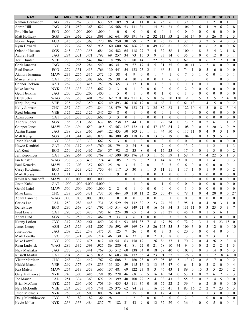| <b>NAME</b>               | <b>TM</b>         | <b>AVG</b> | <b>OBA</b>   | <b>SLG</b>   | <b>OPS</b>   | <b>GM</b>      | <b>AB</b>      | $\mathsf{R}$            | н            | 2B               | 3B                  | <b>HR</b>                  | <b>RBI</b>           | <b>BB</b>            | <b>IBB</b>                         | <b>SO</b>            | <b>HB</b>                          | <b>SH</b>                          | <b>SF</b>                                 | <b>DP</b>        | <b>SB</b>                        | <b>CS</b>                        | E                            |
|---------------------------|-------------------|------------|--------------|--------------|--------------|----------------|----------------|-------------------------|--------------|------------------|---------------------|----------------------------|----------------------|----------------------|------------------------------------|----------------------|------------------------------------|------------------------------------|-------------------------------------------|------------------|----------------------------------|----------------------------------|------------------------------|
| Ramon Hernandez           | <b>JAG</b>        | .217       | .262         | .370         | .633         | 59             | 189            | 19                      | 41           | 11               | $\theta$            | 6                          | 25                   | 6                    | $\boldsymbol{0}$                   | 39                   | 6                                  | 1                                  |                                           | 2                | $\overline{0}$                   |                                  |                              |
| Aaron Hill                | <b>JAG</b>        | .231       | .259         | .368         | .627         | 136            | 568            | 53                      | 131          | 34               |                     | 14                         | 54                   | 23                   | $\mathbf{0}$                       | 106                  | $\mathbf{0}$                       | 6                                  | 4                                         | 19               | 6                                | $\overline{c}$                   | 8                            |
| Eric Hinske               | ECO               | .000       | 1.000        | .000         | 1.000        | 1              | $\Omega$       | $\theta$                | $\theta$     | $\boldsymbol{0}$ | $\theta$            | $\theta$                   | $\theta$             | $\mathbf{1}$         | $\theta$                           | $\mathbf{0}$         | $\Omega$                           | $\theta$                           | $\boldsymbol{0}$                          | $\boldsymbol{0}$ | $\theta$                         | $\mathbf{0}$                     | $\overline{0}$               |
| Matt Holliday             | SGS               | .298       | 362          | .529         | .891         | 162            | 641            | 103                     | 191          | 48               | $\overline{2}$      | 32                         | 113                  | 53                   | $\overline{c}$                     | 161                  | 14                                 | $\boldsymbol{0}$                   | 5                                         | 26               | 8                                | $\overline{2}$                   | 3                            |
| Norris Hopper             | ECO               | .316       | 352          | .368         | .720         | 86             | 250            | 30                      | 79           | 9                | $\overline{c}$      | $\theta$                   | 26                   | 15                   | $\mathbf{1}$                       | 37                   | $\theta$                           | 3                                  | $\overline{2}$                            | 5                | $\overline{4}$                   | $\mathbf{0}$                     | 3                            |
| Ryan Howard               | <b>CVC</b>        | .277       | 367          | .568         | .935         | 160            | 600            | 96                      | 166          | 28               | $\mathbf{0}$        | 49                         | 120                  | 81                   | $\overline{2}$                     | 227                  | 8                                  | $\mathbf{0}$                       | 6                                         | 12               | $\mathbf{0}$                     | $\mathbf{0}$                     | 6                            |
| Orlando Hudson            | SGS               | .245       | .330         | .355         | .684         | 126            | 482            | 65                      | 118          | 27               | 7                   | $\overline{4}$             | 32                   | 58                   | $\mathbf{1}$                       | 100                  | $\overline{4}$                     | 8                                  | $\overline{2}$                            | 14               | 3                                | $\mathbf{1}$                     | 8                            |
| Aubrey Huff               | <b>JAG</b>        | .284       | .321         | .471         | .792         | 69             | 257            | 34                      | 73           | 15               | 3                   | 9                          | 33                   | 14                   | $\mathbf{0}$                       | 35                   | $\mathbf{0}$                       | $\theta$                           | $\boldsymbol{0}$                          | 12               | $\mathbf{0}$                     | $\mathbf{0}$                     |                              |
| Torii Hunter              | <b>VEE</b>        | .270       | .293         | .547         | .840         | 118            | 296            | 51                      | 80           | 14               |                     | 22                         | 56                   | 9                    | $\mathbf{0}$                       | 62                   | 3                                  | $\theta$                           | 6                                         | 7                | $\overline{7}$                   | 1                                | $\overline{0}$               |
| Chris Iannetta            | <b>JAG</b>        | .167       | .265         | .284         | .549         | 106            | 341            | 29                      | 57           | 17               | $\overline{4}$      | 5                          | 31                   | 35                   | $\mathbf{0}$                       | 101                  | 11                                 | $\overline{3}$                     | $\overline{2}$                            | 8                | $\mathbf{0}$                     | $\mathbf{0}$                     | $\overline{0}$               |
| Raul Ibanez               | ECO               | .279       | 351          | .415         | .766         | 130            | 441            | 54                      | 123          | 23               | 2                   | 11                         | 66                   | 51                   | 1                                  | 74                   |                                    | $\mathbf{0}$                       | 5                                         | 16               | $\mathbf{0}$                     | $\mathbf{0}$                     | $\overline{0}$               |
| Akinori Iwamura           | <b>MAW</b>        | .237       | .256         | .316         | .572         | 15             | 38             | 4                       | 9            | $\boldsymbol{0}$ | $\overline{0}$      | 1                          | 4                    | $\mathbf{1}$         | $\mathbf{0}$                       | $\boldsymbol{7}$     | $\theta$                           | 1                                  | $\mathbf{0}$                              | $\mathbf{0}$     | 1                                | $\theta$                         |                              |
| Maicer Izturis            | GAT               | .256       | .356         | .308         | .663         | 26             | 39             | $\overline{\mathbf{4}}$ | 10           | $\overline{c}$   | $\overline{0}$      | $\mathbf{0}$               | $\overline{4}$       | 6                    | $\mathbf{0}$                       | $\overline{3}$       | $\theta$                           | $\mathbf{1}$                       | $\overline{0}$                            |                  | $\mathbf{0}$                     | $\theta$                         |                              |
| Connor Jackson            | <b>AZH</b>        | .262       | .338         | .415         | .753         | 26             | 65             | 13                      | 17           | $\mathbf{1}$     | $\overline{0}$      | 3                          | 8                    | 7                    | $\overline{0}$                     | 11                   | -1                                 | $\theta$                           | 1                                         | 1                | $\mathbf{0}$                     | $\mathbf{0}$                     | $\mathbf{0}$                 |
| Mike Jacobs               | <b>NYK</b>        | .333       | .333         | .333         | .667         | $\overline{2}$ | 3              | $\theta$                | $\mathbf{1}$ | $\mathbf{0}$     | $\theta$            | $\theta$                   | $\theta$             | $\mathbf{0}$         | $\mathbf{0}$                       | $\overline{c}$       | $\mathbf{0}$                       | $\boldsymbol{0}$                   | $\mathbf{0}$                              | $\mathbf{0}$     | $\mathbf{0}$                     | $\mathbf{0}$                     | $\mathbf{0}$                 |
| Geoff Jenkins             | <b>JAG</b>        | .200       | .200         | .200         | .400         | $\mathbf{1}$   | 5              | $\boldsymbol{0}$        | $\mathbf{1}$ | $\boldsymbol{0}$ | $\theta$            | $\theta$                   | $\mathbf{1}$         | $\mathbf{0}$         | $\theta$                           | 1                    | $\Omega$                           | $\boldsymbol{0}$                   | $\mathbf{0}$                              | $\boldsymbol{0}$ | $\boldsymbol{0}$                 | $\theta$                         | $\mathbf{0}$                 |
| Derek Jeter               | <b>WAG</b>        | .297       | .358         | .401         | .759         | 162            | 710            | 103                     | 211          | 40               | 5                   | 8                          | 67                   | 50                   | 130                                | 19                   | 3                                  | 5                                  | 3                                         | 15               | 12                               | $\overline{4}$                   | 18                           |
| Kenji Johjima             | <b>VEE</b>        | .235       | .263         | .359         | .622         | 149            | 493            | 46                      | 116          | 19               | $\theta$            | 14                         | 63                   | $\tau$               | $\theta$                           | 61                   | 13                                 | $\mathbf{1}$                       | $\overline{4}$                            | 15               | $\mathbf{0}$                     | $\mathbf{0}$                     | $\overline{c}$               |
| Kelly Johnson             | <b>CHC</b>        | .257       | .374         | .470         | .844         | 138            | 479            | 76                      | 123          | 21               | 3                   | 25                         | 82                   | 83                   | 1                                  | 122                  | 10                                 | $\overline{4}$                     | 5                                         | 10               | 8                                | $\mathfrak{Z}$                   | 14                           |
| Reed Johnson              | <b>VEE</b>        | .125       | .222         | .125         | .347         | 25             | 8              | $\mathbf{0}$            | $\mathbf{1}$ | $\mathbf{0}$     | $\mathbf{0}$        | $\mathbf{0}$               | $\mathbf{0}$         | $\mathbf{1}$         | $\mathbf{0}$                       | $\mathbf{1}$         | $\mathbf{0}$                       | $\mathbf{0}$                       | $\overline{0}$                            | $\mathbf{0}$     | $\mathbf{0}$                     | $\mathbf{0}$                     | $\overline{0}$               |
| <b>Adam Jones</b>         | GAT               | .333       | .333         | .333         | .667         | $\mathfrak{Z}$ | 3              | $\mathbf{0}$            | $\mathbf{1}$ | $\mathbf{0}$     | $\theta$            | $\mathbf{0}$               | $\mathbf{1}$         | $\boldsymbol{0}$     | $\mathbf{0}$                       | $\mathbf{1}$         | $\mathbf{0}$                       | $\theta$                           | $\boldsymbol{0}$                          | $\mathbf{0}$     | $\mathbf{0}$                     | $\mathbf{0}$                     | $\overline{0}$               |
| <b>Andruw Jones</b>       | SGS               | .185       | .271         | .366         | .637         | 85             | 238            | 32                      | 44           | 10               | $\mathbf{0}$        | 11                         | 29                   | 24                   | $\mathbf{0}$                       | 73                   | 5                                  | $\boldsymbol{0}$                   | $\overline{c}$                            | 6                | 1                                | $\mathbf{1}$                     | $\overline{c}$               |
| Chipper Jones             | <b>MAW</b>        | .306       | .394         | .650         | 1.045        | 153            | 563            | 127                     | 172          | 41               | 6                   | 47                         | 130                  | 84                   | $\overline{7}$                     | 108                  | $\theta$                           | $\mathbf{0}$                       | $\overline{c}$                            | 20               | 3                                | $\mathbf{0}$                     | 9                            |
| Austin Kearns             | <b>JAG</b>        | .238       | .329         | .365         | .694         | 122            | 433            | 50                      | 103          | 20               |                     | 11                         | 44                   | 50                   | $\overline{0}$                     | 117                  | -11                                | $\mathbf{0}$                       | 4                                         | 9                | 3                                | 1                                | 0                            |
| Matt Kemp                 | SGS               | .311       | .341         | .487         | .828         | 104            | 380            | 49                      | 118          | 12               | 8                   | 13                         | 52                   | 19                   | $\Omega$                           | 104                  | $\theta$                           | $\theta$                           | 3                                         | 9                | 5                                | $\overline{2}$                   | 11                           |
| Jason Kendall             | <b>CVC</b>        | .333       | .333         | .333         | .667         | 5              | 3              | $\mathbf{0}$            | $\mathbf{1}$ | $\mathbf{0}$     | $\theta$            | $\theta$                   | $\theta$             | $\mathbf{0}$         | $\mathbf{0}$                       | $\mathbf{0}$         | $\theta$                           | $\theta$                           | $\mathbf{0}$                              | $\mathbf{0}$     | $\mathbf{0}$                     | $\theta$                         | $\overline{0}$               |
| Howie Kendrick            | GAT               | .304       | .317         | .443         | .760         | 28             | 79             | 12                      | 24           | 8                | $\boldsymbol{0}$    | 1                          | $\overline{7}$       | $\mathbf{0}$         | $\mathbf{0}$                       | 13                   | $\overline{2}$                     | 1                                  | 1                                         | $\overline{2}$   | 1                                | 1                                | 3                            |
| Jeff Kent                 | ECO               | .250       | .397         | .467         | .864         | 37             | 92             | 18                      | 23           | 8                | $\theta$            | $\overline{4}$             | 15                   | 23                   | $\theta$                           | 17                   | $\theta$                           | $\mathbf{0}$                       | $\mathbf{1}$                              | $\mathfrak{Z}$   | $\mathbf{0}$                     | $\mathbf{0}$                     | $\overline{c}$               |
| Jeff Keppinger            | GAT               | .298       | .364         | .405         | .769         | 147            | 590            | 103                     | 176          | 24               | 3                   | 11                         | 63                   | 59                   |                                    | 58                   | $\overline{4}$                     | $\boldsymbol{7}$                   | $\overline{\mathcal{L}}$                  | 22               | 5                                | 1                                | $\overline{\mathbf{3}}$      |
| Ian Kinsler               | WAG               | .238       | .336         | .438         | .774         | 41             | 105            | 17                      | 25           | 8                | $\overline{2}$      | 3                          | 14                   | 16                   | 33                                 | $\boldsymbol{0}$     | $\Omega$                           | $\boldsymbol{0}$                   | $\mathbf{1}$                              | $\overline{4}$   | $\mathbf{1}$                     | $\mathbf{0}$                     | 3                            |
| Paul Konerko              | <b>MAW</b>        | .179       | .303         | 357          | .660         | 25             | 28             | 3                       | 5            | $\overline{2}$   | $\theta$            | $\mathbf{1}$               | 3                    | 5                    | $\mathbf{0}$                       | 6                    | $\theta$                           | $\theta$                           | $\mathbf{0}$                              | $\mathbf{0}$     | $\mathbf{0}$                     | $\mathbf{0}$                     |                              |
| Casey Kotchman            | ECO               | .256       | .323         | .427         | .750         | 44             | 117            | 15                      | 30           | 9                |                     | 3                          | 11                   | 11                   | 1                                  | 17                   | $\mathbf{1}$                       | $\overline{0}$                     | $\mathbf{1}$                              | 9                | $\mathbf{0}$                     | $\mathbf{0}$                     | $\mathfrak{2}$               |
| Mark Kotsay               | ECO               | .111       | .111         | .111         | .222         | 11             | 9              | $\theta$                | $\mathbf{1}$ | $\mathbf{0}$     | $\theta$            | $\theta$                   | $\mathbf{1}$         | $\mathbf{0}$         | $\theta$                           | $\mathbf{1}$         | $\theta$                           | $\theta$                           | $\mathbf{0}$                              | $\mathbf{0}$     | $\theta$                         | $\mathbf{0}$                     | $\overline{0}$               |
| Kevin Kouzmanoff          | <b>MAW</b>        | .000       | .000         | .000         | .000         | $\mathbf{1}$   | 1              | $\mathbf{0}$            | $\theta$     | $\mathbf{0}$     | $\mathbf{0}$        | $\theta$                   | $\theta$             | $\mathbf{0}$         | $\mathbf{0}$                       | $\mathbf{1}$         | $\mathbf{0}$                       | $\theta$                           | $\mathbf{0}$                              | $\boldsymbol{0}$ | $\mathbf{0}$                     | $\mathbf{0}$                     | $\overline{0}$               |
| Jason Kubel               | GAT               | 1.000      | 1.000        | 4.000        | 5.000        | $\mathbf{1}$   | 1              | $\mathbf{1}$            | $\mathbf{1}$ | $\mathbf{0}$     | $\mathbf{0}$        | $\mathbf{1}$               | $\mathbf{1}$         | $\mathbf{0}$         | $\mathbf{0}$                       | $\mathbf{0}$         | $\mathbf{0}$                       | $\theta$                           | $\mathbf{0}$                              | $\mathbf{0}$     | $\mathbf{0}$                     | $\mathbf{0}$                     | $\overline{0}$               |
| Gerald Laird              | <b>MAW</b>        | .500       | .500         | .500         | 1.000        | $\overline{c}$ | $\overline{c}$ | $\mathbf{0}$            | $\mathbf{1}$ | $\mathbf{0}$     | $\theta$            | $\mathbf{0}$               | $\mathbf{0}$         | $\mathbf{0}$         | $\theta$                           | $\mathbf{1}$         | $\mathbf{0}$                       | $\boldsymbol{0}$                   | $\overline{0}$                            | $\mathbf{0}$     | $\mathbf{0}$                     | $\mathbf{0}$                     | $\boldsymbol{0}$             |
| Mike Lamb                 | <b>CHC</b>        | .237       | 306          | .431         | .737         | 131            | 464            | 59                      | 110          | 11               | $\overline{c}$      | 25                         | 70                   | 47                   | $\mathbf{0}$                       | 78                   | 1                                  | $\mathbf{0}$                       | 4                                         | 20               | $\mathbf{0}$                     | $\mathbf{0}$                     | 27                           |
| Adam Laroche              | WAG               | $000 -$    | 1.000        | $000 \,$     | .000         |                | $\theta$       | $\theta$                | $\theta$     | $\Omega$         | $\Omega$            | $\Omega$                   | $\Omega$             | 1                    | $\Omega$                           | $\Omega$             | $\Omega$                           | $\theta$                           | $\theta$                                  | $\Omega$         | $\Omega$                         | $\Omega$                         | $\boldsymbol{0}$             |
| Carlos Lee                | CAD               | .250       | .283         | .448         | .731         | 135            | 529            | 59                      | 132          | 32               | $\overline{c}$      | 23                         | 74                   | 25                   | $\boldsymbol{2}$                   | 95                   | 1                                  | $\boldsymbol{0}$                   | 4                                         | 20               | 3                                |                                  | $\overline{0}$               |
| Derrek Lee                | ECO               | .290       | .368         | .424         | .792         | 145            | 514            | 65                      | 149          | 21               | $\boldsymbol{0}$    | 16                         | 63                   | 54                   | 3                                  | 131                  | 11                                 | $\boldsymbol{0}$                   | 3                                         | 23               | 3                                | 3                                | 7                            |
| Fred Lewis                | <b>GAT</b>        | .290       | .375         |              | .795         | 61             |                |                         |              |                  |                     |                            |                      |                      |                                    |                      |                                    |                                    | 1                                         |                  |                                  |                                  |                              |
|                           |                   | .182       |              | .420         |              |                | 224            | 38                      | 65           | 6                | 4<br>$\overline{0}$ | $\sqrt{5}$<br>$\mathbf{0}$ | 23                   | 27                   | $\boldsymbol{0}$                   | 45<br>$\,8\,$        | $\overline{4}$                     | $\boldsymbol{0}$                   |                                           | 5<br>3           | 6                                | 1                                |                              |
| Adam Lind<br>Kenny Lofton | SGS<br><b>CVC</b> | .319       | .250<br>.389 | .212<br>.461 | .462<br>.850 | 9<br>136       | 33<br>514      | $\mathfrak{Z}$<br>93    | 6<br>164     | 35               | $\overline{7}$      | 8                          | $\mathfrak{Z}$<br>47 | $\mathfrak{Z}$<br>59 | $\overline{c}$<br>$\boldsymbol{0}$ | 72                   | $\boldsymbol{0}$<br>$\mathfrak{2}$ | $\boldsymbol{0}$<br>$\overline{3}$ | $\boldsymbol{0}$<br>$\overline{3}$        | $\overline{4}$   | $\mathbf{0}$<br>23               | $\mathbf{0}$<br>15               | $\mathbf{0}$<br>$\mathbf{0}$ |
|                           | <b>AZH</b>        | .285       | .326         | .481         |              | 156            | 592            | 69                      |              | 28               | 5                   | 26                         | 105                  | 35                   | 3                                  | 109                  | 3                                  | $\boldsymbol{0}$                   | 5                                         | 12               | $\mathbf{0}$                     |                                  | 10                           |
| James Loney               | <b>JAG</b>        | .208       | .227         | .248         | .807<br>.475 | 31             | 125            | $\tau$                  | 169<br>26    | 5                | $\boldsymbol{0}$    | $\mathbf{0}$               | $\mathfrak{Z}$       | $\mathfrak{Z}$       | $\boldsymbol{0}$                   | 20                   | $\mathbf{0}$                       | $\boldsymbol{0}$                   | $\boldsymbol{0}$                          | $\overline{4}$   | $\boldsymbol{0}$                 | $\boldsymbol{0}$<br>$\mathbf{0}$ |                              |
| Jose Lopez                | <b>CVC</b>        |            |              |              | .714         | 46             | 130            | 16                      | 37           | $\,$ 8 $\,$      |                     | $\overline{2}$             | 16                   | $8\,$                | $\mathbf{0}$                       | 13                   |                                    |                                    |                                           | $\mathfrak{Z}$   | $\mathbf{1}$                     | 1                                | 1                            |
| Mark Loretta              |                   | .285       | .321         | .392         |              |                |                |                         |              |                  | $\boldsymbol{0}$    | 26                         |                      |                      |                                    |                      | $\bf{0}$                           | $\boldsymbol{0}$                   | $\overline{c}$                            |                  |                                  |                                  | 1                            |
| Mike Lowell               | <b>CVC</b>        | .292       | .337         | .475         | .812         | 140            | 541            | 63                      | 158          | 19               | 1                   | 21                         | 86                   | 37                   | 1<br>74                            | 70<br>$\overline{9}$ | $\overline{c}$                     | $\boldsymbol{0}$                   | $\overline{\mathbf{4}}$<br>$\overline{c}$ | 26               | $\overline{c}$<br>$\overline{c}$ | $\mathfrak{Z}$<br>1              | 14                           |
| Ryan Ludwick              | WAG               | .289       | .332         | .593         | .925         | 86             | 280            | 41                      | 81           | 22               | $\boldsymbol{0}$    |                            | 58                   | $10\,$               |                                    |                      | $\boldsymbol{0}$                   | $\mathbf{0}$                       |                                           | $\overline{c}$   |                                  |                                  | 3                            |
| Nick Markakis             | JAG               | .270       | .328         | .441         | .769         | 133            | 512            | 60                      | 138          | 34               | $\boldsymbol{0}$    | 18                         | 79                   | 40                   | $\overline{0}$                     | 107                  | $\overline{7}$                     | $\mathbf{0}$                       | 5                                         | 14               | 9                                | 6                                | 3                            |
| Russell Martin            | GAT               | .294       | .359         | .476         | .835         | 161            | 603            | 86                      | 177          | 33               | 4                   | 23                         | 91                   | 57                   | 2                                  | 126                  | $\tau$                             | $\boldsymbol{0}$                   | 5                                         | 12               | 18                               | $\overline{4}$                   | 10                           |
| Victor Martinez           | ${\rm CHC}$       | .263       | .324         | .442         | .767         | 152            | 608            | 71                      | 160          | 28               | $\boldsymbol{0}$    | 27                         | 95                   | 46                   | 5                                  | 113 12               |                                    | $\mathbf{0}$                       | 6                                         | 17               | $\mathbf{0}$                     | $\mathbf{0}$                     | 2                            |
| Hideki Matsui             | <b>VEE</b>        | .299       | .375         | .458         | .833         | 131            | 384            | 59                      | 115          | 16               | 3                   | 13                         | 65                   | 47                   | $\boldsymbol{0}$                   | 64                   | -1                                 | $\boldsymbol{0}$                   | 3                                         | 8                | $\mathbf{0}$                     | $\boldsymbol{0}$                 | 4                            |
| Kaz Matsui                | <b>MAW</b>        | .254       | .313         | .353         | .667         | 137            | 481            | 69                      | 122          | 23               | $\,$ 8 $\,$         | 3                          | 46                   | 43                   |                                    | 89                   | $\boldsymbol{0}$                   | 15                                 | $\mathfrak{Z}$                            | 5                | 25                               | $\tau$                           | 2                            |
| Gary Matthews Jr          | <b>NYK</b>        | .245       | .305         | .486         | .791         | 95             | 278            | 46                      | 68           | 9                | 5                   | 16                         | 45                   | 24                   | $\boldsymbol{0}$                   | 53                   | -1                                 | $\boldsymbol{0}$                   | $\overline{\mathbf{c}}$                   | 6                | 7                                | $\overline{2}$                   | 3                            |
| Joe Mauer                 | CAD               | .251       | .334         | .363         | .697         | 121            | 399            | 40                      | 100          | 29               | $\sqrt{2}$          | $\overline{4}$             | $3\,8$               | 43                   | $\overline{c}$                     | 55                   | 8                                  | $\boldsymbol{0}$                   | $\overline{c}$                            | 14               | 5                                | $\boldsymbol{0}$                 | $\boldsymbol{0}$             |
| Brian McCann              | <b>NYK</b>        | .255       | .296         | .407         | .703         | 134            | 435            | 45                      | 111          | 36               | $\mathbf{0}$        | 10                         | 57                   | 22                   | $\overline{c}$                     | 59                   | $\overline{4}$                     | 6                                  | $\overline{2}$                            | 10 <sup>1</sup>  | $\mathbf{0}$                     | $\mathbf{0}$                     | 10                           |
| Nate McLouth              | <b>VEE</b>        | .224       | .325         | .416         | .741         | 126            | 375            | 62                      | 84           | 22               | 1                   | 16                         | 56                   | 41                   | 1                                  | 83                   | 16                                 | $\overline{c}$                     | $\boldsymbol{2}$                          | $\tau$           | 23                               | 6                                | 3                            |
| Jason Michaels            | <b>NYK</b>        | .250       | .303         | .500         | .803         | 26             | 60             | 12                      | 15           | 6                | $\mathbf{0}$        | 3                          | 12                   | $\overline{4}$       |                                    | 13                   | 1                                  | $\mathbf{1}$                       | 1                                         | 3                | $\mathbf{0}$                     | $\mathbf{0}$                     | $\mathbf{0}$                 |
| Doug Mientkiewicz         | <b>CVC</b>        | .182       | .182         | .182         | .364         | 28             | 11             | $\mathbf{1}$            | $\sqrt{2}$   | $\boldsymbol{0}$ | $\mathbf{0}$        | $\mathbf{0}$               | $\boldsymbol{0}$     | $\boldsymbol{0}$     | $\mathbf{0}$                       | $\overline{2}$       | $\boldsymbol{0}$                   | $\mathbf{1}$                       | $\boldsymbol{0}$                          | $\boldsymbol{0}$ | $\mathbf{0}$                     | $\mathbf{0}$                     | $\mathbf{0}$                 |
| Kevin Millar              | <b>NYK</b>        | .236       | .353         | .484         | .837         | 71             | 182            | 31                      | 43           | 9                | $\boldsymbol{0}$    | 12                         | 32                   | 29                   | $\overline{0}$                     | 36                   | 4                                  | $\boldsymbol{0}$                   | $\boldsymbol{0}$                          | 5                | $\boldsymbol{0}$                 | $\boldsymbol{0}$                 | 1                            |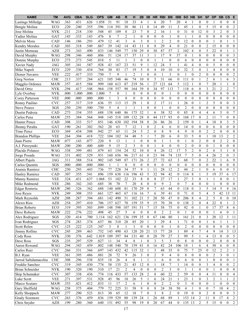| <b>NAME</b>             | <b>TM</b>                 | <b>AVG</b> | <b>OBA</b> | <b>SLG</b> | <b>OPS</b> | <b>GM</b> | <b>AB</b>      | $\mathsf{R}$            | н                | 2B               | 3B               | <b>HR</b>      | <b>RBI</b>     | <b>BB</b>        | <b>IBB</b>            | <b>SO</b>        | HB               | <b>SH</b>                            | <b>SF</b>             | <b>DP</b>        | <b>SB</b>        | <b>CS</b>         | Е                     |
|-------------------------|---------------------------|------------|------------|------------|------------|-----------|----------------|-------------------------|------------------|------------------|------------------|----------------|----------------|------------------|-----------------------|------------------|------------------|--------------------------------------|-----------------------|------------------|------------------|-------------------|-----------------------|
| Lastings Milledge       | <b>WAG</b>                | .363       | .431       | .626       | 1.058      | 31        | 91             | 18                      | 33               | 4                |                  | 6              | 20             | 7                | 20                    | 4                |                  | $\theta$                             | $\mathbf{0}$          |                  | $\theta$         | $\boldsymbol{0}$  | $\overline{0}$        |
| Bengie Molina           | ECO                       | .220       | .240       | .355       | .596       | 114       | 391            | 30                      | 86               | 11               | $\mathbf{0}$     | 14             | 49             | 11               | 3                     | 45               | -1               | $\boldsymbol{0}$                     | 5                     | 15               | $\mathbf{0}$     | $\mathbf{0}$      | 2                     |
| Jose Molina             | <b>NYK</b>                | .211       | .218       | .330       | .548       | 45        | 109            | 8                       | 23               | $\overline{7}$   | $\overline{0}$   | $\overline{2}$ | 16             | $\mathbf{1}$     | $\mathbf{0}$          | 31               | $\theta$         | 12                                   | $\mathbf{0}$          | 3                | $\overline{2}$   | $\mathbf{0}$      | 3                     |
| Yadier Molina           | GAT                       | .143       | .333       | .143       | .476       | 8         |                | $\overline{2}$          | $\mathbf{1}$     | $\mathbf{0}$     | $\theta$         | $\theta$       | $\theta$       | 1                | $\theta$              | 1                |                  | $\theta$                             | $\mathbf{0}$          | $\theta$         | $\theta$         | $\mathbf{0}$      | $\overline{0}$        |
| Melvin Mora             | CAD                       | .146       | .186       | .293       | 479        | 12        | 41             | 3                       | 6                | 3                | $\theta$         | 1              | $\overline{2}$ | $\overline{c}$   | $\theta$              | 12               | $\theta$         | $\mathbf{0}$                         | $\mathbf{0}$          |                  | $\theta$         |                   |                       |
| <b>Kendry Morales</b>   | CAD                       | .303       | .318       | .549       | .867       | 39        | 142            | 14                      | 43               | 11               | $\Omega$         | 8              | 29             | $\overline{4}$   | $\mathbf{0}$          | 21               | $\mathbf{0}$     | $\theta$                             | $\overline{2}$        | 15               | $\mathbf{0}$     | $\mathbf{0}$      | $\overline{0}$        |
| Justin Morneau          | <b>AZH</b>                | .273       | 343        | .490       | .833       | 146       | 549            | 77                      | 150              | 29               | $\mathbf{0}$     | 30             | 87             | 57               | $\overline{c}$        | 102              | $\overline{4}$   | $\mathbf{0}$                         | 5                     | 22               | $\theta$         |                   |                       |
| David Murphy            | <b>WAG</b>                | .298       | .346       | .460       | .806       | 51        | 124            | 17                      | 37               | 11               | 3                | 1              | 17             | 9                | 37                    | $\mathbf{0}$     |                  | $\theta$                             | $\overline{0}$        | $\mathbf{0}$     | $\theta$         | $\theta$          | 3                     |
| Donnie Murphy           | ECO                       | .273       | .273       | .545       | .818       | 5         | 11             | $\mathbf{1}$            | 3                | $\boldsymbol{0}$ | $\mathbf{0}$     | 1              | $\mathbf{1}$   | $\mathbf{0}$     | $\mathbf{0}$          | 6                | $\mathbf{0}$     | $\theta$                             | $\mathbf{0}$          | $\mathbf{0}$     | $\mathbf{0}$     | $\mathbf{0}$      | $\theta$              |
| Xavier Nady             | <b>JAG</b>                | .305       | .341       | .587       | .928       | 43        | 167            | 23                      | 51               | 9                | 1                | 12             | 24             | 5                | 1                     | 41               | $\overline{4}$   | $\theta$                             | $\mathbf{0}$          | 5                | $\mathbf{0}$     | $\mathbf{0}$      | $\overline{0}$        |
| Mike Napoli             | ECO                       | .229       | .330       | .434       | .764       | 30        | 83             | 17                      | 19               | 5                | $\overline{0}$   | $\overline{4}$ | 10             | 10               | $\mathbf{0}$          | 32               | 3                | $\mathbf{0}$                         |                       | $\overline{4}$   | $\theta$         | $\theta$          | $\overline{0}$        |
| Dioner Navarro          | <b>VEE</b>                | .222       | .417       | .333       | .750       | 7         | 9              | 1                       | $\overline{c}$   | 1                | $\overline{0}$   | $\mathbf{0}$   | 1              | 3                | $\mathbf{0}$          | $\mathbf{1}$     | $\mathbf{0}$     | $\overline{2}$                       | $\boldsymbol{0}$      | $\theta$         | $\theta$         | $\mathbf{0}$      | 2                     |
| Greg Norton             | <b>CHC</b>                | .213       | .337       | .284       | .621       | 105       | 348            | 46                      | 74               | 10               | $\theta$         | 5              | 31             | 66               | $\overline{0}$        | 111              | $\theta$         | 1                                    | $\overline{c}$        | 6                | 1                | 6                 | 3                     |
| Magglio Ordonez         | <b>MAW</b>                | .357       | .415       | .584       | .999       | 160       | 613            | 87                      | 219              | 56               |                  | 27             | 121            | 64               | 5                     | 112              | -1               | $\theta$                             | $\overline{7}$        | 20               | 1                | $\mathbf{1}$      | $\overline{0}$        |
| David Ortiz             | <b>NYK</b>                | .294       | .417       | .548       | .964       | 158       | 557            | 98                      | 164              | 39               | $\mathbf{0}$     | 34             | 97             | 113              | $\overline{7}$        | 118              | 6                | $\theta$                             | 3                     | 21               | $\overline{2}$   | $\overline{2}$    | $\overline{7}$        |
| Lyle Overbay            | <b>NYK</b>                | .000       | 1.000      | .000       | 1.000      | $\tau$    | $\overline{0}$ | 1                       | $\boldsymbol{0}$ | $\mathbf{0}$     | $\mathbf{0}$     | $\mathbf{0}$   | $\theta$       | $\mathbf{1}$     | $\mathbf{0}$          | $\boldsymbol{0}$ | $\mathbf{0}$     | $\boldsymbol{0}$                     | $\boldsymbol{0}$      | $\mathbf{0}$     | $\boldsymbol{0}$ | $\mathbf{0}$      | $\overline{0}$        |
| Corey Patterson         | <b>VEE</b>                | .000       | .000       | .000       | .000       | 1         | 3              | $\theta$                | $\theta$         | $\theta$         | $\theta$         | $\theta$       | $\theta$       | $\mathbf{0}$     | $\theta$              | $\theta$         | $\Omega$         | $\mathbf{0}$                         | $\mathbf{0}$          | $\mathbf{0}$     | $\theta$         | $\theta$          | $\Omega$              |
| Ronny Paulino           | <b>CVC</b>                | .257       | 317        | .319       | .636       | 55        | 113            | 15                      | 29               |                  | $\theta$         | $\overline{c}$ | 17             | 11               |                       | 26               | $\theta$         | 1                                    | $\overline{c}$        | 5                | $\mathbf{0}$     | $\mathbf{0}$      | 3                     |
| <b>Steve Pearce</b>     | SGS                       | .250       | .250       | .500       | .750       | 5         | 4              | $\mathbf{1}$            | 1                | $\mathbf{1}$     | $\theta$         | $\theta$       | $\mathbf{1}$   | $\mathbf{0}$     | $\theta$              | $\overline{2}$   | $\theta$         | $\theta$                             | $\mathbf{0}$          | $\mathbf{0}$     | $\mathbf{0}$     | $\mathbf{0}$      | $\overline{0}$        |
| Dustin Pedroia          | CAD                       | .273       | .334       | .355       | .688       | 158       | 640            | 86                      | 175              | 32               |                  | 6              | 38             | 52               | $\theta$              | 85               | 8                | $\overline{4}$                       | $\overline{4}$        | 6                | 5                | $\theta$          | $\tau$                |
| Carlos Pena             | <b>MAW</b>                | .255       | .384       | .564       | .948       | 145       | 518            | 109                     | 132              | 28               | $\theta$         | 44             | 117            | 93               | $\theta$              | 168              | 17               | $\theta$                             | $\overline{2}$        | 11               | $\overline{7}$   | $\theta$          | 8                     |
| Hunter Pence            | CAD                       | .308       | .333       | .517       | .851       | 146       | 630            | 102                     | 194              | 38               | 8                | 26             | 86             | 26               | $\overline{c}$        | 159              | $\mathbf{0}$     | $\mathbf{1}$                         | $\overline{4}$        | 18               | 8                | 3                 | 5                     |
| Jhonny Peralta          | GAT                       | .190       | .261       | .302       | .562       | 28        | 63             | $\tau$                  | 12               | $\mathbf{1}$     | $\overline{0}$   | $\overline{2}$ | $\overline{4}$ | 6                | $\mathbf{0}$          | 14               | $\mathbf{0}$     | $\theta$                             | $\boldsymbol{0}$      | 6                | $\mathbf{0}$     | $\mathbf{0}$      | $\overline{0}$        |
| Timo Perez              | ECO                       | .369       | .434       | .508       | .942       | 27        | 65             | 11                      | 24               | 5                | 2                | $\mathbf{0}$   | $\,$ 8 $\,$    | 9                | $\overline{4}$        | 9                | $\mathbf{0}$     | $\mathbf{0}$                         | $\overline{c}$        | $\overline{2}$   | $\mathbf{0}$     | $\mathbf{0}$      | $\overline{0}$        |
| <b>Brandon Phillips</b> | <b>VEE</b>                | .264       | .304       | .418       | .722       | 104       | 182            | 34                      | 48               | 5                | 1                | 7              | 20             | 6                | $\overline{0}$        | 33               | 5                | $\theta$                             | 1                     | 10               | 13               | $\overline{2}$    | $\mathbf{2}$          |
| Juan Pierre             | <b>MAW</b>                | .077       | .143       | .077       | .220       | 9         | 13             | 1                       | 1                | $\mathbf{0}$     | $\overline{0}$   | $\mathbf{0}$   | -1             | 1                | $\overline{0}$        | 1                | $\overline{0}$   | $\overline{2}$                       | $\mathbf{0}$          | $\mathbf{0}$     | $\overline{2}$   | $\overline{2}$    | $\overline{0}$        |
| A.J. Pierzynski         | <b>MAW</b>                | .200       | .200       | .400       | .600       | 9         | 15             | $\overline{c}$          | $\mathfrak{Z}$   | $\theta$         | $\Omega$         | 1              | 4              | $\mathbf{0}$     | $\mathbf{0}$          | $\overline{2}$   | $\theta$         | $\theta$                             | $\boldsymbol{0}$      |                  | $\theta$         | $\theta$          | $\overline{0}$        |
| Placido Polanco         | <b>WAG</b>                | .338       | .399       | .481       | .879       | 63        | 154            | 24                      | 52               | 10               | $\theta$         | $\overline{4}$ | 26             | 12               | 17                    | 5                | $\overline{2}$   | $\mathbf{0}$                         | $\overline{c}$        | 6                | 3                | 1                 | $\boldsymbol{0}$      |
| Jorge Posada            | WAG                       | .331       | .402       | .529       | .931       | 160       | 656            | 96                      | 217              | 61               | $\theta$         | 23             | 94             | 74               | 135                   | $\overline{7}$   | 5                | $\mathbf{0}$                         | $\overline{4}$        | 26               | $\overline{c}$   | $\mathbf{0}$      | 3                     |
| Albert Pujols           | JAG                       | .311       | .388       | .514       | .902       | 145       | 549            | 87                      | 171              | 26               | $\overline{2}$   | 27             | 72             | 63               | 3                     | 68               | $\overline{7}$   | $\theta$                             | $\overline{2}$        | 22               | $\mathbf{1}$     | 6                 | 9                     |
| Carlos Ouentin          | SGS                       | .000       | .000       | .000       | .000       | 1         |                | $\theta$                | $\mathbf{0}$     | $\theta$         | $\theta$         | $\mathbf{0}$   | $\theta$       | $\mathbf{0}$     | $\theta$              | $\theta$         | $\theta$         | $\mathbf{0}$                         | $\mathbf{0}$          | $\Omega$         | $\mathbf{0}$     | $\mathbf{0}$      | $\mathbf{0}$          |
| Aramis Ramirez          | <b>CHC</b>                | .250       | .293       | .443       | .736       | 77        | 228            | 34                      | 57               | 9                |                  | 11             | 28             | 12               | $\overline{2}$        | 44               | $\overline{2}$   | 1                                    | $\mathbf{0}$          | 6                | $\mathbf{0}$     | $\mathbf{0}$      | 5                     |
| <b>Hanley Ramirez</b>   | CAD                       | .307       | .355       | .541       | .896       | 159       | 638            | 116                     | 196              | 43               | 5                | 32             | 94             | 42               | $\theta$              | 114              | 8                | $\mathbf{1}$                         | 5                     | 19               | 37               | 6                 | 17                    |
| Manny Ramirez           | <b>VEE</b>                | .324       | .431       | .637       | 1.068      | 53        | 102            | 22                      | 33               | 8                | $\theta$         | 8              | 27             | 17               |                       | 27               | 3                | $\mathbf{0}$                         | $\mathbf{1}$          |                  | $\theta$         | $\theta$          |                       |
| Mike Redmond            | <b>VEE</b>                | .286       | .342       | .343       | .685       | 38        | 70             | $\overline{7}$          | 20               | $\overline{4}$   | $\theta$         | $\theta$       | 9              | $\overline{c}$   | $\theta$              | $\overline{7}$   | 4                | $\overline{0}$                       | $\mathbf{0}$          |                  | $\mathbf{0}$     | $\theta$          | $\overline{0}$        |
| Edgar Renteria          | <b>MAW</b>                | .280       | .326       | .362       | .688       | 140       | 608            | 81                      | 170              | 29               | $\mathbf{0}$     | $\overline{7}$ | 63             | 44               | $\mathbf{0}$          | 118              | $\mathbf{0}$     | 3                                    | 5                     | 14               | 5                | 4                 | 16                    |
| Jose Reyes              | <b>NYK</b>                | .249       | 308        | .353       | .661       | 127       | 465            | 67                      | 116              | 16               | 7                | 6              | 39             | 41               | $\mathbf{0}$          | 71               | $\mathbf{0}$     | 5                                    | $\overline{4}$        | 5                | 42               | 13                | 11                    |
| Mark Reynolds           | <b>AZH</b>                | .208       | 287        | 394        | .681       | 142       | 490            | 51                      | 102              | 21               | 5                | 20             | 50             | 47               | $\theta$              | 206              | 8                | $\overline{4}$                       | $\overline{2}$        | 5                | $\theta$         | $\theta$          | 10                    |
| Alexis Rios             | AZH                       | .254       | .297       | .410       | .706       | 157       | 627            | 70                      | 159              | 35               | 9                | 15             | 70             | 38               | $\boldsymbol{0}$      | 138              | $\overline{2}$   | $\boldsymbol{0}$                     | 4                     | 22               | 8                | 1                 | $\overline{2}$        |
| <b>Brian Roberts</b>    | ECO                       | .319       | .395       | .503       | .899       | 148       | 598            | 107                     | 191              | 51               | 7                | 15             | 58             | 75               | $\boldsymbol{0}$      | 92               | $\mathbf{0}$     | $\mathbf{1}$                         | $\boldsymbol{0}$      | 17               | 37               | 8                 | 6                     |
| Dave Roberts            | <b>MAW</b>                | .222       | .276       | .222       | .498       | 45        | $27\,$         | 5                       | 6                | $\boldsymbol{0}$ | $\mathbf{0}$     | $\bf{0}$       | $\sqrt{2}$     | $\overline{c}$   | $\boldsymbol{0}$      |                  | $\boldsymbol{0}$ | $\boldsymbol{0}$                     | $\boldsymbol{0}$      |                  | 6                | $\mathbf{0}$      |                       |
| Alex Rodriguez          | SGS                       | .320       | .414       | .700       | 1.114      | 162       | 621            | 136                     | 199              | 35               | $\boldsymbol{0}$ | 67             | 146            | 80               | 1                     | 161              | 21               | $\boldsymbol{0}$                     | 3                     | 20               | 12               | 3                 | 11                    |
| Ivan Rodriguez          | SGS                       | .274       | .283       | .374       | .657       | 86        | 310            | 28                      | 85               | 20               | -1               | 3              | 29             | 4                |                       | 71               | $\bf{0}$         | $\mathbf{0}$                         | 1                     | 6                | 1                |                   |                       |
| Scott Rolen             | <b>CVC</b>                | .125       | .222       | .125       | .347       | 3         | 8              | -1                      | 1                | $\mathbf{0}$     | $\mathbf{0}$     | $\mathbf{0}$   | $\overline{0}$ | $\mathbf{1}$     | $\mathbf{0}$          | $\overline{2}$   | $\mathbf{0}$     | $\boldsymbol{0}$                     | $\boldsymbol{0}$      | $\mathbf{0}$     | $\boldsymbol{0}$ | $\theta$          | $\overline{0}$        |
| Jimmy Rollins           | <b>CVC</b>                | .245       | .289       | .463       | .752       | 145       | 490            | 63                      | 120              | 20               | 21               | 15             | 77             | 28               |                       | 89               | $\overline{4}$   | $\boldsymbol{7}$                     | 4                     | 9                | 14               | 3                 | 13                    |
| Cody Ross               | <b>NYK</b>                | .330       | .376       | .642       | 1.019      | 109       | 397            | 84                      | 131              | 40               | $\boldsymbol{0}$ | 28             | 79             | 27               | 3                     | 99               | 5                | 1                                    | 4                     | 13               | $\mathbf{0}$     | $\mathbf{0}$      | 5                     |
| Dave Ross               | SGS                       | .235       | .297       | .529       | .827       | 11        | 34             | $\overline{4}$          | $\,$ 8 $\,$      | $\mathbf{1}$     | $\mathbf{0}$     | $\mathfrak{Z}$ | 5              | $\mathfrak{Z}$   | $\boldsymbol{0}$      | 8                | $\bf{0}$         | $\boldsymbol{0}$                     | $\boldsymbol{0}$      | $\overline{2}$   | $\mathbf{0}$     | $\mathbf{0}$      | $\mathbf{0}$          |
| Aaron Rowand            | <b>WAG</b>                | .294       | .343       | .459       | .802       | 148       | 540            | 70                      | 159              | 41               | $\boldsymbol{0}$ | 16             | 82             | 24               | 106                   | 18               | 1                | 6                                    | $\overline{4}$        | 30               | 6                | $\mathbf{0}$      | $\mathbf{0}$          |
| Carlos Ruiz             | $\ensuremath{\text{CVC}}$ | .266       | .331       | .366       | .697       | 143       | 432            | 42                      | 115              | 32               | 1                | 3              | 48             | 35               | $\boldsymbol{0}$      | 75               | $\tau$           | 25                                   | $\boldsymbol{0}$      | 12               | $\overline{c}$   | $\overline{2}$    |                       |
| B.J. Ryan               | <b>VEE</b>                | .361       | .395       | .486       | .881       | 28        | 72             | 9                       | 26               | $\mathfrak{Z}$   | $\boldsymbol{0}$ | $\overline{2}$ | 9              | $\overline{4}$   | $\mathbf{0}$          | $\,8\,$          | $\boldsymbol{0}$ | $\boldsymbol{0}$                     | $\boldsymbol{0}$      | $\overline{2}$   | 3                | $\mathbf{0}$      | 1                     |
| Jarrod Saltalamacchia   | <b>CHC</b>                | .308       | .296       | .538       | .835       | 18        | 26             | $\overline{\mathbf{4}}$ | $\,$ 8 $\,$      |                  | 1                | 1              | 6              | $\boldsymbol{0}$ | $\boldsymbol{0}$      | 6                | $\overline{0}$   | $\boldsymbol{0}$                     |                       | $\boldsymbol{0}$ | $\overline{0}$   | $\mathbf{0}$      |                       |
| Freddie Sanchez         | $\ensuremath{\text{CVC}}$ | .319       | .345       | .430       | .774       | 58        | 135            | 21                      | 43               | 12               | $\bf{0}$         | 1              | 18             | 7                |                       | 14               |                  |                                      | 3                     | 4                | $\mathbf{0}$     | $\mathbf{0}$      | 2                     |
| <b>Brian Schneider</b>  | <b>NYK</b>                | .190       | .320       | .190       | .510       | 17        | 21             | $\overline{2}$          | 4                | $\boldsymbol{0}$ | $\mathbf{0}$     | $\theta$       | $\overline{c}$ | $\mathfrak{Z}$   | 1<br>$\boldsymbol{0}$ | $\mathbf{1}$     | $\bf{0}$<br>1    | $\boldsymbol{0}$<br>$\boldsymbol{0}$ | $\boldsymbol{0}$      | 1                | $\overline{0}$   | $\mathbf{0}$      | $\overline{0}$        |
| Skip Schumaker          | <b>CVC</b>                | .307       | .338       | .436       | .774       | 116       | 433            | 57                      | 133              | $28\,$           | $\overline{c}$   | 8              | 60             | 22               | $\overline{c}$        | 59               | $\bf{0}$         | $\boldsymbol{0}$                     | 4                     | 11               | 0                | $\mathbf{0}$      | 4                     |
| Luke Scott              | <b>VEE</b>                | .271       | .397       | .531       | .928       |           |                | 18                      | 26               |                  |                  | 6              | 24             | 21               |                       | 23               | $\mathbf{1}$     | $\boldsymbol{0}$                     |                       | $\boldsymbol{2}$ | $\mathbf{1}$     |                   |                       |
| Marco Scutaro           | <b>MAW</b>                | .353       | .421       | .412       | .833       | 45<br>11  | 96<br>17       | $\overline{2}$          | 6                | 5                | 1<br>0           | $\mathbf{0}$   | $\overline{c}$ | $\sqrt{2}$       | 1<br>$\boldsymbol{0}$ | 3                | $\boldsymbol{0}$ | $\boldsymbol{0}$                     | 3<br>$\boldsymbol{0}$ |                  | $\mathbf{0}$     | 1<br>$\mathbf{0}$ | 2<br>$\boldsymbol{0}$ |
| Gary Sheffield          | WAG                       | .258       | .375       | .404       | .779       | 72        | 225            | 31                      | 58               | 9                | $\mathbf{0}$     | $\,8\,$        | 24             | 38               | 50                    | $\overline{4}$   |                  | $\boldsymbol{0}$                     | $\boldsymbol{0}$      | $\overline{7}$   | 10               | $\overline{4}$    | 2                     |
| Kelly Shoppach          | <b>MAW</b>                | .277       | .290       | .523       | .813       | 30        | 65             | 12                      | 18               | $\overline{7}$   | $\theta$         | 3              | $\,8\,$        | $\boldsymbol{2}$ | $\Omega$              | 19               | $\overline{0}$   | $\boldsymbol{0}$                     | $\overline{c}$        | $\mathbf{0}$     | $\overline{0}$   | $\theta$          |                       |
|                         | $\ensuremath{\text{CVC}}$ |            | .376       | .459       |            |           | 529            | 88                      | 139              | 24               |                  | 26             | 68             | 89               |                       | 153 14           |                  |                                      | 11                    | $\,8\,$          | 17               |                   | 3                     |
| <b>Grady Sizemore</b>   |                           | .263       |            |            | .836       | 159       |                |                         |                  |                  |                  |                |                |                  | $\overline{0}$        |                  |                  | $\overline{c}$                       |                       |                  |                  | 4                 | $\overline{c}$        |
| Chris Snyder            | <b>AZH</b>                | .199       | .280       | .360       | .640       | 151       | 492            | 55                      | 98               | 19               | $\boldsymbol{0}$ | 20             | 67             | 44               |                       | 135 13           |                  | $\mathbf{2}$                         | 5                     | 15               | $\boldsymbol{0}$ | $\boldsymbol{0}$  | $\overline{2}$        |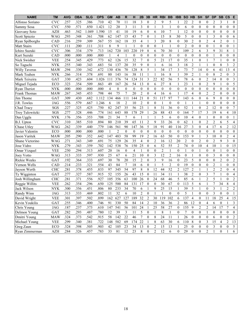| <b>NAME</b>          | <b>TM</b>  | <b>AVG</b> | <b>OBA</b> | <b>SLG</b> | <b>OPS</b> | <b>GM</b>      | <b>AB</b>      | R              | н            | 2B              | 3B               | <b>HR</b>      | <b>RBI</b>     | <b>BB</b>        | <b>IBB</b>     | <b>SO</b>        | <b>HB</b>        | <b>SH</b>        | <b>SF</b>        | <b>DP</b>        | <b>SB</b>        | <b>CS</b>        | E                |
|----------------------|------------|------------|------------|------------|------------|----------------|----------------|----------------|--------------|-----------------|------------------|----------------|----------------|------------------|----------------|------------------|------------------|------------------|------------------|------------------|------------------|------------------|------------------|
| Alfonso Soriano      | <b>CVC</b> | .257       | .325       | .386       | .710       | 42             | 70             | 11             | 18           | 3               | $\theta$         | 2              | 9              | 5                |                | 22               | $\overline{2}$   | $\boldsymbol{0}$ | 0                | 2                | 3                |                  | 0                |
| Sammy Sosa           | <b>CVC</b> | .550       | .571       | .850       | 1.421      | 12             | 20             | 3              | 11           | 3               | $\boldsymbol{0}$ | 1              | 3              | $\mathbf{1}$     | $\theta$       | 6                | $\mathbf{0}$     | $\boldsymbol{0}$ | $\boldsymbol{0}$ | $\theta$         | $\mathbf{0}$     | $\mathbf{0}$     | $\overline{0}$   |
| Geovany Soto         | <b>AZH</b> | .463       | .542       | 1.049      | 1.590      | 15             | 41             | 10             | 19           | 6               | $\mathbf{0}$     | 6              | 10             | $\overline{7}$   | 1              | 12               | $\mathbf{0}$     | $\theta$         | $\mathbf{0}$     | $\mathbf{0}$     | $\theta$         | $\mathbf{0}$     | $\mathbf{0}$     |
| Scott Spiezio        | <b>WAG</b> | .293       | .348       | .361       | .708       | 62             | 147            | 15             | 43           | $\overline{7}$  | $\Omega$         | $\mathbf{1}$   | 15             | 8                | 30             | 5                | $\theta$         | $\overline{0}$   |                  | 3                | $\mathbf{0}$     | $\mathbf{0}$     | 6                |
| Ryan Spilborghs      | CAD        | .216       | .259       | .309       | .567       | 55             | 162            | 18             | 35           | $\overline{4}$  |                  | 3              | 20             | 8                | $\theta$       | 30               | $\overline{2}$   | $\overline{0}$   | $\overline{2}$   | 4                | $\overline{2}$   | $\mathbf{0}$     |                  |
| <b>Matt Stairs</b>   | <b>CVC</b> | .111       | .200       | .111       | .311       | 8              | 9              | -1             | 1            | $\theta$        | $\mathbf{0}$     | $\mathbf{0}$   | $\mathbf{1}$   | 1                | $\theta$       | $\overline{2}$   | $\theta$         | $\mathbf{0}$     | $\mathbf{0}$     |                  | $\mathbf{0}$     | $\theta$         |                  |
| Ichiro Suzuki        | <b>CVC</b> | .306       | .334       | .379       | .713       | 162            | 720            | 103            | 220          | 19              | 8                | 6              | 70             | 30               | $\mathbf{1}$   | 109              | $\overline{2}$   | 6                | 3                | 9                | 31               | 8                |                  |
| Kurt Suzuki          | CAD        | .000       | .000       | .000       | .000       | 1              | 4              | $\mathbf{1}$   | $\mathbf{0}$ | $\theta$        | $\theta$         | $\theta$       | $\overline{0}$ | $\mathbf{0}$     | $\theta$       | $\mathbf{0}$     | $\theta$         | $\overline{0}$   | $\mathbf{0}$     |                  | $\theta$         | $\theta$         | $\theta$         |
| Nick Swisher         | <b>VEE</b> | .254       | .345       | .429       | .773       | 62             | 126            | 15             | 32           | 7               | $\mathbf{0}$     | 5              | 21             | 17               | $\mathbf{0}$   | 35               | -1               | $\theta$         | 1                | 7                | $\mathbf{1}$     | $\mathbf{0}$     | $\overline{0}$   |
| So Taguchi           | <b>NYK</b> | .255       | .340       | .343       | .683       | 54             | 137            | 20             | 35           | 9               | $\mathbf{0}$     | 1              | 6              | 16               | 3              | 18               | $\overline{2}$   | $\,1$            | $\mathbf{1}$     | $\mathbf{0}$     | 8                | 3                | $\overline{c}$   |
| <b>Willy Taveras</b> | <b>MAW</b> | .294       | .330       | .342       | .672       | 130            | 436            | 70             | 128          | $\,8\,$         | 5                | 1              | 34             | 17               | 3              | 73               | $\overline{7}$   | 14               | $\mathbf{0}$     | 6                | 41               | 13               | $\overline{4}$   |
| Mark Teahen          | <b>NYK</b> | .266       | .314       | .378       | .691       | 80             | 143            | 16             | 38           | 11              |                  | 1              | 16             | 8                | 1              | 39               | 2                | 1                | $\boldsymbol{0}$ | 8                | $\overline{2}$   | $\mathbf{0}$     | 3                |
| Mark Teixeira        | GAT        | .330       | .423       | .604       | 1.026      | 111            | 376            | 74             | 124          | 31              | 3                | 22             | 82             | 56               | 5              | 78               | 6                | $\theta$         | $\overline{c}$   | 14               | $\theta$         | $\theta$         | 3                |
| Miguel Tejada        | ECO        | .323       | .354       | .509       | .863       | 49             | 167            | 26             | 54           | 13              | $\mathbf{0}$     | 6              | 27             | 8                |                | 23               |                  | $\mathbf{0}$     | $\overline{c}$   | 9                | 1                | $\mathbf{0}$     | 5                |
| Ryan Theriot         | <b>NYK</b> | .000       | .000       | .000       | .000       | $\overline{4}$ | $\mathbf{0}$   | $\mathbf{0}$   | $\mathbf{0}$ | $\mathbf{0}$    | $\mathbf{0}$     | $\mathbf{0}$   | $\theta$       | $\mathbf{0}$     | $\mathbf{0}$   | $\mathbf{0}$     | $\theta$         | $\boldsymbol{0}$ | $\mathbf{0}$     | $\mathbf{0}$     | $\mathbf{0}$     | $\mathbf{0}$     | $\overline{0}$   |
| Frank Thomas         | <b>MAW</b> | .267       | .345       | .453       | .798       | 44             | 75             | $\overline{7}$ | 20           | $\overline{2}$  | $\mathbf{0}$     | $\overline{4}$ | 16             | 6                | 1              | 17               | $\overline{4}$   | $\boldsymbol{0}$ | $\overline{c}$   | $\overline{2}$   | $\mathbf{0}$     | $\mathbf{0}$     | $\overline{0}$   |
| Jim Thome            | GAT        | .309       | .430       | .682       | 1.112      | 134            | 466            | 111            | 144          | 21              | $\mathbf{0}$     | 51             | 117            | 97               | $\overline{7}$ | 143              | 6                | $\overline{0}$   | 6                | 9                | $\mathbf{0}$     | $\mathbf{0}$     | $\mathbf{0}$     |
| J.R. Towles          | <b>JAG</b> | .556       | .579       | .667       | 1.246      | 6              | 18             | $\overline{c}$ | 10           | $\overline{c}$  | $\theta$         | $\mathbf{0}$   |                | $\mathbf{0}$     | $\theta$       | 1                |                  | $\mathbf{1}$     | $\overline{0}$   | $\mathbf{0}$     | $\theta$         | $\theta$         | $\mathbf{0}$     |
| Chad Tracy           | SGS        | .227       | .325       | .425       | .750       | 82             | 247            | 35             | 56           | 23              |                  | 8              | 31             | 36               | $\mathbf{0}$   | 52               |                  | $\mathbf{0}$     | $\overline{2}$   | 12               | $\theta$         | $\mathbf{0}$     | 7                |
| Troy Tulowitzki      | SGS        | .277       | 328        | 446        | .774       | 161            | 643            | 88             | 178          | 29              |                  | 26             | 88             | 43               | $\theta$       | 164              | $\overline{7}$   | 17               | $\overline{3}$   | 19               | 6                | $\overline{4}$   | 10               |
| Dan Uggla            | <b>NYK</b> | .176       | .356       | .353       | .708       | 21             | 34             | $\overline{7}$ | 6            | 1               | 1                | 1              | 5              | 6                | $\theta$       | 10               | $\overline{4}$   | $\theta$         | $\mathbf{1}$     | $\mathbf{0}$     | $\theta$         | $\theta$         |                  |
| B.J. Upton           | <b>CVC</b> | .310       | .385       | .510       | .894       | 80             | 210            | 39             | 65           | 11              | $\overline{2}$   | 9              | 33             | 26               | $\mathbf{0}$   | 62               | -1               | $\boldsymbol{0}$ | $\overline{c}$   | $\overline{2}$   | 6                | 5                | 4                |
| Chase Utley          | <b>WAG</b> | .262       | .339       | .440       | .779       | 146            | 561            | 90             | 147          | 36              | 5                | 18             | 91             | 40               | 116            | 27               | 3                | $\boldsymbol{0}$ | $\overline{4}$   | 17               | 6                | $\overline{2}$   | 12               |
| Javier Valentin      | ECO        | .000       | .000       | .000       | .000       |                | $\overline{2}$ | $\theta$       | $\mathbf{0}$ | $\theta$        | $\mathbf{0}$     | $\mathbf{0}$   | $\mathbf{0}$   | $\boldsymbol{0}$ | $\mathbf{0}$   | $\theta$         | $\overline{0}$   | $\boldsymbol{0}$ | $\boldsymbol{0}$ | $\mathbf{0}$     | $\mathbf{0}$     | $\mathbf{0}$     | $\boldsymbol{0}$ |
| Jason Varitek        | <b>MAW</b> | .205       | .290       | .352       | .642       | 147            | 483            | 58             | 99           | 19              | $\overline{2}$   | 16             | 63             | 50               | $\mathbf{0}$   | 153              | 9                | $\mathbf{1}$     | 3                | 10               | $\mathbf{0}$     | $\overline{2}$   | $\overline{4}$   |
| Shane Victorino      | WAG        | .271       | .343       | .349       | .691       | 75             | 129            | 26             | 35           | 4               | $\theta$         | 2              | 16             | 12               | 20             | $\overline{2}$   | $\theta$         | $\overline{2}$   | $\boldsymbol{0}$ | $\overline{2}$   | 9                | 3                | 0                |
| Jose Vidro           | <b>NYK</b> | .279       | .343       | .359       | .702       | 142            | 538            | 76             | 150          | 25              | $\mathbf{0}$     | 6              | 52             | 55               | 2              | 74               | $\mathbf{0}$     | 10               | 4                | 10               | 1                | $\theta$         | 15               |
| Omar Vizquel         | <b>VEE</b> | .250       | .294       | .313       | .607       | 20             | 16             | $\theta$       | 4            | 1               | $\theta$         | $\theta$       | $\overline{2}$ | $\mathbf{1}$     | $\mathbf{0}$   | 1                | $\theta$         | 1                | $\mathbf{0}$     | $\mathbf{0}$     | 1                | $\mathbf{0}$     | $\overline{0}$   |
| Joey Votto           | WAG        | .313       | .333       | .597       | .930       | 25             | 67             | 6              | 21           | 10              | $\mathbf{0}$     | 3              | 12             | $\overline{2}$   | 16             | $\boldsymbol{0}$ | -1               | $\boldsymbol{0}$ | $\theta$         | 3                | $\mathbf{0}$     | $\mathbf{0}$     | $\boldsymbol{0}$ |
| Rickie Weeks         | GAT        | .192       | .364       | .333       | .697       | 30             | 78             | 20             | 15           | $\overline{c}$  | $\mathbf{0}$     | $\mathfrak{Z}$ | 9              | 16               | $\overline{0}$ | 23               | 5                | $\boldsymbol{0}$ | $\mathbf{0}$     | $\mathbf{0}$     | $\overline{c}$   | $\mathbf{0}$     | $\overline{c}$   |
| Vernon Wells         | CAD        | .214       | .233       | .321       | .554       | 43             | 84             | $\overline{7}$ | 18           | 6               | $\Omega$         | $\mathbf{1}$   | 5              | $\overline{2}$   | $\theta$       | 19               | $\theta$         | $\overline{0}$   | $\mathbf{0}$     | $\overline{2}$   | 1                | $\mathbf{0}$     | $\overline{0}$   |
| Jayson Werth         | <b>CHC</b> | .281       | .378       | .455       | .833       | 97             | 345            | 54             | 97           | 8               | 8                | 12             | 44             | 52               | $\overline{2}$ | 127              | $\overline{2}$   | 1                | 1                | $\overline{2}$   | $\overline{c}$   | $\mathbf{0}$     | $\overline{4}$   |
| Ty Wigginton         | GAT        | .277       | .327       | .587       | .915       | 52             | 155            | 26             | 43           | 15              | $\theta$         | 11             | 34             | 11               | $\mathbf{1}$   | 38               | $\overline{2}$   | $\theta$         | 3                | 7                | $\mathbf{1}$     | $\mathbf{0}$     | $\overline{4}$   |
| Josh Willingham      | <b>CHC</b> | .281       | .371       | .556       | .927       | 105            | 356            | 63             | 100          | 26              | $\theta$         | 24             | 68             | 46               | 5              | 85               | 6                | $\mathbf{1}$     | $\overline{2}$   | 5                | $\mathbf{1}$     | $\mathbf{0}$     | $\sqrt{2}$       |
| Reggie Willits       | <b>VEE</b> | .262       | .354       | .296       | .650       | 125            | 500            | 84             | 131          | 17              | $\mathbf{0}$     | $\mathbf{0}$   | 30             | 67               | $\mathbf{0}$   | 113              | 5                | 6                | $\mathbf{1}$     | $\overline{7}$   | 34               | 8                | $\overline{4}$   |
| Jack Wilson          | <b>NYK</b> | .300       | .356       | .451       | .806       | 80             | 233            | 34             | 70           | 6               | 1                | 9              | 25             | 15               | -1             | 39               | 5                | 1                | $\mathbf{0}$     | 3                | $\mathbf{1}$     | $\overline{2}$   | $\overline{c}$   |
| Randy Winn           | <b>JAG</b> | .313       | .333       | .469       | .802       | 11             | 32             | 6              | 10           | $\overline{c}$  | $\mathbf{0}$     | $\mathbf{1}$   | $\mathbf{1}$   | $\mathbf{0}$     | $\mathbf{0}$   | 5                | $\mathbf{1}$     | $\boldsymbol{0}$ | $\mathbf{0}$     | 3                | $\boldsymbol{0}$ | $\boldsymbol{0}$ |                  |
| David Wright         | <b>VEE</b> | .301       | .397       | .502       | 899        | 162            | 627            | 127            | 189          | 32              | $\overline{2}$   | 30             | 119            | 102              | 6              | 137              | $\overline{A}$   | $\theta$         | 11               | 18               | 25               | 4                | 15               |
| Kevin Youkilis       | <b>GAT</b> | .255       | .346       | .400       | .746       | 91             | 330            | 50             | 84           | 14              | 2                | 10             | 36             | 36               | 2              | 86               | 12               | $\boldsymbol{0}$ | 4                | 6                | $\theta$         | 1                | 3                |
| Chris Young          | JAG        | .187       | .237       | .373       | .610       | 147            | 541            | 56             | 101          | 24              |                  | 25             | 58             | 27               | $\overline{0}$ | 155              | 9                | $\overline{c}$   | 2                | 14               | 17               | 7                | 4                |
| Delmon Young         | GAT        | .282       | .293       | .487       | .780       | 12             | 39             | 3              | 11           | $\mathfrak{H}$  | $\boldsymbol{0}$ | $\mathbf{1}$   | 8              | $\mathbf{1}$     | $\mathbf{0}$   | $\boldsymbol{7}$ | $\mathbf{0}$     | $\boldsymbol{0}$ |                  | $\boldsymbol{0}$ | $\overline{0}$   | $\boldsymbol{0}$ | $\mathbf{0}$     |
| Dmitri Young         | MAW        | .324       | .373       | .542       | .915       | 58             | 142            | 22             | 46           | $7\phantom{.0}$ | $\bf{0}$         | 8              | 24             | 11               | $\mathbf{1}$   | 26               | $\boldsymbol{0}$ | $\mathbf{0}$     | $\boldsymbol{0}$ | 6                | $\mathbf{0}$     | $\boldsymbol{0}$ | $\overline{2}$   |
| Michael Young        | <b>VEE</b> | .299       | .340       | .381       | .722       | 148            | 582            | 69             | 174          | 22              | 1                | $\,$ 8 $\,$    | 63             | 30               | 6              | 110 8            |                  | $\mathbf{0}$     | 3                | 15               | $\overline{4}$   | $\overline{2}$   | 13               |
| Greg Zaun            | ECO        | .324       | .398       | .505       | .903       | 42             | 105            | 23             | 34           | 13              | $\overline{0}$   | $\sqrt{2}$     | 15             | 13               |                | 25               | $\overline{0}$   | $\mathbf{0}$     | $\boldsymbol{0}$ | 3                | $\mathbf{0}$     | $\boldsymbol{0}$ | 5                |
| Ryan Zimmerman       | AZH        | .284       | .326       | .457       | .783       | 33             | 81             | 12             | 23           | 8               | $\mathbf{0}$     | $\overline{2}$ | 12             | 6                | $\mathbf{0}$   | 29               | $\overline{0}$   | $\overline{0}$   | $\overline{2}$   |                  | $\mathbf{0}$     |                  | 6                |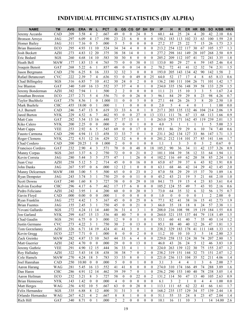# INDIVIDUAL PITCHING STATISTICS (BY ALPHA)

| <b>NAME</b>            | <b>TM</b>                 | <b>AVG</b> | <b>ERA</b> | W<br>L                               | <b>PCT</b> | G              | GS               | CG               | <b>GF</b>               | <b>SH</b>        | <b>SV</b>        | IP    | н               | R                       | ER.          | <b>HR</b>               | <b>BB</b>      | <b>SO</b>      | K/BB  | HR/9           |
|------------------------|---------------------------|------------|------------|--------------------------------------|------------|----------------|------------------|------------------|-------------------------|------------------|------------------|-------|-----------------|-------------------------|--------------|-------------------------|----------------|----------------|-------|----------------|
| Jeremy Accardo         | CAD                       | .209       | 3.58       | 4<br>2                               | .667       | 49             | $\mathbf{0}$     | $\mathbf{0}$     | 24                      | $\mathbf{0}$     | 5                | 60.1  | 44              | 25                      | 24           | 4                       | 20             | 42             | 2.10  | 0.6            |
| <b>Bronson Arroyo</b>  | <b>JAG</b>                | .297       | 6.09       | 17<br>$\overline{4}$                 | .190       | 23             | 23               | 6                | $\mathbf{0}$            | $\theta$         | $\theta$         | 150.2 | 183             | 113                     | 102          | 33                      | 63             | 100            | 1.59  | 2.0            |
| Homer Bailey           | <b>JAG</b>                | .311       | 7.16       | 5<br>$\overline{0}$                  | .000       | 5              | 5                | $\theta$         | $\mathbf{0}$            | $\mathbf{0}$     | $\mathbf{0}$     | 27.2  | 37              | 25                      | 22           | 7                       | 15             | 26             | 1.73  | 2.3            |
| <b>Brian Bannister</b> | ECO                       | .295       | 4.93       | 10<br>11                             | .524       | 34             | 34               | $\overline{4}$   | $\mathbf{0}$            | $\theta$         | $\mathbf{0}$     | 213.2 | 254             | 122                     | 117          | 30                      | 67             | 105            | 1.57  | 1.3            |
| Josh Beckett           | <b>AZH</b>                | .273       | 4.83       | 12<br>20                             | .375       | 38             | 38               | 14               | $\theta$                |                  | $\mathbf{0}$     | 277.2 | 298             | 161                     | 149          | 28                      | 107            | 268            | 2.50  | 0.9            |
| Eric Bedard            | SGS                       | .260       | 4.68       | 14<br>10                             | .583       | 30             | 30               | 8                | $\boldsymbol{0}$        | $\mathbf{0}$     | $\mathbf{0}$     | 205.2 | 209             | 112                     | 107          | 41                      | 72             | 241            | 3.35  | 1.8            |
| Heath Bell             | <b>MAW</b>                | .177       | 1.83       | 13<br>$\overline{4}$                 | .765       | 75             | $\theta$         | $\mathbf{0}$     | 38                      | $\Omega$         | 11               | 133.0 | 80              | 29                      | 27           | 6                       | 59             | 145            | 2.46  | 0.4            |
| Joaquin Benoit         | GAT                       | .268       | 5.22       | 6<br>1                               | .857       | 48             | $\overline{0}$   | $\theta$         | 14                      | $\theta$         | $\overline{2}$   | 70.2  | 72              | 41                      | 41           | 12                      | 32             | 74             | 2.31  | 1.5            |
| Jason Bergmann         | CAD                       | .270       | 6.25       | 8<br>16                              | .333       | 32             | 32               | 3                | $\mathbf{0}$            | $\theta$         | $\mathbf{0}$     | 193.0 | 205             | 143                     | 134          | 42                      | 90             | 142            | 1.58  | $\overline{2}$ |
| Rafael Betancourt      | <b>CVC</b>                | .222       | 2.39       | $\overline{7}$<br>$\overline{4}$     | .636       | 53             | $\boldsymbol{0}$ | $\mathbf{0}$     | 49                      | $\theta$         | 25               | 64.0  | 52              | 17                      | 17           | $\overline{4}$          | 8              | 65             | 8.13  | 0.6            |
| Chad Billingsley       | SGS                       | .316       | 6.85       | $\overline{7}$<br>10                 | .412       | 30             | 24               | $\mathbf{0}$     | $\overline{2}$          | $\mathbf{0}$     | $\mathbf{0}$     | 136.2 | 180             | 111                     | 104          | 26                      | 71             | 101            | 1.42  | 1.7            |
| Joe Blanton            | GAT                       | .340       | 5.69       | 16<br>13                             | .552       | 37             | 37               | 4                | $\mathbf{0}$            |                  | $\theta$         | 234.0 | 335             | 156                     | 148          | 39                      | 58             | 133            | 2.29  | 1.5            |
| Jeremy Bonderman       | <b>AZH</b>                | .382       | 7.94       | 1<br>1                               | .500       | 2              | $\overline{2}$   | $\mathbf{0}$     | $\theta$                | $\mathbf{0}$     | $\mathbf{0}$     | 11.1  | 21              | 15                      | 10           | 3                       | 3              | 5              | 1.67  | 2.4            |
| Jonathan Broxton       | ECO                       | .237       | 2.71       | 5<br>$\overline{4}$                  | .556       | 71             | $\mathbf{0}$     | $\mathbf{0}$     | 26                      | $\theta$         | 3                | 96.1  | 84              | 29                      | 29           | 8                       | 23             | 98             | 4.26  | 0.7            |
| <b>Taylor Buchholz</b> | GAT                       | .376       | 8.56       | 1<br>$\boldsymbol{0}$                | 1.000      | 11             | $\theta$         | $\theta$         | 5                       | $\theta$         | $\theta$         | 27.1  | 44              | 26                      | 26           | $\overline{\mathbf{3}}$ | 8              | 20             | 2.50  | 1.0            |
| Mark Buehrle           | <b>CHC</b>                | .455       | 18.00      | $\overline{0}$<br>1                  | .000       | 1              | 1                | $\mathbf{0}$     | $\mathbf{0}$            | $\theta$         | $\theta$         | 2.0   | 5               | $\overline{4}$          | 4            | $\mathbf{0}$            | $\mathbf{1}$   | 1              | 1.00  | 0.0            |
| A.J. Burnett           | CAD                       | .246       | 5.47       | 8<br>13                              | .619       | 33             | 33               | 6                | $\mathbf{0}$            |                  | $\theta$         | 217.1 | 203             | 135                     | 132          | 46                      | 104            | 214            | 2.06  | 1.9            |
| Jared Burton           | <b>NYK</b>                | .229       | 4.52       | 6<br>$\overline{7}$                  | .462       | 93             | $\mathbf{0}$     | $\theta$         | 27                      | $\theta$         | 13               | 133.1 | 111             | 76                      | 67           | 13                      | 68             | 113            | 1.66  | 0.9            |
| Matt Cain              | GAT                       | .282       | 5.54       | 13<br>16                             | .448       | 37             | 37               | 13               | $\mathbf{0}$            |                  | $\mathbf{0}$     | 263.0 | 293             | 171                     | 162          | 45                      | 119            | 239            | 2.01  | 1.5            |
| Kiko Calero            | <b>NYK</b>                | .200       | 2.25       | $\overline{0}$<br>$\mathbf{0}$       | .000       | $\overline{c}$ | $\mathbf{0}$     | $\mathbf{0}$     | $\mathbf{1}$            | $\mathbf{0}$     | $\theta$         | 4.0   | 3               | $\mathbf{1}$            | $\mathbf{1}$ |                         | $\mathbf{1}$   | 5              | 5.00  | 2.3            |
| <b>Matt Capps</b>      | <b>VEE</b>                | .253       | 2.92       | 5<br>6                               | .545       | 69             | $\overline{0}$   | $\theta$         | 17                      | $\theta$         | $\overline{2}$   | 89.1  | 86              | 29                      | 29           | 6                       | 10             | 74             | 7.40  | 0.6            |
| Fausto Carmona         | CAD                       | .290       | 4.94       | 11<br>13                             | .458       | 33             | 33               | $\overline{7}$   | $\theta$                |                  | $\theta$         | 231.1 | 262             | 134                     | 127          | 33                      | 86             | 147            | 1.71  | 1.3            |
| Roger Clemens          | <b>NYK</b>                | .272       | 4.51       | 12<br>16                             | .429       | 32             | 32               | 6                | $\mathbf{0}$            | $\theta$         | $\theta$         | 201.2 | 212             | 114                     | 101          | 37                      | 85             | 141            | 1.66  | 1.7            |
| Chad Cordero           | CAD                       | .200       | 20.25      | $\mathbf{1}$<br>$\mathbf{0}$         | 1.000      | $\overline{2}$ | $\theta$         | $\mathbf{0}$     | $\mathbf{1}$            | $\mathbf{0}$     | $\mathbf{0}$     | 1.1   | 1               | 3                       | 3            | $\mathbf{0}$            | 3              | $\mathfrak{2}$ | 0.67  | $\mathbf{0}$   |
| Francisco Cordero      | <b>GAT</b>                | .232       | 2.90       | 3<br>$\overline{4}$                  | .571       | 70             | $\theta$         | $\Omega$         | 48                      | $\mathbf{0}$     | 18               | 105.2 | 90              | 36                      | 34           | 11                      | 42             | 137            | 3.26  | 0.9            |
| Manny Corpas           | SGS                       | .265       | 3.37       | 2<br>6                               | .750       | 72             | $\mathbf{0}$     | $\mathbf{0}$     | 21                      | $\mathbf{0}$     | $\overline{2}$   | 101.1 | 104             | 39                      | 38           | 12                      | 33             | 64             | 1.94  | 1.1            |
| Kevin Correia          | JAG                       | .280       | 5.44       | 5<br>3                               | .375       | 47             | 1                | 1                | 26                      | $\overline{0}$   | $\overline{4}$   | 102.2 | 116             | 69                      | 62           | 20                      | 38             | 85             | 2.24  | 1.8            |
| Juan Cruz              | <b>AZH</b>                | .258       | 5.12       | 5<br>$\overline{2}$                  | .714       | 45             | $\theta$         | $\mathbf{0}$     | 16                      | $\mathbf{0}$     | $\mathbf{0}$     | 65.0  | 67              | 39                      | 37           | 6                       | 43             | 82             | 1.91  | 0.8            |
| John Danks             | <b>JAG</b>                | .267       | 5.97       | $\mathbf{0}$<br>6                    | .000       | 12             | 12               | 1                | $\mathbf{0}$            | $\theta$         | $\mathbf{0}$     | 63.1  | 68              | 46                      | 42           | 14                      | 29             | 42             | 1.45  | 2.0            |
| Manny Delcarmen        | <b>MAW</b>                | .188       | 3.00       | 5<br>5                               | .500       | 65             | $\theta$         | $\mathbf{0}$     | 23                      | $\mathbf{0}$     | $\overline{2}$   | 87.0  | 58              | 29                      | 29           | 15                      | 37             | 70             | 1.89  | 1.6            |
| Ryan Dempster          | <b>JAG</b>                | .243       | 3.74       | 3<br>1                               | .750       | 25             | $\theta$         | $\theta$         | 11                      | $\theta$         | $\mathbf{0}$     | 45.2  | 43              | 21                      | 19           | 5                       | 21             | 44             | 2.10  | 1.0            |
| <b>Scott Downs</b>     | GAT                       | .240       | 1.60       | 8<br>3                               | .727       | 58             | $\mathbf{0}$     | $\mathbf{0}$     | 29                      | $\theta$         | 10               | 84.1  | $\overline{75}$ | 19                      | 15           | $\overline{4}$          | 23             | 83             | 3.61  | 0.4            |
| Kelvim Escobar         | <b>CHC</b>                | .296       | 4.17       | 7<br>6                               | .462       | 17             | 17               | 6                | $\mathbf{0}$            | $\theta$         | $\mathbf{0}$     | 105.2 | 124             | 55                      | 49           | 7                       | 43             | 93             | 2.16  | 0.6            |
| Pedro Feliciano        | <b>AZH</b>                | .242       | 3.95       | $\overline{4}$<br>1                  | .200       | 60             | $\overline{0}$   | $\mathbf{0}$     | 20                      | $\theta$         | $\mathfrak{Z}$   | 73.0  | 64              | 35                      | 32           | 6                       | 32             | 56             | 1.75  | 0.7            |
| Gavin Floyd            | CAD                       | .000       | 0.00       | $\theta$<br>$\theta$                 | .000       | 1              | $\theta$         | $\theta$         | $\theta$                | $\theta$         | $\theta$         | 1.0   | $\mathbf{0}$    | $\mathbf{0}$            | $\theta$     | $\theta$                | $\mathbf{1}$   | $\overline{2}$ | 2.00  | $\Omega$       |
| Ryan Franklin          | <b>JAG</b>                | .272       | 4.42       | 5<br>$\mathbf{1}$                    | .167       | 45             | $\mathbf{0}$     | $\mathbf{0}$     | 25                      | $\mathbf{0}$     | 6                | 77.1  | 82              | 41                      | 38           | 16                      | 15             | 41             | 2.73  | 1.9            |
| <b>Brian Fuentes</b>   | <b>JAG</b>                | .155       | 2.45       | 3<br>$\mathbf{1}$                    | .750       | 45             | $\overline{0}$   | $\mathbf{0}$     | 21                      | $\theta$         | 3                | 66.0  | 35              | 18                      | 18           | 8                       | 24             | 57             | 2.38  | 1.1            |
| Yovani Gallardo        | SGS                       | 272        | 4.24       | 11<br>14                             | 440        | 36             | 31               | 4                | 3                       |                  | $\theta$         | 208.0 | 216             | 108                     | 98           | 19                      | 119            | 184            | 1.55  | 0.8            |
| Jon Garland            | <b>NYK</b>                | .299       | 4.67       | 15<br>13                             | .536       | 40             | 40               | 7                | $\boldsymbol{0}$        | $\boldsymbol{0}$ | $\boldsymbol{0}$ | 264.0 | 321             | 155                     | 137          | 44                      | 79             | 118            | 1.49  | 1.5            |
| Chad Gaudin            | SGS                       | .291       | 6.75       | $\mathbf{0}$<br>3                    | .000       | 12             | 9                | $\boldsymbol{0}$ | 1                       | $\boldsymbol{0}$ | $\boldsymbol{0}$ | 53.1  | 60              | 41                      | 40           | 7                       | 35             | 40             | 1.14  | 1.2            |
| Justin Germano         | $\ensuremath{\text{CVC}}$ | .273       | 4.22       | 3<br>1                               | .750       | 30             | $\overline{c}$   | $\boldsymbol{0}$ | 13                      | $\boldsymbol{0}$ | $\mathbf{1}$     | 85.1  | $\bf 88$        | 40                      | 40           | 12                      | 26             | 47             | 1.81  | 1.3            |
| Tom Gorzelanny         | AZH                       | .326       | 6.71       | 19<br>14                             | .424       | 41             | 41               | 3                | $\boldsymbol{0}$        |                  | $\mathbf{0}$     | 238.2 | 329             | 183                     | 178          | 41                      | 111            | 148            | 1.33  | 1.5            |
| Kevin Gregg            | ECO                       | .227       | 7.71       | $\mathbf{0}$<br>1                    | .000       | $\,8\,$        | $\mathbf{0}$     | $\boldsymbol{0}$ | $\overline{c}$          | $\boldsymbol{0}$ | $\mathbf{0}$     | 11.2  | 10              | 10                      | 10           | 3                       | 5              | 14             | 2.80  | 2.3            |
| Zack Greinke           | <b>MAW</b>                | .282       | 4.87       | 13<br>10                             | .565       | 44             | 33               | 6                | $\overline{\mathbf{4}}$ | $\boldsymbol{0}$ | $\boldsymbol{0}$ | 229.0 | 258             | 133                     | 124          | 38                      | 74             | 207            | 2.80  | 1.5            |
| Matt Guerrier          | AZH                       | .242       | 4.70       | $\overline{0}$<br>$\mathbf{0}$       | .000       | 29             | $\mathbf{0}$     | $\overline{0}$   | 13                      | $\mathbf{0}$     | 1                | 46.0  | 43              | 26                      | 24           | 5                       | 12             | 46             | 3.83  | 1.0            |
| Jeremy Guthrie         | <b>VEE</b>                | .291       | 4.90       | 12<br>15                             | .444       | 36             | 33               | 4                | $\mathbf{1}$            | 1                | $\boldsymbol{0}$ | 224.0 | 263             | 139                     | 122          | 30                      | 75             | 155            | 2.07  | 1.2            |
| Roy Halladay           | AZH                       | .322       | 5.43       | 14<br>18                             | .438       | 38             | 38               | $\boldsymbol{7}$ | $\boldsymbol{0}$        | $\overline{c}$   | $\theta$         | 238.2 | 319             | 151                     | 144          | 32                      | 73             | 151            | 2.07  | 1.2            |
| Cole Hamels            | <b>MAW</b>                | .270       | 4.24       | $18\,$<br>5                          | .783       | 33             | 33               | $\,$ 8 $\,$      | $\boldsymbol{0}$        | 1                | $\boldsymbol{0}$ | 221.0 | 236             | 113                     | 104          | 35                      | 52             | 211            | 4.06  | 1.4            |
| Joel Hanrahan          | CAD                       | .250       | 10.80      | $\boldsymbol{0}$<br>$\boldsymbol{0}$ | .000       | $\sqrt{5}$     | $\boldsymbol{0}$ | $\boldsymbol{0}$ | $\mathbf{1}$            | $\boldsymbol{0}$ | $\theta$         | 3.1   | 3               | $\overline{\mathbf{4}}$ | 4            |                         | $\mathfrak{Z}$ | $\sqrt{6}$     | 2.00  | 2.7            |
| Aaron Harang           | WAG                       | .281       | 5.45       | 13<br>16                             | .552       | 41             | 41               | $\,$ 8 $\,$      | $\boldsymbol{0}$        | $\boldsymbol{0}$ | $\mathbf{0}$     | 274.0 | 310             | 174                     | 166          | 49                      | 74             | 288            | 3.89  | 1.6            |
| Dan Haren              | CHC                       | .286       | 4.91       | 12<br>14                             | .462       | 39             | 39               | $\tau$           | $\boldsymbol{0}$        | 1                | $\boldsymbol{0}$ | 256.2 | 290             | 153                     | 140          | 40                      | 78             | 238            | 3.05  | 1.4            |
| Aaron Heilman          | ECO                       | .232       | 3.21       | 8<br>3                               | .727       | 58             | $\overline{0}$   | $\overline{0}$   | 22                      | $\boldsymbol{0}$ | $\overline{2}$   | 131.2 | 114             | 50                      | 47           | 13                      | 40             | 105            | 2.63  | 0.9            |
| <b>Brian Hennessey</b> | <b>NYK</b>                | .143       | 1.42       | $\boldsymbol{0}$<br>$\mathbf{0}$     | .000       | 4              | $\mathbf{0}$     | $\boldsymbol{0}$ | $\boldsymbol{0}$        | $\boldsymbol{0}$ | $\boldsymbol{0}$ | 6.1   | 3               | 2                       | 1            | $\mathbf{0}$            | 4              | $\overline{4}$ | 1.00  | $0.0\,$        |
| Matt Herges            | WAG                       | .256       | 4.92       | 5<br>10                              | .667       | 63             | $\boldsymbol{0}$ | $\boldsymbol{0}$ | 28                      | $\boldsymbol{0}$ | 1                | 113.1 | 111             | 65                      | 62           | 22                      | 41             | 66             | 1.61  | 1.7            |
| Felix Hernandez        | SGS                       | .335       | 6.88       | 8<br>12                              | .400       | 31             | 31               | 3                | $\boldsymbol{0}$        | 1                | $\boldsymbol{0}$ | 168.2 | 235             | 137                     | 129          | 34                      | 57             | 139            | 2.44  | 1.8            |
| Orlando Hernandez      | WAG                       | .267       | 4.21       | 2<br>4                               | .667       | $8\,$          | 8                |                  | $\boldsymbol{0}$        | $\boldsymbol{0}$ | $\boldsymbol{0}$ | 51.1  | 55              | 33                      | 24           | 8                       | 23             | 47             | 2.04  | 1.4            |
| Rich Hill              | GAT                       | .340       | 8.71       | $\boldsymbol{0}$<br>1                | .000       | $\overline{c}$ | $\overline{c}$   | $\boldsymbol{0}$ | $\boldsymbol{0}$        | $\boldsymbol{0}$ | $\boldsymbol{0}$ | 10.1  | 16              | 11                      | $10\,$       | 3                       | $\mathbf{1}$   | 14             | 14.00 | 2.6            |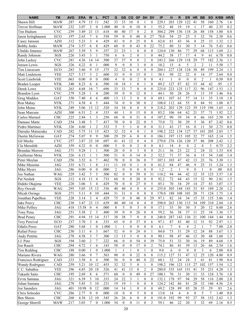| <b>NAME</b>           | <b>TM</b>         | <b>AVG</b>   | <b>ERA</b> | W<br>L                                       | <b>PCT</b> | G                    | GS                   | CG                   | <b>GF</b>               | <b>SH</b>        | <b>SV</b>        | IP    | н                    | R                | ER               | <b>HR</b>               | <b>BB</b>      | <b>SO</b>        | K/BB        | HR/9    |
|-----------------------|-------------------|--------------|------------|----------------------------------------------|------------|----------------------|----------------------|----------------------|-------------------------|------------------|------------------|-------|----------------------|------------------|------------------|-------------------------|----------------|------------------|-------------|---------|
| Shawn Hill            | <b>MAW</b>        | .287         | 4.79       | 13<br>11                                     | .542       | 33                   | 33                   | 10                   | $\mathbf{0}$            |                  | $\boldsymbol{0}$ | 229.1 | 265                  | 129              | 122              | 41                      | 58             | 160              | 2.76        | 1.6     |
| Trevor Hoffman        | <b>MAW</b>        | .232         | 3.07       | 3<br>$\boldsymbol{0}$                        | 1.000      | 40                   | $\Omega$             | $\mathbf{0}$         | 10                      | $\mathbf{0}$     | 1                | 55.2  | 48                   | 19               | 19               | 1                       | 17             | 40               | 2.35        | 0.2     |
| Tim Hudson            | <b>CVC</b>        | 259          | 3.49       | 21<br>13                                     | .618       | 40                   | 40                   | $\overline{17}$      | $\mathbf{0}$            | $\overline{2}$   | $\theta$         | 304.2 | 299                  | 136              | 118              | 26                      | 88             | 158              | 1.80        | 0.8     |
| Jason Isringhausen    | ECO               | .197         | 2.65       | 7<br>6                                       | 538        | 59                   | $\mathbf{0}$         | $\mathbf{0}$         | 48                      | $\mathbf{0}$     | 27               | 78.0  | 54                   | 25               | 23               | 5                       | 32             | 76               | 2.38        | 0.6     |
| Casey Janssen         | <b>AZH</b>        | .312         | 5.23       | 3<br>$\overline{4}$                          | 429        | 43                   | $\theta$             | $\mathbf{0}$         | 25                      | $\mathbf{0}$     | 8                | 62.0  | 81                   | 43               | 36               | 8                       | 25             | 33               | 1.32        | 1.2     |
| Bobby Jenks           | <b>MAW</b>        | .274         | 3.57       | 6<br>8                                       | 429        | 60                   | $\overline{0}$       | $\theta$             | 43                      | $\mathbf{0}$     | 22               | 75.2  | 80                   | 31               | 30               | 5                       | 14             | 76               | 5.43        | 0.6     |
| Ubaldo Jimenez        | MAW               | .267         | 5.59       | 5<br>9                                       | 357        | 23                   | 23                   | 1                    | $\theta$                | $\mathbf{0}$     | $\theta$         | 124.0 | 130                  | 86               | 77               | 29                      | 68             | 115              | 1.69        | 2.1     |
| Randy Johnson         | SGS               | .226         | 3.43       | 3<br>$\mathbf{1}$                            | .750       | 6                    | 6                    | $\overline{c}$       | $\mathbf{0}$            | 1                | $\theta$         | 44.2  | 38                   | 17               | 17               | $\overline{4}$          | 9              | 61               | 6.78        | 0.8     |
| John Lackey           | <b>CVC</b>        | .281         | 4.36       | 14<br>14                                     | .500       | 37                   | 37                   | 9                    | $\mathbf{0}$            | 2                | $\boldsymbol{0}$ | 243.2 | 266                  | 129              | 118              | 29                      | 77             | 182              | 2.36        | 1.1     |
| Jensen Lewis          | SGS               | .326         | 4.22       | $\mathbf{0}$<br>$\mathbf{1}$                 | .000       | 9                    | $\theta$             | $\overline{0}$       | 3                       | $\overline{0}$   | $\mathbf{0}$     | 10.2  | 15                   | 6                | 5                | $\overline{c}$          | $\overline{2}$ | 11               | 5.50        | 1.7     |
| Tim Lincecum          | ECO               | 283          | 5.46       | 9<br>15                                      | 375        | 32                   | 32                   | 6                    | $\mathbf{0}$            | 0                | $\mathbf{0}$     | 204.1 | 227                  | 128              | 124              | 30                      | 89             | 199              | 2.24        | 1.3     |
| Matt Lindstrom        | <b>VEE</b>        | 327          | 5.17       | 3<br>$\overline{c}$                          | .600       | 33                   | $\mathbf{0}$         | $\theta$             | 13                      | 0                | 1                | 38.1  | 50                   | 22               | 22               | $\boldsymbol{0}$        | 14             | 37               | 2.64        | 0.0     |
| Scott Linebrink       | <b>VEE</b>        | .063         | 0.00       | $\mathbf{0}$<br>$\mathbf{0}$                 | .000       | $\overline{4}$       | $\mathbf{0}$         | $\mathbf{0}$         | $\overline{c}$          | $\overline{0}$   | $\mathbf{0}$     | 4.1   | 1                    | $\theta$         | $\mathbf{0}$     | $\mathbf{0}$            | $\overline{c}$ | $\mathbf{1}$     | 0.50        | 0.0     |
| Braden Looper         | <b>NYK</b>        | .340         | 8.23       | 6<br>6                                       | .500       | 18                   | 18                   | 1                    | $\mathbf{0}$            |                  | $\theta$         | 89.2  | 127                  | 87               | 82               | 15                      | 44             | 42               | .95         | 1.5     |
| Derek Lowe            | <b>VEE</b>        | .263         | 4.68       | 7<br>16                                      | .696       | 33                   | 33                   | 7                    | $\mathbf{0}$            | $\theta$         | $\theta$         | 225.0 | 223                  | 125              | 117              | 32                      | 96             | 147              | 1.53        | 1.3     |
| Brandon Lyon          | <b>CVC</b>        | .279         | 5.28       | $\overline{4}$<br>1                          | 200        | 39                   | $\boldsymbol{0}$     | $\boldsymbol{0}$     | 12                      | $\theta$         | $\mathbf{1}$     | 44.1  | 50                   | 28               | 26               | 3                       | 13             | 19               | 1.46        | 0.6     |
| Greg Maddux           | GAT               | 350          | 7.40       | 4<br>6                                       | .400       | 13                   | 13                   | 3                    | $\theta$                | $\overline{0}$   | $\theta$         | 69.1  | 107                  | 61               | 57               | 14                      | 11             | 35               | 3.18        | 1.8     |
| Ron Mahay             | <b>NYK</b>        | 271          | 4.58       | 5<br>4                                       | .444       | 74                   | $\mathbf{0}$         | $\mathbf{0}$         | 30                      | $\theta$         | $\overline{2}$   | 108.0 | 112                  | 64               | 55               | 8                       | 84             | 91               | 1.08        | 0.7     |
| John Maine            | <b>NYK</b>        | .249         | 5.06       | 13<br>12                                     | .520       | 34                   | 34                   | 8                    | $\mathbf{0}$            | $\theta$         | $\mathbf{0}$     | 218.2 | 203                  | 129              | 123              | 39                      | 119            | 196              | 1.65        | 1.6     |
| Sean Marcum           | <b>AZH</b>        | .300         | 6.51       | $\overline{c}$<br>4                          | 333        | 44                   | $\mathbf{1}$         | $\mathbf{0}$         | 15                      | $\theta$         | $\theta$         | 85.2  | 106                  | 64               | 62               | 21                      | 37             | 71               | 1.92        | 2.2     |
| Carlos Marmol         | <b>CHC</b>        | .225         | 2.84       | 3<br>1                                       | .250       | 68                   | $\theta$             | $\mathbf{0}$         | 31                      | $\boldsymbol{0}$ | $\overline{4}$   | 107.2 | 90                   | 39               | 34               | 8                       | 66             | 165              | 2.50        | 0.7     |
| Damaso Marte          |                   |              | 3.48       | 5<br>7                                       | .417       | 70                   | $\boldsymbol{0}$     | $\mathbf{0}$         | 22                      | $\boldsymbol{0}$ | 5                | 75.0  | 72                   | 30               | 29               | 5                       | 36             | 87               | 2.42        | 0.6     |
| Pedro Martinez        | CAD<br><b>NYK</b> | .254<br>.326 | 4.60       | $\overline{2}$<br>1                          | .333       | 5                    | 5                    | 1                    | $\theta$                | $\overline{0}$   | $\theta$         | 31.1  | 43                   | 17               | 16               | $\mathbf{0}$            | 11             | 30               | 2.73        | 0.0     |
|                       |                   |              |            |                                              |            |                      |                      |                      |                         |                  |                  |       |                      |                  |                  |                         |                |                  |             |         |
| Daisuke Matsuzaka     | CAD               | .282         | 5.75       | 11<br>15                                     | .423       | 32                   | 32                   | 4                    | $\mathbf{0}$            | 1                | $\mathbf{0}$     | 198.2 | 222                  | 134              | 127              | 37                      | 101            | 205              | 2.03        | 1.7     |
| Dustin McGowan        | GAT               | .274         | 5.07       | 9<br>9                                       | .500       | 29                   | 29                   | 6                    | $\theta$                | 0                | $\theta$         | 186.1 | 197                  | 115              | 105              | 32                      | 77             | 165              | 2.14        | 1.5     |
| Gil Meche             | <b>CVC</b>        | .257         | 3.87       | 23<br>10                                     | .697       | 41                   | 41                   | 12                   | $\theta$                | 4                | $\mathbf{0}$     | 279.0 | 276                  | 126              | 120              | 37                      | 86             | 208              | 2.42        | 1.2     |
| Cla Meredith          | <b>AZH</b>        | .359         | 4.32       | $\mathbf{0}$<br>$\mathbf{0}$                 | .000       | 5                    | $\theta$             | $\mathbf{0}$         | $\overline{2}$          | 0                | $\mathbf{0}$     | 8.1   | 14                   | 4                | 4                | $\overline{\mathbf{c}}$ | 4              | 3                | 0.75        | 2.2     |
| <b>Brendan Morrow</b> | <b>JAG</b>        | .371         | 9.28       | 1<br>1                                       | .500       | 20                   | $\theta$             | $\mathbf{0}$         | $\overline{\mathbf{3}}$ | $\theta$         | $\mathbf{0}$     | 21.1  | 36                   | 23               | 22               | $\overline{2}$          | 24             | 32               | 1.33        | 0.8     |
| Guillermo Mota        | <b>NYK</b>        | .326         | 6.15       | 1<br>1                                       | .500       | 31                   | $\mathbf{0}$         | $\mathbf{0}$         | 14                      | $\theta$         | $\overline{2}$   | 52.2  | 71                   | 37               | 36               | 8                       | 15             | 54               | 3.60        | 1.4     |
| Peter Moylan          | CAD               | 256          | 3.52       | 7<br>6                                       | .462       | 78                   | $\mathbf{0}$         | $\mathbf{0}$         | 36                      | $\theta$         | $\overline{7}$   | 107.1 | 103                  | 47               | 42               | 13                      | 23             | 76               | 3.30        | 1.1     |
| Mike Mussina          | JAG               | 335          | 6.71       | 8<br>1                                       | .111       | 11                   | 10                   | $\mathbf{0}$         | 1                       | $\overline{0}$   | $\theta$         | 61.2  | 84                   | 47               | 46               | 9                       | 25             | 31               | 1.24        | 1.3     |
| Mike Myers            | JAG               | .286         | 0.00       | $\theta$<br>$\mathbf{0}$                     | .000       | $\overline{c}$<br>82 | $\theta$<br>$\theta$ | $\theta$<br>$\theta$ | $\mathbf{0}$<br>59      | $\overline{0}$   | $\theta$<br>31   | 1.2   | $\overline{2}$<br>94 | $\mathbf{1}$     | $\theta$         | $\theta$<br>12          | $\mathbf{1}$   | $\boldsymbol{0}$ | .00<br>3.57 | 0.0     |
| Joe Nathan            | WAG               | .229         | 3.42       | 5<br>5                                       | .500       |                      |                      |                      |                         | $\theta$         |                  | 110.2 |                      | 44               | 42               |                         | 35             | 125              |             | 1.0     |
| Pat Neshek            | SGS               | .212         | 4.18       | 11<br>$\overline{4}$                         | .733       | 68                   | $\theta$             | $\mathbf{0}$         | 20                      | $\boldsymbol{0}$ | $\theta$         | 92.2  | 72                   | 44               | 43               | 15                      | 32             | 90               | 2.81        | 1.5     |
| Hideki Okajima        | <b>VEE</b>        | .220         | 3.06       | 3<br>$\overline{4}$                          | .429       | 70                   | $\theta$             | $\theta$             | 27                      | $\theta$         | 5                | 85.1  | 70                   | 34               | 29               | 14                      | 27             | 83               | 3.07        | 1.5     |
| Roy Oswalt            | WAG               | .295         | 5.05       | 15<br>13                                     | .536       | 40                   | 40                   | $\overline{4}$       | $\theta$                | $\overline{0}$   | $\mathbf{0}$     | 255.0 | 305                  | 144              | 143              | 33                      | 83             | 189              | 2.28        | 1.2     |
| Micah Owings          | SGS               | 271          | 5.11       | 8<br>10                                      | .444       | 31                   | 31                   | 4                    | $\theta$                | $\overline{0}$   | $\theta$         | 178.0 | 188                  | 108              | 101              | 28                      | 71             | 124              | 1.75        | 1.4     |
| Jonathan Papelbon     | <b>VEE</b>        | 228          | 3.14       | 3<br>$\overline{4}$                          | 429        | 75                   | $\boldsymbol{0}$     | 0                    | 48                      | $\theta$         | 29               | 97.1  | 82                   | 34               | 34               | 15                      | 35             | 135              | 3.86        | 1.4     |
| Jake Peavy            | <b>CHC</b>        | .238         | 3.47       | 23<br>13                                     | .639       | 40                   | 40                   | 14                   | $\boldsymbol{0}$        | 4                | $\bf{0}$         | 298.0 | 263                  | 130              | 115              | 34                      | 109            | 310              | 2.84        | 1.0     |
| Mike Pelfrey          | JAG               | .418         | 15.58      | $\boldsymbol{0}$<br>$\overline{\mathcal{A}}$ | .000       | $\,$ 8 $\,$          | 5                    | $\boldsymbol{0}$     | $\mathfrak{Z}$          | $\boldsymbol{0}$ | $\boldsymbol{0}$ | 17.1  | 33                   | 30               | 30               | 5                       | 20             | 12               | 0.60        | 2.6     |
| Tony Pena             | JAG               | .251         | 5.58       | 3<br>2                                       | .400       | 39                   | $\boldsymbol{0}$     | $\boldsymbol{0}$     | 26                      | $\boldsymbol{0}$ | $\overline{4}$   | 59.2  | 56                   | 38               | 37               | 11                      | $25\,$         | 34               | 1.36        | 1.7     |
| <b>Brad Penny</b>     | CHC               | .291         | 4.94       | 15<br>14                                     | .517       | $3\,8$               | $38\,$               | 7                    | $\boldsymbol{0}$        | $\boldsymbol{0}$ | $\boldsymbol{0}$ | 248.0 | 287                  | 143              | 136              | 21                      | 100            | 144              | 1.44        | 0.8     |
| <b>Troy Percival</b>  | ECO               | .237         | 3.70       | 3<br>6                                       | 333        | 65                   | $\mathbf{0}$         | $\boldsymbol{0}$     | 37                      | $\boldsymbol{0}$ | 6                | 97.1  | 87                   | 43               | 40               | 12                      | 31             | 92               | 2.97        | 1.1     |
| <b>Odalis Perez</b>   | GAT               | .280         | 5.68       | 1<br>$\boldsymbol{0}$                        | 1.000      | $\mathbf{1}$         | 1                    | $\boldsymbol{0}$     | $\boldsymbol{0}$        | $\boldsymbol{0}$ | $\boldsymbol{0}$ | 6.1   | $\boldsymbol{7}$     | $\overline{4}$   | $\overline{4}$   | $\overline{c}$          | $\mathbf{1}$   | $\tau$           | 7.00        | 2.8     |
| Rafael Perez          | CHC               | .230         | 3.11       | 3<br>6                                       | .667       | 52                   | $\boldsymbol{0}$     | $\boldsymbol{0}$     | 24                      | $\boldsymbol{0}$ | $\mathbf{1}$     | 84.0  | 73                   | 31               | 29               | 12                      | 24             | 88               | 3.67        | 1.3     |
| Andy Pettitte         | <b>JAG</b>        | .278         | 4.58       | $\tau$<br>3                                  | .300       | 13                   | 13                   | 3                    | $\mathbf{0}$            | $\mathbf{0}$     | $\mathbf{0}$     | 90.1  | 98                   | 47               | 46               | 13                      | 30             | 48               | 1.60        | 1.3     |
| J.J. Putz             | SGS               | .194         | 3.60       | $\mathbf{2}$<br>$\tau$                       | .222       | 66                   | $\boldsymbol{0}$     | $\boldsymbol{0}$     | 54                      | $\boldsymbol{0}$ | 39               | 75.0  | 51                   | 33               | 30               | 16                      | 19             | 89               | 4.68        | 1.9     |
| Jon Rauch             | CHC               | .294         | 4.72       | $\mathbf{1}$<br>6                            | .143       | 58                   | $\boldsymbol{0}$     | $\boldsymbol{0}$     | 17                      | $\boldsymbol{0}$ | $\overline{2}$   | 74.1  | 86                   | 41               | 39               | 13                      | 26             | 66               | 2.54        | 1.6     |
| Tim Redding           | CHC               | .188         | 0.00       | $\boldsymbol{0}$<br>1                        | 1.000      | $\mathbf{1}$         | 1                    | 1                    | $\boldsymbol{0}$        | 1                | $\boldsymbol{0}$ | 9.0   | 6                    | $\boldsymbol{0}$ | $\boldsymbol{0}$ | $\boldsymbol{0}$        | $\mathfrak{Z}$ | 6                | 2.00        | $0.0\,$ |
| Mariano Rivera        | WAG               | .280         | 3.66       | $\tau$<br>9                                  | .563       | 90                   | $\boldsymbol{0}$     | $\boldsymbol{0}$     | 22                      | $\boldsymbol{0}$ | $\,8\,$          | 115.2 | 127                  | 51               | 47               | 12                      | 25             | 120              | 4.80        | 0.9     |
| Francisco Rodriguez   | CAD               | .233         | 3.58       | 4<br>4                                       | .500       | 56                   | $\bf{0}$             | $\boldsymbol{0}$     | 40                      | $\boldsymbol{0}$ | 22               | 60.1  | 52                   | 24               | 24               | 3                       | 41             | 81               | 1.98        | 0.4     |
| Wandy Rodriguez       | CAD               | .259         | 5.21       | 12<br>10                                     | .455       | 32                   | 32                   | 3                    | $\bf{0}$                | 1                | $\boldsymbol{0}$ | 198.2 | 196                  | 123              | 115              | 27                      | 102            | 157              | 1.54        | 1.2     |
| C.C. Sabathia         | <b>VEE</b>        | .296         | 4.85       | $20\,$<br>18                                 | .526       | 41                   | 41                   | 13                   | $\boldsymbol{0}$        | $\overline{c}$   | $\boldsymbol{0}$ | 280.0 | 335                  | 165              | 151              | 41                      | 55             | 231              | 4.20        | 1.3     |
| Takashi Saito         | CHC               | .195         | 2.69       | 8<br>6                                       | .571       | 60                   | $\boldsymbol{0}$     | $\boldsymbol{0}$     | 49                      | $\boldsymbol{0}$ | 27               | 100.1 | 70                   | 31               | 30               | 11                      | 33             | 124              | 3.76        | 1.0     |
| Ervin Santana         | JAG               | .321         | 6.39       | 5<br>10                                      | .333       | 24                   | 22                   | $\mathfrak{Z}$       | $\mathbf{1}$            | $\boldsymbol{0}$ | $\boldsymbol{0}$ | 132.1 | 178                  | 97               | 94               | 29                      | 58             | 116              | 2.00        | 2.0     |
| Johan Santana         | JAG               | .278         | 5.85       | 3<br>10                                      | .231       | 19                   | 19                   | 1                    | $\mathbf{0}$            | $\boldsymbol{0}$ | $\boldsymbol{0}$ | 124.2 | 142                  | 86               | 81               | 28                      | 32             | 146              | 4.56        | $2.0\,$ |
| Joe Saunders          | JAG               | .401         | 10.98      | $\boldsymbol{0}$<br>12                       | .000       | 14                   | 14                   | 1                    | $\boldsymbol{0}$        | $\boldsymbol{0}$ | $\boldsymbol{0}$ | 69.2  | 128                  | 89               | 85               | 20                      | 35             | 29               | .83         | 2.6     |
| Chris Schroder        | <b>CVC</b>        | .286         | 2.77       | $\mathbf{0}$<br>$\boldsymbol{0}$             | .000       | 10                   | $\boldsymbol{0}$     | $\boldsymbol{0}$     | 5                       | $\boldsymbol{0}$ | $\boldsymbol{0}$ | 13.0  | 14                   | $\overline{4}$   | $\overline{4}$   | $\boldsymbol{0}$        | 5              | $\tau$           | 1.40        | 0.0     |
| <b>Ben Sheets</b>     | CHC               | .260         | 4.38       | 12<br>10                                     | .545       | 26                   | 26                   | 6                    | $\mathbf{0}$            | $\boldsymbol{0}$ | $\boldsymbol{0}$ | 191.0 | 192                  | 99               | 93               | 27                      | 58             | 152              | 2.62        | 1.3     |
| George Sherrill       | <b>MAW</b>        | .217         | 3.03       | $\tau$<br>$\boldsymbol{0}$                   | 1.000      | 54                   | $\boldsymbol{0}$     | $\boldsymbol{0}$     | 11                      | $\boldsymbol{0}$ | $\sqrt{2}$       | 59.1  | 46                   | 22               | 20               | $\mathfrak{Z}$          | $32\,$         | 69               | 2.16        | 0.5     |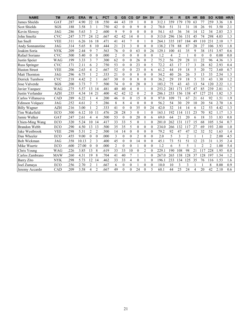| <b>NAME</b>          | <b>TM</b>  | <b>AVG</b> | <b>ERA</b> | W                   |                | <b>PCT</b> | G               | <b>GS</b>    | CG             | <b>GF</b>      | <b>SH</b>      | <b>SV</b>      | IP    | н   | R              | <b>ER</b>      | <b>HR</b>    | <b>BB</b>      | <b>SO</b>      | K/BB | <b>HR/9</b> |
|----------------------|------------|------------|------------|---------------------|----------------|------------|-----------------|--------------|----------------|----------------|----------------|----------------|-------|-----|----------------|----------------|--------------|----------------|----------------|------|-------------|
| <b>James Shields</b> | GAT        | .287       | 4.90       | 22                  | 18             | .550       | 44              | 43           | 19             | $\mathbf{1}$   | $\Omega$       | $\theta$       | 312.1 | 359 | 179            | 170            | 63           | 77             | 259            | 3.36 | 1.8         |
| Scot Shields         | SGS        | .188       | 3.58       | 3                   |                | .750       | 42              | $\theta$     | $\mathbf{0}$   | 9              | $\theta$       | $\overline{2}$ | 78.0  | 51  | 31             | 31             | 18           | 26             | 91             | 3.50 | 2.1         |
| Kevin Slowev         | <b>JAG</b> | .286       | 5.63       | 3                   | $\overline{2}$ | 600        | 9               | 9            | $\Omega$       | $\theta$       | $\Omega$       | $\theta$       | 54.1  | 63  | 36             | 34             | 14           | 12             | 34             | 2.83 | 2.3         |
| John Smoltz          | <b>CVC</b> | .247       | 3.77       | 24<br>12            |                | .667       | 42              | 42           | 14             | $\mathbf{0}$   |                | $\theta$       | 313.0 | 296 | 136            | 131            | 45           | 74             | 298            | 4.03 | 1.3         |
| Ian Snell            | <b>VEE</b> | .311       | 6.26       | 16                  | 18             | 471        | 41              | 41           | 7              | $\mathbf{0}$   |                | $\theta$       | 264.1 | 335 | 187            | 184            | 49           | 110            | 231            | 2.10 | 1.7         |
| Andy Sonnanstine     | <b>JAG</b> | .314       | 5.65       | 8                   | 10             | .444       | 21              | 21           | 3              | $\mathbf{0}$   | $\Omega$       | $\theta$       | 138.2 | 178 | 88             | 87             | 28           | 27             | 106            | 3.93 | 1.8         |
| Joakim Soria         | <b>NYK</b> | .209       | 2.44       | 9                   | 7              | .563       | 76              | $\theta$     | $\mathbf{0}$   | 63             | $\Omega$       | 26             | 129.1 | 100 | 41             | 35             | 9            | 38             | 151            | 3.97 | 0.6         |
| Rafael Soriano       | <b>CVC</b> | .500       | 5.40       | $\mathbf{0}$        | $\mathbf{0}$   | .000       | 2               | $\theta$     | $\theta$       | $\mathbf{0}$   | $\theta$       | $\theta$       | 1.2   | 4   | $\overline{2}$ | 1              | $\mathbf{0}$ | $\mathbf{0}$   | $\mathbf{0}$   | 0.00 | 0.0         |
| Justin Speier        | <b>WAG</b> | .199       | 3.33       | $\overline{7}$<br>3 |                | 300        | 62              | $\theta$     | $\theta$       | 26             | $\theta$       | $\overline{2}$ | 75.2  | 56  | 29             | 28             | 11           | 22             | 96             | 4.36 | 1.3         |
| Russ Springer        | <b>CVC</b> | .171       | 2.11       | 6                   | $\overline{2}$ | .750       | 53              | $\theta$     | $\Omega$       | 23             | $\Omega$       | 5              | 72.2  | 43  | 17             | 17             | 3            | 28             | 82             | 2.93 | 0.4         |
| <b>Huston Street</b> | <b>VEE</b> | .206       | 2.63       | 4                   | $\overline{2}$ | .667       | $\overline{52}$ | $\theta$     | $\mathbf{0}$   | 23             | $\overline{0}$ | 6              | 61.2  | 44  | 19             | 18             | 5            | 20             | 72             | 3.60 | 0.7         |
| Matt Thornton        | <b>JAG</b> | .296       | 6.75       | 1                   | $\overline{2}$ | .333       | 21              | $\theta$     | $\theta$       | 8              | $\theta$       | $\theta$       | 34.2  | 40  | 26             | 26             | 5            | 13             | 33             | 2.54 | 1.3         |
| Derrick Turnbow      | <b>CVC</b> | .218       | 4.42       | $\overline{c}$<br>1 |                | .667       | 30              | $\theta$     | $\Omega$       | 8              | $\Omega$       | $\theta$       | 36.2  | 29  | 19             | 18             | 5            | 33             | 43             | 1.30 | 1.2         |
| Jose Valverde        | SGS        | .200       | 3.73       | 7<br>7              |                | .500       | 74              | $\theta$     | $\theta$       | 28             | $\theta$       | 3              | 103.2 | 75  | 43             | 43             | 13           | 54             | 120            | 2.22 | 1.1         |
| Javier Vazquez       | WAG        | 275        | 5.57       | 13<br>14            |                | .481       | 40              | 40           | 4              | $\theta$       |                | $\theta$       | 253.2 | 281 | 171            | 157            | 47           | 85             | 239            | 2.81 | 1.7         |
| Justin Verlander     | <b>AZH</b> | .235       | 4.34       | 14<br>21            |                | .400       | 42              | 42           | 12             | $\theta$       | $\overline{c}$ | $\theta$       | 286.1 | 253 | 156            | 138            | 47           | 127            | 231            | 1.82 | 1.5         |
| Carlos Villanueva    | CAD        | 289        | 6.22       |                     | 4              | 200        | 46              | $\theta$     | $\theta$       | 15             | $\theta$       | $\theta$       | 97.0  | 109 | 71             | 67             | 21           | 61             | 92             | 1.51 | 1.9         |
| Edinson Volquez      | <b>JAG</b> | 252        | 4.61       | $\overline{2}$      | 5              | 286        | 8               | 8            | $\overline{4}$ | $\mathbf{0}$   | $\Omega$       | $\theta$       | 56.2  | 54  | 30             | 29             | 10           | 20             | 54             | 2.70 | 1.6         |
| <b>Billy Wagner</b>  | <b>AZH</b> | .216       | 3.00       |                     | $\overline{2}$ | .333       | 41              | $\theta$     | $\theta$       | 35             | $\Omega$       | 24             | 42.0  | 32  | 14             | 14             | 6            | 12             | 53             | 4.42 | 1.3         |
| Tim Wakefield        | <b>ECO</b> | .300       | 6.12       | 10<br>11            |                | 476        | 28              | 28           | 3              | $\theta$       |                | $\mathbf{0}$   | 163.1 | 192 | 114            | 111            | 23           | 70             | 82             | 1.17 | 1.3         |
| Jamie Walker         | <b>GAT</b> | 247        | 2.61       | $\overline{4}$      | $\overline{4}$ | .500       | 53              | $\theta$     | $\theta$       | 20             | $\theta$       | 6              | 69.0  | 64  | 21             | 20             | 6            | 18             | 33             | 1.83 | 0.8         |
| Chien-Ming Wang      | <b>ECO</b> | .320       | 5.24       | 10                  | 14             | 417        | 33              | 33           | 5              | $\theta$       |                | $\theta$       | 201.0 | 262 | 131            | 117            | 15           | 68             | 105            | 1.54 | 0.7         |
| Brandon Webb         | ECO        | .290       | 4.50       | 13<br>13            |                | .500       | 35              | 35           | 5              | $\theta$       | $\theta$       | $\mathbf{0}$   | 234.0 | 266 | 132            | 117            | 27           | 69             | 193            | 2.80 | 1.0         |
| Jake Westbrook       | <b>VEE</b> | .298       | 5.31       | $\overline{c}$      | $\overline{2}$ | 500        | 14              | 14           | $\Omega$       | $\theta$       | $\theta$       | $\theta$       | 79.2  | 92  | 47             | 47             | 12           | 32             | 52             | 1.63 | 1.4         |
| Dan Wheeler          | ECO        | .455       | 9.00       | $\theta$            | $\theta$       | .000       | 3               | $\theta$     | $\theta$       | $\overline{2}$ | $\Omega$       | $\theta$       | 2.0   | 5   | $\overline{3}$ | $\overline{2}$ |              |                | $\overline{2}$ | 2.00 | 4.5         |
| Bob Wickman          | <b>JAG</b> | .358       | 10.13      | $\overline{2}$      | 3              | .400       | 45              | $\theta$     | $\theta$       | 14             | $\Omega$       | $\theta$       | 45.1  | 73  | 51             | 51             | 12           | 23             | 31             | 1.35 | 2.4         |
| Mike Wuertz          | <b>ECO</b> | .600       | 27.00      | $\theta$            | $\mathbf{0}$   | .000       | $\overline{c}$  | $\mathbf{0}$ | $\mathbf{0}$   | $\mathbf{1}$   | $\theta$       | $\mathbf{0}$   | 1.2   | 6   | 5              | 5              |              | $\overline{2}$ | $\overline{2}$ | 1.00 | 5.4         |
| Chris Young          | <b>WAG</b> | .226       | 3.85       | 13                  | 8              | .619       | 33              | 33           | 10             | $\theta$       | $\overline{2}$ | $\theta$       | 229.1 | 190 | 108            | 98             | 21           | 117            | 228            | 1.95 | 0.8         |
| Carlos Zambrano      | <b>MAW</b> | .260       | 4.31       | 19                  | 8              | .704       | 41              | 40           | $\overline{7}$ | $\mathbf{1}$   |                | $\theta$       | 267.0 | 265 | 138            | 128            | 37           | 128            | 197            | 1.54 | 1.2         |
| <b>Barry Zito</b>    | <b>NYK</b> | .298       | 5.73       | 12<br>14            |                | .462       | 33              | 33           | 4              | $\theta$       |                | $\theta$       | 196.1 | 233 | 134            | 125            | 35           | 76             | 116            | 1.53 | 1.6         |
| Joel Zumaya          | ECO        | .256       | 2.70       | $\overline{c}$      |                | .667       | 6               | $\mathbf{0}$ | $\mathbf{0}$   |                | $\Omega$       | $\mathbf{0}$   | 10.0  | 10  | 3              | 3              |              |                | 8              | 8.00 | 0.9         |
| Jeremy Accardo       | CAD        | .209       | 3.58       | 4                   | $\overline{2}$ | .667       | 49              | $\theta$     | $\Omega$       | 24             | $\Omega$       | 5              | 60.1  | 44  | 25             | 24             | 4            | 20             | 42             | 2.10 | 0.6         |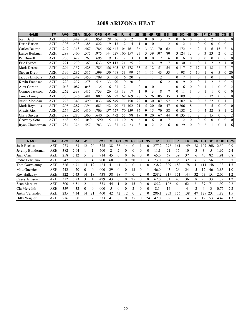### 2008 ARIZONA HEAT

| <b>NAME</b>        | <b>TM</b>  | <b>AVG</b> | <b>OBA</b> | <b>SLG</b> | <b>OPS</b> | <b>GM</b> | <b>AB</b> | R              | н   | 2B             | 3B       | <b>HR</b>      | <b>RBI</b>     | <b>BB</b>      | <b>IBB</b> | <b>SO</b> | <b>HB</b> | <b>SH</b> | <b>SF</b> | <b>DP</b>      | <b>SB</b>      | $\mathsf{cs}$ | Е        |
|--------------------|------------|------------|------------|------------|------------|-----------|-----------|----------------|-----|----------------|----------|----------------|----------------|----------------|------------|-----------|-----------|-----------|-----------|----------------|----------------|---------------|----------|
| Josh Bard          | <b>AZH</b> | 333        | .442       | .417       | .859       | 28        | 36        | $\Omega$       | 12  | 3              | $\Omega$ | $\Omega$       | 3              |                | $\Omega$   | 6         | 0         | $\Omega$  | 0         |                |                | $\Omega$      | $\theta$ |
| Daric Barton       | AZH        | 308        | .438       | .385       | .822       | 9         | 13        | 2              | 4   |                |          |                |                | 2              | 0          | 2         |           | 0         |           |                |                | $\theta$      |          |
| Carlos Beltran     | <b>AZH</b> | 249        | .318       | .467       | .785       | 156       | 647       | 104            | 161 | 36             |          | 33             | 70             | 62             |            | 1 172     | 4         |           |           | 6              | 15             | 2             | 8        |
| Lance Berkman      | AZH        | 298        | .400       | .575       | .975       | 144       | 527       | 100            | 157 | 23             |          | 39             | 107            | 80             |            | 3 1 2 4   | 12        | $\theta$  |           | 23             | $\mathfrak{D}$ |               | 12       |
| Pat Burrell        | <b>AZH</b> | 200        | .429       | .267       | .695       | 9         | 15        |                |     |                |          |                | $\overline{c}$ | 6              | $\theta$   | 6         |           | $\theta$  |           | $\theta$       | $\Omega$       |               |          |
| Eric Byrnes        | AZH        | 221        | .270       | 363        | .633       | 59        | 13        | $2^{\circ}$    | 25  | $\mathfrak{D}$ |          | 4              | 9              |                | $\theta$   | 30        |           | $\Omega$  |           | າ              | 3              |               |          |
| Mark Derosa        | <b>AZH</b> | 294        | 357        | .428       | 785        | 56        | 605       | 83             | .78 | 35             | 5.       | 12             | 51             | 54             |            | 0 1 1 7   |           | 17        | 4         | 18             |                | 2             | 17       |
| <b>Steven Drew</b> | AZH        | 199        | .282       | 317        | .599       | l 50      | 498       | 53             | 99  | 24             |          |                | 43             | 53             |            | 98        | 5         | 10        |           | 6              | 5.             | $\theta$      | 20       |
| Jacoby Ellsbury    | AZH        | .333       | .349       | .450       | .799       | 31        | 60        | 6              | 20  | 2              |          |                | 12             |                | $\Omega$   |           |           | $\theta$  |           |                |                | 5             | $\left($ |
| Kevin Frandsen     | AZH        | 222        | .237       | .278       | .514       | 33        | 90        | 9              | 20  | 0              |          |                | 6              | $\mathfrak{D}$ | $\Omega$   | 9         |           | $\theta$  |           | $\mathfrak{D}$ | $\mathfrak{D}$ |               |          |
| Alex Gordon        | <b>AZH</b> | .048       | .087       | .048       | .135       | 6         | 21        | $\mathfrak{D}$ |     | 0              |          | $\Omega$       |                |                | $\theta$   | 6         |           | $\theta$  |           |                | $\theta$       |               |          |
| Connor Jackson     | <b>AZH</b> | 262        | .338       | .415       | .753       | 26        | 65        | 13             |     |                |          |                | 8              |                | $\theta$   |           |           | $\theta$  |           |                |                |               |          |
| James Loney        | <b>AZH</b> | 285        | 326        | .481       | .807       | 156       | 592       | 69             | 169 | 28             | 5        | 26             | 105            | 35             |            | 3 1 0 9   | 3         | 0         | 5         | 12             | 0              | $\Omega$      | 10       |
| Justin Morneau     | <b>AZH</b> | 273        | .343       | .490       | .833       | 146       | 549       | 77             | 150 | 29             | 0        | 30             | 87             | 57             |            | 2 1 0 2   | 4         | $\theta$  | 5         | 22             | $\theta$       |               |          |
| Mark Reynolds      | <b>AZH</b> | 208        | .287       | .394       | .681       | 142       | 490       | 51             | 102 | 21             | 5        | 20             | 50             | 47             |            | 0 20 6    | 8         | 4         | 2         | 5              | $\theta$       | $\theta$      | 10       |
| Alexis Rios        | <b>AZH</b> | 254        | .297       | .410       | .706       | 157       | 627       | 70             | 159 | 35             |          | 15             | 70             | 38             |            | 0 1 3 8   | 2         | $\theta$  | 4         | 22             | 8              |               | 2        |
| Chris Snyder       | AZH        | 199        | .280       | .360       | .640       | .51       | 492       | 55             | 98  | 19             |          | 20             | 67             | 44             |            | 0 1 3 5   | 13        |           | 5         | 15             | $\Omega$       |               |          |
| Geovany Soto       | <b>AZH</b> | 463        | .542       | .049       | .590       | 15        | 41        | 10             | 19  | 6              |          | 6              | 10             |                |            | 12        | 0         | $\theta$  | 0         | $\Omega$       | 0              |               |          |
| Ryan Zimmerman     | <b>AZH</b> | 284        | 326        | .457       | .783       | 33        | 81        | 12             | 23  | 8              |          | $\mathfrak{D}$ | 12             | 6              | $\theta$   | 29        |           | $\Omega$  |           |                |                |               | 6        |

| <b>NAME</b>        | <b>TM</b>  | <b>AVG</b> | <b>ERA</b>    | W        |    | PCT  | G  | GS | CG         | GF | <b>SH</b> | <b>SV</b> | IP    | н              | R               | ER  | HR. | <b>BB</b> | <b>SO</b> | K/BB | HR/9 |
|--------------------|------------|------------|---------------|----------|----|------|----|----|------------|----|-----------|-----------|-------|----------------|-----------------|-----|-----|-----------|-----------|------|------|
| Josh Beckett       | AZH        | 273        | 4.83          |          | 20 | 375. | 38 | 38 | 14         |    |           |           | 277   | 298            | ى 1             | 149 | 28  | 10′       | 268       | 2.50 | 0.9  |
| Jeremy Bonderman   | AZH        | .382       | '.94          |          |    | .500 |    |    |            |    |           |           |       |                |                 | 10  |     |           |           | .67  | 2.4  |
| Juan Cruz          | AZH        | 258        | 5.12          |          |    | 714  | 45 |    |            | .6 |           |           | 65.0  | 67             | 39              | 37  | 6   | 43        | 82        | .91  | 0.8  |
| Pedro Feliciano    | AZH        | 242        | 3.95          |          | 4  | 200  | 60 |    | $^{\circ}$ | 20 | $\theta$  |           | 73.0  | 64             | 35              | 32  | h   | 32        | 56        | .75  | 0.7  |
| Tom Gorzelanny     | AZH        | 326        | $6.7^{\circ}$ | 14       | ١g | 424  | 41 | 41 |            |    |           |           | 238.2 | 329            | 183             | 78  | 41  |           | 148       | 1.33 | 1.5  |
| Matt Guerrier      | AZH        | 242        | 4.70          |          | 0  | .000 | 29 |    |            | 3  |           |           | 46.0  | 43             | 26              | 24  |     |           | 46        | 3.83 | 1.0  |
| Roy Halladay       | <b>AZH</b> | .322       | 5.43          | 14       | 18 | .438 | 38 | 38 |            |    |           |           | 238.  | 319            | 15 <sup>1</sup> | 44  | 32  | 73        | 151       | 2.07 | 1.2  |
| Casey Janssen      | <b>AZH</b> | .312       | 5.23          |          | 4  | .429 | 43 |    |            | 25 |           | 8         | 62.0  | 81             | 43              | 36  | 8   | 25        | 33        | 1.32 | 1.2  |
| <b>Sean Marcum</b> | <b>AZH</b> | 300        | 6.51          | ∍        | 4  | 333  | 44 |    |            | .5 | 0         |           | 85.2  | 106            | 64              | 62  | 21  | 37        | 71        | .92  | 2.2  |
| Cla Meredith       | AZH        | 359        | 4.32          | $\Omega$ |    | .000 |    |    |            |    | $\Omega$  |           | 8.1   | $\overline{4}$ |                 | 4   |     | 4         |           | 0.75 | 2.2  |
| Justin Verlander   | <b>AZH</b> | 235        | 4.34          | 14       |    | .400 | 42 | 42 | 12         |    |           |           | 286.  | 253            | -56             | 38  | 47  | 2.        | 231       | .82  | 1.5  |
| Billy Wagner       | AZH        | 216        | 3.00          |          |    | 333  | 41 |    |            | 35 | 0         | 24        | 42.0  | 32             | 4               | 14  | 6   |           | 53        | 4.42 | 1.3  |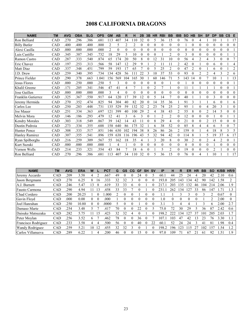# 2008 CALIFORNIA DRAGONS

| <b>NAME</b>           | <b>TM</b> | <b>AVG</b> | <b>OBA</b> | <b>SLG</b> | <b>OPS</b> | <b>GM</b> | <b>AB</b> | R              | н                | 2B           | 3B       | <b>HR</b>      | <b>RBI</b>     | <b>BB</b>        | <b>IBB</b>     | <b>SO</b>    | <b>HB</b>      | <b>SH</b>      | <b>SF</b>      | <b>DP</b> | <b>SB</b>      | $\mathsf{cs}$  | E              |
|-----------------------|-----------|------------|------------|------------|------------|-----------|-----------|----------------|------------------|--------------|----------|----------------|----------------|------------------|----------------|--------------|----------------|----------------|----------------|-----------|----------------|----------------|----------------|
| Ron Belliard          | CAD       | .270       | .296       | .386       | .681       | 113       | 407       | 34             | 110              | 32           | 0        | 5              | 36             | 15               | $\Omega$       | 76           | $\theta$       | 4              |                | 10        |                |                | 17             |
| <b>Billy Butler</b>   | CAD       | .400       | .400       | .400       | .800       | 2         | 5         | $\overline{2}$ | $\overline{2}$   | $\theta$     | $\Omega$ | $\theta$       | 0              | $\Omega$         | 0              |              | $\Omega$       | $\theta$       | $\theta$       | 0         | $\theta$       | $\theta$       | $\Omega$       |
| Alexi Casilla         | CAD       | .000       | .000       | .000       | .000       | 2         | $\theta$  | $\theta$       | $\mathbf{0}$     | $\theta$     | $\Omega$ | $\Omega$       | $\theta$       | $\theta$         | $\theta$       | $\theta$     | $\Omega$       | $\theta$       | $\theta$       | 0         | $\theta$       | $\theta$       |                |
| Luis Castillo         | CAD       | .345       | 387        | .345       | .732       | 18        | 29        | 5              | 10               | $\theta$     | $\Omega$ | $\theta$       |                | 2                | $\Omega$       | 3            | $\Omega$       | $\theta$       | $\theta$       | 0         | $\theta$       |                |                |
| Ramon Castro          | CAD       | .287       | 333        | .540       | .874       | 65        | 174       | 20             | 50               | 8            |          | 12             | 31             | 10               | 0              | 56           | 4              | $\overline{2}$ | 4              | 3         | $\theta$       | $\theta$       | 7              |
| Eric Chavez           | CAD       | .197       | .253       | .313       | .566       | 58        | 147       | 12             | 29               | 9            |          | $\overline{2}$ |                | 11               | $\overline{2}$ | 42           | $\Omega$       |                | $\Omega$       | 6         | $\theta$       |                | 4              |
| Matt Diaz             | CAD       | .337       | 348        | .451       | .799       | 59        | 193       | 17             | 65               |              | $\Omega$ | 5              | 25             | $\overline{2}$   | $\theta$       | 47           | $\overline{2}$ | $\mathbf{0}$   |                | 6         | $\theta$       |                | $\overline{2}$ |
| J.D. Drew             | CAD       | .259       | 340        | .395       | .734       | 134       | 428       | 56             | 111              | 22           | 3        | 10             | 37             | 53               | $\theta$       | 93           | $\Omega$       | $\overline{2}$ | $\overline{c}$ | 4         | 3              | $\overline{2}$ | 6              |
| Prince Fielder        | CAD       | .290       | .378       | .663       | 1.041      | 156       | 569       | 104            | 165              | 30           |          | 60             | 146            | 71               | 5              | 143          | 14             | $\theta$       |                | 10        |                |                | 13             |
| Jesus Flores          | CAD       | .000       | .250       | .000       | .250       | 5         | 3         | $\theta$       | $\mathbf{0}$     | $\theta$     | 0        | $\theta$       | $\theta$       |                  | $\Omega$       |              | $\theta$       | $\theta$       | $\theta$       | 0         | $\theta$       | $\theta$       |                |
| Khalil Greene         | CAD       | .171       | .205       | .341       | .546       | 47        | 41        | 4              | 7                |              | 0        | $\overline{2}$ |                |                  | 0              | 11           |                |                |                |           | $\theta$       | $\theta$       |                |
| Jose Guillen          | CAD       | .000       | .000       | .000       | .000       | 3         | 4         | $\theta$       | $\theta$         | $\theta$     |          | 0              | $\theta$       | $\theta$         | 0              | $\theta$     | $\Omega$       | $\theta$       | 0              | 0         | $\Omega$       | $\theta$       | $\Omega$       |
| Franklin Gutierrez    | CAD       | .325       | 367        | .550       | .917       | 64        | 120       | 17             | 39               | 12           |          | 5              | 14             | 7                | $\theta$       | 40           |                |                | $\theta$       | 3         | $\theta$       | $\theta$       | $\theta$       |
| Jeremy Hermida        | CAD       | .270       | 352        | .474       | .825       | 94        | 304       | 40             | 82               | 20           |          | 14             | 35             | 36               |                | 91           | 3              |                |                | 6         | $\theta$       |                | 6              |
| Carlos Lee            | CAD       | .250       | .283       | .448       | .731       | 135       | 529       | 59             | 132              | 32           |          | 23             | 74             | 25               | 2              | 95           |                | $\theta$       | 4              | 20        | 3              |                | $\theta$       |
| Joe Mauer             | CAD       | .251       | .334       | .363       | .697       | 121       | 399       | 40             | 100              | 29           |          | 4              | 38             | 43               | 2              | 55           | 8              | $\theta$       | 2              | 14        | 5              | 0              | $\Omega$       |
| Melvin Mora           | CAD       | .146       | .186       | .293       | .479       | 12        | 41        | 3              | 6                | 3            | 0        |                | $\overline{c}$ | $\overline{c}$   | $\Omega$       | 12           | $\Omega$       | $\theta$       | $\theta$       |           | $\theta$       |                |                |
| <b>Kendry Morales</b> | CAD       | .303       | 318        | .549       | .867       | 39        | 142       | 14             | 43               | 11           |          | 8              | 29             | 4                | 0              | 21           | $\Omega$       | $\overline{0}$ | $\overline{c}$ | 15        | $\theta$       | $\theta$       | $\Omega$       |
| Dustin Pedroia        | CAD       | .273       | .334       | .355       | .688       | 158       | 640       | 86             | 175              | 32           |          | 6              | 38             | 52               | 0              | 85           | 8              | 4              | 4              | 6         | 5              | $\theta$       |                |
| <b>Hunter Pence</b>   | CAD       | .308       | 333        | .517       | .851       | 146       | 630       | 102            | 194              | 38           |          | 26             | 86             | 26               | $\overline{2}$ | 159          | $\theta$       |                | 4              | 18        | 8              | 3              | 5              |
| <b>Hanley Ramirez</b> | CAD       | .307       | .355       | .541       | .896       | 159       | 638       | 116            | 196              | 43           | 5        | 32             | 94             | 42               | $\Omega$       | 114          | 8              |                | 5              | 19        | 37             | 6              | 17             |
| Ryan Spilborghs       | CAD       | .216       | .259       | .309       | .567       | 55        | 162       | 18             | 35               | 4            |          | 3              | 20             | 8                | $\Omega$       | 30           | $\overline{2}$ | $\theta$       | $\overline{c}$ | 4         | $\overline{2}$ | $\Omega$       |                |
| Kurt Suzuki           | CAD       | .000       | .000       | .000       | .000       |           | 4         |                | $\boldsymbol{0}$ | $\mathbf{0}$ | 0        | $\theta$       | $\overline{0}$ | $\boldsymbol{0}$ | $\theta$       | $\mathbf{0}$ | $\theta$       | $\theta$       | $\theta$       |           | $\theta$       | 0              | $\theta$       |
| Vernon Wells          | CAD       | .214       | 233        | .321       | .554       | 43        | 84        |                | 18               | 6            | $\Omega$ |                | 5              | $\overline{c}$   | $\theta$       | 19           | $\theta$       | $\theta$       | $\theta$       | 2         |                | $\theta$       | $\theta$       |
| Ron Belliard          | CAD       | .270       | 296        | .386       | .681       | 113       | 407       | 34             | 110              | 32           |          | 5              | 36             | 15               | 0              | 76           | $\Omega$       | 4              |                | 10        |                |                |                |

| <b>NAME</b>            | <b>TM</b>  | <b>AVG</b> | <b>ERA</b> | W  |    | <b>PCT</b> | G  | <b>GS</b> | CG           | <b>GF</b> | <b>SH</b> | <b>SV</b> | IP      | н        | R        | ER  | HR | BB  | <b>SO</b>      | K/BB     | HR/9     |
|------------------------|------------|------------|------------|----|----|------------|----|-----------|--------------|-----------|-----------|-----------|---------|----------|----------|-----|----|-----|----------------|----------|----------|
| Jeremy Accardo         | CAD        | 209        | 3.58       | 4  |    | .667       | 49 |           |              | 24        |           |           | 60.1    | 44       | 25       | 24  | 4  | 20  | 42             | 2.10     | 0.6      |
| Jason Bergmann         | <b>CAD</b> | 270        | 6.25       | 8  | 16 | 333        | 32 | 32        | 3            | O         |           |           | 193.0   | 205      | .43      | 34  | 42 | 90  | 142            | 1.58     |          |
| A.J. Burnett           | <b>CAD</b> | 246        | 5.47       | 3  | 8  | .619       | 33 | 33        | <sub>t</sub> |           |           |           |         | 203      | 35       | !32 | 46 | 104 | 214            | 2.06     | 1.9      |
| Fausto Carmona         | <b>CAD</b> | 290        | 4.94       |    | 3  | 458        | 33 | 33        |              | 0         |           |           | 231     | 262      | 34       |     | 33 | 86  | 47             | .71      | 1.3      |
| Chad Cordero           | <b>CAD</b> | 200        | 20.25      |    |    | .000       |    |           |              |           | $\Omega$  |           |         |          | ٦        | 3   |    |     | $\mathfrak{D}$ | 0.67     | $\Omega$ |
| Gavin Floyd            | <b>CAD</b> | .000       | 0.00       | 0  | 0  | .000       |    |           |              | O         |           |           | $\cdot$ | $^{(1)}$ | $\theta$ | 0   |    |     | 2              | 2.00     | 0        |
| Joel Hanrahan          | CAD        | 250        | 10.80      | 0  |    | .0000      | 5  | 0         |              |           | $\Omega$  |           | 3.1     | ζ        | 4        |     |    |     | h              | 2.00     | 2.7      |
| Damaso Marte           | <b>CAD</b> | 254        | 3.48       |    |    | 417        | 70 |           | $\theta$     | 22        | $\theta$  |           | 75.0    | 72       | 30       | 29  |    | 36  | 87             | 2.42     | 0.6      |
| Daisuke Matsuzaka      | <b>CAD</b> | 282        | 5.75       |    | 5٠ | 423        | 32 | 32        | 4            |           |           |           | 198.2   |          | 34       |     | 37 | 101 | 205            | 2.03     |          |
| Peter Moylan           | CAD        | 256        | 3.52       | h. |    | .462       | 78 | $\theta$  |              | 36        |           |           | 107     | 103      | 47       | 42  | 13 | 23  | 76             | 3.30     | 1.1      |
| Francisco Rodriguez    | <b>CAD</b> | 233        | 3.58       | 4  | 4  | 500        | 56 |           | $\theta$     | 40        | $\Omega$  | 22        | 60.1    | 52       | 24       | 24  | 3  | 41  | 81             | .98      | 0.4      |
| <b>Wandy Rodriguez</b> | <b>CAD</b> | 259        | 5.21       | 10 |    | .455       | 32 | 32        |              |           |           |           | 198.2   | 196      | 23       |     |    | 102 | 157            | 1.54     |          |
| Carlos Villanueva      | <b>CAD</b> | 289        | 6.22       |    |    | 200        | 46 | 0         |              | 15        |           |           | 97.0    | 109      |          | 67  | 21 | 61  | 92             | $.5^{1}$ | 19       |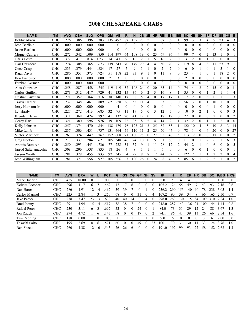# 2008 CHESAPEAKE CRABS

| <b>NAME</b>           | <b>TM</b>  | <b>AVG</b> | <b>OBA</b> | <b>SLG</b> | <b>OPS</b> | <b>GM</b> | <b>AB</b> | R            | н                | 2B             | 3B       | <b>HR</b> | <b>RBI</b>     | <b>BB</b>        | <b>IBB</b>     | <b>SO</b>    | <b>HB</b>      | <b>SH</b>        | <b>SF</b>      | <b>DP</b>      | <b>SB</b>      | $\mathsf{cs}$ | Е              |
|-----------------------|------------|------------|------------|------------|------------|-----------|-----------|--------------|------------------|----------------|----------|-----------|----------------|------------------|----------------|--------------|----------------|------------------|----------------|----------------|----------------|---------------|----------------|
| <b>Bobby Abreu</b>    | <b>CHC</b> | .276       | .386       | .396       | .783       | 135       | 497       | 87           | 137              | 23             | 2        | 11        | 67             | 89               |                | 99           | 3              | 3                | 4              | 9              | 23             | 4             | 3              |
| Josh Barfield         | CHC        | .000       | .000       | .000       | .000       |           | $\Omega$  | $\mathbf{0}$ | $\boldsymbol{0}$ | $\theta$       | 0        | $\theta$  | $\theta$       | $\mathbf{0}$     | $\theta$       | $\mathbf{0}$ | $\mathbf{0}$   | $\boldsymbol{0}$ | $\theta$       | 0              | $\theta$       | $\theta$      | $\Omega$       |
| Jason Bartlett        | <b>CHC</b> | .000       | .000       | .000       | .000       |           | $\Omega$  | $\theta$     | $\theta$         | $\theta$       | $\Omega$ | 0         | $\theta$       | $\theta$         | $\Omega$       | $\theta$     | $\theta$       | $\theta$         | $\theta$       | $\Omega$       | $\theta$       | $\theta$      | $\Omega$       |
| Miguel Cabrera        | <b>CHC</b> | 272        | 342        | .509       | .850       | 114       | 397       | 64           | 108              | 19             | $\theta$ | 25        | 69             | 36               | 4              | 99           | $\overline{7}$ | $\boldsymbol{0}$ | $\overline{c}$ | 13             |                | $\theta$      |                |
| Chris Coste           | <b>CHC</b> | .372       | .417       | .814       | 1.231      | 14        | 43        | 9            | 16               | 2              |          | 5         | 16             | $\overline{2}$   | $\Omega$       | 3            | $\overline{c}$ | $\boldsymbol{0}$ |                | $\Omega$       | $\theta$       | $\theta$      |                |
| Carl Crawford         | <b>CHC</b> | .274       | .308       | .365       | .673       | 139       | 543       | 70           | 149              | 29             | 4        | 4         | 50             | 20               | $\overline{c}$ | 119          | 8              | 4                | 3              |                | 27             | 9             |                |
| Coco Crisp            | <b>CHC</b> | .333       | 379        | .444       | .824       | 17        | 27        | 7            | 9                |                |          | $\theta$  | $\overline{2}$ | $\overline{2}$   | $\theta$       | 6            | $\theta$       |                  | $\theta$       |                | 3              |               | $\Omega$       |
| Rajai Davis           | CHC        | .280       | .351       | 373        | .724       | 51        | 118       | 22           | 33               | 9              |          | 0         | 11             | 9                | $\theta$       | 23           | 4              |                  | $\theta$       |                | 18             | 2             | $\Omega$       |
| <b>Ben Francisco</b>  | <b>CHC</b> | .000       | .000       | .000       | .000       | 2         | 3         | $\theta$     | $\boldsymbol{0}$ | $\theta$       | 0        | $\theta$  | $\theta$       | $\theta$         | 0              | 2            | $\theta$       | $\boldsymbol{0}$ | $\theta$       | $\Omega$       | $\theta$       | $\theta$      | $\Omega$       |
| Esteban German        | <b>CHC</b> | .000       | .000       | .000       | .000       |           |           | $\theta$     | $\boldsymbol{0}$ | 0              | 0        | $\theta$  | $\theta$       | $\boldsymbol{0}$ | $\theta$       | $\mathbf{0}$ | 0              | 0                | $\theta$       | $\Omega$       | $\theta$       | $\theta$      | $\Omega$       |
| Alex Gonzalez         | <b>CHC</b> | .258       | .287       | .458       | .745       | 119       | 419       | 52           | 108              | 24             |          | 20        | 65             | 14               | $\Omega$       | 74           | 4              | $\overline{c}$   | $\overline{c}$ | 15             | $\theta$       | $\theta$      | 11             |
| Carlos Guillen        | <b>CHC</b> | .273       | 312        | .417       | .729       | 41        | 132       | 15           | 36               | 6              | 2        | 3         | 16             | 8                |                | 35           | $\theta$       | $\boldsymbol{0}$ |                | $\overline{c}$ |                |               | 4              |
| Cristian Guzman       | <b>CHC</b> | .271       | 352        | .364       | .716       | 38        | 140       | 17           | 38               | 5              | 4        | 0         | 17             | 17               |                | 17           | 2              | $\boldsymbol{0}$ | 3              | $\Omega$       |                |               | 3              |
| <b>Travis Hafner</b>  | <b>CHC</b> | .232       | 348        | .461       | .809       | 62        | 228       | 36           | 53               |                | 4        | 11        | 33             | 38               | 0              | 56           | 3              | $\boldsymbol{0}$ |                | 10             |                | $\theta$      |                |
| Jerry Hairston Jr     | CHC        | .000       | .000       | .000       | 000        |           | 4         | $\theta$     | $\theta$         | $\Omega$       | $\theta$ | $\theta$  | $\theta$       | $\theta$         | $\theta$       | $\theta$     | $\theta$       | $\boldsymbol{0}$ | $\theta$       |                | $\theta$       | $\theta$      | $\Omega$       |
| J.J. Hardy            | <b>CHC</b> | 227        | .272       | .413       | .685       | 32        | 75        | 11           | 17               | 5              | 0        | 3         | 12             | 5                | $\theta$       | 10           | $\theta$       | 2                |                | $\Omega$       | $\theta$       | $\theta$      | 3              |
| <b>Brendan Harris</b> | <b>CHC</b> | .311       | .368       | .424       | .792       | 41        | 132       | 20           | 41               | 12             | 0        |           | 18             | 12               | 0              | 27           | $\Omega$       | $\boldsymbol{0}$ | $\theta$       | $\overline{c}$ | $\theta$       | $\theta$      | $\overline{c}$ |
| Corey Hart            | CHC        | .321       | 380        | .596       | .976       | 39        | 109       | 22           | 35               | 8              | 5        | 4         | 14             | 9                |                | 32           | $\mathcal{P}$  | $\theta$         |                |                | $\overline{2}$ | $\Omega$      | $\Omega$       |
| Kelly Johnson         | <b>CHC</b> | 257        | 374        | .470       | .844       | 138       | 479       | 76           | 123              | $\overline{2}$ | 3        | 25        | 82             | 83               |                | 122          | 10             | 4                | 5              | 10             | 8              | 3             | 14             |
| Mike Lamb             | <b>CHC</b> | .237       | .306       | .431       | .737       | 131       | 464       | 59           | 110              | $1^{\circ}$    | 2        | 25        | 70             | 47               | $\Omega$       | 78           |                | $\boldsymbol{0}$ | 4              | 20             | $\theta$       | $\theta$      | 27             |
| Victor Martinez       | <b>CHC</b> | .263       | 324        | .442       | .767       | 152       | 608       | 71           | 160              | 28             |          | 27        | 95             | 46               | 5              | 113          | 12             | 0                | 6              | 17             | $\Omega$       | $\theta$      | $\overline{c}$ |
| Greg Norton           | <b>CHC</b> | .213       | .337       | .284       | .621       | 105       | 348       | 46           | 74               | 10             |          | 5         | 31             | 66               | 0              | 111          | $\theta$       |                  | 2              | 6              |                | 6             | 3              |
| Aramis Ramirez        | <b>CHC</b> | .250       | 293        | .443       | .736       | 77        | 228       | 34           | 57               | 9              |          | 11        | 28             | 12               | $\overline{c}$ | 44           | $\overline{2}$ |                  | $\theta$       | 6              | $\theta$       | $\theta$      | 5              |
| Jarrod Saltalamacchia | <b>CHC</b> | .308       | .296       | .538       | .835       | 18        | 26        | 4            | 8                |                |          |           | 6              | $\theta$         | 0              | 6            | $\theta$       | $\theta$         |                | $\Omega$       | $\theta$       | $\theta$      |                |
| Jayson Werth          | <b>CHC</b> | .281       | .378       | .455       | .833       | 97        | 345       | 54           | 97               | 8              | 8        | 12        | 44             | 52               | 2              | 127          | $\overline{c}$ |                  |                | $\overline{c}$ | $\overline{c}$ | $\theta$      | 4              |
| Josh Willingham       | <b>CHC</b> | .281       | 371        | .556       | .927       | 105       | 356       | 63           | 100              | 26             |          | 24        | 68             | 46               | 5              | 85           | 6              |                  | $\mathfrak{D}$ | 5              |                | $\Omega$      | $\overline{c}$ |

| <b>NAME</b>       | <b>TM</b>  | <b>AVG</b> | <b>ERA</b> | w                  | <b>PCT</b> | G  | <b>GS</b> | CG.          | <b>GF</b> | <b>SH</b> | .SV | ΙP              | н           | R  | ER  | НR           | BВ  | <b>SO</b>    | K/BB | HR/9 |
|-------------------|------------|------------|------------|--------------------|------------|----|-----------|--------------|-----------|-----------|-----|-----------------|-------------|----|-----|--------------|-----|--------------|------|------|
| Mark Buehrle      | <b>CHC</b> | .455       | 18.00      |                    | .000       |    |           |              | O         |           |     | 2.0             |             | 4  | 4   |              |     |              | .00  | 0.0  |
| Kelvim Escobar    | <b>CHC</b> | .296       | 4.17       | h                  | .462       |    |           | h            |           | 0         |     | 105.            | $\sqrt{24}$ | 55 | 49  |              | 43  | 93           | 2.16 | 0.6  |
| Dan Haren         | <b>CHC</b> | 286        | 4.91       | $^{12}$            | 462<br> 4  | 39 | 39        |              |           |           |     | 256.2           | 290         | 53 | 140 | 40           | 78  | 238          | 3.05 | ı.4  |
| Carlos Marmol     | <b>CHC</b> | 225        | 2.84       |                    | 250        | 68 |           |              | 31        |           |     | 107.2           | 90          | 39 | 34  | 8            | 66  | 165          | 2.50 | 0.7  |
| Jake Peavy        | CHC        | 238        | 3.47       | 23                 | 639        | 40 | 40        | 14           |           | 4         |     | 298.0           | 263         | 30 | 15  | 34           | 109 | 310          | 2.84 | 1.0  |
| <b>Brad Penny</b> | CHC        | .291       | 4.94       | 5                  | 51<br>14   | 38 | 38        |              | U         |           |     | 248.0           | 287         | 43 | 36  |              | 100 | 144          | .44  | 0.8  |
| Rafael Perez      | CHC        | .230       | 3.11       | h.                 | .667       | 52 |           |              | 24        |           |     | 84.0            | 73          | 31 | 29  | $^{\prime}2$ | 24  | 88           | 3.67 |      |
| Jon Rauch         | CHC        | 294        | 4.72       | h                  | 143        | 58 |           |              |           |           |     | 74.             | 86          | 41 | 39  | 3            | 26  | 66           | 2.54 | . 6  |
| Tim Redding       | <b>CHC</b> | 188        | 0.00       |                    | .000       |    |           |              |           |           |     | 9.0             | 6           |    |     |              |     | <sub>t</sub> | 2.00 | 0.0  |
| Takashi Saito     | <b>CHC</b> | 195        | 2.69       | 8<br>h             | 57.        | 60 |           |              | 49        |           |     | 100.1           | 70          | 31 | 30  |              | 33  | 24           | 3.76 | 1.0  |
| <b>Ben Sheets</b> | CHC        | 260        | 4.38       | $^{\prime}2$<br>١ſ | 545        | 26 | 26        | <sub>b</sub> | $\theta$  |           |     | 191<br>$\Omega$ | 192         | 99 | 93  | 27           | 58  | .52          | 2.62 |      |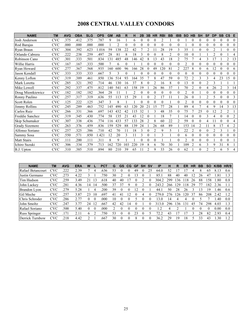# 2008 CENTRAL VALLEY CONDORS

| <b>NAME</b>        | <b>TM</b>         | <b>AVG</b> | <b>OBA</b> | <b>SLG</b> | <b>OPS</b> | <b>GM</b> | <b>AB</b>      | R        | н        | 2B       | 3B       | <b>HR</b>      | <b>RBI</b> | <b>BB</b> | <b>IBB</b>     | <b>SO</b>      | <b>HB</b>      | <b>SH</b>      | <b>SF</b>      | <b>DP</b>      | <b>SB</b>      | $\mathbf{c}\mathbf{s}$ | E              |
|--------------------|-------------------|------------|------------|------------|------------|-----------|----------------|----------|----------|----------|----------|----------------|------------|-----------|----------------|----------------|----------------|----------------|----------------|----------------|----------------|------------------------|----------------|
| Josh Anderson      | $_{\mathrm{CVC}}$ | .375       | .412       | .375       | .787       | 9         | 16             |          | 6        | $\theta$ | $\theta$ | $\theta$       | 2          |           | 0              |                |                | $\theta$       | $\theta$       | 0              | $\mathbf{0}$   | $\theta$               | $\Omega$       |
| Rod Barajas        | $_{\mathrm{CVC}}$ | .000       | .000       | .000       | .000       |           | $\overline{2}$ | $\theta$ | $\theta$ | $\theta$ |          | 0              | $\theta$   | $\theta$  | 0              |                |                | $\theta$       | $\theta$       | 0              | 0              | $\theta$               | $\Omega$       |
| Ryan Braun         | $_{\mathrm{CVC}}$ | .304       | .392       | .623       | 1.016      | 59        | 138            | 22       | 42       |          | 2        |                | 28         | 19        | 3              | 35             |                | $\theta$       | $\theta$       | $\overline{2}$ |                | $\theta$               | $\Omega$       |
| Orlando Cabrera    | $_{\mathrm{CVC}}$ | 222        | .238       | .259       | .497       | 28        | 81             | 8        | 18       | 3        |          | 0              | 8          | 2         | $\theta$       | 10             |                |                |                | $\overline{c}$ |                |                        | 4              |
| Robinson Cano      | $_{\mathrm{CVC}}$ | .301       | 333        | .501       | .834       | 131       | 485            | 48       | 146      | 42       | 8        | 13             | 43         | 18        | $\overline{c}$ | 75             |                | 4              | $\mathcal{E}$  | 17             |                | $\overline{2}$         | 13             |
| Willie Harris      | $_{\mathrm{CVC}}$ | .167       | .167       | .333       | .500       | 7         | 6              | $\theta$ |          |          | 0        | $\theta$       | $\Omega$   | $\theta$  | $\theta$       | $\overline{2}$ |                | $\theta$       | $\theta$       | 0              | 0              | $\theta$               | $\theta$       |
| Ryan Howard        | $_{\mathrm{CVC}}$ | 277        | .367       | .568       | .935       | 160       | 600            | 96       | 166      | 28       |          | 49             | 120        | 81        | $\overline{2}$ | 227            | 8              | $\theta$       | 6              | 12             | $\theta$       | $\theta$               | 6              |
| Jason Kendall      | CVC               | 333        | .333       | .333       | .667       | 5         | 3              | $\theta$ |          | $\theta$ |          | $\Omega$       | $\Omega$   | $\theta$  | 0              | $\theta$       |                | $\theta$       | $\theta$       | 0              | $\theta$       | $\theta$               | $\Omega$       |
| Kenny Lofton       | $_{\mathrm{CVC}}$ | 319        | 389        | .461       | .850       | 136       | 514            | 93       | 164      | 35       |          | 8              | 47         | 59        | $\theta$       | 72             | $\overline{c}$ | 3              | 3              | 4              | 23             | 15                     | $\theta$       |
| Mark Loretta       | CVC               | 285        | 321        | 392        | .714       | 46        | 130            | 16       | 37       | 8        |          | 2              | 16         | 8         | $\Omega$       | 13             |                | $\theta$       | $\overline{2}$ | 3              |                |                        |                |
| Mike Lowell        | <b>CVC</b>        | 292        | 337        | .475       | .812       | 140       | 541            | 63       | 158      | 19       |          | 26             | 86         | 37        |                | 70             | $\overline{c}$ | $\theta$       | 4              | 26             | $\overline{2}$ | 3                      | 14             |
| Doug Mientkiewicz  | <b>CVC</b>        | .182       | .182       | 182        | .364       | 28        | 11             |          | 2        | $\theta$ | $\Omega$ | $\theta$       | 0          | $\theta$  | 0              | $\overline{2}$ |                |                | $\theta$       | 0              | $\theta$       | 0                      | $\Omega$       |
| Ronny Paulino      | $_{\mathrm{CVC}}$ | .257       | 317        | 319        | .636       | 55        | 113            | 15       | 29       |          | $\Omega$ | 2              | 17         | 11        |                | 26             | $\theta$       |                | $\overline{2}$ | 5              | $\theta$       | $\theta$               | 3              |
| Scott Rolen        | CVC               | 125        | .222       | 125        | .347       | 3         | 8              |          |          | $\Omega$ |          | 0              | $\theta$   |           | 0              | $\overline{c}$ |                | $\theta$       | $\theta$       | 0              | $\theta$       | $\theta$               | 0              |
| Jimmy Rollins      | $_{\mathrm{CVC}}$ | 245        | .289       | .463       | .752       | 145       | 490            | 63       | 120      | 20       | 21       | 15             |            | 28        |                | 89             | 4              | $\overline{7}$ | $\overline{4}$ | 9              | 14             | 3                      | 13             |
| Carlos Ruiz        | $_{\mathrm{CVC}}$ | .266       | .331       | .366       | .697       | 143       | 432            | 42       | 115      | 32       |          | 3              | 48         | 35        | 0              | 75             |                | 25             | $\theta$       | 12             | 2              | $\overline{c}$         |                |
| Freddie Sanchez    | <b>CVC</b>        | 319        | .345       | .430       | 774        | 58        | 135            | 21       | 43       | 12       |          |                | 18         | 7         |                | 14             |                | $\theta$       | 3              | 4              | 0              | $\theta$               | $\overline{2}$ |
| Skip Schumaker     | $_{\mathrm{CVC}}$ | .307       | .338       | .436       | .774       | 116       | 433            | 57       | 133      | 28       |          | 8              | 60         | 22        | 2              | 59             |                | $\theta$       | 4              |                |                | $\theta$               | 4              |
| Grady Sizemore     | <b>CVC</b>        | 263        | .376       | .459       | .836       | 159       | 529            | 88       | 139      | 24       |          | 26             | 68         | 89        |                | 153            | 14             | 2              |                | 8              | 17             | 4                      | $\overline{c}$ |
| Alfonso Soriano    | CVC               | .257       | .325       | .386       | .710       | 42        | 70             | 11       | 18       | 3        |          | $\overline{2}$ | 9          | 5         |                | 22             |                | $\theta$       | $\theta$       | 2              | 3              |                        | $\Omega$       |
| Sammy Sosa         | $_{\mathrm{CVC}}$ | .550       | .571       | .850       | 1.421      | 12        | 20             | 3        | 11       | 3        | $\Omega$ |                | 3          |           | $\theta$       | 6              | 0              | $\theta$       | $\theta$       | 0              | $\theta$       | $\theta$               | $\Omega$       |
| <b>Matt Stairs</b> | CVC               | .111       | .200       | .111       | .311       | 8         | 9              |          |          | $\theta$ |          | 0              |            |           | 0              | 2              |                | $\mathbf{0}$   | $\mathbf{0}$   |                | $\mathbf{0}$   | $\theta$               |                |
| Ichiro Suzuki      | CVC               | .306       | .334       | .379       | .713       | 162       | 720            | 103      | 220      | 19       |          | 6              | 70         | 30        |                | 109            | 2              | 6              | 3              | 9              | 31             | 8                      |                |
| B.J. Upton         | $_{\mathrm{CVC}}$ | 310        | 385        | .510       | .894       | 80        | 210            | 39       | 65       |          |          | 9              | 33         | 26        | 0              | 62             |                | $\Omega$       | 2              | 2              | 6              | 5                      |                |

| <b>NAME</b>          | TM         | <b>AVG</b>      | <b>ERA</b> | W        |          | <b>PCT</b> | G  | GS | CG.            | <b>GF</b> | <b>SH</b> | <b>SV</b> | ΙP    | н   | R    | ER | HR | BВ | <b>SO</b> | K/BB | HR/9 |
|----------------------|------------|-----------------|------------|----------|----------|------------|----|----|----------------|-----------|-----------|-----------|-------|-----|------|----|----|----|-----------|------|------|
| Rafael Betancourt    | CVC        | .222            | 2.39       |          | 4        | .636       | 53 |    |                | 49        |           |           | 64.0  | 52  |      |    | 4  | 8  | 65        | 8.13 | 0.6  |
| Justin Germano       | <b>CVC</b> | 273             | 4.22       |          |          | 750        | 30 |    |                | 3         |           |           | 85.1  | 88  | 40   | 40 | 12 | 26 | 47        | .81  | 1.3  |
| Tim Hudson           | <b>CVC</b> | .259            | 3.49       |          | 13       | .618       | 40 | 40 |                |           |           |           | 304.2 | 299 | 36   | 18 | 26 | 88 | .58       | .80  | 0.8  |
| John Lackey          | <b>CVC</b> | 281             | 4.36       | ، 4      | 14       | 500        | 37 | 37 | Q.             |           |           |           | 243.  | 266 | 129  | 18 | 29 |    | 82        | 2.36 |      |
| Brandon Lyon         | <b>CVC</b> | 279             | 5.28       |          | 4        | 200        | 39 |    |                | 2         |           |           | 44.1  | 50  | 28   | 26 |    | 13 | 19        | .46  | 0.6  |
| Gil Meche            | CVC        | 257             | 3.87       | 23       | 10       | .697       | 41 | 41 | $\overline{2}$ |           |           |           | 279.0 | 276 | 26   | 20 | 37 | 86 | 208       | 2.42 | 1.2  |
| Chris Schroder       | <b>CVC</b> | 286             | 2.77       | $\Omega$ | $\theta$ | .000       | 10 |    |                |           |           |           | 13.0  | 14  |      |    |    |    |           | .40  | 0.0  |
| John Smoltz          | <b>CVC</b> | 247             | 3.77       | 24       | 12       | .667       | 42 | 42 | $\overline{4}$ |           |           |           | 313   | 296 | l 36 | 31 | 45 | 74 | 298       | 4.03 | 1.3  |
| Rafael Soriano       | <b>CVC</b> | 500             | 5.40       | $\theta$ |          | .000       |    |    |                |           |           |           | .2    | 4   |      |    |    |    | 0         | 0.00 | 0.0  |
| <b>Russ Springer</b> | <b>CVC</b> | 17 <sup>1</sup> | 2.1        | 6        |          | 750        | 53 |    | $^{(1)}$       | 23        |           |           | 72.2  | 43  |      |    |    | 28 | 82        | 2.93 | 0.4  |
| Derrick Turnbow      | CVC        | 218             | 4.42       |          |          | .667       | 30 |    |                | 8         |           |           | 36.2  | 29  | 19   | 18 |    | 33 | 43        | .30  | 1.2  |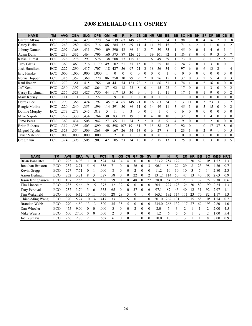# 2008 EMERALD CITY OSPREY

| <b>NAME</b>           | <b>TM</b> | <b>AVG</b> | <b>OBA</b> | <b>SLG</b> | <b>OPS</b> | <b>GM</b> | <b>AB</b>      | R        | н        | 2B          | 3B             | <b>HR</b> | <b>RBI</b> | <b>BB</b> | <b>IBB</b>     | <b>SO</b> | <b>HB</b> | <b>SH</b>        | <b>SF</b>      | <b>DP</b> | <b>SB</b>      | $\mathsf{cs}$ | E              |
|-----------------------|-----------|------------|------------|------------|------------|-----------|----------------|----------|----------|-------------|----------------|-----------|------------|-----------|----------------|-----------|-----------|------------------|----------------|-----------|----------------|---------------|----------------|
| <b>Garrett Atkins</b> | ECO       | 276        | .343       | .427       | .770       | 154       | 539            | 67       | 149      | 26          |                |           |            | 54        |                | 98        | 3         | $\theta$         | 4              | 16        | 2              | $\theta$      | 18             |
| Casey Blake           | ECO       | 243        | .289       | .426       | .716       | 86        | 284            | 32       | 69       | 11          | 4              | 11        | 35         | 15        | 0              | 71        | 4         | 2                |                | 11        | $\theta$       |               | 2              |
| Johnny Damon          | ECO       | 297        | .368       | .431       | .799       | 109       | 290            | 42       | 86       | 14          | 2              |           | 39         | 35        |                | 45        |           | 0                | 4              | 4         | 6              |               |                |
| Adam Dunn             | ECO       | 219        | .332       | .464       | .796       | 160       | 575            | 87       | 126      | 22          |                | 39        | 101        | 92        |                | 184       | 8         | $\theta$         | 6              | 9         | 3              | $\theta$      |                |
| Rafael Furcal         | ECO       | 226        | .278       | .297       | .576       | 138       | 508            | 57       | 115      | 16          |                | 6         | 49         | 39        |                | 73        | $\theta$  |                  | 6              |           | 12             | 5             | 17             |
| <b>Troy Glaus</b>     | ECO       | 363        | .463       | .716       | 1.179      | 49        | 102            | 21       | 37       | 15          |                |           | 25         | 18        | $\overline{c}$ | 24        | 2         | $\theta$         |                | 3         | $\theta$       | $\theta$      |                |
| Josh Hamilton         | ECO       | .227       | .290       | .417       | .707       | 118       | 427            | 56       | 97       | 21          |                | 18        | 56         | 34        | $\theta$       | 97        | 6         | $\boldsymbol{0}$ | 6              | 13        | 2              | 4             | 4              |
| Eric Hinske           | ECO       | .000       | 1.000      | .000       | 1.000      |           | $\theta$       | $\Omega$ | $\Omega$ | 0           | 0              | $\theta$  | 0          |           | $\theta$       | 0         | $\theta$  | 0                | $\theta$       | 0         | $\theta$       | $\theta$      | 0              |
| Norris Hopper         | ECO       | 316        | .352       | 368        | .720       | 86        | 250            | 30       | 79       | 9           | $\overline{2}$ | $\Omega$  | 26         | 15        |                | 37        | $\theta$  | 3                | $\overline{c}$ | 5         | $\overline{4}$ | $\theta$      | 3              |
| Raul Ibanez           | ECO       | 279        | .351       | .415       | .766       | 130       | 441            | 54       | 123      | 23          |                | 11        | 66         | 51        |                | 74        |           | 0                | 5              | 16        | $\theta$       | $\theta$      | $\Omega$       |
| Jeff Kent             | ECO       | 250        | .397       | .467       | .864       | 37        | 92             | 18       | 23       | 8           | $\theta$       | 4         | 15         | 23        | $\theta$       | 17        | $\theta$  | $\theta$         |                | 3         | $\theta$       | $\theta$      | $\overline{2}$ |
| Casey Kotchman        | ECO       | .256       | .323       | .427       | .750       | 44        | 117            | 15       | 30       | 9           |                | 3         | 11         | 11        |                | 17        |           | $\theta$         |                | 9         | $\theta$       | $\theta$      | 2              |
| Mark Kotsay           | ECO       | .111       | .111       | .111       | 222        |           | 9              | $\theta$ |          |             |                | $\Omega$  |            | $\theta$  | $\theta$       |           |           | 0                | 0              |           | $\theta$       | $\theta$      | $\theta$       |
| Derrek Lee            | ECO       | .290       | .368       | .424       | .792       | 145       | 514            | 65       | 149      | $2^{\circ}$ |                | 16        | 63         | 54        | 3              | 131       | 11        | $\theta$         | 3              | 23        | 3              | 3             | 7              |
| Bengie Molina         | ECO       | 220        | .240       | .355       | .596       | 114       | 391            | 30       | 86       |             | 0              | 14        | 49         | 11        | 3              | 45        |           | $\Omega$         | 5              | 15        | $\theta$       | $\theta$      | 2              |
| Donnie Murphy         | ECO       | 273        | .273       | .545       | .818       | 5         | 11             |          | 3        | $\theta$    | 0              |           |            | $\theta$  | $\theta$       | 6         | $\theta$  | $\theta$         | $\theta$       | $\Omega$  | $\Omega$       | $\theta$      | $\Omega$       |
| Mike Napoli           | ECO       | 229        | .330       | .434       | .764       | 30        | 83             | 17       | 19       | 5           | 0              | 4         | 10         | 10        | $\theta$       | 32        | 3         | $\Omega$         |                | 4         | $\theta$       | $\theta$      | 0              |
| Timo Perez            | ECO       | 369        | .434       | .508       | .942       | 27        | 65             | 11       | 24       | 5           | 2              | $\theta$  | 8          | 9         | 4              | 9         | $\theta$  | $\theta$         | $\overline{c}$ | 2         | $\theta$       | $\theta$      | $\Omega$       |
| <b>Brian Roberts</b>  | ECO       | 319        | .395       | .503       | .899       | 148       | 598            | 107      | 191      | 51          |                | 15        | 58         | 75        | $\theta$       | 92        | $\theta$  |                  | $\theta$       | 17        | 37             | 8             | 6              |
| Miguel Tejada         | ECO       | 323        | .354       | .509       | .863       | 49        | 167            | 26       | 54       | 13          | 0              | 6         | 27         | 8         |                | 23        |           | $\theta$         | $\overline{2}$ | 9         |                | $\theta$      | 5.             |
| Javier Valentin       | ECO       | .000       | .000       | .000       | .000       |           | $\overline{c}$ | $\Omega$ | $\theta$ | $\theta$    | $\theta$       | $\theta$  | $\Omega$   | $\theta$  | $\Omega$       | 0         | $\theta$  | $\theta$         | $\theta$       | $\Omega$  | $\theta$       | $\theta$      | $\Omega$       |
| Greg Zaun             | ECO       | 324        | .398       | .505       | .903       | 42        | 105            | 23       | 34       | 13          | 0              | 2         | 15         | 13        |                | 25        | $\theta$  | $\theta$         | $\theta$       | 3         | $\theta$       | $\theta$      | 5              |

| <b>NAME</b>            | <b>TM</b> | <b>AVG</b> | <b>ERA</b> | w        |              | PCT  | G  | GS         | CG           | GF | <b>SH</b>    | <b>SV</b> | ΙP              | н            | R          | ER | НR | BB | SΟ             | K/BB | HR/9      |
|------------------------|-----------|------------|------------|----------|--------------|------|----|------------|--------------|----|--------------|-----------|-----------------|--------------|------------|----|----|----|----------------|------|-----------|
| <b>Brian Bannister</b> | ECO       | 295        | 4.93       |          | l ()         | 524  | 34 | 34         |              |    |              |           | 213.            | 254          | 22         |    | 30 | 67 | 05             | .57  | 1.3       |
| Jonathan Broxton       | ECO       | 237        | 2.71       |          | 4            | 556  |    |            | 0            | 26 |              |           | 96.1            | 84           | 29         | 29 | 8  | 23 | 98             | 4.26 | 0.7       |
| Kevin Gregg            | ECO       | 227        |            |          |              | .000 | 8  | 0          | 0            | ∍  |              |           | $\vert$ 1.2     | 10           | 10         | 10 |    |    | 14             | .80  | 2.3       |
| Aaron Heilman          | ECO       | 232        | 3.21       | 8        |              | 727  | 58 | $\theta$   | 0            | 22 | $\mathbf{0}$ |           | 31              | 14           | 50         | 47 | 13 | 40 | 105            | 2.63 | 0.9       |
| Jason Isringhausen     | ECO       | 197        | 2.65       |          | <sub>(</sub> | 538  | 59 | $\theta$   | 0            | 48 | $^{(1)}$     | 27        | 78.0            | 54           | 25         | 23 |    | 32 | 76             | 2.38 | 0.6       |
| Tim Lincecum           | ECO       | 283        | 5.46       | Q        | 15           | 375  | 32 | 32         | <sub>t</sub> | 0  |              |           | 204.            | $22^{\circ}$ | 28         | 24 | 30 | 89 | 99             | 2.24 | 1.3       |
| <b>Troy Percival</b>   | ECO       | 237        | 3.70       |          | h            | 333  | 65 | $^{\circ}$ | 0            | 37 | $\mathbf{0}$ | 6         | 97.1            | 87           | 43         | 40 | 12 | 31 | 92             | 2.97 |           |
| Tim Wakefield          | ECO       | 300        | 6.12       | 10       | $\mathbf{L}$ | 476  | 28 | 28         | 3            |    |              |           | 163.            | 192          | 14         |    |    | 70 | 82             |      | $\cdot$ 3 |
| Chien-Ming Wang        | ECO       | 320        | 5.24       | 10       | 14           | 417  | 33 | 33         | 5            | 0  |              |           | 201<br>$\theta$ | 262          | $\vert$ 31 |    | 15 | 68 | 105            | .54  | 0.7       |
| <b>Brandon Webb</b>    | ECO       | 290        | 4.50       | 13       | 13           | 500  | 35 | 35         |              |    |              |           | 234.0           | 266          | 132        |    | 27 | 69 | ۱93            | 2.80 | 1.0       |
| Dan Wheeler            | ECO       | .455       | 9.00       | $_{0}$   | $\theta$     | .000 |    | $\theta$   | 0            |    |              |           | 2.0             |              |            |    |    |    | C              | 2.00 | 4.5       |
| Mike Wuertz            | ECO       | .600       | 27.00      | $\Omega$ | $\Omega$     | .000 |    | $\Omega$   | 0            |    | 0            |           | $\cdot$ 2       | 6            |            |    |    | າ  | $\mathfrak{D}$ | .00  | 5.4       |
| Joel Zumava            | ECO       | 256        | 2.70       |          |              | 667  | 6  | 0          | 0            |    | 0            |           | 10.0            | 10           | 3          | 3  |    |    | 8              | 8.00 | 0.9       |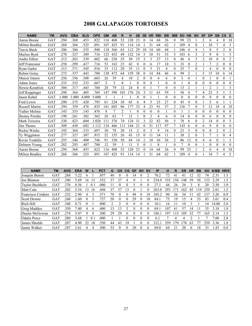# 2008 GALAPAGOS TORTOISES

| <b>NAME</b>           | <b>TM</b>  | <b>AVG</b> | <b>OBA</b> | <b>SLG</b> | <b>OPS</b> | <b>GM</b> | <b>AB</b> | R   | н   | 2B             | 3B             | <b>HR</b>      | <b>RBI</b>     | <b>BB</b> | <b>IBB</b>   | <b>SO</b> | <b>HB</b>             | <b>SH</b>      | <b>SF</b>      | <b>DP</b>      | <b>SB</b>      | $\mathsf{cs}$ | E              |
|-----------------------|------------|------------|------------|------------|------------|-----------|-----------|-----|-----|----------------|----------------|----------------|----------------|-----------|--------------|-----------|-----------------------|----------------|----------------|----------------|----------------|---------------|----------------|
| Aaron Boone           | GAT        | .294       | .368       | 453        | .822       | 116       | 408       | 52  | 120 | 23             | 0              | 14             | 68             | 26        | $\theta$     | 99        | 23                    |                | $\overline{2}$ | 6              | 4              | $\Omega$      | 18             |
| <b>Milton Bradley</b> | GAT        | 268        | .366       | .525       | .89        | 107       | 425       | 91  | 114 | 14             |                | 31             | 64             | 62        |              | 109       | 4                     | $\Omega$       |                | 10             |                | 4             | 5              |
| Travis Buck           | GAT        | .306       | .386       | .555       | .940       | 110       | 366       | 63  | 112 | 29             | 10             | 14             | 60             | 44        |              | 106       | 4                     | 4              |                | 8              | 5              | 2             | $\theta$       |
| Marlon Byrd           | GAT        | 270        | 327        | .389       | .716       | 123       | 452       | 49  | 122 | 14             |                | 10             | 51             | 33        | 5            | 103       | 6                     | 3              | 2              | 9              | $\theta$       |               | 3              |
| Andre Ethier          | GAT        | .212       | 263        | .339       | .602       | 66        | 236       | 25  | 50  | 15             | 3              | 3              | 27             | 13        | $\Omega$     | 46        | 4                     | 3              | 2              | 10             | $\theta$       | $\theta$      | $\overline{2}$ |
| Jeff Francoeur        | GAT        | .258       | 299        | .417       | .716       | 53        | 163       | 23  | 42  | 8              | $\theta$       | 6              | 17             | 10        | $\mathbf{3}$ | 33        | $\theta$              | $\overline{2}$ |                | 7              | $\overline{2}$ | $\theta$      | $\theta$       |
| Ryan Garko            | GAT        | 313        | .371       | .545       | .916       | 35        | 112       | 20  | 35  | 11             | $\Omega$       | 5              | 21             | 4         | $\Omega$     | 25        | 7                     | $\Omega$       |                | 4              | 0              | $\Omega$      | $\Omega$       |
| Ruben Gotav           | GAT        | .273       | .337       | 443        | .780       | 138       | 472       | 64  | 129 | 38             |                | 14             | 84             | 46        | 4            | 99        | $\overline{2}$        |                | 5              | 15             | 10             | 6             | 14             |
| Maicer Izturis        | GAT        | .256       | .356       | .308       | .663       | 26        | 39        | 4   | 10  | 2              | 0              | $\theta$       | 4              | 6         | $\Omega$     | 3         | $\theta$              |                | 0              |                | 0              | 0             |                |
| Adam Jones            | GAT        | .333       | 333        | .333       | .667       | 3         | 3         | 0   |     | $\theta$       | $\Omega$       | $\theta$       |                | $\theta$  | $\Omega$     |           | $\theta$              | $\Omega$       | $\theta$       | 0              | 0              | $\theta$      | $\theta$       |
| Howie Kendrick        | GAT        | .304       | .317       | .443       | .760       | 28        | 79        | 12  | 24  | 8              | $\theta$       |                | $\overline{7}$ | $\theta$  | $\theta$     | 13        | $\overline{c}$        |                |                | $\overline{2}$ |                |               | 3              |
| Jeff Keppinger        | GAT        | 298        | .364       | 405        | .769       | 147       | 590       | 103 | 176 | 24             | 3              | 11             | 63             | 59        |              | 58        | 4                     |                | 4              | 22             | 5              |               | 3              |
| Jason Kubel           | GAT        | .000       | .000       | 4.000      | 5.000      |           |           |     |     | $\theta$       | $\theta$       |                |                | $\theta$  | $\theta$     | $\Omega$  | $\theta$              | $\theta$       | $\theta$       | $\theta$       | $\theta$       | $\theta$      | $\theta$       |
| <b>Fred Lewis</b>     | GAT        | .290       | 375        | 420        | .795       | 61        | 224       | 38  | 65  | 6              | 4              | 5              | 23             | 27        | $\Omega$     | 45        | 4                     | $\Omega$       |                | 5              | 6              |               |                |
| <b>Russell Martin</b> | GAT        | .294       | .359       | .476       | .835       | 161       | 603       | 86  | 177 | 33             | 4              | 23             | 91             | 57        | 2            | 126       |                       | $\theta$       | 5              | 12             | 18             | 4             | 10             |
| Yadier Molina         | GAT        | .143       | .333       | .143       | .476       | 8         |           | 2   |     | $\theta$       | $\Omega$       | $\theta$       | $\theta$       |           | $\Omega$     |           |                       | $\Omega$       | $\theta$       | 0              | 0              | $\theta$      | $\Omega$       |
| Jhonny Peralta        | GAT        | .190       | .261       | .302       | .562       | 28        | 63        | 7   | 12  |                | 0              | $\overline{c}$ | 4              | 6         | $\Omega$     | 14        | $\theta$              | $\Omega$       | $\theta$       | 6              | 0              | $\Omega$      | $\theta$       |
| Mark Teixeira         | GAT        | .330       | .423       | .604       | 1.026      | 11        | 376       | 74  | 124 | 31             | $\mathbf{3}$   | 22             | 82             | 56        | 5            | 78        | 6                     | $\theta$       | $\overline{2}$ | 14             | $\theta$       | $\theta$      | 3              |
| Jim Thome             | GAT        | .309       | .430       | .682       | 1.1<br>12  | 134       | 466       | 111 | 44  | 21             |                | 51             | 117            | 97        | 7            | 143       | 6                     | $\Omega$       | 6              | 9              | $\theta$       | $\theta$      | $\Omega$       |
| <b>Rickie Weeks</b>   | GAT        | .192       | 364        | .333       | .697       | 30        | 78        | 20  | 15  | $\overline{c}$ | $\Omega$       | 3              | 9              | 16        | $\Omega$     | 23        | 5                     | $\theta$       | $\theta$       | 0              | 2              | $\theta$      | $\overline{2}$ |
| Ty Wigginton          | GAT        | .277       | 327        | .587       | .915       | 52        | 155       | 26  | 43  | 15             |                | 11             | 34             | 11        |              | 38        | $\overline{2}$        | $\Omega$       | 3              |                |                | $\theta$      | 4              |
| Kevin Youkilis        | GAT        | .255       | .346       | .400       | .746       | 91        | 330       | 50  | 84  | 14             | $\overline{c}$ | 10             | 36             | 36        | 2            | 86        | 12                    | $\Omega$       | 4              | 6              | $\theta$       |               | 3              |
| Delmon Young          | GAT        | 282        | .293       | .487       | .780       | 12        | 39        | 3   | 11  | 5              | $\Omega$       |                | 8              |           | $\Omega$     |           | $\theta$              | $\theta$       |                | 0              | 0              | $\theta$      | $\theta$       |
| Aaron Boone           | <b>GAT</b> | .294       | .368       | .453       | .822       | 116       | 408       | 52  | 120 | 23             |                | 14             | 68             | 26        | $\Omega$     | 99        | 23                    |                | 2              | 6              | 4              | $\theta$      | 18             |
| <b>Milton Bradley</b> | GAT        | 268        | 366        | .525       | .891       | 107       | 425       | 91  | 114 | 14             |                | 31             | 64             | 62        |              | 109       | $\boldsymbol{\Delta}$ | $\Omega$       |                | 10             |                | 4             | 5              |

| <b>NAME</b>            | ТM         | <b>AVG</b> | <b>ERA</b> | W            |    | PCT  | G   | <b>GS</b> | CG | GF | <b>SH</b> | .SV      | ΙP               | н               | R   | ER       | <b>HR</b> | BB | SO  | K/BB  | HR/9 |
|------------------------|------------|------------|------------|--------------|----|------|-----|-----------|----|----|-----------|----------|------------------|-----------------|-----|----------|-----------|----|-----|-------|------|
| Joaquin Benoit         | GAT        | .268       | 5.22       | <sub>(</sub> |    | 857  | 48  |           |    | 14 |           |          | 70.2             | 72              | 41  | 41       | 12        | 32 | 74  | 2.31  | 1.5  |
| Joe Blanton            | GAT        | .340       | 5.69       | 16           |    | .552 | 37  | 37        | 4  |    |           |          | 234.             | 335             | 156 | 148      | 39        | 58 | 33  | 2.29  | 1.5  |
| <b>Taylor Buchholz</b> | GAT        | .376       | 8.56       |              |    | 000  | l 1 |           |    |    |           |          | 27               | 44              | 26  | 26       |           | 8  | 20  | 2.50  | 1.0  |
| Matt Cain              | GAT        | 282        | 5.54       | 13           | 16 | 448  | 37  | 37        | 3  |    |           | $\Omega$ | 263.<br>$\theta$ | 293             |     | 62       | 45        | 19 | 239 | 2.01  | 1.5  |
| Francisco Cordero      | GAT        | 232        | 2.90       | 4            |    | .571 | 70  | 0         |    | 48 |           | 18       | 105.2            | 90              | 36  | 34       |           | 42 | 37  | 3.26  | 0.9  |
| <b>Scott Downs</b>     | GAT        | 240        | .60        | 8            |    | .727 | 58  | $\Omega$  |    | 29 |           | 10       | 84.1             | 75              | 19  | .5       | 4         | 23 | 83  | 3.61  | 0.4  |
| Rich Hill              | GAT        | .340       | 8.71       |              |    | .000 |     |           |    |    |           |          | 10.1             | 16              |     | $\Omega$ |           |    | 4   | 14.00 | 2.6  |
| Greg Maddux            | GAT        | .350       | 7.40       | 4            | b  | .400 | 13  | 13        |    |    |           | $\theta$ | 69.1             | 107             | 61  | 57       | 14        |    | 35  | 3.18  | 1.8  |
| Dustin McGowan         | GAT        | .274       | 5.07       | 9            | 9  | .500 | 29  | 29        | 6  |    |           | $\Omega$ | 186.             | 19 <sup>7</sup> | 15  | 105      | 32        |    | 165 | 2.14  | 1.5  |
| <b>Odalis Perez</b>    | <b>GAT</b> | 280        | 5.68       |              | 0  | .000 |     |           |    |    |           |          | 6.1              |                 | 4   |          |           |    |     | .00.  | 2.8  |
| James Shields          | GAT        | 287        | 4.90       | 22           | 18 | 550  | 44  | 43        | 19 |    |           |          | 312.             | 359             | 79  | 70       | 63        |    | 259 | 3.36  | 1.8  |
| Jamie Walker           | GAT        | 247        | 2.61       | 4            |    | 500  | 53  | 0         |    | 20 |           | 6        | 69.0             | 64              | 21  | 20       | h         | 18 | 33  | -83   | 0.8  |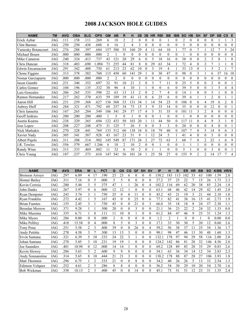# 2008 JACKSON HOLE GUIDES

| <b>NAME</b>          | <b>TM</b> | <b>AVG</b> | <b>OBA</b> | <b>SLG</b> | <b>OPS</b> | <b>GM</b>      | <b>AB</b> | R  | н              | 2B             | 3B       | <b>HR</b> | <b>RBI</b>    | <b>BB</b> | <b>IBB</b> | <b>SO</b>       | <b>HB</b>   | <b>SH</b>      | <b>SF</b>      | <b>DP</b>      | <b>SB</b>      | <b>CS</b>    | E              |
|----------------------|-----------|------------|------------|------------|------------|----------------|-----------|----|----------------|----------------|----------|-----------|---------------|-----------|------------|-----------------|-------------|----------------|----------------|----------------|----------------|--------------|----------------|
| Erick Aybar          | JAG       | .111       | .158       | .111       | 269        | 6              | 18        | 2  | $\overline{c}$ | $\Omega$       | $\Omega$ | $\theta$  | $\theta$      |           | $\Omega$   | 2               | $\theta$    | $\Omega$       | $\theta$       | $\theta$       |                |              | 3              |
| <b>Clint Barmes</b>  | JAG       | .250       | 250        | .438       | .688       | 6              | 16        | 2  | 4              | 3              | $\Omega$ | 0         | $\theta$      | $\theta$  | 0          | 5               | $\theta$    | $\theta$       | $\theta$       | 0              | $\theta$       | 0            | $\theta$       |
| Yuniesky Betancourt  | JAG       | .276       | 288        | .397       | 684        | 157            | 580       | 55 | 160            | 29             | 4        | 11        | 64            | 10        |            | 77              | 0           | 7              |                | 12             |                | 5            | 24             |
| Michael Bourn        | JAG       | .000       | .000       | .000       | .000       | $\overline{2}$ |           | 0  | 0              | 0              | $\theta$ | 0         | $\theta$      | $\theta$  | $\Omega$   |                 | 0           | $\Omega$       | $\theta$       | 0              | $\theta$       | 0            | $\theta$       |
| Mike Cameron         | JAG       | .240       | .324       | .413       | .737       | 43             | 121       | 20 | 29             | 6              | $\Omega$ | 5         | 18            | 16        | $\Omega$   | 38              | $\Omega$    | $\theta$       | $\overline{2}$ | 3              | 8              |              | $\theta$       |
| Chris Duncan         | JAG       | .318       | .403       | .690       | 1.094      | 73             | 255       | 44 | 81             | 8              | $\theta$ | 29        | 63            | 34        |            | 72              | 4           | $\theta$       | $\overline{2}$ | 7              |                |              | $\theta$       |
| Edwin Encarnacion    | JAG       | .291       | 342        | .408       | .750       | 61             | 213       | 23 | 62             | 10             | 0        | 5         | 19            | 4         |            | 33              | 13          | $\theta$       |                | 3              | $\overline{2}$ |              | $\tau$         |
| Chone Figgins        | JAG       | 313        | 378        | 382        | .760       | 115            | 450       | 60 | 141            | 29             |          | $\Omega$  | 30            | 47        | $\Omega$   | 98              | $\Omega$    | 3              |                | 6              | 37             | 16           | 10             |
| Nomar Garciaparra    | JAG       | .000       | .000       | .000       | .000       | 2              | 2         | 0  | $\theta$       | $\theta$       | $\theta$ | $\theta$  | $\theta$      | $\theta$  | $\theta$   | $\theta$        | $\theta$    | $\theta$       | $\theta$       | 0              | $\theta$       | 0            | $\Omega$       |
| Jason Giambi         | JAG       | .231       | 346        | .352       | .697       | 32             | 91        | 10 | 21             | 2              | $\theta$ | 3         |               | 11        | 0          | 25              | 5           | $\theta$       | $\Omega$       | $\overline{2}$ | $\theta$       | $\theta$     |                |
| Carlos Gomez         | JAG       | .104       | .196       | .135       | .332       | 38             | 96        | 4  | 10             |                |          | $\theta$  | $\theta$      | 6         | $\Omega$   | 39              | 5           | $\theta$       | $\theta$       |                | 5              | 4            | 4              |
| Luis Gonzalez        | JAG       | .206       | .265       | .333       | .598       | 22             | 63        | 13 | 13             | $\mathfrak{D}$ | $\theta$ | 2         | 7             | 4         | $\theta$   | 14              |             | $\theta$       | $\theta$       | 5              |                | 0            | $\theta$       |
| Ramon Hernandez      | JAG       | .217       | .262       | 370        | 633        | 59             | 189       | 19 | 41             | 11             | $\Omega$ | 6         | 25            | 6         | $\Omega$   | 39              | 6           |                |                | $\overline{2}$ | $\theta$       |              |                |
| Aaron Hill           | JAG       | .231       | .259       | .368       | .627       | 136            | 568       | 53 | 131            | 34             |          | 14        | 54            | 23        | $\Omega$   | 106             | $\theta$    | 6              | 4              | 19             | 6              | 2            | 8              |
| Aubrey Huff          | JAG       | .284       | .321       | .471       | .792       | 69             | 257       | 34 | 73             | 15             | 3        | 9         | 33            | 14        | $\theta$   | 35              | $\theta$    | $\Omega$       | $\theta$       | 12             | $\overline{0}$ | $\theta$     |                |
| Chris Iannetta       | JAG       | .167       | .265       | 284        | 549        | 106            | 341       | 29 | 57             | 17             | 4        | 5         | 31            | 35        | $\Omega$   | 101             | 11          | 3              | $\overline{c}$ | 8              | $\theta$       | $\theta$     | $\Omega$       |
| Geoff Jenkins        | JAG       | .200       | .200       | .200       | .400       |                | 5         | 0  |                | $\theta$       | $\Omega$ | $\Omega$  |               | $\theta$  | $\Omega$   |                 | $\theta$    | 0              | $\theta$       | 0              | $\theta$       | $\theta$     | $\Omega$       |
| <b>Austin Kearns</b> | JAG       | .238       | 329        | .365       | .694       | 122            | 433       | 50 | 103            | 20             |          | 11        | 44            | 50        | $\Omega$   | 11 <sup>7</sup> | $1^{\circ}$ | $\Omega$       | 4              | 9              | 3              |              | $\Omega$       |
| Jose Lopez           | JAG       | .208       | .227       | 248        | 475        | 31             | 125       |    | 26             | 5              | $\Omega$ | $\Omega$  | $\mathcal{E}$ | 3         | $\Omega$   | 20              | $\Omega$    | $\theta$       | $\theta$       | 4              | $\theta$       | $\theta$     |                |
| Nick Markakis        | JAG       | .270       | 328        | .441       | .769       | 133            | 512       | 60 | 138            | 34             |          | 18        | 79            | 40        | $\Omega$   | 107             |             | $\Omega$       | 5              | 14             | 9              | 6            | 3              |
| Xavier Nady          | JAG       | .305       | .341       | .587       | .928       | 43             | 167       | 23 | 51             | 9              |          | 12        | 24            | 5         |            | 41              | 4           | $\Omega$       | $\theta$       | 5              | $\theta$       | $\theta$     | $\theta$       |
| Albert Pujols        | JAG       | .311       | 388        | .514       | .902       | 145            | 549       | 87 | 171            | 26             | 2        | 27        | 72            | 63        | 3          | 68              |             | $\Omega$       | $\overline{c}$ | 22             |                | 6            | 9              |
| J.R. Towles          | JAG       | .556       | .579       | .667       | 1.246      | 6              | 18        | 2  | 10             | $\overline{2}$ | $\theta$ | $\theta$  |               | $\theta$  | $\theta$   |                 |             |                | $\theta$       | $\theta$       | $\overline{0}$ | $\mathbf{0}$ | $\theta$       |
| Randy Winn           | JAG       | .313       | .333       | .469       | .802       | 11             | 32        | 6  | 10             | $\overline{2}$ | $\theta$ |           |               | $\theta$  | $\theta$   | 5               |             | 0              | $\theta$       | 3              | $\theta$       | $\theta$     |                |
| Chris Young          | JAG       | .187       | .237       | 373        | .610       | 147            | 541       | 56 | 101            | 24             |          | 25        | 58            | 27        | $\Omega$   | 155             | 9           | $\mathfrak{D}$ | っ              | 14             |                | 7            | $\overline{4}$ |

| <b>NAME</b>           | <b>TM</b> | <b>AVG</b> | <b>ERA</b> | W        |                | <b>PCT</b> | G  | GS       | <b>CG</b> | <b>GF</b> | <b>SH</b>      | <b>SV</b> | IP    | н              | R   | <b>ER</b> | <b>HR</b> | <b>BB</b> | <b>SO</b> | K/BB | <b>HR/9</b> |
|-----------------------|-----------|------------|------------|----------|----------------|------------|----|----------|-----------|-----------|----------------|-----------|-------|----------------|-----|-----------|-----------|-----------|-----------|------|-------------|
| <b>Bronson Arroyo</b> | JAG       | .297       | 6.09       | 4        |                | .190       | 23 | 23       | 6         |           | $\theta$       | $\Omega$  | 150.2 | 183            | 113 | 102       | 33        | 63        | 100       | 1.59 | 2.0         |
| Homer Bailey          | JAG       | 311        | 7.16       | $\Omega$ | 5              | .000       | 5  | 5        | $\theta$  |           | $\theta$       | $\theta$  | 27.2  | 37             | 25  | 22        |           | 15        | 26        | .73  | 2.3         |
| Kevin Correia         | JAG       | 280        | 5.44       | 3        | 5              | .375       | 47 |          |           | 26        | $\overline{0}$ | 4         | 102.2 | 116            | 69  | 62        | 20        | 38        | 85        | 2.24 | 1.8         |
| John Danks            | JAG       | .267       | 5.97       | $\theta$ | 6              | .000       | 12 | 12       |           |           | $\theta$       | $\theta$  | 63.1  | 68             | 46  | 42        | 14        | 29        | 42        | .45  | 2.0         |
| Ryan Dempster         | JAG       | 243        | 3.74       | 3        |                | 750        | 25 | $\Omega$ | $\theta$  |           | $\theta$       | $\Omega$  | 45.2  | 43             | 21  | 19        | 5         | 21        | 44        | 2.10 | 1.0         |
| Ryan Franklin         | JAG       | .272       | 4.42       |          | 5              | .167       | 45 | $\Omega$ | $\theta$  | 25        | $\theta$       | 6         | 77.1  | 82             | 41  | 38        | 16        | 15        | 41        | 2.73 | 1.9         |
| <b>Brian Fuentes</b>  | JAG       | .155       | 2.45       | 3        |                | .750       | 45 | $\Omega$ | $\theta$  | 21        | $\theta$       | 3         | 66.0  | 35             | 18  | 18        | 8         | 24        | 57        | 2.38 | 1.1         |
| <b>Brendan Morrow</b> | JAG       | 371        | 9.28       |          |                | .500       | 20 | $\Omega$ | $\theta$  | 3         | $\theta$       | $\Omega$  | 21.1  | 36             | 23  | 22        |           | 24        | 32        | 1.33 | 0.8         |
| Mike Mussina          | JAG       | .335       | 6.71       |          | 8              | .111       | 11 | 10       | $\theta$  |           | $\theta$       | $\Omega$  | 61.2  | 84             | 47  | 46        | 9         | 25        | 31        | .24  | 1.3         |
| Mike Myers            | JAG       | 286        | 0.00       | 0        | $\theta$       | .000       | 2  | 0        | $\theta$  |           | $\theta$       | $\Omega$  | 1.2   | $\overline{2}$ |     | $\theta$  | $\Omega$  |           | $\Omega$  | 0.00 | 0.0         |
| Mike Pelfrey          | JAG       | .418       | 15.58      | $\theta$ | 4              | .000       | 8  | 5.       | $\Omega$  | 3         | $\Omega$       | $\Omega$  | 17.1  | 33             | 30  | 30        | 5         | 20        | 12        | 0.60 | 2.6         |
| Tony Pena             | JAG       | 251        | 5.58       | 2        | 3              | .400       | 39 | $\theta$ | $\theta$  | 26        | $\theta$       | 4         | 59.2  | 56             | 38  | 37        |           | 25        | 34        | .36  | 1.7         |
| Andy Pettitte         | JAG       | 278        | 4.58       | 3        |                | 300        | 13 | 13       | 3         | 0         | $\theta$       | $\Omega$  | 90.1  | 98             | 47  | 46        | 13        | 30        | 48        | 1.60 | 1.3         |
| Ervin Santana         | JAG       | 321        | 6.39       | 5.       | 10             | .333       | 24 | 22       |           |           | $\theta$       | $\Omega$  | 132.  | 178            | 97  | 94        | 29        | 58        | 116       | 2.00 | 2.0         |
| Johan Santana         | JAG       | .278       | 5.85       | 3        | 10             | 231        | 19 | 19       |           |           | $\theta$       | $\theta$  | 124.2 | 142            | 86  | 81        | 28        | 32        | 146       | 4.56 | 2.0         |
| Joe Saunders          | JAG       | .401       | 10.98      | $\theta$ | 12             | .000       | 14 | 14       |           |           | $\theta$       | $\Omega$  | 69.2  | 128            | 89  | 85        | 20        | 35        | 29        | 0.83 | 2.6         |
| Kevin Slowev          | JAG       | .286       | 5.63       | 3        | 2              | .600       | 9  | 9        | $\theta$  | $\theta$  | $\theta$       | $\theta$  | 54.1  | 63             | 36  | 34        | 14        | 12        | 34        | 2.83 | 2.3         |
| Andy Sonnanstine      | JAG       | .314       | 5.65       | 8        | 10             | .444       | 21 | 21       | 3         | 0         | $\theta$       | $\Omega$  | 138.2 | 178            | 88  | 87        | 28        | 27        | 106       | 3.93 | 1.8         |
| <b>Matt Thornton</b>  | JAG       | .296       | 6.75       |          | $\overline{c}$ | 333        | 21 | 0        | $\theta$  | 8         | $\theta$       | $\Omega$  | 34.2  | 40             | 26  | 26        | 5         | 13        | 33        | 2.54 | 1.3         |
| Edinson Volquez       | JAG       | 252        | 4.61       | 2        | 5              | .286       | 8  | 8        | 4         | 0         | $\theta$       | $\Omega$  | 56.2  | 54             | 30  | 29        | 10        | 20        | 54        | 2.70 | 1.6         |
| Bob Wickman           | JAG       | 358        | 10.13      | 2        | 3              | .400       | 45 |          | 0         | 14        | $\theta$       | $\theta$  | 45.1  | 73             | 51  | 51        | 12        | 23        | 31        | 1.35 | 2.4         |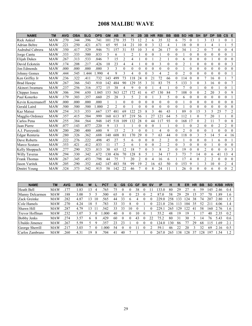#### 2008 MALIBU WAVE

| <b>NAME</b>          | <b>TM</b>  | <b>AVG</b> | <b>OBA</b> | <b>SLG</b> | <b>OPS</b> | <b>GM</b>      | <b>AB</b>      | R              | н              | 2B             | 3B             | <b>HR</b>      | <b>RBI</b>     | <b>BB</b>        | <b>IBB</b>   | <b>SO</b>      | <b>HB</b>        | <b>SH</b>      | <b>SF</b>      | <b>DP</b> | <b>SB</b>        | $\mathsf{cs}$  | E              |
|----------------------|------------|------------|------------|------------|------------|----------------|----------------|----------------|----------------|----------------|----------------|----------------|----------------|------------------|--------------|----------------|------------------|----------------|----------------|-----------|------------------|----------------|----------------|
| <b>Rick Ankiel</b>   | MAW        | .270       | .344       | .396       | .741       | 101            | 270            | 35             | 73             | 12             | $\overline{2}$ | 6              | 35             | 32               | 6            | 75             | $\theta$         |                | 3              | 13        |                  | $\theta$       |                |
| <b>Adrian Beltre</b> | <b>MAW</b> | .221       | .250       | .421       | .671       | 65             | 95             | 14             | 21             | 10             | $\theta$       | 3              | 12             | $\overline{4}$   |              | 18             | $\theta$         | $\theta$       |                | 4         |                  |                | 5              |
| Asdrubal Cabrera     | <b>MAW</b> | .350       | .417       | .529       | .946       | 71             | 157            | 31             | 55             | 10             | 3              | 4              | 26             | 17               | $\mathbf{0}$ | 34             |                  | $\overline{c}$ | 0              |           | $\boldsymbol{0}$ | $\mathbf{0}$   | 4              |
| Jorge Cantu          | <b>MAW</b> | 333        | .333       | .500       | .833       | 5              | 6              |                | $\overline{c}$ |                | $\mathbf{0}$   | $\theta$       |                | 0                | $\theta$     |                | $\mathbf{0}$     | $\mathbf{0}$   | $\mathbf{0}$   | $\Omega$  | $\theta$         | $\theta$       |                |
| Elijah Dukes         | <b>MAW</b> | .267       | .313       | .533       | .846       |                | 15             | $\overline{c}$ | 4              |                | $\theta$       |                | $\overline{c}$ |                  | $\mathbf{0}$ | 6              | $\mathbf{0}$     | $\overline{0}$ | $\overline{0}$ |           | $\theta$         | $\theta$       | $\Omega$       |
| David Eckstein       | <b>MAW</b> | .174       | .208       | .217       | .426       | 10             | 23             | 4              | $\overline{4}$ |                | $\theta$       | $\theta$       | 3              | $\theta$         | $\theta$     | $\overline{2}$ |                  | $\theta$       | $\theta$       | $\theta$  | $\theta$         | $\theta$       | 3              |
| Jim Edmonds          | <b>MAW</b> | .000       | .000       | .000       | .000       | 3              | 3              | $\Omega$       | 0              | $\Omega$       | $\theta$       | $\theta$       | $\theta$       | $\Omega$         | $\theta$     |                | $\theta$         | $\theta$       | 0              | 0         | $\theta$         | $\theta$       | $\theta$       |
| Johnny Gomes         | <b>MAW</b> | .444       | .545       | 1.444      | 1.990      | 4              | 9              | 3              | 4              | 0              | $\theta$       | $\mathbf{3}$   | 4              | $\overline{2}$   | $\Omega$     | $\overline{2}$ | $\theta$         | $\theta$       | $\theta$       | $\theta$  | $\theta$         | $\theta$       |                |
| Ken Griffey Jr       | <b>MAW</b> | .236       | .322       | .411       | .732       | 143            | 499            | 73             | 118            | 24             | $\theta$       | 21             | 72             | 66               | $\theta$     | 114            | $\theta$         | $\overline{0}$ | 7              | 16        | $\theta$         |                | 7              |
| <b>Brad Hawpe</b>    | <b>MAW</b> | .267       | .366       | .543       | .910       | 142            | 484            | 90             | 129            | 35             | 3              | 31             | 83             | 75               | 5            | 133            | 3                | $\theta$       | 3              | 16        | $\theta$         | $\overline{0}$ | 7              |
| Akinori Iwamura      | <b>MAW</b> | .237       | .256       | .316       | .572       | 15             | 38             | 4              | 9              | $\theta$       | $\theta$       |                | $\overline{4}$ |                  | $\theta$     | $\overline{7}$ | $\theta$         | 1              | $\theta$       | $\Omega$  |                  | $\Omega$       |                |
| Chipper Jones        | <b>MAW</b> | .306       | .394       | .650       | 1.045      | 153            | 563            | 127            | 172            | 41             | 6              | 47             | 130            | 84               |              | 108            | $\theta$         | 0              | 2              | 20        | 3                | $\theta$       | 9              |
| Paul Konerko         | <b>MAW</b> | .179       | .303       | .357       | .660       | 25             | 28             | 3              | 5              | $\overline{c}$ | $\theta$       |                | 3              | 5                | $\theta$     | 6              | $\theta$         | 0              | $\theta$       | $\theta$  | $\theta$         | $\theta$       |                |
| Kevin Kouzmanoff     | <b>MAW</b> | .000       | .000       | .000       | .000       |                |                | $\Omega$       | $\theta$       | $\overline{0}$ | $\mathbf{0}$   | $\theta$       | $\theta$       | $\boldsymbol{0}$ | $\theta$     |                | $\theta$         | $\overline{0}$ | $\theta$       | 0         | $\theta$         | $\theta$       | $\theta$       |
| Gerald Laird         | MAW        | .500       | .500       | .500       | 1.000      | $\overline{2}$ | $\overline{c}$ | $\theta$       |                | 0              | $\theta$       | $\theta$       | $\theta$       | 0                | $\theta$     |                | $\theta$         | $\overline{0}$ | $\theta$       | $\theta$  | $\theta$         | $\theta$       | $\overline{0}$ |
| Kaz Matsui           | <b>MAW</b> | .254       | .313       | .353       | .667       | 137            | 481            | 69             | 122            | 23             | 8              | 3              | 46             | 43               |              | 89             | $\theta$         | 15             | 3              | 5         | 25               | 7              | $\overline{c}$ |
| Magglio Ordonez      | MAW        | .357       | .415       | .584       | .999       | 160            | 613            | 87             | 219            | 56             |                | 27             | 121            | 64               | 5            | 112            |                  | $\theta$       | 7              | 20        |                  |                | $\theta$       |
| Carlos Pena          | <b>MAW</b> | .255       | .384       | .564       | .948       | 145            | 518            | 109            | 132            | 28             | $\theta$       | 44             | 117            | 93               | $\theta$     | 168            | 17               | $\theta$       | $\overline{2}$ |           | 7                | $\theta$       | 8              |
| Juan Pierre          | MAW        | .077       | .143       | .077       | 220        | 9              | 13             |                |                | $\overline{0}$ | $\theta$       | $\mathbf{0}$   |                |                  | $\mathbf{0}$ |                | $\theta$         | 2              | $\mathbf{0}$   | 0         | $\overline{2}$   | $\overline{2}$ | $\overline{0}$ |
| A.J. Pierzynski      | <b>MAW</b> | .200       | .200       | .400       | .600       | 9              | 15             | $\overline{2}$ | 3              | $\theta$       | $\theta$       |                | 4              | $\theta$         | $\theta$     | $\overline{2}$ | $\theta$         | $\theta$       | $\theta$       |           | $\theta$         | $\mathbf{0}$   | $\overline{0}$ |
| Edgar Renteria       | <b>MAW</b> | .280       | .326       | 362        | .688       | 140            | 608            | 81             | 170            | 29             | $\theta$       |                | 63             | 44               | $\theta$     | 118            | $\boldsymbol{0}$ | 3              | 5              | 14        | 5                | 4              | 16             |
| Dave Roberts         | <b>MAW</b> | .222       | .276       | 222        | .498       | 45             | 27             | 5              | 6              | $\theta$       | $\theta$       | $\theta$       | $\overline{2}$ | $\overline{2}$   | $\theta$     |                | $\theta$         | $\overline{0}$ | $\theta$       |           | 6                | $\theta$       |                |
| Marco Scutaro        | <b>MAW</b> | .353       | .421       | .412       | .833       | 11             | 17             | 2              | 6              |                | $\theta$       | $\theta$       | $\overline{2}$ | $\overline{2}$   | $\theta$     | 3              | $\theta$         | $\theta$       | $\theta$       |           | $\theta$         | $\theta$       | $\theta$       |
| Kelly Shoppach       | <b>MAW</b> | .277       | .290       | .523       | .813       | 30             | 65             | 12             | 18             | 7              | $\theta$       | $\mathbf{3}$   | 8              | $\overline{2}$   | $\Omega$     | 19             | $\theta$         | $\theta$       | $\overline{2}$ | $\theta$  | $\Omega$         | $\theta$       | 3              |
| <b>Willy Taveras</b> | <b>MAW</b> | .294       | .330       | .342       | .672       | 130            | 436            | 70             | 128            | 8              | 5              |                | 34             | 17               | 3            | 73             | 7                | 14             | $\theta$       | 6         | 41               | 13             | 4              |
| Frank Thomas         | <b>MAW</b> | .267       | .345       | .453       | .798       | 44             | 75             |                | 20             | 2              | $\mathbf{0}$   | $\overline{4}$ | 16             | 6                |              | 17             | 4                | 0              | 2              | 2         | $\theta$         | $\mathbf{0}$   | $\theta$       |
| Jason Varitek        | <b>MAW</b> | .205       | .290       | .352       | .642       | 147            | 483            | 58             | 99             | 19             | $\overline{2}$ | 16             | 63             | 50               | $\theta$     | 153            | 9                | 1              | 3              | 10        | $\theta$         | $\overline{2}$ | 4              |
| Dmitri Young         | <b>MAW</b> | 324        | .373       | .542       | .915       | 58             | 142            | 22             | 46             |                | $\Omega$       | 8              | 24             | 11               |              | 26             | 0                | 0              | 0              | 6         | $\Omega$         | $\theta$       | $\overline{2}$ |

| <b>NAME</b>        | TМ         | <b>AVG</b> | ERA  | w          |    | PCT  | G  | GS | CG.      | GF | <b>SH</b> | .sv | ΙP           | н   | R   | ER  | HR | BВ | SO    | K/BB | HR/9 |
|--------------------|------------|------------|------|------------|----|------|----|----|----------|----|-----------|-----|--------------|-----|-----|-----|----|----|-------|------|------|
| Heath Bell         | <b>MAW</b> |            | .83  | 13         |    | 765  | 75 |    |          | 38 |           |     | 3 C<br>J.    | 80  | 29  |     | h  | 59 | 145   | 2.46 | 0.4  |
| Manny Delcarmen    | MAW        | 188        | 3.00 |            |    | 500  | 65 |    |          | 23 |           |     | 87.0         | 58  | 29  | 29  | L5 | 37 | 70    | .89  | . 6  |
| Zack Greinke       | <b>MAW</b> | 282        | 4.87 | $\sqrt{3}$ | 10 | 565  | 44 | 33 |          |    |           |     | 229.0        | 258 | 33  | 124 | 38 | 74 | 207   | 2.80 | 1.5  |
| Cole Hamels        | MAW        | 270        | 4.24 | 18         |    | 783  | 33 | 33 |          |    |           |     | $\Omega$     | 236 | 13  | 104 | 35 | 52 |       | 4.06 | ı .4 |
| Shawn Hill         | <b>MAW</b> | .287       | 4.79 | 13         |    | 542  | 33 | 33 | $\theta$ |    |           |     | 229.         | 265 | .29 | 122 | 41 | 58 | 160   | 2.76 | 1.6  |
| Trevor Hoffman     | MAW        | .232       | 3.07 |            |    | .000 | 40 |    |          | 10 |           |     | 55.2         | 48  | 19  | 19  |    |    | 40    | 2.35 | 0.2  |
| <b>Bobby Jenks</b> | <b>MAW</b> | 274        | 3.57 | 6          | 8  | .429 | 60 |    |          | 43 |           | 22  | 75.2         | 80  | 31  | 30  |    | 14 | 76    | 5.43 | 0.6  |
| Ubaldo Jimenez     | MAW        | .267       | 5.59 |            |    | 357  | 23 | 23 |          |    |           |     | 124.0        | 30  | 86  |     | 29 | 68 |       | .69  | 2.1  |
| George Sherrill    | <b>MAW</b> |            | 3.03 |            |    | .000 | 54 |    |          |    |           |     | 59           | 46  | 22  | 20  |    | 32 | 69    | 2.16 | 0.5  |
| Carlos Zambrano    | <b>MAW</b> | 260        | 4.31 | 19         | 8  | 704  | 41 | 40 |          |    |           |     | 267<br>( ( ) | 265 | 38  | 128 | 37 | 28 | $19-$ | .54  | 1.2  |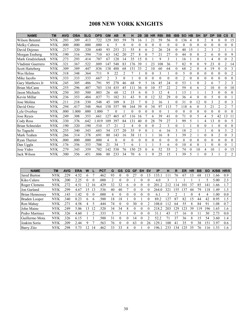# 2008 NEW YORK KNIGHTS

| <b>NAME</b>            | <b>TM</b>  | <b>AVG</b> | <b>OBA</b> | <b>SLG</b> | <b>OPS</b> | <b>GM</b>      | <b>AB</b> | R  | н        | 2B       | 3B       | <b>HR</b> | <b>RBI</b>     | <b>BB</b> | <b>IBB</b>     | <b>SO</b>      | <b>HB</b>      | <b>SH</b>      | <b>SF</b>      | <b>DP</b> | <b>SB</b>      | <b>CS</b>      | E              |
|------------------------|------------|------------|------------|------------|------------|----------------|-----------|----|----------|----------|----------|-----------|----------------|-----------|----------------|----------------|----------------|----------------|----------------|-----------|----------------|----------------|----------------|
| Wilson Betemit         | NYK        | .203       | .309       | .413       | .722       | 129            | 385       | 59 | 78       | 16       |          | 21        | 59             | 56        | $\theta$       | 136            | $\overline{4}$ | $\theta$       | $\overline{2}$ | 8         | $\theta$       | $\theta$       | 15             |
| Melky Cabrera          | NYK        | .000       | .000       | .000       | .000       | 6              | 5         |    | $\theta$ | 0        | $\theta$ | $\theta$  | $\Omega$       | $\theta$  | $\theta$       | $\theta$       | $\theta$       | $\Omega$       | $\theta$       |           | $\theta$       | $\Omega$       | $\Omega$       |
| David Dejesus          | NYK        | .217       | 320        | 320        | .640       | 93             | 253       | 21 | 55       | 8        | 6        | 2         | 26             | 24        | 0              | 40             | 15             |                | $\overline{2}$ | 3         | 2              |                |                |
| Morgan Ensberg         | NYK        | .190       | .316       | 394        | .710       | 63             | 142       | 20 | 27       | 8        | 0        |           | 21             | 27        | 0              | 44             | $\mathbf{0}$   | 0              | 2              | 6         | $\theta$       | $\mathbf{0}$   | 9              |
| Mark Grudzielanek      | <b>NYK</b> | .273       | .293       | .414       | .707       | 67             | 128       | 14 | 35       | 15       | $\theta$ |           | 9              | 3         |                | 16             |                | $\theta$       |                | 4         | $\theta$       | $\theta$       | $\overline{c}$ |
| Vladimir Guerrero      | <b>NYK</b> | .321       | 367        | 522        | .889       | 147            | 548       | 83 | 176      | 39       |          | 23        | 108            | 36        |                | 82             | 9              | $\theta$       | 9              | 23        | $\theta$       | $\overline{2}$ | 14             |
| <b>Scott Hatteberg</b> | <b>NYK</b> | .309       | .389       | 447        | .836       | 138            | 488       | 68 | 151      | 33       | 2        | 10        | 60             | 64        | $\theta$       | 68             | $\overline{2}$ | $\overline{0}$ | 4              | 19        | $\theta$       | $\theta$       | 3              |
| Wes Helms              | NYK        | 318        | 348        | 364        | .711       | 9              | 22        | 2  | 7        |          | $\theta$ | $\theta$  | 3              |           | $\theta$       | 5              | $\theta$       | $\theta$       | $\theta$       | $\Omega$  | $\theta$       | $\theta$       | 2              |
| Mike Jacobs            | NYK        | .333       | .333       | .333       | .667       | $\overline{2}$ | 3         |    |          | 0        | $\theta$ | $\theta$  | $\Omega$       | $\theta$  | $\theta$       | $\overline{2}$ | $\theta$       | $\theta$       | $\theta$       |           | $\theta$       | $\theta$       | $\Omega$       |
| Gary Matthews Jr       | NYK        | .245       | 305        | .486       | .791       | 95             | 278       | 46 | 68       | 9        | 5        | 16        | 45             | 24        | 0              | 53             |                | $\Omega$       | $\overline{2}$ | 6         |                | $\overline{2}$ | 3              |
| Brian McCann           | NYK        | .255       | .296       | .407       | .703       | 134            | 435       | 45 | 111      | 36       | $\theta$ | 10        | 57             | 22        | $\mathfrak{D}$ | 59             | 4              | 6              | 2              | 10        | $\theta$       | $\theta$       | 10             |
| Jason Michaels         | NYK        | .250       | .303       | 500        | .803       | 26             | 60        | 12 | 15       | 6        | $\Omega$ | 3         | 12             | 4         |                | 13             |                |                |                | 3         | $\theta$       | $\theta$       | $\Omega$       |
| Kevin Millar           | NYK        | .236       | .353       | .484       | .837       | 71             | 182       | 31 | 43       | 9        | $\theta$ | 12        | 32             | 29        | $\theta$       | 36             | 4              | 0              | $\theta$       | 5         | $\theta$       | $\theta$       |                |
| Jose Molina            | NYK        | .211       | .218       | .330       | .548       | 45             | 109       | 8  | 23       |          | $\theta$ | 2         | 16             |           | $\theta$       | 31             | $\theta$       | 12             | $\theta$       | 3         | $\mathfrak{D}$ | $\theta$       | 3              |
| David Ortiz            | NYK        | .294       | .417       | 548        | .964       | 158            | 557       | 98 | 164      | 39       | $\theta$ | 34        | 97             | 113       |                | 118            | 6              | $\overline{0}$ | 3              | 21        | $\overline{2}$ | $\overline{2}$ | 7              |
| Lyle Overbay           | NYK        | .000       | 1.000      | .000       | 1.000      |                | $\theta$  |    | 0        | 0        | $\theta$ | $\theta$  | $\Omega$       |           | $\theta$       | $\theta$       | $\theta$       | $\theta$       | $\theta$       | $\Omega$  | $\theta$       | $\theta$       | $\Omega$       |
| Jose Reves             | NYK        | .249       | .308       | 353        | .661       | 127            | 465       | 67 | 116      | 16       |          | 6         | 39             | 41        | $\theta$       | 71             | $\theta$       | 5              | 4              | 5         | 42             | 13             | 11             |
| Cody Ross              | NYK        | 330        | .376       | .642       | 1.019      | 109            | 397       | 84 | 131      | 40       | $\theta$ | 28        | 79             | 27        | 3              | 99             | 5              |                | 4              | 13        | $\Omega$       | $\theta$       | 5              |
| <b>Brian Schneider</b> | NYK        | .190       | .320       | .190       | .510       | 17             | 21        | 2  | 4        | 0        | 0        | $\theta$  | $\overline{2}$ | 3         | $\theta$       |                |                | $\theta$       | $\theta$       |           | $\theta$       | $\theta$       | $\Omega$       |
| So Taguchi             | <b>NYK</b> | .255       | 340        | 343        | .683       | 54             | 137       | 20 | 35       | 9        | $\theta$ |           | 6              | 16        | $\mathbf{3}$   | 18             | $\overline{2}$ |                |                | $\Omega$  | 8              | 3              | $\overline{2}$ |
| Mark Teahen            | NYK        | .266       | .314       | 378        | .691       | 80             | 143       | 16 | 38       | 11       |          |           | 16             | 8         |                | 39             | $\overline{2}$ |                | $\theta$       | 8         | $\overline{2}$ | $\Omega$       | 3              |
| Ryan Theriot           | NYK        | .000       | .000       | .000       | .000       | 4              | $\Omega$  | 0  | $\Omega$ | $\theta$ | $\theta$ | $\Omega$  | $\Omega$       | 0         | $\theta$       | $\Omega$       | $\theta$       | $\theta$       | $\Omega$       | 0         | $\theta$       | $\theta$       | $\Omega$       |
| Dan Uggla              | NYK        | .176       | .356       | .353       | .708       | 21             | 34        |    | 6        |          |          |           | 5              | 6         | 0              | 10             | 4              | $\overline{0}$ |                | 0         | $\theta$       | $\theta$       |                |
| Jose Vidro             | NYK        | .279       | 343        | 359        | .702       | 142            | 538       | 76 | 150      | 25       | $\theta$ | 6         | 52             | 55        | 2              | 74             | $\theta$       | 10             | 4              | 10        |                | $\theta$       | 15             |
| Jack Wilson            | NYK        | .300       | .356       | 451        | .806       | 80             | 233       | 34 | 70       | 6        |          | 9         | 25             | 15        |                | 39             | 5              |                | $\Omega$       | 3         |                | $\overline{2}$ | $\overline{2}$ |

| <b>NAME</b>            | ТM         | <b>AVG</b> | <b>ERA</b>    | W        |              | <b>PCT</b> | G  | <b>GS</b> | <b>CG</b> | <b>GF</b> | <b>SH</b> | <b>SV</b> | <b>IP</b> | н            | R   | ER  | HR       | BВ | <b>SO</b> | $K/BB$ HR/9 |                |
|------------------------|------------|------------|---------------|----------|--------------|------------|----|-----------|-----------|-----------|-----------|-----------|-----------|--------------|-----|-----|----------|----|-----------|-------------|----------------|
| Jared Burton           | NYK        | 229        | 4.52          | b.       |              | .462       | 93 |           | 0         |           |           | 13        | 33        | $\mathbf{1}$ | 76  | 67  | 13       | 68 | 13        | .66         | 0.9            |
| Kiko Calero            | NYK        | 200        | 2.25          |          |              | .000       |    | $_{0}$    |           |           |           |           | 4.0       |              |     |     |          |    |           | 5.00        | 2.3            |
| Roger Clemens          | NYK        | 272        | $4.5^{\circ}$ |          | <sub>b</sub> | .429       | 32 | 32        | h.        |           |           |           | 201       |              | l 4 |     | 37       | 85 | 41        | .66         |                |
| Jon Garland            | NYK        | 299        | 4.67          | 15       | 3            | 536        | 40 | 40        |           | $\Omega$  | 0         |           | 264.      | 321          | 55  | 37  | 44       | 79 | 18        | .49         | 1.5            |
| <b>Brian Hennessey</b> | <b>NYK</b> | 143        | .42           | $\theta$ |              | .000       | 4  | 0         | $\theta$  | $\theta$  |           |           | 6.1       | ٦            |     |     | $\Omega$ | 4  | 4         | .00.        | 0.0            |
| Braden Looper          | <b>NYK</b> | 340        | 8.23          | 6        | 6            | .500       | 18 | 18        |           |           |           |           | 89.2      | 127          | 87  | 82  | 15       | 44 | 42        | 0.95        | 1.5            |
| Ron Mahay              | <b>NYK</b> | 271        | 4.58          | 4        |              | 444        | 74 | $\theta$  |           | 30        |           |           | 108.0     | 12           | 64  | 55  | 8        | 84 | 91        | .08         | 0.7            |
| John Maine             | <b>NYK</b> | 249        | 5.06          | 13       | 2            | 520        | 34 | 34        | 8         | $\theta$  |           |           | 218.2     | 203          | 29  | 123 | 39       | 19 | 196       | .65         | 1.6            |
| Pedro Martinez         | NYK        | 326        | 4.60          |          |              | .333       |    |           |           | $\Omega$  |           |           | 31.7      | 43           |     | 16  |          |    | 30        | 2.73        | 0.0            |
| Guillermo Mota         | NYK        | 326        | 6.15          |          |              | 500        | 31 | $\Omega$  |           | 14        |           |           | 52.2      | 71           | 37  | 36  | 8        | 5  | 54        | 3.60        | 1.4            |
| Joakim Soria           | NYK        | 209        | 2.44          | 9        |              | 563        | 76 | 0         |           | 63        |           | 26        | .29.      | 100          | 41  | 35  | 9        | 38 | -51       | 397         | 0.6            |
| <b>Barry Zito</b>      | <b>NYK</b> | 298        | 5 73          | 12       | 4            | 462        | 33 | 33        | 4         |           |           |           | 96.       | 233          | 34  | 25  | 35       | 76 | 16        | -53         | 6 <sub>6</sub> |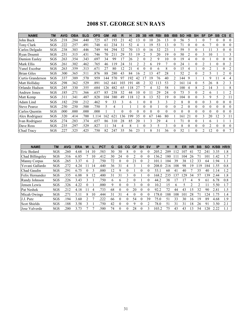# 2008 ST. GEORGE SUN RAYS

| <b>NAME</b>         | <b>TM</b> | <b>AVG</b> | <b>OBA</b> | <b>SLG</b> | <b>OPS</b> | <b>GM</b> | <b>AB</b>       | R        | н   | 2B       | 3B | <b>HR</b> | <b>RBI</b> | <b>BB</b> | <b>IBB</b>       | <b>SO</b> | <b>HB</b> | <b>SH</b> | <b>SF</b> | <b>DP</b>      | <b>SB</b> | $\mathsf{cs}$  | E            |
|---------------------|-----------|------------|------------|------------|------------|-----------|-----------------|----------|-----|----------|----|-----------|------------|-----------|------------------|-----------|-----------|-----------|-----------|----------------|-----------|----------------|--------------|
| John Buck           | SGS       | .218       | .284       | .440       | .725       | 67        | 193             | 21       | 42  | 13       |    | 10        | 26         | 13        | 0                | 56        | 5         |           |           |                |           |                | $\theta$     |
| Tony Clark          | SGS       | 222        | 257        | .491       | .748       | 61        | 234             | 31       | 52  | 4        |    | 19        | 53         | 13        | $\theta$         | 71        | $\theta$  |           | 6         |                | $\theta$  | $\theta$       | $\theta$     |
| Carlos Delgado      | SGS       | 238        | 303        | .446       | 749        | 94        | 294             | 32       | 70  | 13       |    | 16        | 32         | 23        |                  | 59        | 5         |           |           |                | 3         | $\theta$       | $\theta$     |
| Ryan Doumit         | SGS       | 251        | .315       | .431       | .746       | 70        | 211             | 29       | 53  | 19       |    | 5         | 20         | 19        | $\theta$         | 50        | 2         | $\theta$  | 3         | 10             |           |                | 3            |
| Damion Easley       | SGS       | 263        | .354       | .343       | .697       | 34        | 99              | 17       | 26  |          |    |           | 9          | 10        | $\theta$         | 19        | 4         |           |           |                | 0         |                | $\Omega$     |
| Mark Ellis          | SGS       | 261        | .302       | .462       | .765       | 46        | 19              | 24       | 31  |          | 2  | 6         | 19         | 7         | $\theta$         | 24        |           |           | 2         |                | $\theta$  | $\theta$       | 2            |
| Yunel Escobar       | SGS       | 263        | 359        | .313       | .671       | 27        | 80              | 12       | 21  | 4        |    |           | 6          | 8         | $\theta$         | 5         | 4         |           |           |                |           | $\theta$       | 2            |
| <b>Brian Giles</b>  | SGS       | .300       | .365       | .511       | .876       | 88        | 280             | 43       | 84  | 16       |    | 13        | 47         | 28        |                  | 52        | 2         | $\Omega$  | 2         | 5              |           | $\overline{2}$ | $\mathbf{0}$ |
| Curtis Granderson   | SGS       | .337       | .389       | .570       | .959       | 144       | 570             | 97       | 192 | 42       |    | 19        | 76         | 40        | 2                | 44        | q         |           |           | Q              |           |                | 4            |
| Matt Holliday       | SGS       | .298       | .362       | .529       | .891       | 162       | 641             | 103      | 19  | 48       |    | 32        | 13         | 53        | 2                | -61       | 14        |           | 5         | 26             | 8         | $\overline{c}$ | 3            |
| Orlando Hudson      | SGS       | 245        | 330        | .355       | .684       | 126       | 482             | 65       | 118 | 27       |    | 4         | 32         | 58        |                  | 100       | 4         | 8         | 2         | 14             | 3         |                | 8            |
| <b>Andruw Jones</b> | SGS       | .185       | .271       | .366       | .637       | 85        | 238             | 32       | 44  | 10       |    | 11        | 29         | 24        | $\theta$         | 73        | 5         |           | 2         | 6              |           |                | 2            |
| Matt Kemp           | SGS       | .311       | .341       | .487       | .828       | 104       | 380             | 49       | 118 | 12       |    | 13        | 52         | 19        | $\theta$         | 104       | $\theta$  |           | 3         | 9              | 5         | 2              | 11           |
| Adam Lind           | SGS       | .182       | .250       | .212       | .462       | 9         | 33              | 3        | 6   |          |    | 0         | 3          | 3         | 2                | 8         |           | $\theta$  | 0         | 3              | $\theta$  | $\theta$       | $\theta$     |
| <b>Steve Pearce</b> | SGS       | 250        | .250       | .500       | .750       | 5         | 4               |          |     |          |    | 0         |            | $\Omega$  | $\Omega$         | 2         | $\theta$  |           | $\Omega$  | $\Omega$       | $\Omega$  | $\Omega$       | $\theta$     |
| Carlos Quentin      | SGS       | .000       | .000       | .000       | .000       |           |                 | $\theta$ | 0   | $\theta$ |    | $\Omega$  | $\theta$   | $\theta$  | $\theta$         | 0         | $\theta$  | $\Omega$  | 0         | $\Omega$       | $\theta$  | $\theta$       | $\theta$     |
| Alex Rodriguez      | SGS       | .320       | .414       | .700       | 1.114      | 162       | 62 <sup>1</sup> | 36       | 199 | 35       |    | 67        | 46         | 80        |                  | 161       | 21        |           | 3         | 20             | 12        | 3              | 11           |
| Ivan Rodriguez      | SGS       | .274       | 283        | .374       | .657       | 86        | 310             | 28       | 85  | 20       |    | 3         | 29         | 4         |                  |           |           |           |           | 6              |           |                |              |
| Dave Ross           | SGS       | .235       | 297        | .529       | .827       | 11        | 34              | 4        | 8   |          |    | 3         | 5          | 3         | $\theta$         | 8         | 0         |           |           | $\mathfrak{D}$ | $\theta$  | 0              | $\theta$     |
| Chad Tracy          | SGS       | 227        | 325        | 425        | 750        | 82        | 247             | 35       | 56  | 23       |    | 8         | 31         | 36        | $\boldsymbol{0}$ | 52        |           |           | 2         | 12             | 0         | 0              |              |

| <b>NAME</b>         | TМ         | <b>AVG</b>   | <b>ERA</b> | W            |                | <b>PCT</b> | G            | GS       | CG | <b>GF</b> | <b>SH</b> | <b>SV</b> | <b>IP</b> | н   | R            | ER  | <b>HR</b> | BB | <b>SO</b> | K/BB | HR/9          |
|---------------------|------------|--------------|------------|--------------|----------------|------------|--------------|----------|----|-----------|-----------|-----------|-----------|-----|--------------|-----|-----------|----|-----------|------|---------------|
| Eric Bedard         | SGS        | .260         | 4.68       | 14           | 10             | 583        | 30           | 30       | 8  |           |           | 0         | 205.2     | 209 | 12           | 107 | 41        | 72 | 241       | 3.35 | 1.8           |
| Chad Billingsley    | <b>SGS</b> | .316         | 6.85       |              | 0              | .412       | 30           | 24       |    |           |           | 0         | 36.2      | 180 |              | 104 | 26        |    | 101       | .42  |               |
| <b>Manny Corpas</b> | SGS        | 265          | 3.37       | <sub>n</sub> |                | 750        | 72           |          |    | 21        |           |           | 01.1      | 104 | 39           | 38  |           | 33 | 64        | .94  |               |
| Yovani Gallardo     | <b>SGS</b> | 272          | 4.24       |              | $\overline{4}$ | 440        | 36           | 31       | 4  |           |           | 0         | 208.0     | 216 | 108          | 98  | 19        | 19 | 84        | .55  | 0.8           |
| Chad Gaudin         | <b>SGS</b> | 291          | 6.75       |              |                | .000       | 12           | 9        | 0  |           | 0         | 0         | 53.1      | 60  | 41           | 40  |           | 35 | 40        | . 14 | 1.2           |
| Felix Hernandez     | SGS        | .335         | 6.88       | 8            | $\overline{2}$ | .400       | 31           | 31       |    |           |           |           | 168.2     | 235 | 37           | 29  | 34        | 57 | 39        | 2.44 | 1.8           |
| Randy Johnson       | <b>SGS</b> | 226          | 3.43       | 3            |                | 750        | <sub>b</sub> | 6        |    | 0         |           | 0         | 44.2      | 38  |              |     | 4         | 9  | 61        | 6.78 | 0.8           |
| Jensen Lewis        | <b>SGS</b> | 326          | 4.22       | 0            |                | .000       | 9            | $\Omega$ | 0  | 3         | 0         | $\Omega$  | 10.2      | 15  | <sub>n</sub> |     |           |    |           | 5.50 | 1.7           |
| Pat Neshek          | SGS        | .212         | 4.18       |              |                | 733        | 68           | $\Omega$ |    | 20        |           | 0         | 92.2      | 72  | 44           | 43  | 15        | 32 | 90        | 2.81 | 1.5           |
| Micah Owings        | <b>SGS</b> | $27^{\circ}$ | 5.11       | 8            | 10             | .444       | 31           | 31       | 4  | $\Omega$  | 0         | 0         | 78.0      | 188 | 108          | 101 | 28        |    | 24        | -75  | $\epsilon$ .4 |
| J.J. Putz           | <b>SGS</b> | 194          | 3.60       |              |                | 222        | 66           | $\Omega$ | 0  | 54        | $\theta$  | 39        | 75.0      | 51  | 33           | 30  | 16        | 19 | 89        | 4.68 | 1.9           |
| <b>Scot Shields</b> | SGS        | .188         | 3.58       |              |                | 750        | 42           |          |    | Q         |           |           | 78.0      | 51  | 31           | 31  | 18        | 26 | 91        | 3.50 | 2.1           |
| Jose Valverde       | <b>SGS</b> | 200          | 3.73       |              |                | 500        | 74           | $\theta$ |    | 28        | 0         | 3         | 103.2     | 75  | 43           | 43  | 13        | 54 | 20        | 2.22 |               |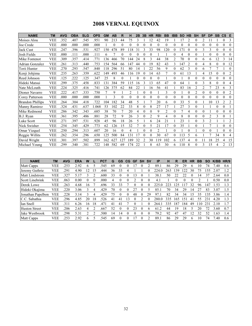# 2008 VERNAL EQUINOX

| <b>NAME</b>             | <b>TM</b>  | <b>AVG</b> | <b>OBA</b> | <b>SLG</b> | <b>OPS</b> | <b>GM</b>      | AB       | R                | н              | 2B       | 3B       | <b>HR</b>      | <b>RBI</b>      | <b>BB</b>      | <b>IBB</b>     | <b>SO</b> | HВ             | SΗ             | <b>SF</b>      | <b>DP</b>      | <b>SB</b> | <b>CS</b>      | E              |
|-------------------------|------------|------------|------------|------------|------------|----------------|----------|------------------|----------------|----------|----------|----------------|-----------------|----------------|----------------|-----------|----------------|----------------|----------------|----------------|-----------|----------------|----------------|
| Moises Alou             | <b>VEE</b> | .352       | .407       | 545        | .951       | 90             | 213      | 44               | 75             | 3        |          | $\overline{2}$ | 42              | 19             |                | 17        | $\overline{2}$ | $\theta$       | $\overline{c}$ | 11             |           | $\theta$       | 3              |
| Joe Crede               | VEE        | .000       | .000       | .000       | .000       |                | $\theta$ | $\boldsymbol{0}$ | 0              | $\theta$ |          | 0              | $\theta$        | $\theta$       | 0              |           | $\theta$       |                |                | $\Omega$       | 0         | $\theta$       | $\Omega$       |
| <b>Jack Cust</b>        | <b>VEE</b> | .247       | .396       | .531       | .927       | 150            | 478      | 89               | 118            | 31       |          | 33             | 98              | 120            | $\theta$       | 171       | $\theta$       |                | 3              | 3              | 0         | $\theta$       | $\Omega$       |
| Josh Fields             | <b>VEE</b> | .000       | .111       | .000       | .111       | 6              |          | 0                | 0              | 0        |          | 0              |                 |                | 0              | 4         | $\theta$       | 0              |                | $\theta$       | 0         | $\theta$       | 0              |
| Mike Fontenot           | VEE        | .309       | .357       | .414       | 771        | 136            | 466      | 70               | 144            | 24       |          | 3              | 44              | 38             | $\overline{c}$ | 70        | $\Omega$       | 0              | 6              | 6              | 12        | 3              | 14             |
| Adrian Gonzalez         | VEE        | .261       | 313        | .440       | .753       | 154            | 564      | 66               | 147            | 44       |          | 19             | 82              | 43             | 3              | 147       | $\overline{c}$ | 0              | 4              | 8              | 0         | $\theta$       | 12             |
| Torii Hunter            | <b>VEE</b> | 270        | 293        | .547       | .840       | 118            | 296      | 51               | 80             | 14       |          | 22             | 56              | 9              | $\theta$       | 62        | 3              | 0              | 6              |                |           |                | $\Omega$       |
| Kenji Johjima           | <b>VEE</b> | .235       | 263        | .359       | .622       | 149            | 493      | 46               | 116            | 19       |          | 14             | 63              |                | 0              | 61        | 13             |                | 4              | 15             | 0         | $\theta$       | 2              |
| Reed Johnson            | VEE        | .125       | 222        | .125       | .347       | 25             | 8        | $\theta$         |                | $\theta$ |          |                | $\theta$        |                | 0              |           | $\theta$       |                | 0              | $\Omega$       | 0         | $\Omega$       | 0              |
| Hideki Matsui           | <b>VEE</b> | 299        | 375        | 458        | .833       | 131            | 384      | 59               | 115            | 16       |          | 13             | 65              | 47             | $\theta$       | 64        |                | 0              | 3              | 8              | 0         | $\theta$       | 4              |
| Nate McLouth            | VEE        | .224       | 325        | .416       | .741       | 126            | 375      | 62               | 84             | 22       |          | 16             | 56              | 41             |                | 83        | 16             | $\mathfrak{D}$ | 2              |                | 23        | 6              | 3              |
| Dioner Navarro          | <b>VEE</b> | .222       | .417       | 333        | .750       | $\overline{7}$ | 9        |                  | $\overline{c}$ |          | $\theta$ | $\theta$       |                 | 3              | $\theta$       |           | $\theta$       | $\overline{c}$ | $\theta$       | $\theta$       | 0         | $\theta$       | 2              |
| Corey Patterson         | <b>VEE</b> | .000       | .000       | .000       | .000       |                | 3        | $\theta$         | 0              | $\theta$ |          | 0              | $\theta$        | $\theta$       | 0              | 0         | $\theta$       | 0              | 0              | $\Omega$       | 0         | $\theta$       | $\Omega$       |
| <b>Brandon Phillips</b> | <b>VEE</b> | .264       | .304       | .418       | .722       | 104            | 182      | 34               | 48             | 5        |          |                | 20              | 6              | $\theta$       | 33        | 5              | $\theta$       |                | 10             | 13        | $\overline{2}$ | $\overline{2}$ |
| Manny Ramirez           | <b>VEE</b> | 324        | .431       | .637       | 1.068      | 53             | 102      | 22               | 33             | 8        |          | 8              | 27              | 17             |                | 27        | 3              |                |                |                | 0         | $\theta$       |                |
| Mike Redmond            | <b>VEE</b> | .286       | .342       | .343       | .685       | 38             | 70       | 7                | 20             | 4        | $\theta$ | $\theta$       | 9               | $\overline{2}$ | $\theta$       |           | 4              | $\theta$       | $\theta$       |                | $\Omega$  | $\theta$       | 0              |
| B.J. Ryan               | VEE        | .361       | 395        | .486       | .881       | 28             | 72       | 9                | 26             | 3        | $\Omega$ | 2              | 9               | 4              | $\theta$       | 8         | $\Omega$       |                | $\theta$       | $\mathfrak{D}$ | 3         | $\Omega$       |                |
| Luke Scott              | VEE        | 271        | .397       | .531       | .928       | 45             | 96       | 18               | 26             | 5        |          | 6              | 24              | 21             |                | 23        |                | $\theta$       | 3              | 2              |           |                | 2              |
| Nick Swisher            | <b>VEE</b> | .254       | 345        | .429       | .773       | 62             | 126      | 15               | 32             |          |          | 5              | $\overline{2}1$ | 17             | 0              | 35        |                | 0              |                |                |           | $\theta$       | $\Omega$       |
| Omar Vizquel            | VEE        | .250       | 294        | .313       | .607       | 20             | 16       | $\Omega$         | 4              |          |          | 0              | 2               |                | 0              |           | $\theta$       |                | 0              | 0              |           | $\theta$       |                |
| Reggie Willits          | <b>VEE</b> | .262       | 354        | .296       | .650       | 125            | 500      | 84               | 131            | 17       |          |                | 30              | 67             | 0              | 13        | 5              | 6              |                |                | 34        | 8              | 4              |
| David Wright            | <b>VEE</b> | .301       | .397       | .502       | .899       | 162            | 627      | .27              | 189            | 32       |          | 30             | 119             | 102            | 6              | 37        | 4              |                |                | 18             | 25        | 4              | 15             |
| Michael Young           | VEE        | 299        | 340        | 381        | 722        | 148            | 582      | 69               | 174            | 22       |          | 8              | 63              | 30             | 6              | 10        | 8              | 0              | 3              | 15             | 4         | $\mathfrak{D}$ | 13             |

| <b>NAME</b>            | TM         | <b>AVG</b> | <b>ERA</b> | W        |          | <b>PCT</b> | G  | GS       | CG     | <b>GF</b> | <b>SH</b> | <b>SV</b> | ΙP    | н   | R   | ER  | HR           | BВ             | SO  | K/BB | HR/9 |
|------------------------|------------|------------|------------|----------|----------|------------|----|----------|--------|-----------|-----------|-----------|-------|-----|-----|-----|--------------|----------------|-----|------|------|
| Matt Capps             | VEE        | 253        | 2.92       | 6        |          | 545        | 69 |          |        |           |           |           | 89.1  | 86  | 29  | 29  | <sub>b</sub> | 10             | 74  | .40  | 0.6  |
| Jeremy Guthrie         | VEE        | .291       | 4.90       | 2        |          | 444        | 36 | 33       | 4      |           |           |           | 224.0 | 263 | 39  | 22  | 30           | 75             | .55 | 2.07 | 1.2  |
| <b>Matt Lindstrom</b>  | VEE        | 327        | 5.17       |          |          | 600        | 33 | $\theta$ |        | 13        |           |           | 38.   | 50  | 22  | 22  | $\Omega$     | $\overline{4}$ | 37  | .64  | 0.0  |
| <b>Scott Linebrink</b> | <b>VEE</b> | 063        | 0.00       | $^{(1)}$ | $\Omega$ | 000        | 4  | 0        | 0      |           |           |           | 4.1   |     | 0   |     |              |                |     | 0.50 | 0.0  |
| Derek Lowe             | VEE        | 263        | 4.68       | 16       |          | .696       | 33 | 33       |        |           |           |           | 225.0 | 223 | 25  |     | 32           | 96             | 47، | -53  | 1.3  |
| Hideki Okajima         | VEE        | 220        | 3.06       |          | 4        | .429       | 70 | $\Omega$ | $_{0}$ | 27        | $_{0}$    |           | 85.1  | 70  | 34  | 29  | 14           |                | 83  | 3.07 | 1.5  |
| Jonathan Papelbon      | VEE        | 228        | 3.14       |          | 4        | 429        | 75 |          | 0      | 48        |           | 29        | 97.1  | 82  | 34  | 34  |              | 35             | 35  | 3.86 | 1.4  |
| C.C. Sabathia          | VEE        | 296        | 4.85       | 20       | 18       | 526        | 41 | 41       | 13     |           |           |           | 280.0 | 335 | 165 | 151 | 41           | 55             | 231 | 4.20 | 1.3  |
| Ian Snell              | VEE        | 311        | 6.26       | 6        | 18       | 471        | 41 | 41       |        |           |           |           | 264.7 | 335 | 87ء | 84  | 49           | 10             | 231 | 2.10 |      |
| <b>Huston Street</b>   | <b>VEE</b> | 206        | 2.63       | 4        |          | 667        | 52 | $\Omega$ | 0      | 23        | $\Omega$  | h         | 61.2  | 44  | 19  | 18  |              | 20             | 72  | 3.60 | 0.7  |
| Jake Westbrook         | VEE        | 298        | 5.31       |          |          | 500        | 14 | 4        | 0      |           | $\Omega$  |           | 79.2  | 92  | 47  | 47  | 12           | 32             | 52  | .63  | 1.4  |
| Matt Capps             | VEE        | 253        | 2.92       | 6        |          | 545        | 69 | $\theta$ |        |           |           |           | 89.1  | 86  | 29  | 29  | <sub>b</sub> | 10             | 74  | .40  | 0.6  |